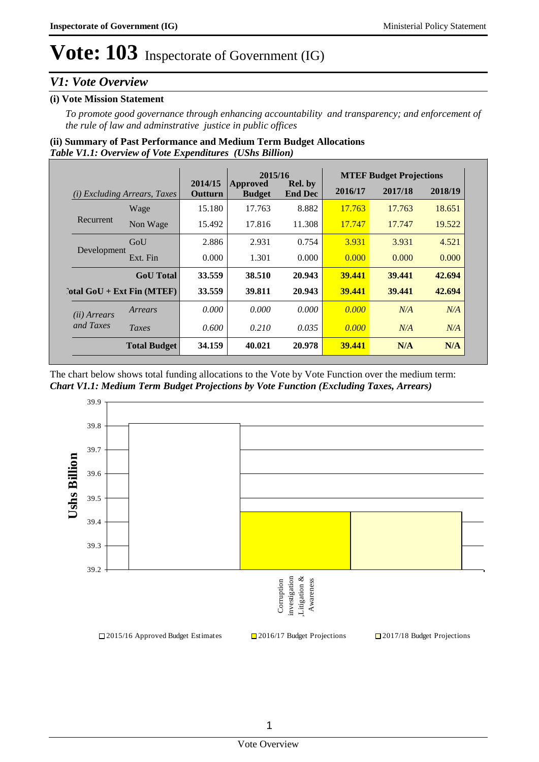### *V1: Vote Overview*

### **(i) Vote Mission Statement**

*To promote good governance through enhancing accountability and transparency; and enforcement of the rule of law and adminstrative justice in public offices*

### *Table V1.1: Overview of Vote Expenditures (UShs Billion)* **(ii) Summary of Past Performance and Medium Term Budget Allocations**

|                                     |                     | 2015/16            |                                  | <b>MTEF Budget Projections</b>   |               |         |         |
|-------------------------------------|---------------------|--------------------|----------------------------------|----------------------------------|---------------|---------|---------|
| <i>(i)</i> Excluding Arrears, Taxes |                     | 2014/15<br>Outturn | <b>Approved</b><br><b>Budget</b> | <b>Rel.</b> by<br><b>End Dec</b> | 2016/17       | 2017/18 | 2018/19 |
|                                     | Wage                | 15.180             | 17.763                           | 8.882                            | 17.763        | 17.763  | 18.651  |
| Recurrent                           | Non Wage            | 15.492             | 17.816                           | 11.308                           | 17.747        | 17.747  | 19.522  |
|                                     | GoU                 | 2.886              | 2.931                            | 0.754                            | 3.931         | 3.931   | 4.521   |
| Development                         | Ext. Fin            | 0.000              | 1.301                            | 0.000                            | 0.000         | 0.000   | 0.000   |
|                                     | <b>GoU</b> Total    | 33.559             | 38.510                           | 20.943                           | 39.441        | 39.441  | 42.694  |
| $\cdot$ otal GoU + Ext Fin (MTEF)   |                     | 33.559             | 39.811                           | 20.943                           | <b>39.441</b> | 39.441  | 42.694  |
| ( <i>ii</i> ) Arrears               | Arrears             | 0.000              | 0.000                            | 0.000                            | 0.000         | N/A     | N/A     |
| and Taxes                           | Taxes               | 0.600              | 0.210                            | 0.035                            | 0.000         | N/A     | N/A     |
|                                     | <b>Total Budget</b> | 34.159             | 40.021                           | 20.978                           | 39.441        | N/A     | N/A     |

The chart below shows total funding allocations to the Vote by Vote Function over the medium term: *Chart V1.1: Medium Term Budget Projections by Vote Function (Excluding Taxes, Arrears)*

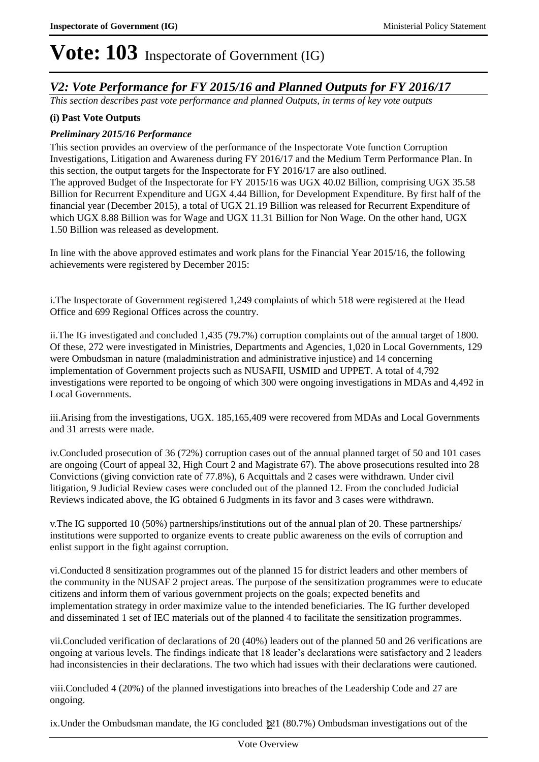### *V2: Vote Performance for FY 2015/16 and Planned Outputs for FY 2016/17*

*This section describes past vote performance and planned Outputs, in terms of key vote outputs* 

### **(i) Past Vote Outputs**

### *Preliminary 2015/16 Performance*

1.50 Billion was released as development.

This section provides an overview of the performance of the Inspectorate Vote function Corruption Investigations, Litigation and Awareness during FY 2016/17 and the Medium Term Performance Plan. In this section, the output targets for the Inspectorate for FY 2016/17 are also outlined. The approved Budget of the Inspectorate for FY 2015/16 was UGX 40.02 Billion, comprising UGX 35.58 Billion for Recurrent Expenditure and UGX 4.44 Billion, for Development Expenditure. By first half of the financial year (December 2015), a total of UGX 21.19 Billion was released for Recurrent Expenditure of which UGX 8.88 Billion was for Wage and UGX 11.31 Billion for Non Wage. On the other hand, UGX

In line with the above approved estimates and work plans for the Financial Year 2015/16, the following achievements were registered by December 2015:

i. The Inspectorate of Government registered 1,249 complaints of which 518 were registered at the Head Office and 699 Regional Offices across the country.

ii. The IG investigated and concluded 1,435 (79.7%) corruption complaints out of the annual target of 1800. Of these, 272 were investigated in Ministries, Departments and Agencies, 1,020 in Local Governments, 129 were Ombudsman in nature (maladministration and administrative injustice) and 14 concerning implementation of Government projects such as NUSAFII, USMID and UPPET. A total of 4,792 investigations were reported to be ongoing of which 300 were ongoing investigations in MDAs and 4,492 in Local Governments.

iii. Arising from the investigations, UGX. 185,165,409 were recovered from MDAs and Local Governments and 31 arrests were made.

iv. Concluded prosecution of 36 (72%) corruption cases out of the annual planned target of 50 and 101 cases are ongoing (Court of appeal 32, High Court 2 and Magistrate 67). The above prosecutions resulted into 28 Convictions (giving conviction rate of 77.8%), 6 Acquittals and 2 cases were withdrawn. Under civil litigation, 9 Judicial Review cases were concluded out of the planned 12. From the concluded Judicial Reviews indicated above, the IG obtained 6 Judgments in its favor and 3 cases were withdrawn.

v. The IG supported 10 (50%) partnerships/institutions out of the annual plan of 20. These partnerships/ institutions were supported to organize events to create public awareness on the evils of corruption and enlist support in the fight against corruption.

vi. Conducted 8 sensitization programmes out of the planned 15 for district leaders and other members of the community in the NUSAF 2 project areas. The purpose of the sensitization programmes were to educate citizens and inform them of various government projects on the goals; expected benefits and implementation strategy in order maximize value to the intended beneficiaries. The IG further developed and disseminated 1 set of IEC materials out of the planned 4 to facilitate the sensitization programmes.

vii. Concluded verification of declarations of 20 (40%) leaders out of the planned 50 and 26 verifications are ongoing at various levels. The findings indicate that 18 leader's declarations were satisfactory and 2 leaders had inconsistencies in their declarations. The two which had issues with their declarations were cautioned.

viii. Concluded 4 (20%) of the planned investigations into breaches of the Leadership Code and 27 are ongoing.

ix. Under the Ombudsman mandate, the IG concluded  $\cancel{2}1$  (80.7%) Ombudsman investigations out of the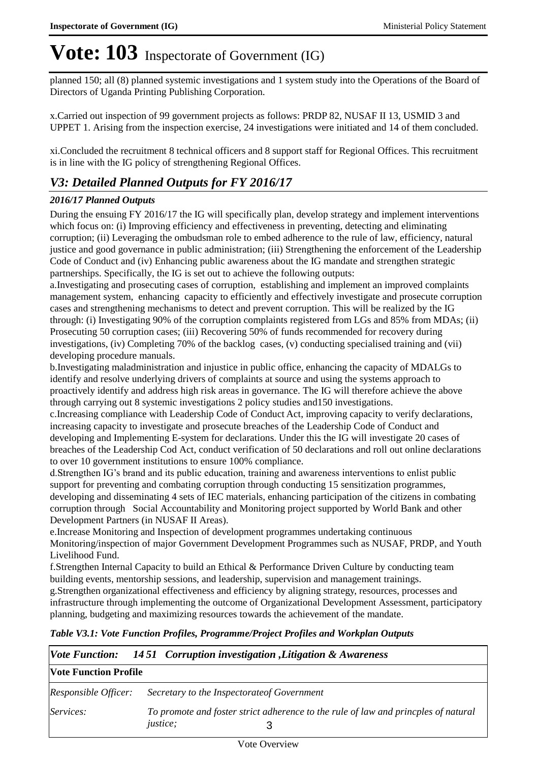planned 150; all (8) planned systemic investigations and 1 system study into the Operations of the Board of Directors of Uganda Printing Publishing Corporation.

x. Carried out inspection of 99 government projects as follows: PRDP 82, NUSAF II 13, USMID 3 and UPPET 1. Arising from the inspection exercise, 24 investigations were initiated and 14 of them concluded.

xi. Concluded the recruitment 8 technical officers and 8 support staff for Regional Offices. This recruitment is in line with the IG policy of strengthening Regional Offices.

### *V3: Detailed Planned Outputs for FY 2016/17*

### *2016/17 Planned Outputs*

During the ensuing FY 2016/17 the IG will specifically plan, develop strategy and implement interventions which focus on: (i) Improving efficiency and effectiveness in preventing, detecting and eliminating corruption; (ii) Leveraging the ombudsman role to embed adherence to the rule of law, efficiency, natural justice and good governance in public administration; (iii) Strengthening the enforcement of the Leadership Code of Conduct and (iv) Enhancing public awareness about the IG mandate and strengthen strategic partnerships. Specifically, the IG is set out to achieve the following outputs:

a. Investigating and prosecuting cases of corruption, establishing and implement an improved complaints management system, enhancing capacity to efficiently and effectively investigate and prosecute corruption cases and strengthening mechanisms to detect and prevent corruption. This will be realized by the IG through: (i) Investigating 90% of the corruption complaints registered from LGs and 85% from MDAs; (ii) Prosecuting 50 corruption cases; (iii) Recovering 50% of funds recommended for recovery during investigations, (iv) Completing 70% of the backlog cases, (v) conducting specialised training and (vii) developing procedure manuals.

b. Investigating maladministration and injustice in public office, enhancing the capacity of MDALGs to identify and resolve underlying drivers of complaints at source and using the systems approach to proactively identify and address high risk areas in governance. The IG will therefore achieve the above through carrying out 8 systemic investigations 2 policy studies and150 investigations.

c. Increasing compliance with Leadership Code of Conduct Act, improving capacity to verify declarations, increasing capacity to investigate and prosecute breaches of the Leadership Code of Conduct and developing and Implementing E-system for declarations. Under this the IG will investigate 20 cases of breaches of the Leadership Cod Act, conduct verification of 50 declarations and roll out online declarations to over 10 government institutions to ensure 100% compliance.

d. Strengthen IG's brand and its public education, training and awareness interventions to enlist public support for preventing and combating corruption through conducting 15 sensitization programmes, developing and disseminating 4 sets of IEC materials, enhancing participation of the citizens in combating corruption through Social Accountability and Monitoring project supported by World Bank and other Development Partners (in NUSAF II Areas).

e. Increase Monitoring and Inspection of development programmes undertaking continuous Monitoring/inspection of major Government Development Programmes such as NUSAF, PRDP, and Youth Livelihood Fund.

f. Strengthen Internal Capacity to build an Ethical  $\&$  Performance Driven Culture by conducting team building events, mentorship sessions, and leadership, supervision and management trainings. g. Strengthen organizational effectiveness and efficiency by aligning strategy, resources, processes and infrastructure through implementing the outcome of Organizational Development Assessment, participatory planning, budgeting and maximizing resources towards the achievement of the mandate.

*Table V3.1: Vote Function Profiles, Programme/Project Profiles and Workplan Outputs*

|                              | <i>Vote Function:</i> 1451 <i>Corruption investigation , Litigation &amp; Awareness</i>                |
|------------------------------|--------------------------------------------------------------------------------------------------------|
| <b>Vote Function Profile</b> |                                                                                                        |
| <i>Responsible Officer:</i>  | Secretary to the Inspectorate of Government                                                            |
| Services:                    | To promote and foster strict adherence to the rule of law and princples of natural<br><i>justice</i> ; |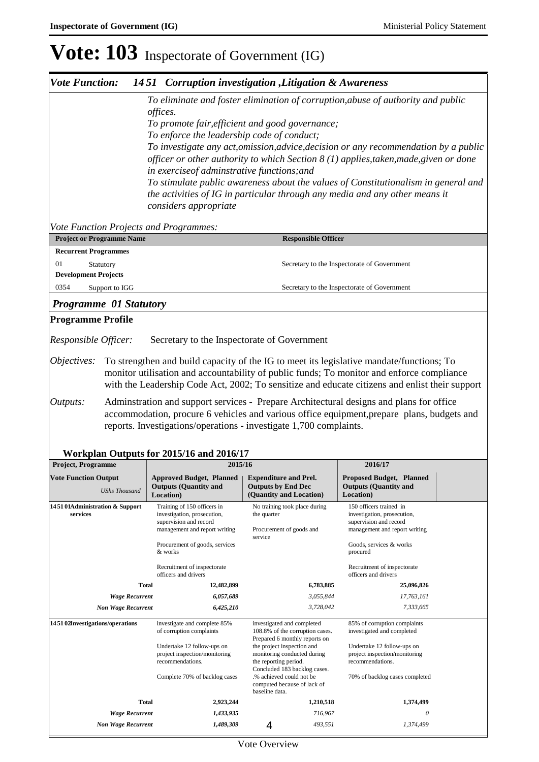# **Vote: 103** Inspectorate of Government (IG)

| <b>Vote Function:</b>                                                                                                                                                                                                                                                                                                                                                                                                                                                                                                                                                                                                                                                        |                                                                                                                                                                                                                                                              | 1451 Corruption investigation , Litigation & Awareness                       |                                                                                      |                                                                                                                                                                                                                                                                                         |  |  |  |  |
|------------------------------------------------------------------------------------------------------------------------------------------------------------------------------------------------------------------------------------------------------------------------------------------------------------------------------------------------------------------------------------------------------------------------------------------------------------------------------------------------------------------------------------------------------------------------------------------------------------------------------------------------------------------------------|--------------------------------------------------------------------------------------------------------------------------------------------------------------------------------------------------------------------------------------------------------------|------------------------------------------------------------------------------|--------------------------------------------------------------------------------------|-----------------------------------------------------------------------------------------------------------------------------------------------------------------------------------------------------------------------------------------------------------------------------------------|--|--|--|--|
| To eliminate and foster elimination of corruption, abuse of authority and public<br>offices.<br>To promote fair, efficient and good governance;<br>To enforce the leadership code of conduct;<br>To investigate any act, omission, advice, decision or any recommendation by a public<br>officer or other authority to which Section 8 (1) applies, taken, made, given or done<br>in exercise of adminstrative functions; and<br>To stimulate public awareness about the values of Constitutionalism in general and<br>the activities of IG in particular through any media and any other means it<br>considers appropriate<br><b>Vote Function Projects and Programmes:</b> |                                                                                                                                                                                                                                                              |                                                                              |                                                                                      |                                                                                                                                                                                                                                                                                         |  |  |  |  |
| <b>Project or Programme Name</b>                                                                                                                                                                                                                                                                                                                                                                                                                                                                                                                                                                                                                                             |                                                                                                                                                                                                                                                              |                                                                              | <b>Responsible Officer</b>                                                           |                                                                                                                                                                                                                                                                                         |  |  |  |  |
| 01<br>Statutory<br>0354<br>Support to IGG                                                                                                                                                                                                                                                                                                                                                                                                                                                                                                                                                                                                                                    | <b>Recurrent Programmes</b><br>Secretary to the Inspectorate of Government<br><b>Development Projects</b>                                                                                                                                                    |                                                                              |                                                                                      |                                                                                                                                                                                                                                                                                         |  |  |  |  |
|                                                                                                                                                                                                                                                                                                                                                                                                                                                                                                                                                                                                                                                                              |                                                                                                                                                                                                                                                              |                                                                              |                                                                                      | Secretary to the Inspectorate of Government                                                                                                                                                                                                                                             |  |  |  |  |
| <b>Programme 01 Statutory</b><br><b>Programme Profile</b><br>Responsible Officer:                                                                                                                                                                                                                                                                                                                                                                                                                                                                                                                                                                                            |                                                                                                                                                                                                                                                              | Secretary to the Inspectorate of Government                                  |                                                                                      |                                                                                                                                                                                                                                                                                         |  |  |  |  |
| Objectives:                                                                                                                                                                                                                                                                                                                                                                                                                                                                                                                                                                                                                                                                  |                                                                                                                                                                                                                                                              |                                                                              |                                                                                      | To strengthen and build capacity of the IG to meet its legislative mandate/functions; To<br>monitor utilisation and accountability of public funds; To monitor and enforce compliance<br>with the Leadership Code Act, 2002; To sensitize and educate citizens and enlist their support |  |  |  |  |
| Outputs:                                                                                                                                                                                                                                                                                                                                                                                                                                                                                                                                                                                                                                                                     | Administration and support services - Prepare Architectural designs and plans for office<br>accommodation, procure 6 vehicles and various office equipment, prepare plans, budgets and<br>reports. Investigations/operations - investigate 1,700 complaints. |                                                                              |                                                                                      |                                                                                                                                                                                                                                                                                         |  |  |  |  |
|                                                                                                                                                                                                                                                                                                                                                                                                                                                                                                                                                                                                                                                                              |                                                                                                                                                                                                                                                              | Workplan Outputs for 2015/16 and 2016/17                                     |                                                                                      |                                                                                                                                                                                                                                                                                         |  |  |  |  |
| Project, Programme                                                                                                                                                                                                                                                                                                                                                                                                                                                                                                                                                                                                                                                           |                                                                                                                                                                                                                                                              | 2015/16                                                                      |                                                                                      | 2016/17                                                                                                                                                                                                                                                                                 |  |  |  |  |
| <b>Vote Function Output</b><br><b>UShs Thousand</b>                                                                                                                                                                                                                                                                                                                                                                                                                                                                                                                                                                                                                          |                                                                                                                                                                                                                                                              | <b>Approved Budget, Planned</b><br><b>Outputs (Quantity and</b><br>Location) | <b>Expenditure and Prel.</b><br><b>Outputs by End Dec</b><br>(Quantity and Location) | <b>Proposed Budget, Planned</b><br><b>Outputs (Quantity and</b><br><b>Location</b> )                                                                                                                                                                                                    |  |  |  |  |

| <b>UShs Thousand</b>                       | <b>Outputs (Quantity and</b><br>Location)                                            | <b>Outputs by End Dec</b><br>(Quantity and Location)                                 |                                 | <b>Outputs (Quantity and</b><br>Location)                                        |  |
|--------------------------------------------|--------------------------------------------------------------------------------------|--------------------------------------------------------------------------------------|---------------------------------|----------------------------------------------------------------------------------|--|
| 145101Administration & Support<br>services | Training of 150 officers in<br>investigation, prosecution,<br>supervision and record | No training took place during<br>the quarter                                         |                                 | 150 officers trained in<br>investigation, prosecution,<br>supervision and record |  |
|                                            | management and report writing                                                        | Procurement of goods and<br>service                                                  |                                 | management and report writing                                                    |  |
|                                            | Procurement of goods, services<br>& works                                            |                                                                                      |                                 | Goods, services & works<br>procured                                              |  |
|                                            | Recruitment of inspectorate<br>officers and drivers                                  |                                                                                      |                                 | Recruitment of inspectorate<br>officers and drivers                              |  |
| <b>Total</b>                               | 12,482,899                                                                           | 6,783,885                                                                            |                                 | 25,096,826                                                                       |  |
| <b>Wage Recurrent</b>                      | 6,057,689                                                                            | 3,055,844                                                                            |                                 | 17,763,161                                                                       |  |
| <b>Non Wage Recurrent</b>                  | 6,425,210                                                                            |                                                                                      | 3,728,042                       | 7,333,665                                                                        |  |
| 145102Investigations/operations            | investigate and complete 85%<br>of corruption complaints                             | investigated and completed<br>Prepared 6 monthly reports on                          | 108.8% of the corruption cases. | 85% of corruption complaints<br>investigated and completed                       |  |
|                                            | Undertake 12 follow-ups on                                                           | the project inspection and                                                           |                                 | Undertake 12 follow-ups on                                                       |  |
|                                            | project inspection/monitoring<br>recommendations.                                    | monitoring conducted during<br>the reporting period.<br>Concluded 183 backlog cases. |                                 | project inspection/monitoring<br>recommendations.                                |  |
|                                            | Complete 70% of backlog cases                                                        | .% achieved could not be<br>computed because of lack of<br>baseline data.            |                                 | 70% of backlog cases completed                                                   |  |
| <b>Total</b>                               | 2,923,244                                                                            |                                                                                      | 1,210,518                       | 1,374,499                                                                        |  |
| <b>Wage Recurrent</b>                      | 1,433,935                                                                            |                                                                                      | 716,967                         | 0                                                                                |  |
| <b>Non Wage Recurrent</b>                  | 1,489,309                                                                            | 4                                                                                    | 493,551                         | 1,374,499                                                                        |  |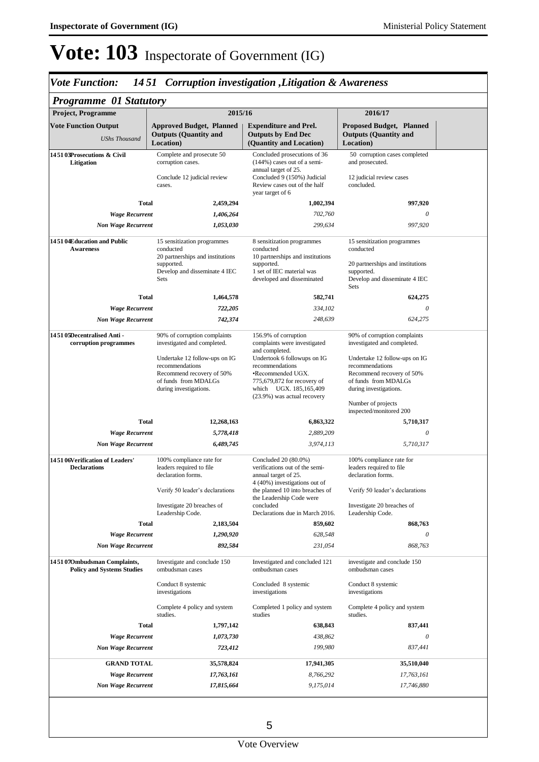# *Vote Function: 14 51 Corruption investigation ,Litigation & Awareness*

| <b>Project, Programme</b>                                                          | 2015/16                                                                                                                         |                                                                                                                                                               | 2016/17                                                                                                                         |
|------------------------------------------------------------------------------------|---------------------------------------------------------------------------------------------------------------------------------|---------------------------------------------------------------------------------------------------------------------------------------------------------------|---------------------------------------------------------------------------------------------------------------------------------|
| <b>Vote Function Output</b>                                                        | <b>Approved Budget, Planned</b>                                                                                                 | <b>Expenditure and Prel.</b>                                                                                                                                  | <b>Proposed Budget, Planned</b>                                                                                                 |
| <b>UShs Thousand</b>                                                               | <b>Outputs (Quantity and</b><br>Location)                                                                                       | <b>Outputs by End Dec</b><br>(Quantity and Location)                                                                                                          | <b>Outputs (Quantity and</b><br>Location)                                                                                       |
| 145103Prosecutions & Civil<br>Litigation                                           | Complete and prosecute 50<br>corruption cases.                                                                                  | Concluded prosecutions of 36<br>$(144%)$ cases out of a semi-<br>annual target of 25.                                                                         | 50 corruption cases completed<br>and prosecuted.                                                                                |
|                                                                                    | Conclude 12 judicial review<br>cases.                                                                                           | Concluded 9 (150%) Judicial<br>Review cases out of the half<br>year target of 6                                                                               | 12 judicial review cases<br>concluded.                                                                                          |
| <b>Total</b>                                                                       | 2,459,294                                                                                                                       | 1,002,394                                                                                                                                                     | 997,920                                                                                                                         |
| <b>Wage Recurrent</b>                                                              | 1,406,264                                                                                                                       | 702,760                                                                                                                                                       | 0                                                                                                                               |
| <b>Non Wage Recurrent</b>                                                          | 1,053,030                                                                                                                       | 299,634                                                                                                                                                       | 997,920                                                                                                                         |
| 145104Education and Public<br><b>Awareness</b>                                     | 15 sensitization programmes<br>conducted<br>20 partnerships and institutions                                                    | 8 sensitization programmes<br>conducted<br>10 partnerships and institutions                                                                                   | 15 sensitization programmes<br>conducted                                                                                        |
|                                                                                    | supported.<br>Develop and disseminate 4 IEC<br>Sets                                                                             | supported.<br>1 set of IEC material was<br>developed and disseminated                                                                                         | 20 partnerships and institutions<br>supported.<br>Develop and disseminate 4 IEC<br>Sets                                         |
| Total                                                                              | 1,464,578                                                                                                                       | 582,741                                                                                                                                                       | 624,275                                                                                                                         |
| <b>Wage Recurrent</b>                                                              | 722,205                                                                                                                         | 334,102                                                                                                                                                       | $\theta$                                                                                                                        |
| <b>Non Wage Recurrent</b>                                                          | 742,374                                                                                                                         | 248,639                                                                                                                                                       | 624,275                                                                                                                         |
| 145105Decentralised Anti-<br>corruption programmes                                 | 90% of corruption complaints<br>investigated and completed.                                                                     | 156.9% of corruption<br>complaints were investigated<br>and completed.                                                                                        | 90% of corruption complaints<br>investigated and completed.                                                                     |
|                                                                                    | Undertake 12 follow-ups on IG<br>recommendations<br>Recommend recovery of 50%<br>of funds from MDALGs<br>during investigations. | Undertook 6 followups on IG<br>recommendations<br>•Recommended UGX.<br>775,679,872 for recovery of<br>which UGX. 185, 165, 409<br>(23.9%) was actual recovery | Undertake 12 follow-ups on IG<br>recommendations<br>Recommend recovery of 50%<br>of funds from MDALGs<br>during investigations. |
| <b>Total</b>                                                                       |                                                                                                                                 |                                                                                                                                                               | Number of projects<br>inspected/monitored 200                                                                                   |
|                                                                                    | 12,268,163                                                                                                                      | 6,863,322                                                                                                                                                     | 5,710,317<br>$\theta$                                                                                                           |
| <b>Wage Recurrent</b>                                                              | 5,778,418                                                                                                                       | 2,889,209                                                                                                                                                     |                                                                                                                                 |
| <b>Non Wage Recurrent</b><br>145106Verification of Leaders'<br><b>Declarations</b> | 6,489,745<br>100% compliance rate for<br>leaders required to file<br>declaration forms.                                         | 3,974,113<br>Concluded 20 (80.0%)<br>verifications out of the semi-<br>annual target of 25.                                                                   | 5,710,317<br>100% compliance rate for<br>leaders required to file<br>declaration forms.                                         |
|                                                                                    | Verify 50 leader's declarations                                                                                                 | 4 (40%) investigations out of<br>the planned 10 into breaches of<br>the Leadership Code were                                                                  | Verify 50 leader's declarations                                                                                                 |
|                                                                                    | Investigate 20 breaches of<br>Leadership Code.                                                                                  | concluded<br>Declarations due in March 2016.                                                                                                                  | Investigate 20 breaches of<br>Leadership Code.                                                                                  |
| <b>Total</b>                                                                       | 2,183,504                                                                                                                       | 859,602                                                                                                                                                       | 868,763                                                                                                                         |
| <b>Wage Recurrent</b>                                                              | 1,290,920                                                                                                                       | 628,548                                                                                                                                                       | 0                                                                                                                               |
| <b>Non Wage Recurrent</b>                                                          | 892,584                                                                                                                         | 231,054                                                                                                                                                       | 868,763                                                                                                                         |
| 145107Ombudsman Complaints,<br><b>Policy and Systems Studies</b>                   | Investigate and conclude 150<br>ombudsman cases                                                                                 | Investigated and concluded 121<br>ombudsman cases                                                                                                             | investigate and conclude 150<br>ombudsman cases                                                                                 |
|                                                                                    | Conduct 8 systemic<br>investigations                                                                                            | Concluded 8 systemic<br>investigations                                                                                                                        | Conduct 8 systemic<br>investigations                                                                                            |
|                                                                                    | Complete 4 policy and system<br>studies.                                                                                        | Completed 1 policy and system<br>studies                                                                                                                      | Complete 4 policy and system<br>studies.                                                                                        |
| <b>Total</b>                                                                       | 1,797,142                                                                                                                       | 638,843                                                                                                                                                       | 837,441                                                                                                                         |
| <b>Wage Recurrent</b>                                                              | 1,073,730                                                                                                                       | 438,862                                                                                                                                                       | 0                                                                                                                               |
| <b>Non Wage Recurrent</b>                                                          | 723,412                                                                                                                         | 199,980                                                                                                                                                       | 837,441                                                                                                                         |
| <b>GRAND TOTAL</b>                                                                 | 35,578,824                                                                                                                      | 17,941,305                                                                                                                                                    | 35,510,040                                                                                                                      |
| <b>Wage Recurrent</b>                                                              | 17,763,161                                                                                                                      | 8,766,292                                                                                                                                                     | 17,763,161                                                                                                                      |
| <b>Non Wage Recurrent</b>                                                          | 17,815,664                                                                                                                      | 9,175,014                                                                                                                                                     | 17,746,880                                                                                                                      |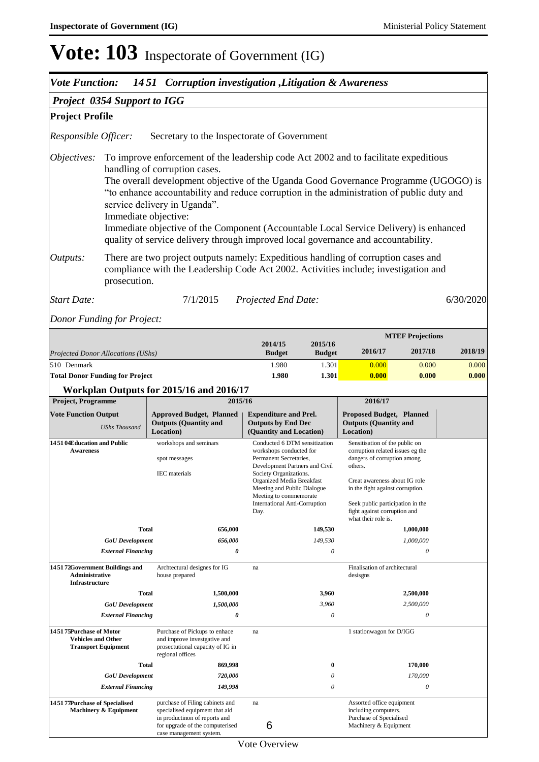| <b>Vote Function:</b>                                                                                                                                                                                                                                                                                                                                                                                                                                                                                                                                           |                           | 1451 Corruption investigation , Litigation & Awareness                                                                                                                    |                                                                                                                                                                                                                                                                       |                          |                                                                                                                                                                                                                                                                              |                           |           |
|-----------------------------------------------------------------------------------------------------------------------------------------------------------------------------------------------------------------------------------------------------------------------------------------------------------------------------------------------------------------------------------------------------------------------------------------------------------------------------------------------------------------------------------------------------------------|---------------------------|---------------------------------------------------------------------------------------------------------------------------------------------------------------------------|-----------------------------------------------------------------------------------------------------------------------------------------------------------------------------------------------------------------------------------------------------------------------|--------------------------|------------------------------------------------------------------------------------------------------------------------------------------------------------------------------------------------------------------------------------------------------------------------------|---------------------------|-----------|
| <b>Project 0354 Support to IGG</b>                                                                                                                                                                                                                                                                                                                                                                                                                                                                                                                              |                           |                                                                                                                                                                           |                                                                                                                                                                                                                                                                       |                          |                                                                                                                                                                                                                                                                              |                           |           |
| <b>Project Profile</b>                                                                                                                                                                                                                                                                                                                                                                                                                                                                                                                                          |                           |                                                                                                                                                                           |                                                                                                                                                                                                                                                                       |                          |                                                                                                                                                                                                                                                                              |                           |           |
| Responsible Officer:                                                                                                                                                                                                                                                                                                                                                                                                                                                                                                                                            |                           | Secretary to the Inspectorate of Government                                                                                                                               |                                                                                                                                                                                                                                                                       |                          |                                                                                                                                                                                                                                                                              |                           |           |
| To improve enforcement of the leadership code Act 2002 and to facilitate expeditious<br>Objectives:<br>handling of corruption cases.<br>The overall development objective of the Uganda Good Governance Programme (UGOGO) is<br>"to enhance accountability and reduce corruption in the administration of public duty and<br>service delivery in Uganda".<br>Immediate objective:<br>Immediate objective of the Component (Accountable Local Service Delivery) is enhanced<br>quality of service delivery through improved local governance and accountability. |                           |                                                                                                                                                                           |                                                                                                                                                                                                                                                                       |                          |                                                                                                                                                                                                                                                                              |                           |           |
| Outputs:                                                                                                                                                                                                                                                                                                                                                                                                                                                                                                                                                        | prosecution.              | There are two project outputs namely: Expeditious handling of corruption cases and<br>compliance with the Leadership Code Act 2002. Activities include; investigation and |                                                                                                                                                                                                                                                                       |                          |                                                                                                                                                                                                                                                                              |                           |           |
| <b>Start Date:</b>                                                                                                                                                                                                                                                                                                                                                                                                                                                                                                                                              |                           | 7/1/2015                                                                                                                                                                  | Projected End Date:                                                                                                                                                                                                                                                   |                          |                                                                                                                                                                                                                                                                              |                           | 6/30/2020 |
| Donor Funding for Project:                                                                                                                                                                                                                                                                                                                                                                                                                                                                                                                                      |                           |                                                                                                                                                                           |                                                                                                                                                                                                                                                                       |                          |                                                                                                                                                                                                                                                                              |                           |           |
|                                                                                                                                                                                                                                                                                                                                                                                                                                                                                                                                                                 |                           |                                                                                                                                                                           |                                                                                                                                                                                                                                                                       |                          |                                                                                                                                                                                                                                                                              | <b>MTEF Projections</b>   |           |
| Projected Donor Allocations (UShs)                                                                                                                                                                                                                                                                                                                                                                                                                                                                                                                              |                           |                                                                                                                                                                           | 2014/15<br><b>Budget</b>                                                                                                                                                                                                                                              | 2015/16<br><b>Budget</b> | 2016/17                                                                                                                                                                                                                                                                      | 2017/18                   | 2018/19   |
| 510 Denmark                                                                                                                                                                                                                                                                                                                                                                                                                                                                                                                                                     |                           |                                                                                                                                                                           | 1.980                                                                                                                                                                                                                                                                 | 1.301                    | 0.000                                                                                                                                                                                                                                                                        | 0.000                     | 0.000     |
| <b>Total Donor Funding for Project</b>                                                                                                                                                                                                                                                                                                                                                                                                                                                                                                                          |                           |                                                                                                                                                                           | 1.980                                                                                                                                                                                                                                                                 | 1.301                    | 0.000                                                                                                                                                                                                                                                                        | 0.000                     | 0.000     |
|                                                                                                                                                                                                                                                                                                                                                                                                                                                                                                                                                                 |                           | Workplan Outputs for 2015/16 and 2016/17                                                                                                                                  |                                                                                                                                                                                                                                                                       |                          |                                                                                                                                                                                                                                                                              |                           |           |
| Project, Programme                                                                                                                                                                                                                                                                                                                                                                                                                                                                                                                                              |                           | 2015/16                                                                                                                                                                   |                                                                                                                                                                                                                                                                       |                          | 2016/17                                                                                                                                                                                                                                                                      |                           |           |
| <b>Vote Function Output</b>                                                                                                                                                                                                                                                                                                                                                                                                                                                                                                                                     | <b>UShs Thousand</b>      | <b>Approved Budget, Planned</b><br><b>Outputs (Quantity and</b><br>Location)                                                                                              | <b>Expenditure and Prel.</b><br><b>Outputs by End Dec</b><br>(Quantity and Location)                                                                                                                                                                                  |                          | <b>Proposed Budget, Planned</b><br><b>Outputs (Quantity and</b><br>Location)                                                                                                                                                                                                 |                           |           |
| workshops and seminars<br>145104Education and Public<br><b>Awareness</b><br>spot messages<br><b>IEC</b> materials                                                                                                                                                                                                                                                                                                                                                                                                                                               |                           | Day.                                                                                                                                                                      | Conducted 6 DTM sensitization<br>workshops conducted for<br>Permanent Secretaries,<br>Development Partners and Civil<br>Society Organizations.<br>Organized Media Breakfast<br>Meeting and Public Dialogue<br>Meeting to commemorate<br>International Anti-Corruption |                          | Sensitisation of the public on<br>corruption related issues eg the<br>dangers of corruption among<br>others.<br>Creat awareness about IG role<br>in the fight against corruption.<br>Seek public participation in the<br>fight against corruption and<br>what their role is. |                           |           |
|                                                                                                                                                                                                                                                                                                                                                                                                                                                                                                                                                                 | <b>Total</b>              | 656,000                                                                                                                                                                   |                                                                                                                                                                                                                                                                       | 149,530                  |                                                                                                                                                                                                                                                                              | 1,000,000                 |           |
|                                                                                                                                                                                                                                                                                                                                                                                                                                                                                                                                                                 | <b>GoU</b> Development    | 656,000                                                                                                                                                                   |                                                                                                                                                                                                                                                                       | 149,530                  |                                                                                                                                                                                                                                                                              | 1,000,000                 |           |
|                                                                                                                                                                                                                                                                                                                                                                                                                                                                                                                                                                 | <b>External Financing</b> | 0                                                                                                                                                                         |                                                                                                                                                                                                                                                                       | 0                        |                                                                                                                                                                                                                                                                              | $\boldsymbol{\mathit{0}}$ |           |

| 145172Government Buildings and<br><b>Administrative</b><br><b>Infrastructure</b>   | Archtectural designes for IG<br>house prepared                                                                                                                   | na      |          | Finalisation of architectural<br>desisgns                                                             |  |
|------------------------------------------------------------------------------------|------------------------------------------------------------------------------------------------------------------------------------------------------------------|---------|----------|-------------------------------------------------------------------------------------------------------|--|
| <b>Total</b>                                                                       | 1,500,000                                                                                                                                                        |         | 3,960    | 2,500,000                                                                                             |  |
| <b>GoU</b> Development                                                             | 1,500,000                                                                                                                                                        |         | 3,960    | 2,500,000                                                                                             |  |
| <b>External Financing</b>                                                          | 0                                                                                                                                                                |         | 0        | 0                                                                                                     |  |
| 145175Purchase of Motor<br><b>Vehicles and Other</b><br><b>Transport Equipment</b> | Purchase of Pickups to enhace<br>and improve investgative and<br>prosectutional capacity of IG in<br>regional offices                                            | na      |          | 1 stationwagon for D/IGG                                                                              |  |
| <b>Total</b>                                                                       | 869,998                                                                                                                                                          |         | $\bf{0}$ | 170,000                                                                                               |  |
| <b>GoU</b> Development                                                             | 720,000                                                                                                                                                          |         | $\theta$ | 170,000                                                                                               |  |
| <b>External Financing</b>                                                          | 149,998                                                                                                                                                          |         | 0        | $\theta$                                                                                              |  |
| 145177Purchase of Specialised<br>Machinery & Equipment                             | purchase of Filing cabinets and<br>specialised equipment that aid<br>in productinon of reports and<br>for upgrade of the computerised<br>case management system. | na<br>6 |          | Assorted office equipment<br>including computers.<br>Purchase of Specialised<br>Machinery & Equipment |  |

Vote Overview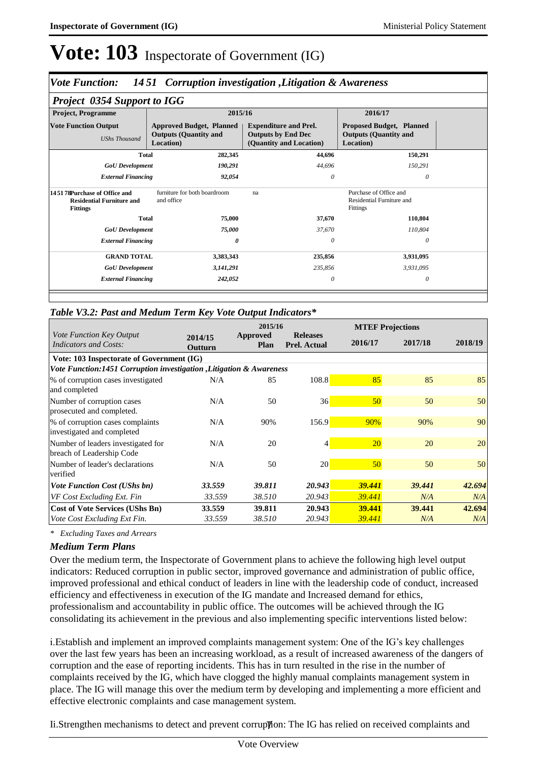### *Vote Function: 14 51 Corruption investigation ,Litigation & Awareness*

| <b>Project 0354 Support to IGG</b>                                                   |                                                                              |                                                                                      |                                                                              |  |  |  |  |  |  |  |  |
|--------------------------------------------------------------------------------------|------------------------------------------------------------------------------|--------------------------------------------------------------------------------------|------------------------------------------------------------------------------|--|--|--|--|--|--|--|--|
| <b>Project, Programme</b>                                                            | 2015/16                                                                      |                                                                                      | 2016/17                                                                      |  |  |  |  |  |  |  |  |
| <b>Vote Function Output</b><br><b>UShs Thousand</b>                                  | <b>Approved Budget, Planned</b><br><b>Outputs (Quantity and</b><br>Location) | <b>Expenditure and Prel.</b><br><b>Outputs by End Dec</b><br>(Quantity and Location) | <b>Proposed Budget, Planned</b><br><b>Outputs (Quantity and</b><br>Location) |  |  |  |  |  |  |  |  |
| <b>Total</b>                                                                         | 282,345                                                                      | 44,696                                                                               | 150,291                                                                      |  |  |  |  |  |  |  |  |
| <b>GoU</b> Development                                                               | 190,291                                                                      | 44,696                                                                               | 150,291                                                                      |  |  |  |  |  |  |  |  |
| <b>External Financing</b>                                                            | 92,054                                                                       | $\theta$                                                                             | $\theta$                                                                     |  |  |  |  |  |  |  |  |
| 14.5178Purchase of Office and<br><b>Residential Furniture and</b><br><b>Fittings</b> | furniture for both boardroom<br>and office                                   | na                                                                                   | Purchase of Office and<br>Residential Furniture and<br>Fittings              |  |  |  |  |  |  |  |  |
| <b>Total</b>                                                                         | 75,000                                                                       | 37,670                                                                               | 110,804                                                                      |  |  |  |  |  |  |  |  |
| <b>GoU</b> Development                                                               | 75,000                                                                       | 37,670                                                                               | 110,804                                                                      |  |  |  |  |  |  |  |  |
| <b>External Financing</b>                                                            | 0                                                                            | 0                                                                                    | $\theta$                                                                     |  |  |  |  |  |  |  |  |
| <b>GRAND TOTAL</b>                                                                   | 3,383,343                                                                    | 235,856                                                                              | 3,931,095                                                                    |  |  |  |  |  |  |  |  |
| <b>GoU</b> Development                                                               | 3,141,291                                                                    | 235,856                                                                              | 3,931,095                                                                    |  |  |  |  |  |  |  |  |
| <b>External Financing</b>                                                            | 242,052                                                                      | 0                                                                                    | $\theta$                                                                     |  |  |  |  |  |  |  |  |
|                                                                                      |                                                                              |                                                                                      |                                                                              |  |  |  |  |  |  |  |  |

### *Table V3.2: Past and Medum Term Key Vote Output Indicators\**

|                                                                      |                    | 2015/16          |                                        |                 | <b>MTEF Projections</b> |         |  |  |  |  |
|----------------------------------------------------------------------|--------------------|------------------|----------------------------------------|-----------------|-------------------------|---------|--|--|--|--|
| Vote Function Key Output<br><b>Indicators and Costs:</b>             | 2014/15<br>Outturn | Approved<br>Plan | <b>Releases</b><br><b>Prel. Actual</b> | 2016/17         | 2017/18                 | 2018/19 |  |  |  |  |
| Vote: 103 Inspectorate of Government (IG)                            |                    |                  |                                        |                 |                         |         |  |  |  |  |
| Vote Function:1451 Corruption investigation , Litigation & Awareness |                    |                  |                                        |                 |                         |         |  |  |  |  |
| % of corruption cases investigated<br>and completed                  | N/A                | 85               | 108.8                                  | 85              | 85                      | 85      |  |  |  |  |
| Number of corruption cases<br>prosecuted and completed.              | N/A                | 50               | 36                                     | 50 <sup>°</sup> | 50                      | 50      |  |  |  |  |
| % of corruption cases complaints<br>investigated and completed       | N/A                | 90%              | 156.9                                  | 90%             | 90%                     | 90      |  |  |  |  |
| Number of leaders investigated for<br>breach of Leadership Code      | N/A                | 20               | 4                                      | <b>20</b>       | 20                      | 20      |  |  |  |  |
| Number of leader's declarations<br>verified                          | N/A                | 50               | 20 <sup>1</sup>                        | 50              | 50                      | 50      |  |  |  |  |
| <b>Vote Function Cost (UShs bn)</b>                                  | 33.559             | 39.811           | 20.943                                 | 39.441          | 39.441                  | 42.694  |  |  |  |  |
| VF Cost Excluding Ext. Fin                                           | 33.559             | 38.510           | 20.943                                 | 39.441          | N/A                     | N/A     |  |  |  |  |
| <b>Cost of Vote Services (UShs Bn)</b>                               | 33.559             | 39.811           | 20.943                                 | 39.441          | 39.441                  | 42.694  |  |  |  |  |
| Vote Cost Excluding Ext Fin.                                         | 33.559             | 38.510           | 20.943                                 | 39.441          | N/A                     | N/A     |  |  |  |  |

*\* Excluding Taxes and Arrears*

### *Medium Term Plans*

Over the medium term, the Inspectorate of Government plans to achieve the following high level output indicators: Reduced corruption in public sector, improved governance and administration of public office, improved professional and ethical conduct of leaders in line with the leadership code of conduct, increased efficiency and effectiveness in execution of the IG mandate and Increased demand for ethics, professionalism and accountability in public office. The outcomes will be achieved through the IG consolidating its achievement in the previous and also implementing specific interventions listed below:

i. Establish and implement an improved complaints management system: One of the IG's key challenges over the last few years has been an increasing workload, as a result of increased awareness of the dangers of corruption and the ease of reporting incidents. This has in turn resulted in the rise in the number of complaints received by the IG, which have clogged the highly manual complaints management system in place. The IG will manage this over the medium term by developing and implementing a more efficient and effective electronic complaints and case management system.

Ii.Strengthen mechanisms to detect and prevent corruppion: The IG has relied on received complaints and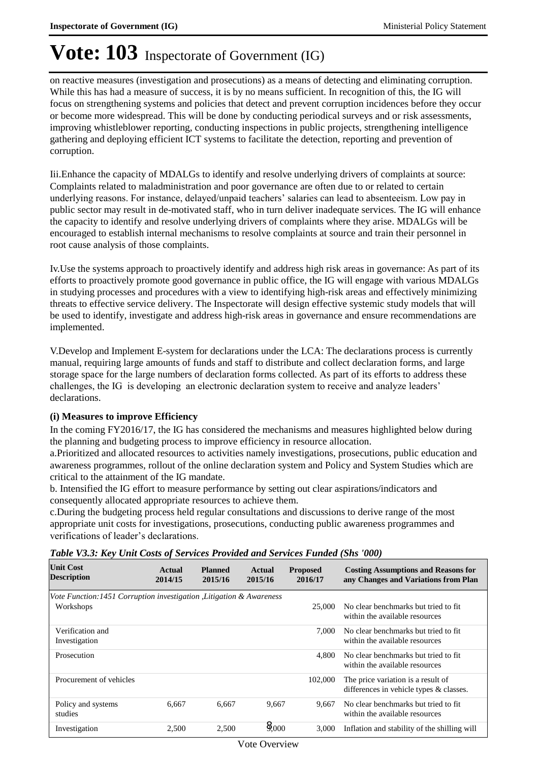on reactive measures (investigation and prosecutions) as a means of detecting and eliminating corruption. While this has had a measure of success, it is by no means sufficient. In recognition of this, the IG will focus on strengthening systems and policies that detect and prevent corruption incidences before they occur or become more widespread. This will be done by conducting periodical surveys and or risk assessments, improving whistleblower reporting, conducting inspections in public projects, strengthening intelligence gathering and deploying efficient ICT systems to facilitate the detection, reporting and prevention of corruption.

Iii. Enhance the capacity of MDALGs to identify and resolve underlying drivers of complaints at source: Complaints related to maladministration and poor governance are often due to or related to certain underlying reasons. For instance, delayed/unpaid teachers' salaries can lead to absenteeism. Low pay in public sector may result in de-motivated staff, who in turn deliver inadequate services. The IG will enhance the capacity to identify and resolve underlying drivers of complaints where they arise. MDALGs will be encouraged to establish internal mechanisms to resolve complaints at source and train their personnel in root cause analysis of those complaints.

Iv. Use the systems approach to proactively identify and address high risk areas in governance: As part of its efforts to proactively promote good governance in public office, the IG will engage with various MDALGs in studying processes and procedures with a view to identifying high-risk areas and effectively minimizing threats to effective service delivery. The Inspectorate will design effective systemic study models that will be used to identify, investigate and address high-risk areas in governance and ensure recommendations are implemented.

V. Develop and Implement E-system for declarations under the LCA: The declarations process is currently manual, requiring large amounts of funds and staff to distribute and collect declaration forms, and large storage space for the large numbers of declaration forms collected. As part of its efforts to address these challenges, the IG is developing an electronic declaration system to receive and analyze leaders' declarations.

### **(i) Measures to improve Efficiency**

In the coming FY2016/17, the IG has considered the mechanisms and measures highlighted below during the planning and budgeting process to improve efficiency in resource allocation.

a. Prioritized and allocated resources to activities namely investigations, prosecutions, public education and awareness programmes, rollout of the online declaration system and Policy and System Studies which are critical to the attainment of the IG mandate.

b. Intensified the IG effort to measure performance by setting out clear aspirations/indicators and consequently allocated appropriate resources to achieve them.

c. During the budgeting process held regular consultations and discussions to derive range of the most appropriate unit costs for investigations, prosecutions, conducting public awareness programmes and verifications of leader's declarations.

| <b>Unit Cost</b><br><b>Description</b>                                | Actual<br>2014/15 | <b>Planned</b><br>2015/16 | Actual<br>2015/16 | <b>Proposed</b><br>2016/17 | <b>Costing Assumptions and Reasons for</b><br>any Changes and Variations from Plan |
|-----------------------------------------------------------------------|-------------------|---------------------------|-------------------|----------------------------|------------------------------------------------------------------------------------|
| Vote Function: 1451 Corruption investigation , Litigation & Awareness |                   |                           |                   |                            |                                                                                    |
| Workshops                                                             |                   |                           |                   | 25,000                     | No clear benchmarks but tried to fit.<br>within the available resources            |
| Verification and<br>Investigation                                     |                   |                           |                   | 7.000                      | No clear benchmarks but tried to fit.<br>within the available resources            |
| Prosecution                                                           |                   |                           |                   | 4.800                      | No clear benchmarks but tried to fit.<br>within the available resources            |
| Procurement of vehicles                                               |                   |                           |                   | 102,000                    | The price variation is a result of<br>differences in vehicle types & classes.      |
| Policy and systems<br>studies                                         | 6.667             | 6.667                     | 9.667             | 9.667                      | No clear benchmarks but tried to fit.<br>within the available resources            |
| Investigation                                                         | 2,500             | 2.500                     | $8_{,000}$        | 3.000                      | Inflation and stability of the shilling will                                       |

*Table V3.3: Key Unit Costs of Services Provided and Services Funded (Shs '000)*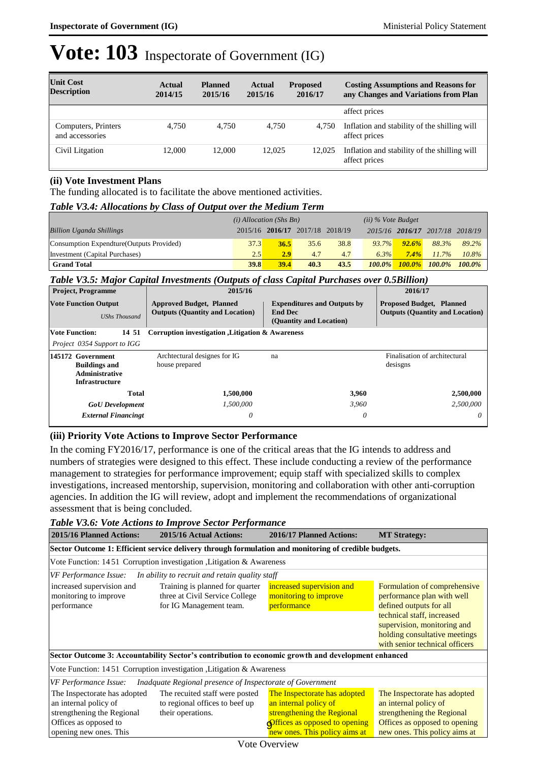| <b>Unit Cost</b><br><b>Description</b> | <b>Actual</b><br>2014/15 | <b>Planned</b><br>2015/16 | Actual<br>2015/16 | <b>Proposed</b><br>2016/17 | <b>Costing Assumptions and Reasons for</b><br>any Changes and Variations from Plan |
|----------------------------------------|--------------------------|---------------------------|-------------------|----------------------------|------------------------------------------------------------------------------------|
|                                        |                          |                           |                   |                            | affect prices                                                                      |
| Computers, Printers<br>and accessories | 4.750                    | 4.750                     | 4.750             | 4.750                      | Inflation and stability of the shilling will<br>affect prices                      |
| Civil Litgation                        | 12,000                   | 12,000                    | 12.025            | 12,025                     | Inflation and stability of the shilling will<br>affect prices                      |

### **(ii) Vote Investment Plans**

The funding allocated is to facilitate the above mentioned activities.

### *Table V3.4: Allocations by Class of Output over the Medium Term*

|                                           | $(i)$ Allocation (Shs Bn) |      |                                 |      | $(ii)$ % Vote Budget |                 |           |           |
|-------------------------------------------|---------------------------|------|---------------------------------|------|----------------------|-----------------|-----------|-----------|
| <b>Billion Uganda Shillings</b>           |                           |      | 2015/16 2016/17 2017/18 2018/19 |      |                      | 2015/16 2016/17 | 2017/18   | 2018/19   |
| Consumption Expendture (Outputs Provided) | 37.3                      | 36.5 | 35.6                            | 38.8 | $93.7\%$             | 92.6%           | 88.3%     | 89.2%     |
| Investment (Capital Purchases)            | 2.5                       | 2.9  | 4.7                             | 4.7  | 6.3%                 | $7.4\%$         | 11.7%     | $10.8\%$  |
| <b>Grand Total</b>                        | 39.8                      | 39.4 | 40.3                            | 43.5 | $100.0\%$            | $100.0\%$       | $100.0\%$ | $100.0\%$ |

### *Table V3.5: Major Capital Investments (Outputs of class Capital Purchases over 0.5Billion)*

| <b>Project, Programme</b>                                                                   | 2015/16                                                                   |                                                                                 | 2016/17                                                                   |  |
|---------------------------------------------------------------------------------------------|---------------------------------------------------------------------------|---------------------------------------------------------------------------------|---------------------------------------------------------------------------|--|
| <b>Vote Function Output</b><br><b>UShs Thousand</b>                                         | <b>Approved Budget, Planned</b><br><b>Outputs (Quantity and Location)</b> | <b>Expenditures and Outputs by</b><br><b>End Dec</b><br>(Quantity and Location) | <b>Proposed Budget, Planned</b><br><b>Outputs (Quantity and Location)</b> |  |
| Vote Function:<br>14 51                                                                     | Corruption investigation Julia States Awareness                           |                                                                                 |                                                                           |  |
| Project 0354 Support to IGG                                                                 |                                                                           |                                                                                 |                                                                           |  |
| 145172 Government<br><b>Buildings and</b><br><b>Administrative</b><br><b>Infrastructure</b> | Archtectural designes for IG<br>house prepared                            | na                                                                              | Finalisation of architectural<br>desisgns                                 |  |
| <b>Total</b>                                                                                | 1,500,000                                                                 | 3,960                                                                           | 2,500,000                                                                 |  |
| <b>GoU</b> Development                                                                      | 1,500,000                                                                 | 3.960                                                                           | 2.500,000                                                                 |  |
| <b>External Financingt</b>                                                                  | $\theta$                                                                  | 0                                                                               | 0                                                                         |  |

### **(iii) Priority Vote Actions to Improve Sector Performance**

In the coming FY2016/17, performance is one of the critical areas that the IG intends to address and numbers of strategies were designed to this effect. These include conducting a review of the performance management to strategies for performance improvement; equip staff with specialized skills to complex investigations, increased mentorship, supervision, monitoring and collaboration with other anti-corruption agencies. In addition the IG will review, adopt and implement the recommendations of organizational assessment that is being concluded.

#### *Table V3.6: Vote Actions to Improve Sector Performance*

| 2015/16 Planned Actions:<br>2015/16 Actual Actions:                                                                                                                                           |                                                                   | 2016/17 Planned Actions:                                                                                                                              | <b>MT Strategy:</b>                                                                                                                                                                                                   |  |  |  |  |  |  |
|-----------------------------------------------------------------------------------------------------------------------------------------------------------------------------------------------|-------------------------------------------------------------------|-------------------------------------------------------------------------------------------------------------------------------------------------------|-----------------------------------------------------------------------------------------------------------------------------------------------------------------------------------------------------------------------|--|--|--|--|--|--|
| Sector Outcome 1: Efficient service delivery through formulation and monitoring of credible budgets.                                                                                          |                                                                   |                                                                                                                                                       |                                                                                                                                                                                                                       |  |  |  |  |  |  |
| Vote Function: 1451 Corruption investigation , Litigation & Awareness                                                                                                                         |                                                                   |                                                                                                                                                       |                                                                                                                                                                                                                       |  |  |  |  |  |  |
| VF Performance Issue:<br>In ability to recruit and retain quality staff                                                                                                                       |                                                                   |                                                                                                                                                       |                                                                                                                                                                                                                       |  |  |  |  |  |  |
| increased supervision and<br>monitoring to improve<br>for IG Management team.<br>performance                                                                                                  | Training is planned for quarter<br>three at Civil Service College | increased supervision and<br>monitoring to improve<br>performance                                                                                     | Formulation of comprehensive<br>performance plan with well<br>defined outputs for all<br>technical staff, increased<br>supervision, monitoring and<br>holding consultative meetings<br>with senior technical officers |  |  |  |  |  |  |
| Sector Outcome 3: Accountability Sector's contribution to economic growth and development enhanced                                                                                            |                                                                   |                                                                                                                                                       |                                                                                                                                                                                                                       |  |  |  |  |  |  |
| Vote Function: 1451 Corruption investigation, Litigation & Awareness                                                                                                                          |                                                                   |                                                                                                                                                       |                                                                                                                                                                                                                       |  |  |  |  |  |  |
| VF Performance Issue:<br>Inadquate Regional presence of Inspectorate of Government                                                                                                            |                                                                   |                                                                                                                                                       |                                                                                                                                                                                                                       |  |  |  |  |  |  |
| The Inspectorate has adopted<br>an internal policy of<br>to regional offices to beef up<br>strengthening the Regional<br>their operations.<br>Offices as opposed to<br>opening new ones. This | The recuited staff were posted                                    | The Inspectorate has adopted<br>an internal policy of<br>strengthening the Regional<br>Offices as opposed to opening<br>new ones. This policy aims at | The Inspectorate has adopted<br>an internal policy of<br>strengthening the Regional<br>Offices as opposed to opening<br>new ones. This policy aims at                                                                 |  |  |  |  |  |  |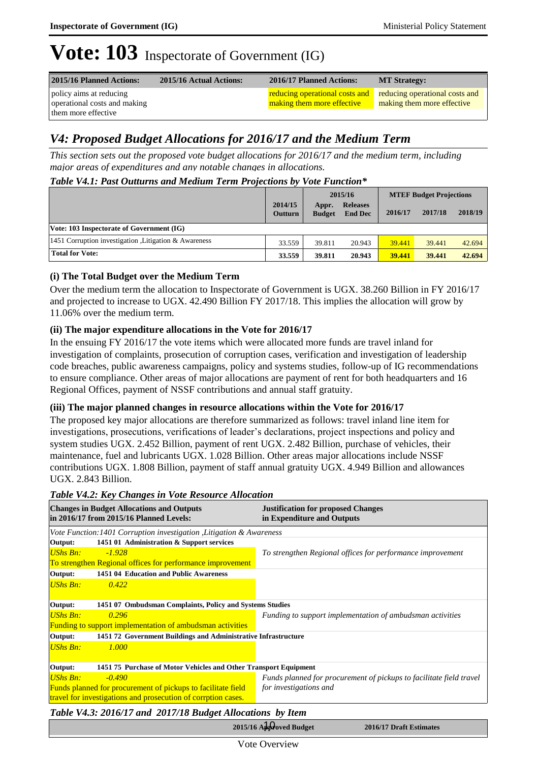| 2015/16 Planned Actions:                                | 2015/16 Actual Actions: | 2016/17 Planned Actions:                                                                           | <b>MT Strategy:</b>        |
|---------------------------------------------------------|-------------------------|----------------------------------------------------------------------------------------------------|----------------------------|
| policy aims at reducing<br>operational costs and making |                         | <b>reducing operational costs and</b> reducing operational costs and<br>making them more effective | making them more effective |
| them more effective                                     |                         |                                                                                                    |                            |

### *V4: Proposed Budget Allocations for 2016/17 and the Medium Term*

*This section sets out the proposed vote budget allocations for 2016/17 and the medium term, including major areas of expenditures and any notable changes in allocations.* 

### *Table V4.1: Past Outturns and Medium Term Projections by Vote Function\**

|                                                        |                    | 2015/16                |                                   | <b>MTEF Budget Projections</b> |         |         |
|--------------------------------------------------------|--------------------|------------------------|-----------------------------------|--------------------------------|---------|---------|
|                                                        | 2014/15<br>Outturn | Appr.<br><b>Budget</b> | <b>Releases</b><br><b>End Dec</b> | 2016/17                        | 2017/18 | 2018/19 |
| Vote: 103 Inspectorate of Government (IG)              |                    |                        |                                   |                                |         |         |
| 1451 Corruption investigation , Litigation & Awareness | 33.559             | 39.811                 | 20.943                            | 39.441                         | 39.441  | 42.694  |
| <b>Total for Vote:</b>                                 | 33.559             | 39.811                 | 20.943                            | 39.441                         | 39.441  | 42.694  |

### **(i) The Total Budget over the Medium Term**

Over the medium term the allocation to Inspectorate of Government is UGX. 38.260 Billion in FY 2016/17 and projected to increase to UGX. 42.490 Billion FY 2017/18. This implies the allocation will grow by 11.06% over the medium term.

### **(ii) The major expenditure allocations in the Vote for 2016/17**

In the ensuing FY 2016/17 the vote items which were allocated more funds are travel inland for investigation of complaints, prosecution of corruption cases, verification and investigation of leadership code breaches, public awareness campaigns, policy and systems studies, follow-up of IG recommendations to ensure compliance. Other areas of major allocations are payment of rent for both headquarters and 16 Regional Offices, payment of NSSF contributions and annual staff gratuity.

### **(iii) The major planned changes in resource allocations within the Vote for 2016/17**

The proposed key major allocations are therefore summarized as follows: travel inland line item for investigations, prosecutions, verifications of leader's declarations, project inspections and policy and system studies UGX. 2.452 Billion, payment of rent UGX. 2.482 Billion, purchase of vehicles, their maintenance, fuel and lubricants UGX. 1.028 Billion. Other areas major allocations include NSSF contributions UGX. 1.808 Billion, payment of staff annual gratuity UGX. 4.949 Billion and allowances UGX. 2.843 Billion.

### *Table V4.2: Key Changes in Vote Resource Allocation*

| Vote Function: 1401 Corruption investigation , Litigation & Awareness                  |
|----------------------------------------------------------------------------------------|
|                                                                                        |
| 1451 01 Administration & Support services                                              |
| To strengthen Regional offices for performance improvement                             |
| To strengthen Regional offices for performance improvement                             |
| 1451 04 Education and Public Awareness                                                 |
|                                                                                        |
|                                                                                        |
| 1451 07 Ombudsman Complaints, Policy and Systems Studies                               |
| Funding to support implementation of ambudsman activities                              |
| <b>Funding to support implementation of ambudsman activities</b>                       |
| 1451 72 Government Buildings and Administrative Infrastructure                         |
|                                                                                        |
|                                                                                        |
| 1451 75 Purchase of Motor Vehicles and Other Transport Equipment                       |
| Funds planned for procurement of pickups to facilitate field travel                    |
| for investigations and<br>Funds planned for procurement of pickups to facilitate field |
| travel for investigations and prosecution of corrption cases.                          |
|                                                                                        |

*Table V4.3: 2016/17 and 2017/18 Budget Allocations by Item*

2015/16 Approved Budget 2016/17 Draft Estimates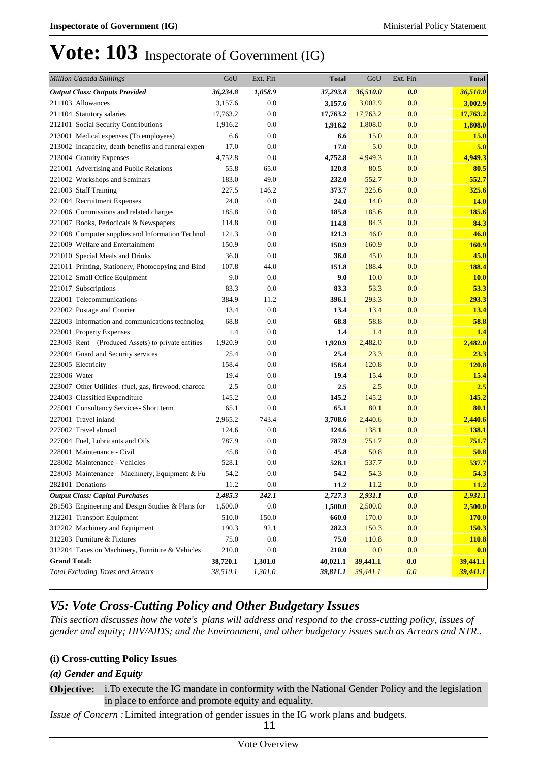| <b>Million Uganda Shillings</b>                       | GoU      | Ext. Fin | <b>Total</b> | GoU      | Ext. Fin | <b>Total</b> |
|-------------------------------------------------------|----------|----------|--------------|----------|----------|--------------|
| <b>Output Class: Outputs Provided</b>                 | 36,234.8 | 1,058.9  | 37,293.8     | 36,510.0 | 0.0      | 36,510.0     |
| 211103 Allowances                                     | 3,157.6  | 0.0      | 3,157.6      | 3,002.9  | 0.0      | 3,002.9      |
| 211104 Statutory salaries                             | 17,763.2 | 0.0      | 17,763.2     | 17,763.2 | 0.0      | 17,763.2     |
| 212101 Social Security Contributions                  | 1,916.2  | 0.0      | 1,916.2      | 1,808.0  | 0.0      | 1,808.0      |
| 213001 Medical expenses (To employees)                | 6.6      | 0.0      | 6.6          | 15.0     | 0.0      | <b>15.0</b>  |
| 213002 Incapacity, death benefits and funeral expen   | 17.0     | 0.0      | 17.0         | 5.0      | 0.0      | 5.0          |
| 213004 Gratuity Expenses                              | 4,752.8  | 0.0      | 4,752.8      | 4,949.3  | 0.0      | 4,949.3      |
| 221001 Advertising and Public Relations               | 55.8     | 65.0     | 120.8        | 80.5     | 0.0      | 80.5         |
| 221002 Workshops and Seminars                         | 183.0    | 49.0     | 232.0        | 552.7    | 0.0      | 552.7        |
| 221003 Staff Training                                 | 227.5    | 146.2    | 373.7        | 325.6    | 0.0      | 325.6        |
| 221004 Recruitment Expenses                           | 24.0     | 0.0      | 24.0         | 14.0     | 0.0      | <b>14.0</b>  |
| 221006 Commissions and related charges                | 185.8    | 0.0      | 185.8        | 185.6    | 0.0      | 185.6        |
| 221007 Books, Periodicals & Newspapers                | 114.8    | 0.0      | 114.8        | 84.3     | 0.0      | 84.3         |
| 221008 Computer supplies and Information Technol      | 121.3    | 0.0      | 121.3        | 46.0     | 0.0      | 46.0         |
| 221009 Welfare and Entertainment                      | 150.9    | 0.0      | 150.9        | 160.9    | 0.0      | <b>160.9</b> |
| 221010 Special Meals and Drinks                       | 36.0     | 0.0      | 36.0         | 45.0     | 0.0      | 45.0         |
| 221011 Printing, Stationery, Photocopying and Bind    | 107.8    | 44.0     | 151.8        | 188.4    | 0.0      | 188.4        |
| 221012 Small Office Equipment                         | 9.0      | 0.0      | 9.0          | 10.0     | 0.0      | <b>10.0</b>  |
| 221017 Subscriptions                                  | 83.3     | 0.0      | 83.3         | 53.3     | 0.0      | 53.3         |
| 222001 Telecommunications                             | 384.9    | 11.2     | 396.1        | 293.3    | 0.0      | 293.3        |
| 222002 Postage and Courier                            | 13.4     | 0.0      | 13.4         | 13.4     | 0.0      | 13.4         |
| 222003 Information and communications technolog       | 68.8     | 0.0      | 68.8         | 58.8     | 0.0      | 58.8         |
| 223001 Property Expenses                              | 1.4      | 0.0      | 1.4          | 1.4      | 0.0      | 1.4          |
| $223003$ Rent – (Produced Assets) to private entities | 1,920.9  | 0.0      | 1,920.9      | 2,482.0  | 0.0      | 2,482.0      |
| 223004 Guard and Security services                    | 25.4     | 0.0      | 25.4         | 23.3     | 0.0      | 23.3         |
| 223005 Electricity                                    | 158.4    | 0.0      | 158.4        | 120.8    | 0.0      | <b>120.8</b> |
| 223006 Water                                          | 19.4     | 0.0      | 19.4         | 15.4     | 0.0      | 15.4         |
| 223007 Other Utilities- (fuel, gas, firewood, charcoa | 2.5      | 0.0      | 2.5          | 2.5      | 0.0      | 2.5          |
| 224003 Classified Expenditure                         | 145.2    | 0.0      | 145.2        | 145.2    | 0.0      | 145.2        |
| 225001 Consultancy Services- Short term               | 65.1     | 0.0      | 65.1         | 80.1     | 0.0      | 80.1         |
| 227001 Travel inland                                  | 2,965.2  | 743.4    | 3,708.6      | 2,440.6  | 0.0      | 2,440.6      |
| 227002 Travel abroad                                  | 124.6    | 0.0      | 124.6        | 138.1    | 0.0      | 138.1        |
| 227004 Fuel, Lubricants and Oils                      | 787.9    | 0.0      | 787.9        | 751.7    | 0.0      | 751.7        |
| 228001 Maintenance - Civil                            | 45.8     | 0.0      | 45.8         | 50.8     | 0.0      | 50.8         |
| 228002 Maintenance - Vehicles                         | 528.1    | 0.0      | 528.1        | 537.7    | 0.0      | 537.7        |
| 228003 Maintenance - Machinery, Equipment & Fu        | 54.2     | 0.0      | 54.2         | 54.3     | 0.0      | 54.3         |
| 282101 Donations                                      | 11.2     | 0.0      | 11.2         | 11.2     | 0.0      | <b>11.2</b>  |
| <b>Output Class: Capital Purchases</b>                | 2,485.3  | 242.1    | 2,727.3      | 2,931.1  | 0.0      | 2,931.1      |
| 281503 Engineering and Design Studies & Plans for     | 1,500.0  | 0.0      | 1,500.0      | 2,500.0  | 0.0      | 2,500.0      |
| 312201 Transport Equipment                            | 510.0    | 150.0    | 660.0        | 170.0    | 0.0      | <b>170.0</b> |
| 312202 Machinery and Equipment                        | 190.3    | 92.1     | 282.3        | 150.3    | 0.0      | 150.3        |
| 312203 Furniture & Fixtures                           | 75.0     | 0.0      | 75.0         | 110.8    | 0.0      | <b>110.8</b> |
| 312204 Taxes on Machinery, Furniture & Vehicles       | 210.0    | 0.0      | 210.0        | 0.0      | 0.0      | 0.0          |
| <b>Grand Total:</b>                                   | 38,720.1 | 1,301.0  | 40,021.1     | 39,441.1 | 0.0      | 39,441.1     |
| <b>Total Excluding Taxes and Arrears</b>              | 38,510.1 | 1,301.0  | 39,811.1     | 39,441.1 | 0.0      | 39,441.1     |

### *V5: Vote Cross-Cutting Policy and Other Budgetary Issues*

*This section discusses how the vote's plans will address and respond to the cross-cutting policy, issues of gender and equity; HIV/AIDS; and the Environment, and other budgetary issues such as Arrears and NTR..* 

### **(i) Cross-cutting Policy Issues**

#### *(a) Gender and Equity*

**Objective:** i. To execute the IG mandate in conformity with the National Gender Policy and the legislation in place to enforce and promote equity and equality. *Issue of Concern :*Limited integration of gender issues in the IG work plans and budgets. 11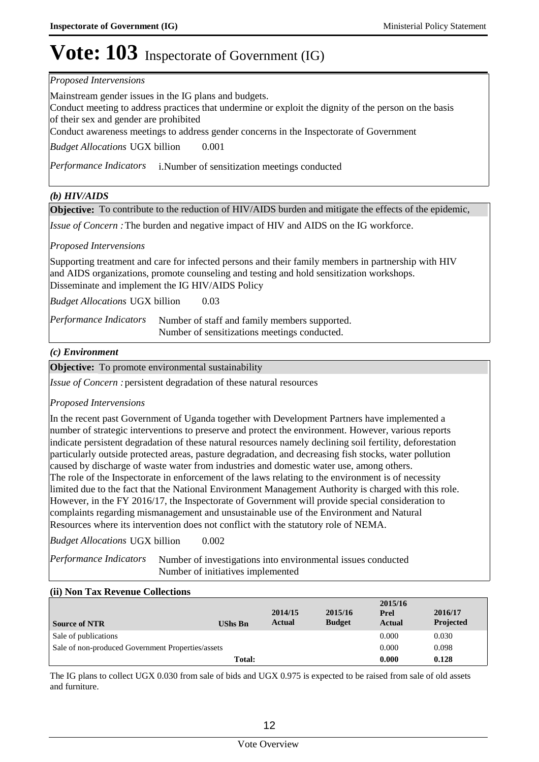#### *Proposed Intervensions*

Mainstream gender issues in the IG plans and budgets.

Conduct meeting to address practices that undermine or exploit the dignity of the person on the basis of their sex and gender are prohibited

Conduct awareness meetings to address gender concerns in the Inspectorate of Government

0.001 *Budget Allocations*  UGX billion

Performance Indicators i.Number of sensitization meetings conducted

### *(b) HIV/AIDS*

**Objective:** To contribute to the reduction of HIV/AIDS burden and mitigate the effects of the epidemic,

*Issue of Concern* : The burden and negative impact of HIV and AIDS on the IG workforce.

### *Proposed Intervensions*

Supporting treatment and care for infected persons and their family members in partnership with HIV and AIDS organizations, promote counseling and testing and hold sensitization workshops. Disseminate and implement the IG HIV/AIDS Policy

0.03 *Budget Allocations*  UGX billion

Number of staff and family members supported. Number of sensitizations meetings conducted. *Performance Indicators*

### *(c) Environment*

**Objective:** To promote environmental sustainability

Issue of Concern : persistent degradation of these natural resources

### *Proposed Intervensions*

In the recent past Government of Uganda together with Development Partners have implemented a number of strategic interventions to preserve and protect the environment. However, various reports indicate persistent degradation of these natural resources namely declining soil fertility, deforestation particularly outside protected areas, pasture degradation, and decreasing fish stocks, water pollution caused by discharge of waste water from industries and domestic water use, among others. The role of the Inspectorate in enforcement of the laws relating to the environment is of necessity limited due to the fact that the National Environment Management Authority is charged with this role. However, in the FY 2016/17, the Inspectorate of Government will provide special consideration to complaints regarding mismanagement and unsustainable use of the Environment and Natural Resources where its intervention does not conflict with the statutory role of NEMA.

0.002 *Budget Allocations*  UGX billion

Number of investigations into environmental issues conducted Number of initiatives implemented *Performance Indicators*

#### **(ii) Non Tax Revenue Collections**

| <b>Source of NTR</b>                              | <b>UShs Bn</b> | 2014/15<br><b>Actual</b> | 2015/16<br><b>Budget</b> | 2015/16<br>Prel<br><b>Actual</b> | 2016/17<br>Projected |
|---------------------------------------------------|----------------|--------------------------|--------------------------|----------------------------------|----------------------|
| Sale of publications                              |                |                          |                          | 0.000                            | 0.030                |
| Sale of non-produced Government Properties/assets | 0.000          | 0.098                    |                          |                                  |                      |
|                                                   | 0.000          | 0.128                    |                          |                                  |                      |

The IG plans to collect UGX 0.030 from sale of bids and UGX 0.975 is expected to be raised from sale of old assets and furniture.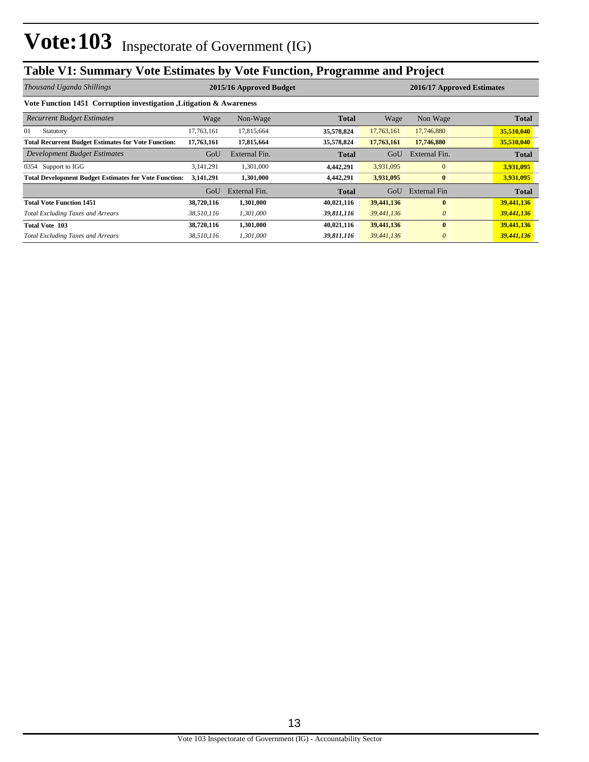# **Table V1: Summary Vote Estimates by Vote Function, Programme and Project**

| Thousand Uganda Shillings                                           |            | 2015/16 Approved Budget<br>2016/17 Approved Estimates |              |            |               |              |  |  |  |  |  |
|---------------------------------------------------------------------|------------|-------------------------------------------------------|--------------|------------|---------------|--------------|--|--|--|--|--|
| Vote Function 1451 Corruption investigation, Litigation & Awareness |            |                                                       |              |            |               |              |  |  |  |  |  |
| <b>Recurrent Budget Estimates</b>                                   | Wage       | Non-Wage                                              | <b>Total</b> | Wage       | Non Wage      | <b>Total</b> |  |  |  |  |  |
| 01<br>Statutory                                                     | 17,763,161 | 17,815,664                                            | 35,578,824   | 17,763,161 | 17,746,880    | 35,510,040   |  |  |  |  |  |
| <b>Total Recurrent Budget Estimates for Vote Function:</b>          | 17,763,161 | 17,815,664                                            | 35,578,824   | 17,763,161 | 17,746,880    | 35,510,040   |  |  |  |  |  |
| <b>Development Budget Estimates</b>                                 | GoU        | External Fin.                                         | <b>Total</b> | GoU        | External Fin. | <b>Total</b> |  |  |  |  |  |
| 0354 Support to IGG                                                 | 3,141,291  | 1,301,000                                             | 4,442,291    | 3,931,095  | $\Omega$      | 3,931,095    |  |  |  |  |  |
| <b>Total Development Budget Estimates for Vote Function:</b>        | 3,141,291  | 1,301,000                                             | 4,442,291    | 3,931,095  | $\bf{0}$      | 3,931,095    |  |  |  |  |  |
|                                                                     | GoU        | External Fin.                                         | Total        | GoU        | External Fin  | <b>Total</b> |  |  |  |  |  |
| <b>Total Vote Function 1451</b>                                     | 38,720,116 | 1,301,000                                             | 40,021,116   | 39,441,136 | $\bf{0}$      | 39,441,136   |  |  |  |  |  |
| <b>Total Excluding Taxes and Arrears</b>                            | 38,510,116 | 1,301,000                                             | 39,811,116   | 39,441,136 | $\theta$      | 39,441,136   |  |  |  |  |  |
| <b>Total Vote 103</b>                                               | 38,720,116 | 1,301,000                                             | 40,021,116   | 39,441,136 | $\bf{0}$      | 39,441,136   |  |  |  |  |  |
| <b>Total Excluding Taxes and Arrears</b>                            | 38,510,116 | 1,301,000                                             | 39,811,116   | 39,441,136 | $\theta$      | 39,441,136   |  |  |  |  |  |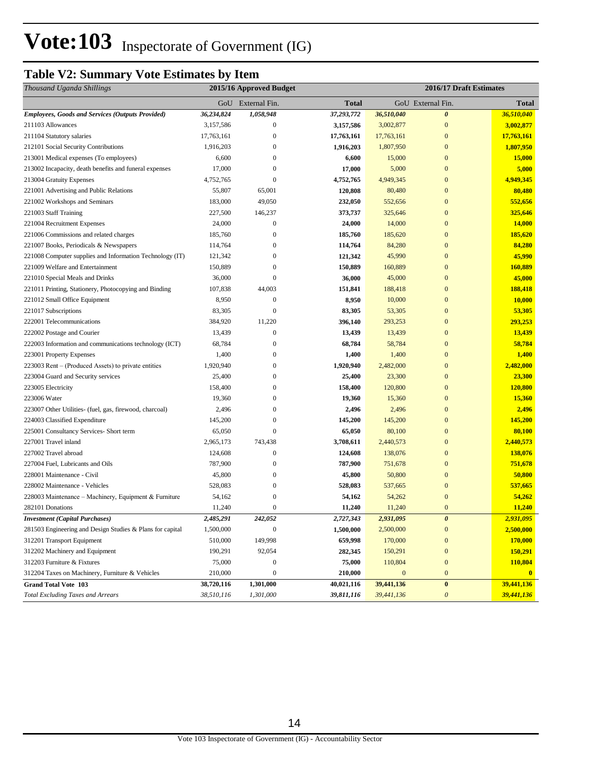### **Table V2: Summary Vote Estimates by Item**

| Thousand Uganda Shillings                                 |            | 2015/16 Approved Budget |            |              | 2016/17 Draft Estimates |              |
|-----------------------------------------------------------|------------|-------------------------|------------|--------------|-------------------------|--------------|
|                                                           |            | GoU External Fin.       | Total      |              | GoU External Fin.       | <b>Total</b> |
| <b>Employees, Goods and Services (Outputs Provided)</b>   | 36,234,824 | 1,058,948               | 37,293,772 | 36,510,040   | $\boldsymbol{\theta}$   | 36,510,040   |
| 211103 Allowances                                         | 3,157,586  | $\boldsymbol{0}$        | 3,157,586  | 3,002,877    | $\mathbf{0}$            | 3,002,877    |
| 211104 Statutory salaries                                 | 17,763,161 | $\boldsymbol{0}$        | 17,763,161 | 17,763,161   | $\mathbf{0}$            | 17,763,161   |
| 212101 Social Security Contributions                      | 1,916,203  | $\boldsymbol{0}$        | 1,916,203  | 1,807,950    | $\mathbf{0}$            | 1,807,950    |
| 213001 Medical expenses (To employees)                    | 6,600      | $\boldsymbol{0}$        | 6,600      | 15,000       | $\mathbf{0}$            | 15,000       |
| 213002 Incapacity, death benefits and funeral expenses    | 17,000     | $\boldsymbol{0}$        | 17,000     | 5,000        | $\mathbf{0}$            | 5,000        |
| 213004 Gratuity Expenses                                  | 4,752,765  | 0                       | 4,752,765  | 4,949,345    | $\bf{0}$                | 4,949,345    |
| 221001 Advertising and Public Relations                   | 55,807     | 65,001                  | 120,808    | 80,480       | $\mathbf{0}$            | 80,480       |
| 221002 Workshops and Seminars                             | 183,000    | 49,050                  | 232,050    | 552,656      | $\bf{0}$                | 552,656      |
| 221003 Staff Training                                     | 227,500    | 146,237                 | 373,737    | 325,646      | $\overline{0}$          | 325,646      |
| 221004 Recruitment Expenses                               | 24,000     | $\boldsymbol{0}$        | 24,000     | 14,000       | $\overline{0}$          | 14,000       |
| 221006 Commissions and related charges                    | 185,760    | $\mathbf{0}$            | 185,760    | 185,620      | $\bf{0}$                | 185,620      |
| 221007 Books, Periodicals & Newspapers                    | 114,764    | $\boldsymbol{0}$        | 114,764    | 84,280       | $\mathbf{0}$            | 84,280       |
| 221008 Computer supplies and Information Technology (IT)  | 121,342    | 0                       | 121,342    | 45,990       | $\mathbf{0}$            | 45,990       |
| 221009 Welfare and Entertainment                          | 150,889    | 0                       | 150,889    | 160,889      | $\mathbf{0}$            | 160,889      |
| 221010 Special Meals and Drinks                           | 36,000     | $\boldsymbol{0}$        | 36,000     | 45,000       | $\mathbf{0}$            | 45,000       |
| 221011 Printing, Stationery, Photocopying and Binding     | 107,838    | 44,003                  | 151,841    | 188,418      | $\overline{0}$          | 188,418      |
| 221012 Small Office Equipment                             | 8,950      | $\boldsymbol{0}$        | 8,950      | 10,000       | $\mathbf{0}$            | 10,000       |
| 221017 Subscriptions                                      | 83,305     | $\boldsymbol{0}$        | 83,305     | 53,305       | $\overline{0}$          | 53,305       |
| 222001 Telecommunications                                 | 384,920    | 11,220                  | 396,140    | 293,253      | $\overline{0}$          | 293,253      |
| 222002 Postage and Courier                                | 13,439     | $\boldsymbol{0}$        | 13,439     | 13,439       | $\mathbf{0}$            | 13,439       |
| 222003 Information and communications technology (ICT)    | 68,784     | $\boldsymbol{0}$        | 68,784     | 58,784       | $\mathbf{0}$            | 58,784       |
| 223001 Property Expenses                                  | 1,400      | $\mathbf{0}$            | 1,400      | 1,400        | $\mathbf{0}$            | 1,400        |
| 223003 Rent – (Produced Assets) to private entities       | 1,920,940  | 0                       | 1,920,940  | 2,482,000    | $\mathbf{0}$            | 2,482,000    |
| 223004 Guard and Security services                        | 25,400     | $\mathbf{0}$            | 25,400     | 23,300       | $\mathbf{0}$            | 23,300       |
| 223005 Electricity                                        | 158,400    | 0                       | 158,400    | 120,800      | $\bf{0}$                | 120,800      |
| 223006 Water                                              | 19,360     | $\mathbf{0}$            | 19,360     | 15,360       | $\mathbf{0}$            | 15,360       |
| 223007 Other Utilities- (fuel, gas, firewood, charcoal)   | 2,496      | 0                       | 2,496      | 2,496        | $\bf{0}$                | 2,496        |
| 224003 Classified Expenditure                             | 145,200    | $\boldsymbol{0}$        | 145,200    | 145,200      | $\overline{0}$          | 145,200      |
| 225001 Consultancy Services- Short term                   | 65,050     | $\mathbf{0}$            | 65,050     | 80,100       | $\overline{0}$          | 80,100       |
| 227001 Travel inland                                      | 2,965,173  | 743,438                 | 3,708,611  | 2,440,573    | $\mathbf{0}$            | 2,440,573    |
| 227002 Travel abroad                                      | 124,608    | $\boldsymbol{0}$        | 124,608    | 138,076      | $\mathbf{0}$            | 138,076      |
| 227004 Fuel, Lubricants and Oils                          | 787,900    | $\boldsymbol{0}$        | 787,900    | 751,678      | $\mathbf{0}$            | 751,678      |
| 228001 Maintenance - Civil                                | 45,800     | $\boldsymbol{0}$        | 45,800     | 50,800       | $\bf{0}$                | 50,800       |
| 228002 Maintenance - Vehicles                             | 528,083    | 0                       | 528,083    | 537,665      | $\mathbf{0}$            | 537,665      |
| 228003 Maintenance – Machinery, Equipment & Furniture     | 54,162     | 0                       | 54,162     | 54,262       | $\mathbf{0}$            | 54,262       |
| 282101 Donations                                          | 11,240     | $\boldsymbol{0}$        | 11,240     | 11,240       | $\overline{0}$          | 11,240       |
| <b>Investment</b> (Capital Purchases)                     | 2,485,291  | 242,052                 | 2,727,343  | 2,931,095    | $\boldsymbol{\theta}$   | 2,931,095    |
| 281503 Engineering and Design Studies & Plans for capital | 1,500,000  | $\boldsymbol{0}$        | 1,500,000  | 2,500,000    | $\boldsymbol{0}$        | 2,500,000    |
| 312201 Transport Equipment                                | 510,000    | 149,998                 | 659,998    | 170,000      | $\boldsymbol{0}$        | 170,000      |
| 312202 Machinery and Equipment                            | 190,291    | 92,054                  | 282,345    | 150,291      | $\boldsymbol{0}$        | 150,291      |
| 312203 Furniture & Fixtures                               | 75,000     | $\boldsymbol{0}$        | 75,000     | 110,804      | $\boldsymbol{0}$        | 110,804      |
| 312204 Taxes on Machinery, Furniture & Vehicles           | 210,000    | $\boldsymbol{0}$        | 210,000    | $\mathbf{0}$ | $\mathbf{0}$            | $\mathbf{0}$ |
| <b>Grand Total Vote 103</b>                               | 38,720,116 | 1,301,000               | 40,021,116 | 39,441,136   | $\pmb{0}$               | 39,441,136   |
| <b>Total Excluding Taxes and Arrears</b>                  | 38,510,116 | 1,301,000               | 39,811,116 | 39,441,136   | $\boldsymbol{\theta}$   | 39,441,136   |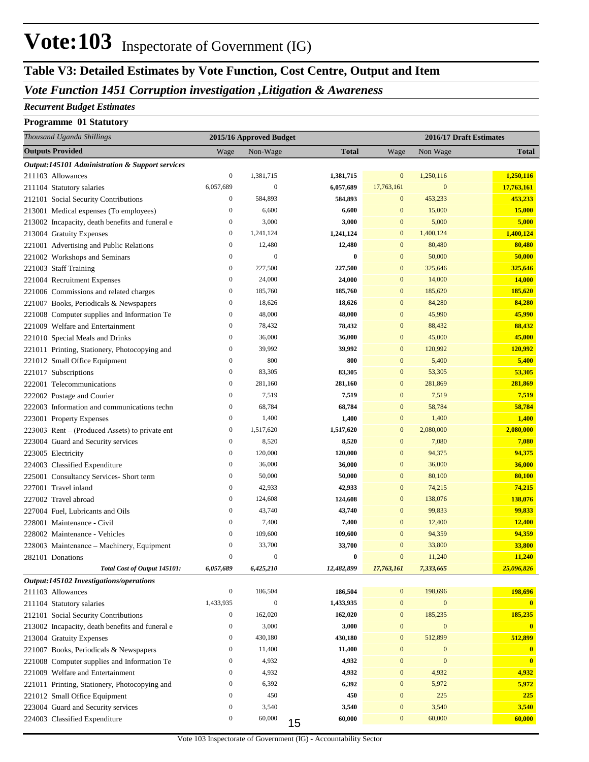### *Vote Function 1451 Corruption investigation ,Litigation & Awareness*

### *Recurrent Budget Estimates*

#### **Programme 01 Statutory**

| Thousand Uganda Shillings                       |                  | 2015/16 Approved Budget |              |                  |                  | 2016/17 Draft Estimates |
|-------------------------------------------------|------------------|-------------------------|--------------|------------------|------------------|-------------------------|
| <b>Outputs Provided</b>                         | Wage             | Non-Wage                | <b>Total</b> | Wage             | Non Wage         | <b>Total</b>            |
| Output:145101 Administration & Support services |                  |                         |              |                  |                  |                         |
| 211103 Allowances                               | $\boldsymbol{0}$ | 1,381,715               | 1,381,715    | $\boldsymbol{0}$ | 1,250,116        | 1,250,116               |
| 211104 Statutory salaries                       | 6,057,689        | $\mathbf{0}$            | 6,057,689    | 17,763,161       | $\mathbf{0}$     | 17,763,161              |
| 212101 Social Security Contributions            | $\boldsymbol{0}$ | 584,893                 | 584,893      | $\mathbf{0}$     | 453,233          | 453,233                 |
| 213001 Medical expenses (To employees)          | $\boldsymbol{0}$ | 6,600                   | 6,600        | $\mathbf{0}$     | 15,000           | 15,000                  |
| 213002 Incapacity, death benefits and funeral e | $\boldsymbol{0}$ | 3,000                   | 3,000        | $\mathbf{0}$     | 5,000            | 5,000                   |
| 213004 Gratuity Expenses                        | $\boldsymbol{0}$ | 1,241,124               | 1,241,124    | $\mathbf{0}$     | 1,400,124        | 1,400,124               |
| 221001 Advertising and Public Relations         | $\boldsymbol{0}$ | 12,480                  | 12,480       | $\boldsymbol{0}$ | 80,480           | 80,480                  |
| 221002 Workshops and Seminars                   | $\boldsymbol{0}$ | $\mathbf{0}$            | $\bf{0}$     | $\boldsymbol{0}$ | 50,000           | 50,000                  |
| 221003 Staff Training                           | $\boldsymbol{0}$ | 227,500                 | 227,500      | $\mathbf{0}$     | 325,646          | 325,646                 |
| 221004 Recruitment Expenses                     | $\boldsymbol{0}$ | 24,000                  | 24,000       | $\mathbf{0}$     | 14,000           | 14,000                  |
| 221006 Commissions and related charges          | $\boldsymbol{0}$ | 185,760                 | 185,760      | $\mathbf{0}$     | 185,620          | 185,620                 |
| 221007 Books, Periodicals & Newspapers          | $\boldsymbol{0}$ | 18,626                  | 18,626       | $\mathbf{0}$     | 84,280           | 84,280                  |
| 221008 Computer supplies and Information Te     | $\boldsymbol{0}$ | 48,000                  | 48,000       | $\boldsymbol{0}$ | 45,990           | 45,990                  |
| 221009 Welfare and Entertainment                | $\boldsymbol{0}$ | 78,432                  | 78,432       | $\mathbf{0}$     | 88,432           | 88,432                  |
| 221010 Special Meals and Drinks                 | $\boldsymbol{0}$ | 36,000                  | 36,000       | $\mathbf{0}$     | 45,000           | 45,000                  |
| 221011 Printing, Stationery, Photocopying and   | $\boldsymbol{0}$ | 39,992                  | 39,992       | $\mathbf{0}$     | 120,992          | 120,992                 |
| 221012 Small Office Equipment                   | $\boldsymbol{0}$ | 800                     | 800          | $\mathbf{0}$     | 5,400            | 5,400                   |
| 221017 Subscriptions                            | $\boldsymbol{0}$ | 83,305                  | 83,305       | $\mathbf{0}$     | 53,305           | 53,305                  |
| 222001 Telecommunications                       | $\boldsymbol{0}$ | 281,160                 | 281,160      | $\mathbf{0}$     | 281,869          | 281,869                 |
| 222002 Postage and Courier                      | $\boldsymbol{0}$ | 7,519                   | 7,519        | $\mathbf{0}$     | 7,519            | 7,519                   |
| 222003 Information and communications techn     | $\boldsymbol{0}$ | 68,784                  | 68,784       | $\mathbf{0}$     | 58,784           | 58,784                  |
| 223001 Property Expenses                        | $\boldsymbol{0}$ | 1,400                   | 1,400        | $\mathbf{0}$     | 1,400            | 1,400                   |
| 223003 Rent – (Produced Assets) to private ent  | $\boldsymbol{0}$ | 1,517,620               | 1,517,620    | $\mathbf{0}$     | 2,080,000        | 2,080,000               |
| 223004 Guard and Security services              | $\boldsymbol{0}$ | 8,520                   | 8,520        | $\mathbf{0}$     | 7,080            | 7,080                   |
| 223005 Electricity                              | $\boldsymbol{0}$ | 120,000                 | 120,000      | $\mathbf{0}$     | 94,375           | 94,375                  |
| 224003 Classified Expenditure                   | $\boldsymbol{0}$ | 36,000                  | 36,000       | $\mathbf{0}$     | 36,000           | 36,000                  |
| 225001 Consultancy Services- Short term         | $\boldsymbol{0}$ | 50,000                  | 50,000       | $\mathbf{0}$     | 80,100           | 80,100                  |
| 227001 Travel inland                            | $\boldsymbol{0}$ | 42,933                  | 42,933       | $\mathbf{0}$     | 74,215           | 74,215                  |
| 227002 Travel abroad                            | $\boldsymbol{0}$ | 124,608                 | 124,608      | $\mathbf{0}$     | 138,076          | 138,076                 |
| 227004 Fuel, Lubricants and Oils                | $\boldsymbol{0}$ | 43,740                  | 43,740       | $\mathbf{0}$     | 99,833           | 99,833                  |
| 228001 Maintenance - Civil                      | $\boldsymbol{0}$ | 7,400                   | 7,400        | $\mathbf{0}$     | 12,400           | 12,400                  |
| 228002 Maintenance - Vehicles                   | $\boldsymbol{0}$ | 109,600                 | 109,600      | $\mathbf{0}$     | 94,359           | 94,359                  |
| 228003 Maintenance - Machinery, Equipment       | $\boldsymbol{0}$ | 33,700                  | 33,700       | $\mathbf{0}$     | 33,800           | 33,800                  |
| 282101 Donations                                | $\mathbf{0}$     | $\mathbf{0}$            | 0            | $\mathbf{0}$     | 11,240           | 11,240                  |
| Total Cost of Output 145101:                    | 6,057,689        | 6,425,210               | 12,482,899   | 17,763,161       | 7,333,665        | 25,096,826              |
| Output:145102 Investigations/operations         |                  |                         |              |                  |                  |                         |
| 211103 Allowances                               | $\boldsymbol{0}$ | 186,504                 | 186,504      | $\mathbf{0}$     | 198,696          | 198,696                 |
| 211104 Statutory salaries                       | 1,433,935        | $\mathbf{0}$            | 1,433,935    | $\boldsymbol{0}$ | $\boldsymbol{0}$ | $\bf{0}$                |
| 212101 Social Security Contributions            | $\boldsymbol{0}$ | 162,020                 | 162,020      | $\boldsymbol{0}$ | 185,235          | 185,235                 |
| 213002 Incapacity, death benefits and funeral e | $\boldsymbol{0}$ | 3,000                   | 3,000        | $\boldsymbol{0}$ | $\boldsymbol{0}$ | $\bf{0}$                |
| 213004 Gratuity Expenses                        | $\boldsymbol{0}$ | 430,180                 | 430,180      | $\boldsymbol{0}$ | 512,899          | 512,899                 |
| 221007 Books, Periodicals & Newspapers          | $\boldsymbol{0}$ | 11,400                  | 11,400       | $\mathbf{0}$     | $\bf{0}$         | $\bf{0}$                |
| 221008 Computer supplies and Information Te     | $\boldsymbol{0}$ | 4,932                   | 4,932        | $\mathbf{0}$     | $\mathbf{0}$     | $\bf{0}$                |
| 221009 Welfare and Entertainment                | $\boldsymbol{0}$ | 4,932                   | 4,932        | $\mathbf{0}$     | 4,932            | 4,932                   |
| 221011 Printing, Stationery, Photocopying and   | $\boldsymbol{0}$ | 6,392                   | 6,392        | $\mathbf{0}$     | 5,972            | 5,972                   |
| 221012 Small Office Equipment                   | $\boldsymbol{0}$ | 450                     | 450          | $\mathbf{0}$     | 225              | <b>225</b>              |
| 223004 Guard and Security services              | $\boldsymbol{0}$ | 3,540                   | 3,540        | $\mathbf{0}$     | 3,540            | 3,540                   |
| 224003 Classified Expenditure                   | $\boldsymbol{0}$ | 60,000                  | 60,000<br>15 | $\boldsymbol{0}$ | 60,000           | 60,000                  |
|                                                 |                  |                         |              |                  |                  |                         |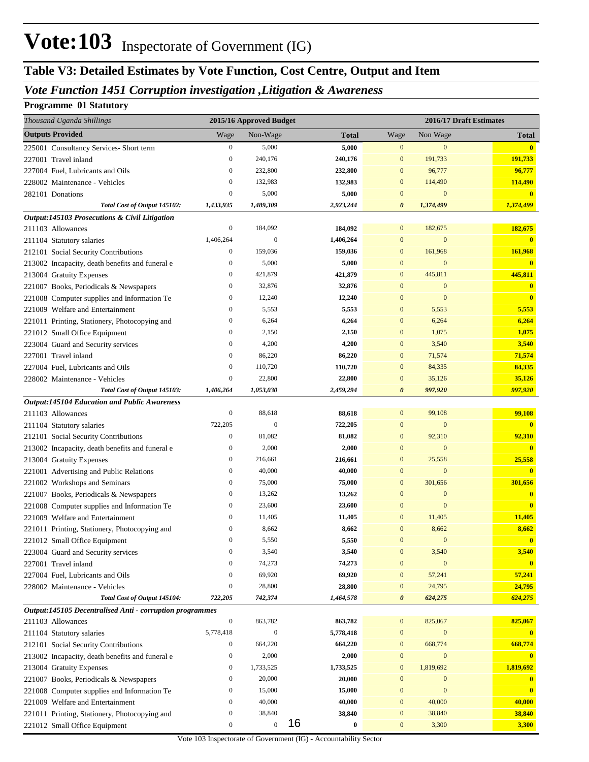### *Vote Function 1451 Corruption investigation ,Litigation & Awareness*

#### **Programme 01 Statutory**

| Thousand Uganda Shillings                                  |                      | 2015/16 Approved Budget |                |                              |                              | 2016/17 Draft Estimates |
|------------------------------------------------------------|----------------------|-------------------------|----------------|------------------------------|------------------------------|-------------------------|
| <b>Outputs Provided</b>                                    | Wage                 | Non-Wage                | <b>Total</b>   | Wage                         | Non Wage                     | <b>Total</b>            |
| 225001 Consultancy Services- Short term                    | $\boldsymbol{0}$     | 5,000                   | 5,000          | $\boldsymbol{0}$             | $\mathbf{0}$                 | $\overline{\mathbf{0}}$ |
| 227001 Travel inland                                       | $\mathbf{0}$         | 240,176                 | 240,176        | $\boldsymbol{0}$             | 191,733                      | 191,733                 |
| 227004 Fuel, Lubricants and Oils                           | $\bf{0}$             | 232,800                 | 232,800        | $\bf{0}$                     | 96,777                       | 96,777                  |
| 228002 Maintenance - Vehicles                              | $\mathbf{0}$         | 132,983                 | 132,983        | $\bf{0}$                     | 114,490                      | 114,490                 |
| 282101 Donations                                           | $\boldsymbol{0}$     | 5,000                   | 5,000          | $\mathbf{0}$                 | $\mathbf{0}$                 | $\bf{0}$                |
| Total Cost of Output 145102:                               | 1,433,935            | 1,489,309               | 2,923,244      | $\boldsymbol{\theta}$        | 1,374,499                    | 1,374,499               |
| Output:145103 Prosecutions & Civil Litigation              |                      |                         |                |                              |                              |                         |
| 211103 Allowances                                          | $\boldsymbol{0}$     | 184,092                 | 184,092        | $\boldsymbol{0}$             | 182,675                      | 182,675                 |
| 211104 Statutory salaries                                  | 1,406,264            | $\boldsymbol{0}$        | 1,406,264      | $\mathbf{0}$                 | $\mathbf{0}$                 | $\bf{0}$                |
| 212101 Social Security Contributions                       | $\boldsymbol{0}$     | 159,036                 | 159,036        | $\boldsymbol{0}$             | 161,968                      | 161,968                 |
| 213002 Incapacity, death benefits and funeral e            | $\bf{0}$             | 5,000                   | 5,000          | $\mathbf{0}$                 | $\mathbf{0}$                 | $\bf{0}$                |
| 213004 Gratuity Expenses                                   | $\bf{0}$             | 421,879                 | 421,879        | $\mathbf{0}$                 | 445,811                      | 445,811                 |
| 221007 Books, Periodicals & Newspapers                     | $\bf{0}$             | 32,876                  | 32,876         | $\mathbf{0}$                 | $\mathbf{0}$                 | $\bf{0}$                |
| 221008 Computer supplies and Information Te                | $\bf{0}$             | 12,240                  | 12,240         | $\mathbf{0}$                 | $\mathbf{0}$                 | $\bf{0}$                |
| 221009 Welfare and Entertainment                           | $\bf{0}$             | 5,553                   | 5,553          | $\bf{0}$                     | 5,553                        | 5,553                   |
| 221011 Printing, Stationery, Photocopying and              | $\bf{0}$             | 6,264                   | 6,264          | $\bf{0}$                     | 6,264                        | 6,264                   |
| 221012 Small Office Equipment                              | $\bf{0}$             | 2,150                   | 2,150          | $\mathbf{0}$                 | 1,075                        | 1,075                   |
| 223004 Guard and Security services                         | $\bf{0}$             | 4,200                   | 4,200          | $\mathbf{0}$                 | 3,540                        | 3,540                   |
| 227001 Travel inland                                       | $\bf{0}$             | 86,220                  | 86,220         | $\mathbf{0}$                 | 71,574                       | 71,574                  |
| 227004 Fuel, Lubricants and Oils                           | $\bf{0}$             | 110,720                 | 110,720        | $\mathbf{0}$                 | 84,335                       | 84,335                  |
| 228002 Maintenance - Vehicles                              | $\boldsymbol{0}$     | 22,800                  | 22,800         | $\mathbf{0}$                 | 35,126                       | 35,126                  |
| Total Cost of Output 145103:                               | 1,406,264            | 1,053,030               | 2,459,294      | $\boldsymbol{\theta}$        | 997,920                      | 997,920                 |
| Output:145104 Education and Public Awareness               |                      |                         |                |                              |                              |                         |
| 211103 Allowances                                          | $\boldsymbol{0}$     | 88,618                  | 88,618         | $\boldsymbol{0}$             | 99,108                       | 99,108                  |
| 211104 Statutory salaries                                  | 722,205              | $\boldsymbol{0}$        | 722,205        | $\bf{0}$                     | $\mathbf{0}$                 | $\bf{0}$                |
| 212101 Social Security Contributions                       | $\mathbf{0}$         | 81,082                  | 81,082         | $\boldsymbol{0}$             | 92,310                       | 92,310                  |
| 213002 Incapacity, death benefits and funeral e            | $\bf{0}$             | 2,000                   | 2,000          | $\mathbf{0}$                 | $\mathbf{0}$                 | $\bf{0}$                |
| 213004 Gratuity Expenses                                   | $\bf{0}$             | 216,661                 | 216,661        | $\boldsymbol{0}$             | 25,558                       | 25,558                  |
| 221001 Advertising and Public Relations                    | $\bf{0}$             | 40,000                  | 40,000         | $\mathbf{0}$                 | $\mathbf{0}$                 | $\overline{\mathbf{0}}$ |
| 221002 Workshops and Seminars                              | $\bf{0}$             | 75,000                  | 75,000         | $\boldsymbol{0}$             | 301,656                      | 301,656                 |
| 221007 Books, Periodicals & Newspapers                     | $\bf{0}$             | 13,262                  | 13,262         | 0<br>$\mathbf{0}$            | $\mathbf{0}$<br>$\mathbf{0}$ | $\overline{\mathbf{0}}$ |
| 221008 Computer supplies and Information Te                | $\bf{0}$<br>$\bf{0}$ | 23,600                  | 23,600         |                              |                              | $\overline{\mathbf{0}}$ |
| 221009 Welfare and Entertainment                           | $\mathbf{0}$         | 11,405<br>8,662         | 11,405         | $\boldsymbol{0}$<br>$\bf{0}$ | 11,405<br>8,662              | 11,405<br>8,662         |
| 221011 Printing, Stationery, Photocopying and              | $\mathbf{0}$         | 5,550                   | 8,662<br>5,550 | $\overline{0}$               | $\mathbf{0}$                 | $\bf{0}$                |
| 221012 Small Office Equipment                              | $\boldsymbol{0}$     | 3,540                   | 3,540          | $\boldsymbol{0}$             | 3,540                        | 3,540                   |
| 223004 Guard and Security services<br>227001 Travel inland | $\bf{0}$             | 74,273                  | 74,273         | $\mathbf{0}$                 | $\boldsymbol{0}$             | $\mathbf{0}$            |
| 227004 Fuel, Lubricants and Oils                           | $\bf{0}$             | 69,920                  | 69,920         | $\boldsymbol{0}$             | 57,241                       | 57,241                  |
| 228002 Maintenance - Vehicles                              | $\boldsymbol{0}$     | 28,800                  | 28,800         | $\boldsymbol{0}$             | 24,795                       | 24,795                  |
| Total Cost of Output 145104:                               | 722,205              | 742,374                 | 1,464,578      | $\boldsymbol{\theta}$        | 624,275                      | 624,275                 |
| Output:145105 Decentralised Anti - corruption programmes   |                      |                         |                |                              |                              |                         |
| 211103 Allowances                                          | $\boldsymbol{0}$     | 863,782                 | 863,782        | $\boldsymbol{0}$             | 825,067                      | 825,067                 |
| 211104 Statutory salaries                                  | 5,778,418            | $\mathbf{0}$            | 5,778,418      | $\boldsymbol{0}$             | $\mathbf{0}$                 | $\bf{0}$                |
| 212101 Social Security Contributions                       | $\boldsymbol{0}$     | 664,220                 | 664,220        | $\boldsymbol{0}$             | 668,774                      | 668,774                 |
| 213002 Incapacity, death benefits and funeral e            | $\boldsymbol{0}$     | 2,000                   | 2,000          | $\boldsymbol{0}$             | $\mathbf{0}$                 | $\mathbf{0}$            |
| 213004 Gratuity Expenses                                   | $\mathbf{0}$         | 1,733,525               | 1,733,525      | $\boldsymbol{0}$             | 1,819,692                    | 1,819,692               |
| 221007 Books, Periodicals & Newspapers                     | $\boldsymbol{0}$     | 20,000                  | 20,000         | $\boldsymbol{0}$             | $\mathbf{0}$                 | $\bf{0}$                |
| 221008 Computer supplies and Information Te                | $\bf{0}$             | 15,000                  | 15,000         | $\mathbf{0}$                 | $\mathbf{0}$                 | $\overline{\mathbf{0}}$ |
| 221009 Welfare and Entertainment                           | $\boldsymbol{0}$     | 40,000                  | 40,000         | $\mathbf{0}$                 | 40,000                       | 40,000                  |
| 221011 Printing, Stationery, Photocopying and              | $\boldsymbol{0}$     | 38,840                  | 38,840         | $\boldsymbol{0}$             | 38,840                       | 38,840                  |
| 221012 Small Office Equipment                              | $\boldsymbol{0}$     | $\boldsymbol{0}$        | 16<br>$\bf{0}$ | $\boldsymbol{0}$             | 3,300                        | 3,300                   |
|                                                            |                      |                         |                |                              |                              |                         |

Vote 103 Inspectorate of Government (IG) - Accountability Sector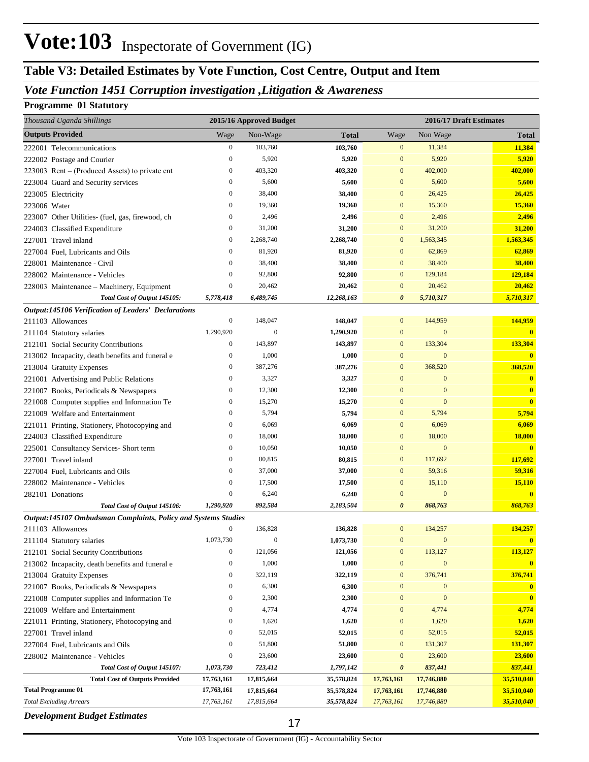### *Vote Function 1451 Corruption investigation ,Litigation & Awareness*

### **Programme 01 Statutory**

| Thousand Uganda Shillings                                      |                  | 2015/16 Approved Budget |              |                       | 2016/17 Draft Estimates |                  |
|----------------------------------------------------------------|------------------|-------------------------|--------------|-----------------------|-------------------------|------------------|
| <b>Outputs Provided</b>                                        | Wage             | Non-Wage                | <b>Total</b> | Wage                  | Non Wage                | <b>Total</b>     |
| 222001 Telecommunications                                      | $\boldsymbol{0}$ | 103,760                 | 103,760      | $\boldsymbol{0}$      | 11,384                  | 11,384           |
| 222002 Postage and Courier                                     | $\mathbf{0}$     | 5,920                   | 5,920        | $\mathbf{0}$          | 5,920                   | 5,920            |
| $223003$ Rent – (Produced Assets) to private ent               | $\mathbf{0}$     | 403,320                 | 403,320      | $\mathbf{0}$          | 402,000                 | 402,000          |
| 223004 Guard and Security services                             | $\mathbf{0}$     | 5,600                   | 5,600        | $\mathbf{0}$          | 5,600                   | 5,600            |
| 223005 Electricity                                             | $\mathbf{0}$     | 38,400                  | 38,400       | $\mathbf{0}$          | 26,425                  | 26,425           |
| 223006 Water                                                   | $\mathbf{0}$     | 19,360                  | 19,360       | $\mathbf{0}$          | 15,360                  | 15,360           |
| 223007 Other Utilities- (fuel, gas, firewood, ch               | $\mathbf{0}$     | 2,496                   | 2,496        | $\mathbf{0}$          | 2,496                   | 2,496            |
| 224003 Classified Expenditure                                  | $\overline{0}$   | 31,200                  | 31,200       | $\mathbf{0}$          | 31,200                  | 31,200           |
| 227001 Travel inland                                           | $\mathbf{0}$     | 2,268,740               | 2,268,740    | $\mathbf{0}$          | 1,563,345               | 1,563,345        |
| 227004 Fuel, Lubricants and Oils                               | $\boldsymbol{0}$ | 81,920                  | 81,920       | $\mathbf{0}$          | 62,869                  | 62,869           |
| 228001 Maintenance - Civil                                     | $\mathbf{0}$     | 38,400                  | 38,400       | $\mathbf{0}$          | 38,400                  | 38,400           |
| 228002 Maintenance - Vehicles                                  | $\mathbf{0}$     | 92,800                  | 92,800       | $\mathbf{0}$          | 129,184                 | 129,184          |
| 228003 Maintenance – Machinery, Equipment                      | $\mathbf{0}$     | 20,462                  | 20,462       | $\mathbf{0}$          | 20,462                  | 20,462           |
| Total Cost of Output 145105:                                   | 5,778,418        | 6,489,745               | 12,268,163   | $\boldsymbol{\theta}$ | 5,710,317               | 5,710,317        |
| <b>Output:145106 Verification of Leaders' Declarations</b>     |                  |                         |              |                       |                         |                  |
| 211103 Allowances                                              | $\mathbf{0}$     | 148,047                 | 148,047      | $\mathbf{0}$          | 144,959                 | 144,959          |
| 211104 Statutory salaries                                      | 1,290,920        | 0                       | 1,290,920    | $\mathbf{0}$          | $\mathbf{0}$            | $\bf{0}$         |
| 212101 Social Security Contributions                           | $\boldsymbol{0}$ | 143,897                 | 143,897      | $\mathbf{0}$          | 133,304                 | 133,304          |
| 213002 Incapacity, death benefits and funeral e                | $\boldsymbol{0}$ | 1,000                   | 1,000        | $\mathbf{0}$          | $\mathbf{0}$            | $\bf{0}$         |
| 213004 Gratuity Expenses                                       | $\mathbf{0}$     | 387,276                 | 387,276      | $\mathbf{0}$          | 368,520                 | 368,520          |
| 221001 Advertising and Public Relations                        | $\mathbf{0}$     | 3,327                   | 3,327        | $\mathbf{0}$          | $\mathbf{0}$            | $\bf{0}$         |
| 221007 Books, Periodicals & Newspapers                         | $\boldsymbol{0}$ | 12,300                  | 12,300       | $\mathbf{0}$          | $\mathbf{0}$            | $\bf{0}$         |
| 221008 Computer supplies and Information Te                    | $\boldsymbol{0}$ | 15,270                  | 15,270       | $\mathbf{0}$          | $\mathbf{0}$            | $\bf{0}$         |
| 221009 Welfare and Entertainment                               | $\mathbf{0}$     | 5,794                   | 5,794        | $\mathbf{0}$          | 5,794                   | 5,794            |
| 221011 Printing, Stationery, Photocopying and                  | $\mathbf{0}$     | 6,069                   | 6,069        | $\mathbf{0}$          | 6,069                   | 6,069            |
| 224003 Classified Expenditure                                  | $\mathbf{0}$     | 18,000                  | 18,000       | $\mathbf{0}$          | 18,000                  | <b>18,000</b>    |
| 225001 Consultancy Services- Short term                        | $\mathbf{0}$     | 10,050                  | 10,050       | $\mathbf{0}$          | $\mathbf{0}$            | $\bf{0}$         |
| 227001 Travel inland                                           | $\mathbf{0}$     | 80,815                  | 80,815       | $\mathbf{0}$          | 117,692                 | 117,692          |
| 227004 Fuel, Lubricants and Oils                               | $\mathbf{0}$     | 37,000                  | 37,000       | $\mathbf{0}$          | 59,316                  | 59,316           |
| 228002 Maintenance - Vehicles                                  | $\boldsymbol{0}$ | 17,500                  | 17,500       | $\mathbf{0}$          | 15,110                  | 15,110           |
| 282101 Donations                                               | $\mathbf{0}$     | 6,240                   | 6,240        | $\mathbf{0}$          | $\mathbf{0}$            | $\bf{0}$         |
| Total Cost of Output 145106:                                   | 1,290,920        | 892,584                 | 2,183,504    | $\boldsymbol{\theta}$ | 868,763                 | 868,763          |
| Output:145107 Ombudsman Complaints, Policy and Systems Studies |                  |                         |              |                       |                         |                  |
| 211103 Allowances                                              | $\boldsymbol{0}$ | 136,828                 | 136,828      | $\mathbf{0}$          | 134,257                 | 134,257          |
| 211104 Statutory salaries                                      | 1,073,730        | $\overline{0}$          | 1,073,730    | $\mathbf{0}$          | $\mathbf{0}$            | $\bf{0}$         |
| 212101 Social Security Contributions                           | $\boldsymbol{0}$ | 121,056                 | 121,056      | $\boldsymbol{0}$      | 113,127                 | 113,127          |
| 213002 Incapacity, death benefits and funeral e                | $\boldsymbol{0}$ | 1,000                   | 1,000        | $\mathbf{0}$          | $\mathbf{0}$            |                  |
| 213004 Gratuity Expenses                                       | $\boldsymbol{0}$ | 322,119                 | 322,119      | $\boldsymbol{0}$      | 376,741                 | 376,741          |
| 221007 Books, Periodicals & Newspapers                         | $\boldsymbol{0}$ | 6,300                   | 6,300        | $\mathbf{0}$          | $\mathbf{0}$            | $\boldsymbol{0}$ |
| 221008 Computer supplies and Information Te                    | $\boldsymbol{0}$ | 2,300                   | 2,300        | $\mathbf{0}$          | $\mathbf{0}$            | $\mathbf{0}$     |
| 221009 Welfare and Entertainment                               | $\boldsymbol{0}$ | 4,774                   | 4,774        | $\boldsymbol{0}$      | 4,774                   | 4,774            |
| 221011 Printing, Stationery, Photocopying and                  | $\boldsymbol{0}$ | 1,620                   | 1,620        | $\mathbf{0}$          | 1,620                   | 1,620            |
| 227001 Travel inland                                           | 0                | 52,015                  | 52,015       | $\mathbf{0}$          | 52,015                  | 52,015           |
| 227004 Fuel, Lubricants and Oils                               | $\boldsymbol{0}$ | 51,800                  | 51,800       | $\mathbf{0}$          | 131,307                 | 131,307          |
| 228002 Maintenance - Vehicles                                  | 0                | 23,600                  | 23,600       | $\mathbf{0}$          | 23,600                  | 23,600           |
| Total Cost of Output 145107:                                   | 1,073,730        | 723,412                 | 1,797,142    | $\boldsymbol{\theta}$ | 837,441                 | 837,441          |
| <b>Total Cost of Outputs Provided</b>                          | 17,763,161       | 17,815,664              | 35,578,824   | 17,763,161            | 17,746,880              | 35,510,040       |
| <b>Total Programme 01</b>                                      | 17,763,161       | 17,815,664              | 35,578,824   | 17,763,161            | 17,746,880              | 35,510,040       |
| <b>Total Excluding Arrears</b><br>Dovelopment Rudoet Estimates | 17,763,161       | 17,815,664              | 35,578,824   | 17,763,161            | 17,746,880              | 35,510,040       |

*Development Budget Estimates*

17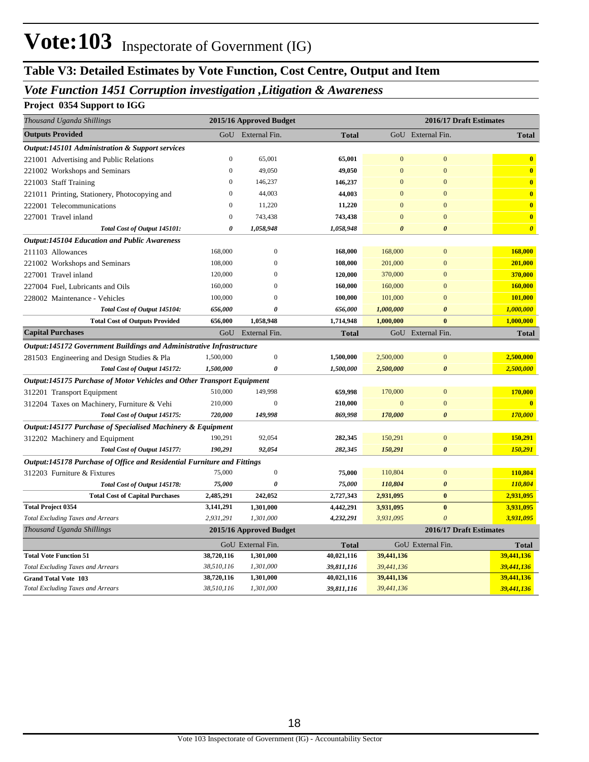### *Vote Function 1451 Corruption investigation ,Litigation & Awareness*

### **Project 0354 Support to IGG**

| Thousand Uganda Shillings                                                     |                       | 2015/16 Approved Budget |              |                | 2016/17 Draft Estimates |                         |
|-------------------------------------------------------------------------------|-----------------------|-------------------------|--------------|----------------|-------------------------|-------------------------|
| <b>Outputs Provided</b>                                                       | GoU                   | External Fin.           | <b>Total</b> |                | GoU External Fin.       | <b>Total</b>            |
| <b>Output:145101 Administration &amp; Support services</b>                    |                       |                         |              |                |                         |                         |
| 221001 Advertising and Public Relations                                       | $\mathbf{0}$          | 65,001                  | 65,001       | $\mathbf{0}$   | $\mathbf{0}$            | $\bf{0}$                |
| 221002 Workshops and Seminars                                                 | $\mathbf{0}$          | 49,050                  | 49,050       | $\overline{0}$ | $\overline{0}$          | $\bf{0}$                |
| 221003 Staff Training                                                         | $\mathbf{0}$          | 146,237                 | 146,237      | $\overline{0}$ | $\overline{0}$          | $\bf{0}$                |
| 221011 Printing, Stationery, Photocopying and                                 | $\boldsymbol{0}$      | 44,003                  | 44,003       | $\overline{0}$ | $\overline{0}$          | $\bf{0}$                |
| 222001 Telecommunications                                                     | $\mathbf{0}$          | 11,220                  | 11,220       | $\mathbf{0}$   | $\overline{0}$          | $\overline{\mathbf{0}}$ |
| 227001 Travel inland                                                          | $\boldsymbol{0}$      | 743,438                 | 743,438      | $\overline{0}$ | $\mathbf{0}$            | $\bf{0}$                |
| Total Cost of Output 145101:                                                  | $\boldsymbol{\theta}$ | 1,058,948               | 1,058,948    | $\theta$       | $\boldsymbol{\theta}$   | $\boldsymbol{\theta}$   |
| <b>Output:145104 Education and Public Awareness</b>                           |                       |                         |              |                |                         |                         |
| 211103 Allowances                                                             | 168,000               | $\overline{0}$          | 168,000      | 168,000        | $\overline{0}$          | 168,000                 |
| 221002 Workshops and Seminars                                                 | 108,000               | $\overline{0}$          | 108,000      | 201,000        | $\mathbf{0}$            | 201,000                 |
| 227001 Travel inland                                                          | 120,000               | $\Omega$                | 120,000      | 370,000        | $\overline{0}$          | 370,000                 |
| 227004 Fuel, Lubricants and Oils                                              | 160,000               | $\Omega$                | 160,000      | 160,000        | $\overline{0}$          | 160,000                 |
| 228002 Maintenance - Vehicles                                                 | 100,000               | $\Omega$                | 100,000      | 101,000        | $\Omega$                | 101,000                 |
| Total Cost of Output 145104:                                                  | 656,000               | $\theta$                | 656,000      | 1,000,000      | $\boldsymbol{\theta}$   | 1,000,000               |
| <b>Total Cost of Outputs Provided</b>                                         | 656,000               | 1,058,948               | 1,714,948    | 1,000,000      | $\mathbf{0}$            | 1,000,000               |
| <b>Capital Purchases</b>                                                      | GoU                   | External Fin.           | <b>Total</b> |                | GoU External Fin.       | <b>Total</b>            |
| Output:145172 Government Buildings and Administrative Infrastructure          |                       |                         |              |                |                         |                         |
| 281503 Engineering and Design Studies & Pla                                   | 1,500,000             | $\mathbf{0}$            | 1,500,000    | 2,500,000      | $\mathbf{0}$            | 2,500,000               |
| Total Cost of Output 145172:                                                  | 1,500,000             | $\boldsymbol{\theta}$   | 1,500,000    | 2,500,000      | $\boldsymbol{\theta}$   | 2,500,000               |
| <b>Output:145175 Purchase of Motor Vehicles and Other Transport Equipment</b> |                       |                         |              |                |                         |                         |
| 312201 Transport Equipment                                                    | 510,000               | 149,998                 | 659,998      | 170,000        | $\boldsymbol{0}$        | 170,000                 |
| 312204 Taxes on Machinery, Furniture & Vehi                                   | 210,000               | $\overline{0}$          | 210,000      | $\overline{0}$ | $\overline{0}$          | $\bf{0}$                |
| Total Cost of Output 145175:                                                  | 720,000               | 149,998                 | 869,998      | 170,000        | $\boldsymbol{\theta}$   | 170,000                 |
| Output:145177 Purchase of Specialised Machinery & Equipment                   |                       |                         |              |                |                         |                         |
| 312202 Machinery and Equipment                                                | 190,291               | 92,054                  | 282,345      | 150,291        | $\boldsymbol{0}$        | 150,291                 |
| Total Cost of Output 145177:                                                  | 190,291               | 92,054                  | 282,345      | 150,291        | $\boldsymbol{\theta}$   | 150,291                 |
| Output:145178 Purchase of Office and Residential Furniture and Fittings       |                       |                         |              |                |                         |                         |
| 312203 Furniture & Fixtures                                                   | 75,000                | $\mathbf{0}$            | 75,000       | 110,804        | $\overline{0}$          | 110,804                 |
| Total Cost of Output 145178:                                                  | 75,000                | 0                       | 75,000       | 110,804        | $\boldsymbol{\theta}$   | 110,804                 |
| <b>Total Cost of Capital Purchases</b>                                        | 2,485,291             | 242,052                 | 2,727,343    | 2,931,095      | $\bf{0}$                | 2,931,095               |
| <b>Total Project 0354</b>                                                     | 3,141,291             | 1,301,000               | 4,442,291    | 3,931,095      | $\bf{0}$                | 3,931,095               |
| <b>Total Excluding Taxes and Arrears</b>                                      | 2,931,291             | 1,301,000               | 4,232,291    | 3,931,095      | $\theta$                | 3,931,095               |
| Thousand Uganda Shillings                                                     |                       | 2015/16 Approved Budget |              |                | 2016/17 Draft Estimates |                         |
|                                                                               |                       | GoU External Fin.       | <b>Total</b> |                | GoU External Fin.       | Total                   |
| <b>Total Vote Function 51</b>                                                 | 38,720,116            | 1,301,000               | 40,021,116   | 39,441,136     |                         | 39,441,136              |
| <b>Total Excluding Taxes and Arrears</b>                                      | 38,510,116            | 1,301,000               | 39,811,116   | 39,441,136     |                         | 39,441,136              |
| <b>Grand Total Vote 103</b>                                                   | 38,720,116            | 1,301,000               | 40,021,116   | 39,441,136     |                         | 39,441,136              |
| <b>Total Excluding Taxes and Arrears</b>                                      | 38,510,116            | 1,301,000               | 39,811,116   | 39,441,136     |                         | 39,441,136              |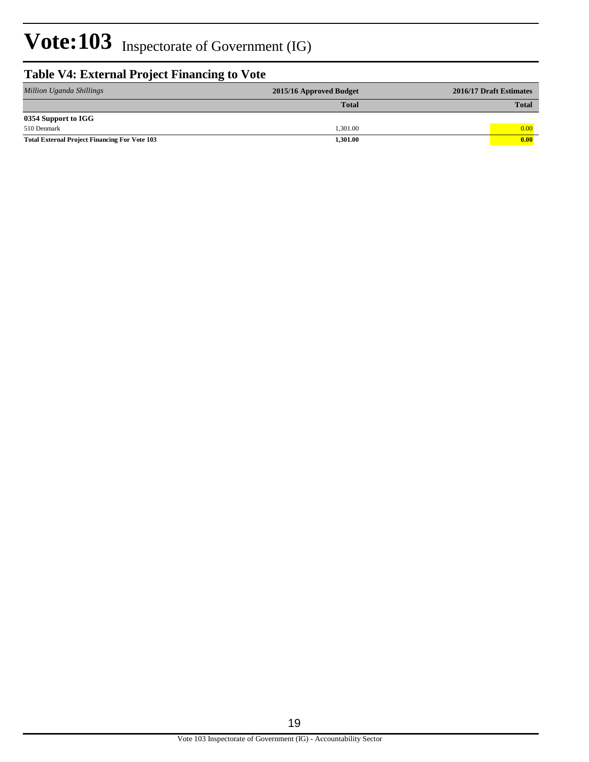### **Table V4: External Project Financing to Vote**

| Million Uganda Shillings                             | 2015/16 Approved Budget | 2016/17 Draft Estimates |
|------------------------------------------------------|-------------------------|-------------------------|
|                                                      | <b>Total</b>            | <b>Total</b>            |
| 0354 Support to IGG                                  |                         |                         |
| 510 Denmark                                          | 1.301.00                | 0.00                    |
| <b>Total External Project Financing For Vote 103</b> | 1,301.00                | 0.00                    |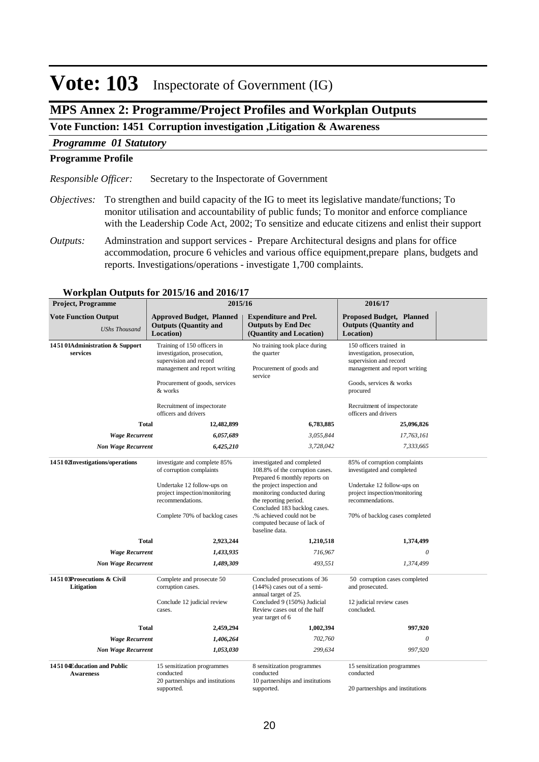#### **Inspectorate of Government (IG) Vote: 103**

### **MPS Annex 2: Programme/Project Profiles and Workplan Outputs**

### **Vote Function: 1451 Corruption investigation ,Litigation & Awareness**

### *Programme 01 Statutory*

#### **Programme Profile**

Secretary to the Inspectorate of Government *Responsible Officer:*

- To strengthen and build capacity of the IG to meet its legislative mandate/functions; To *Objectives:* monitor utilisation and accountability of public funds; To monitor and enforce compliance with the Leadership Code Act, 2002; To sensitize and educate citizens and enlist their support
- Adminstration and support services Prepare Architectural designs and plans for office accommodation, procure 6 vehicles and various office equipment,prepare plans, budgets and reports. Investigations/operations - investigate 1,700 complaints. *Outputs:*

| <b>Project, Programme</b>                           | 2015/16                                                                                                                                                                                                                   |                                                                                                                                                                                                                                                                                                   | 2016/17                                                                                                                                                                                                         |
|-----------------------------------------------------|---------------------------------------------------------------------------------------------------------------------------------------------------------------------------------------------------------------------------|---------------------------------------------------------------------------------------------------------------------------------------------------------------------------------------------------------------------------------------------------------------------------------------------------|-----------------------------------------------------------------------------------------------------------------------------------------------------------------------------------------------------------------|
| <b>Vote Function Output</b><br><b>UShs Thousand</b> | <b>Approved Budget, Planned</b><br><b>Outputs (Quantity and</b><br>Location)                                                                                                                                              | <b>Expenditure and Prel.</b><br><b>Outputs by End Dec</b><br>(Quantity and Location)                                                                                                                                                                                                              | <b>Proposed Budget, Planned</b><br><b>Outputs (Quantity and</b><br>Location)                                                                                                                                    |
| 145101Administration & Support<br>services          | Training of 150 officers in<br>investigation, prosecution,<br>supervision and record<br>management and report writing<br>Procurement of goods, services<br>& works<br>Recruitment of inspectorate<br>officers and drivers | No training took place during<br>the quarter<br>Procurement of goods and<br>service                                                                                                                                                                                                               | 150 officers trained in<br>investigation, prosecution,<br>supervision and record<br>management and report writing<br>Goods, services & works<br>procured<br>Recruitment of inspectorate<br>officers and drivers |
| <b>Total</b>                                        | 12,482,899                                                                                                                                                                                                                | 6,783,885                                                                                                                                                                                                                                                                                         | 25,096,826                                                                                                                                                                                                      |
| <b>Wage Recurrent</b>                               | 6,057,689                                                                                                                                                                                                                 | 3,055,844                                                                                                                                                                                                                                                                                         | 17,763,161                                                                                                                                                                                                      |
| <b>Non Wage Recurrent</b>                           | 6,425,210                                                                                                                                                                                                                 | 3,728,042                                                                                                                                                                                                                                                                                         | 7,333,665                                                                                                                                                                                                       |
| 145102Investigations/operations                     | investigate and complete 85%<br>of corruption complaints<br>Undertake 12 follow-ups on<br>project inspection/monitoring<br>recommendations.<br>Complete 70% of backlog cases                                              | investigated and completed<br>108.8% of the corruption cases.<br>Prepared 6 monthly reports on<br>the project inspection and<br>monitoring conducted during<br>the reporting period.<br>Concluded 183 backlog cases.<br>.% achieved could not be<br>computed because of lack of<br>baseline data. | 85% of corruption complaints<br>investigated and completed<br>Undertake 12 follow-ups on<br>project inspection/monitoring<br>recommendations.<br>70% of backlog cases completed                                 |
| <b>Total</b>                                        | 2,923,244                                                                                                                                                                                                                 | 1,210,518                                                                                                                                                                                                                                                                                         | 1,374,499                                                                                                                                                                                                       |
| <b>Wage Recurrent</b>                               | 1,433,935                                                                                                                                                                                                                 | 716,967                                                                                                                                                                                                                                                                                           | 0                                                                                                                                                                                                               |
| <b>Non Wage Recurrent</b>                           | 1,489,309                                                                                                                                                                                                                 | 493,551                                                                                                                                                                                                                                                                                           | 1,374,499                                                                                                                                                                                                       |
| 145103Prosecutions & Civil<br>Litigation            | Complete and prosecute 50<br>corruption cases.<br>Conclude 12 judicial review<br>cases.                                                                                                                                   | Concluded prosecutions of 36<br>$(144%)$ cases out of a semi-<br>annual target of 25.<br>Concluded 9 (150%) Judicial<br>Review cases out of the half<br>year target of 6                                                                                                                          | 50 corruption cases completed<br>and prosecuted.<br>12 judicial review cases<br>concluded.                                                                                                                      |
| <b>Total</b>                                        | 2,459,294                                                                                                                                                                                                                 | 1,002,394                                                                                                                                                                                                                                                                                         | 997,920                                                                                                                                                                                                         |
| <b>Wage Recurrent</b>                               | 1,406,264                                                                                                                                                                                                                 | 702,760                                                                                                                                                                                                                                                                                           | 0                                                                                                                                                                                                               |
| <b>Non Wage Recurrent</b>                           | 1,053,030                                                                                                                                                                                                                 | 299,634                                                                                                                                                                                                                                                                                           | 997,920                                                                                                                                                                                                         |
| 145104Education and Public<br><b>Awareness</b>      | 15 sensitization programmes<br>conducted<br>20 partnerships and institutions<br>supported.                                                                                                                                | 8 sensitization programmes<br>conducted<br>10 partnerships and institutions<br>supported.                                                                                                                                                                                                         | 15 sensitization programmes<br>conducted<br>20 partnerships and institutions                                                                                                                                    |

#### **Workplan Outputs for 2015/16 and 2016/17**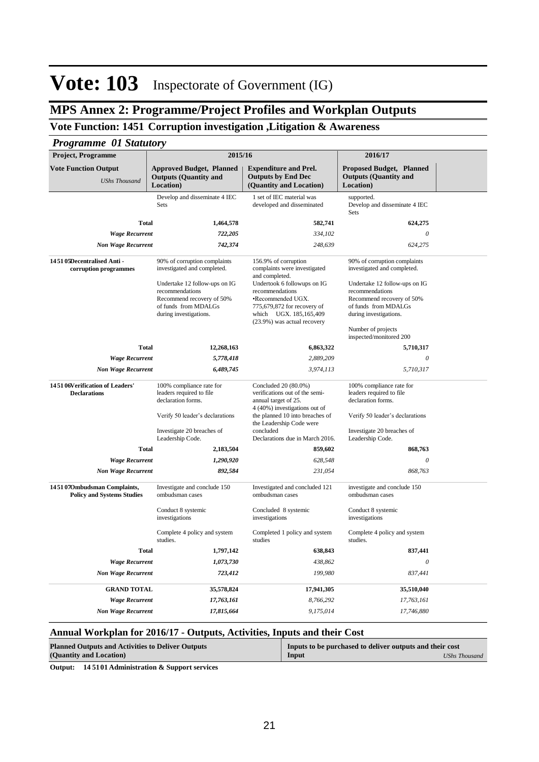### **MPS Annex 2: Programme/Project Profiles and Workplan Outputs**

### **Vote Function: 1451 Corruption investigation ,Litigation & Awareness**

### *Programme 01 Statutory*

| <b>Proposed Budget, Planned</b><br><b>Vote Function Output</b><br><b>Approved Budget, Planned</b><br><b>Expenditure and Prel.</b><br><b>Outputs (Quantity and</b><br><b>Outputs by End Dec</b><br><b>Outputs (Quantity and</b><br><b>UShs Thousand</b><br>Location)<br>(Quantity and Location)<br>Location)<br>Develop and disseminate 4 IEC<br>1 set of IEC material was<br>supported.<br>Develop and disseminate 4 IEC<br>Sets<br>developed and disseminated<br>Sets<br><b>Total</b><br>1,464,578<br>582,741<br>624,275<br>$\theta$<br><b>Wage Recurrent</b><br>722,205<br>334,102<br>624,275<br>742,374<br>248,639<br><b>Non Wage Recurrent</b><br>145105Decentralised Anti-<br>156.9% of corruption<br>90% of corruption complaints<br>90% of corruption complaints<br>complaints were investigated<br>corruption programmes<br>investigated and completed.<br>investigated and completed.<br>and completed.<br>Undertook 6 followups on IG<br>Undertake 12 follow-ups on IG<br>Undertake 12 follow-ups on IG<br>recommendations<br>recommendations<br>recommendations<br>Recommend recovery of 50%<br>•Recommended UGX.<br>Recommend recovery of 50%<br>of funds from MDALGs<br>775,679,872 for recovery of<br>of funds from MDALGs<br>during investigations.<br>which UGX. 185,165,409<br>during investigations.<br>(23.9%) was actual recovery<br>Number of projects<br>inspected/monitored 200<br><b>Total</b><br>12,268,163<br>6,863,322<br>5,710,317<br>$\theta$<br><b>Wage Recurrent</b><br>5,778,418<br>2,889,209<br>3,974,113<br>5,710,317<br><b>Non Wage Recurrent</b><br>6,489,745<br>145106Verification of Leaders'<br>Concluded 20 (80.0%)<br>100% compliance rate for<br>100% compliance rate for<br><b>Declarations</b><br>leaders required to file<br>verifications out of the semi-<br>leaders required to file<br>declaration forms.<br>declaration forms.<br>annual target of 25.<br>4 (40%) investigations out of<br>the planned 10 into breaches of<br>Verify 50 leader's declarations<br>Verify 50 leader's declarations<br>the Leadership Code were<br>concluded<br>Investigate 20 breaches of<br>Investigate 20 breaches of<br>Leadership Code.<br>Declarations due in March 2016.<br>Leadership Code.<br><b>Total</b><br>859,602<br>2,183,504<br>868,763<br>$\theta$<br><b>Wage Recurrent</b><br>1,290,920<br>628,548<br><b>Non Wage Recurrent</b><br>892,584<br>231,054<br>868,763<br>1451070mbudsman Complaints,<br>Investigate and conclude 150<br>Investigated and concluded 121<br>investigate and conclude 150<br><b>Policy and Systems Studies</b><br>ombudsman cases<br>ombudsman cases<br>ombudsman cases<br>Concluded 8 systemic<br>Conduct 8 systemic<br>Conduct 8 systemic<br>investigations<br>investigations<br>investigations<br>Complete 4 policy and system<br>Completed 1 policy and system<br>Complete 4 policy and system<br>studies.<br>studies<br>studies.<br><b>Total</b><br>1,797,142<br>638,843<br>837,441<br>$\theta$<br><b>Wage Recurrent</b><br>1,073,730<br>438,862<br>199,980<br>837,441<br><b>Non Wage Recurrent</b><br>723,412<br><b>GRAND TOTAL</b><br>35,578,824<br>17,941,305<br>35,510,040<br><b>Wage Recurrent</b><br>17,763,161<br>8,766,292<br>17,763,161<br><b>Non Wage Recurrent</b><br>17,815,664<br>9,175,014<br>17,746,880 | <b>Project, Programme</b> | 2015/16 | 2016/17 |  |
|-----------------------------------------------------------------------------------------------------------------------------------------------------------------------------------------------------------------------------------------------------------------------------------------------------------------------------------------------------------------------------------------------------------------------------------------------------------------------------------------------------------------------------------------------------------------------------------------------------------------------------------------------------------------------------------------------------------------------------------------------------------------------------------------------------------------------------------------------------------------------------------------------------------------------------------------------------------------------------------------------------------------------------------------------------------------------------------------------------------------------------------------------------------------------------------------------------------------------------------------------------------------------------------------------------------------------------------------------------------------------------------------------------------------------------------------------------------------------------------------------------------------------------------------------------------------------------------------------------------------------------------------------------------------------------------------------------------------------------------------------------------------------------------------------------------------------------------------------------------------------------------------------------------------------------------------------------------------------------------------------------------------------------------------------------------------------------------------------------------------------------------------------------------------------------------------------------------------------------------------------------------------------------------------------------------------------------------------------------------------------------------------------------------------------------------------------------------------------------------------------------------------------------------------------------------------------------------------------------------------------------------------------------------------------------------------------------------------------------------------------------------------------------------------------------------------------------------------------------------------------------------------------------------------------------------------------------------------------------------------------------------------------------------------------------------------------------------------------------------------------------------------------------------------------------------------------------------------------------------------------------------------------------------------------------|---------------------------|---------|---------|--|
|                                                                                                                                                                                                                                                                                                                                                                                                                                                                                                                                                                                                                                                                                                                                                                                                                                                                                                                                                                                                                                                                                                                                                                                                                                                                                                                                                                                                                                                                                                                                                                                                                                                                                                                                                                                                                                                                                                                                                                                                                                                                                                                                                                                                                                                                                                                                                                                                                                                                                                                                                                                                                                                                                                                                                                                                                                                                                                                                                                                                                                                                                                                                                                                                                                                                                                     |                           |         |         |  |
|                                                                                                                                                                                                                                                                                                                                                                                                                                                                                                                                                                                                                                                                                                                                                                                                                                                                                                                                                                                                                                                                                                                                                                                                                                                                                                                                                                                                                                                                                                                                                                                                                                                                                                                                                                                                                                                                                                                                                                                                                                                                                                                                                                                                                                                                                                                                                                                                                                                                                                                                                                                                                                                                                                                                                                                                                                                                                                                                                                                                                                                                                                                                                                                                                                                                                                     |                           |         |         |  |
|                                                                                                                                                                                                                                                                                                                                                                                                                                                                                                                                                                                                                                                                                                                                                                                                                                                                                                                                                                                                                                                                                                                                                                                                                                                                                                                                                                                                                                                                                                                                                                                                                                                                                                                                                                                                                                                                                                                                                                                                                                                                                                                                                                                                                                                                                                                                                                                                                                                                                                                                                                                                                                                                                                                                                                                                                                                                                                                                                                                                                                                                                                                                                                                                                                                                                                     |                           |         |         |  |
|                                                                                                                                                                                                                                                                                                                                                                                                                                                                                                                                                                                                                                                                                                                                                                                                                                                                                                                                                                                                                                                                                                                                                                                                                                                                                                                                                                                                                                                                                                                                                                                                                                                                                                                                                                                                                                                                                                                                                                                                                                                                                                                                                                                                                                                                                                                                                                                                                                                                                                                                                                                                                                                                                                                                                                                                                                                                                                                                                                                                                                                                                                                                                                                                                                                                                                     |                           |         |         |  |
|                                                                                                                                                                                                                                                                                                                                                                                                                                                                                                                                                                                                                                                                                                                                                                                                                                                                                                                                                                                                                                                                                                                                                                                                                                                                                                                                                                                                                                                                                                                                                                                                                                                                                                                                                                                                                                                                                                                                                                                                                                                                                                                                                                                                                                                                                                                                                                                                                                                                                                                                                                                                                                                                                                                                                                                                                                                                                                                                                                                                                                                                                                                                                                                                                                                                                                     |                           |         |         |  |
|                                                                                                                                                                                                                                                                                                                                                                                                                                                                                                                                                                                                                                                                                                                                                                                                                                                                                                                                                                                                                                                                                                                                                                                                                                                                                                                                                                                                                                                                                                                                                                                                                                                                                                                                                                                                                                                                                                                                                                                                                                                                                                                                                                                                                                                                                                                                                                                                                                                                                                                                                                                                                                                                                                                                                                                                                                                                                                                                                                                                                                                                                                                                                                                                                                                                                                     |                           |         |         |  |
|                                                                                                                                                                                                                                                                                                                                                                                                                                                                                                                                                                                                                                                                                                                                                                                                                                                                                                                                                                                                                                                                                                                                                                                                                                                                                                                                                                                                                                                                                                                                                                                                                                                                                                                                                                                                                                                                                                                                                                                                                                                                                                                                                                                                                                                                                                                                                                                                                                                                                                                                                                                                                                                                                                                                                                                                                                                                                                                                                                                                                                                                                                                                                                                                                                                                                                     |                           |         |         |  |
|                                                                                                                                                                                                                                                                                                                                                                                                                                                                                                                                                                                                                                                                                                                                                                                                                                                                                                                                                                                                                                                                                                                                                                                                                                                                                                                                                                                                                                                                                                                                                                                                                                                                                                                                                                                                                                                                                                                                                                                                                                                                                                                                                                                                                                                                                                                                                                                                                                                                                                                                                                                                                                                                                                                                                                                                                                                                                                                                                                                                                                                                                                                                                                                                                                                                                                     |                           |         |         |  |
|                                                                                                                                                                                                                                                                                                                                                                                                                                                                                                                                                                                                                                                                                                                                                                                                                                                                                                                                                                                                                                                                                                                                                                                                                                                                                                                                                                                                                                                                                                                                                                                                                                                                                                                                                                                                                                                                                                                                                                                                                                                                                                                                                                                                                                                                                                                                                                                                                                                                                                                                                                                                                                                                                                                                                                                                                                                                                                                                                                                                                                                                                                                                                                                                                                                                                                     |                           |         |         |  |
|                                                                                                                                                                                                                                                                                                                                                                                                                                                                                                                                                                                                                                                                                                                                                                                                                                                                                                                                                                                                                                                                                                                                                                                                                                                                                                                                                                                                                                                                                                                                                                                                                                                                                                                                                                                                                                                                                                                                                                                                                                                                                                                                                                                                                                                                                                                                                                                                                                                                                                                                                                                                                                                                                                                                                                                                                                                                                                                                                                                                                                                                                                                                                                                                                                                                                                     |                           |         |         |  |
|                                                                                                                                                                                                                                                                                                                                                                                                                                                                                                                                                                                                                                                                                                                                                                                                                                                                                                                                                                                                                                                                                                                                                                                                                                                                                                                                                                                                                                                                                                                                                                                                                                                                                                                                                                                                                                                                                                                                                                                                                                                                                                                                                                                                                                                                                                                                                                                                                                                                                                                                                                                                                                                                                                                                                                                                                                                                                                                                                                                                                                                                                                                                                                                                                                                                                                     |                           |         |         |  |
|                                                                                                                                                                                                                                                                                                                                                                                                                                                                                                                                                                                                                                                                                                                                                                                                                                                                                                                                                                                                                                                                                                                                                                                                                                                                                                                                                                                                                                                                                                                                                                                                                                                                                                                                                                                                                                                                                                                                                                                                                                                                                                                                                                                                                                                                                                                                                                                                                                                                                                                                                                                                                                                                                                                                                                                                                                                                                                                                                                                                                                                                                                                                                                                                                                                                                                     |                           |         |         |  |
|                                                                                                                                                                                                                                                                                                                                                                                                                                                                                                                                                                                                                                                                                                                                                                                                                                                                                                                                                                                                                                                                                                                                                                                                                                                                                                                                                                                                                                                                                                                                                                                                                                                                                                                                                                                                                                                                                                                                                                                                                                                                                                                                                                                                                                                                                                                                                                                                                                                                                                                                                                                                                                                                                                                                                                                                                                                                                                                                                                                                                                                                                                                                                                                                                                                                                                     |                           |         |         |  |
|                                                                                                                                                                                                                                                                                                                                                                                                                                                                                                                                                                                                                                                                                                                                                                                                                                                                                                                                                                                                                                                                                                                                                                                                                                                                                                                                                                                                                                                                                                                                                                                                                                                                                                                                                                                                                                                                                                                                                                                                                                                                                                                                                                                                                                                                                                                                                                                                                                                                                                                                                                                                                                                                                                                                                                                                                                                                                                                                                                                                                                                                                                                                                                                                                                                                                                     |                           |         |         |  |
|                                                                                                                                                                                                                                                                                                                                                                                                                                                                                                                                                                                                                                                                                                                                                                                                                                                                                                                                                                                                                                                                                                                                                                                                                                                                                                                                                                                                                                                                                                                                                                                                                                                                                                                                                                                                                                                                                                                                                                                                                                                                                                                                                                                                                                                                                                                                                                                                                                                                                                                                                                                                                                                                                                                                                                                                                                                                                                                                                                                                                                                                                                                                                                                                                                                                                                     |                           |         |         |  |
|                                                                                                                                                                                                                                                                                                                                                                                                                                                                                                                                                                                                                                                                                                                                                                                                                                                                                                                                                                                                                                                                                                                                                                                                                                                                                                                                                                                                                                                                                                                                                                                                                                                                                                                                                                                                                                                                                                                                                                                                                                                                                                                                                                                                                                                                                                                                                                                                                                                                                                                                                                                                                                                                                                                                                                                                                                                                                                                                                                                                                                                                                                                                                                                                                                                                                                     |                           |         |         |  |
|                                                                                                                                                                                                                                                                                                                                                                                                                                                                                                                                                                                                                                                                                                                                                                                                                                                                                                                                                                                                                                                                                                                                                                                                                                                                                                                                                                                                                                                                                                                                                                                                                                                                                                                                                                                                                                                                                                                                                                                                                                                                                                                                                                                                                                                                                                                                                                                                                                                                                                                                                                                                                                                                                                                                                                                                                                                                                                                                                                                                                                                                                                                                                                                                                                                                                                     |                           |         |         |  |
|                                                                                                                                                                                                                                                                                                                                                                                                                                                                                                                                                                                                                                                                                                                                                                                                                                                                                                                                                                                                                                                                                                                                                                                                                                                                                                                                                                                                                                                                                                                                                                                                                                                                                                                                                                                                                                                                                                                                                                                                                                                                                                                                                                                                                                                                                                                                                                                                                                                                                                                                                                                                                                                                                                                                                                                                                                                                                                                                                                                                                                                                                                                                                                                                                                                                                                     |                           |         |         |  |
|                                                                                                                                                                                                                                                                                                                                                                                                                                                                                                                                                                                                                                                                                                                                                                                                                                                                                                                                                                                                                                                                                                                                                                                                                                                                                                                                                                                                                                                                                                                                                                                                                                                                                                                                                                                                                                                                                                                                                                                                                                                                                                                                                                                                                                                                                                                                                                                                                                                                                                                                                                                                                                                                                                                                                                                                                                                                                                                                                                                                                                                                                                                                                                                                                                                                                                     |                           |         |         |  |
|                                                                                                                                                                                                                                                                                                                                                                                                                                                                                                                                                                                                                                                                                                                                                                                                                                                                                                                                                                                                                                                                                                                                                                                                                                                                                                                                                                                                                                                                                                                                                                                                                                                                                                                                                                                                                                                                                                                                                                                                                                                                                                                                                                                                                                                                                                                                                                                                                                                                                                                                                                                                                                                                                                                                                                                                                                                                                                                                                                                                                                                                                                                                                                                                                                                                                                     |                           |         |         |  |
|                                                                                                                                                                                                                                                                                                                                                                                                                                                                                                                                                                                                                                                                                                                                                                                                                                                                                                                                                                                                                                                                                                                                                                                                                                                                                                                                                                                                                                                                                                                                                                                                                                                                                                                                                                                                                                                                                                                                                                                                                                                                                                                                                                                                                                                                                                                                                                                                                                                                                                                                                                                                                                                                                                                                                                                                                                                                                                                                                                                                                                                                                                                                                                                                                                                                                                     |                           |         |         |  |
|                                                                                                                                                                                                                                                                                                                                                                                                                                                                                                                                                                                                                                                                                                                                                                                                                                                                                                                                                                                                                                                                                                                                                                                                                                                                                                                                                                                                                                                                                                                                                                                                                                                                                                                                                                                                                                                                                                                                                                                                                                                                                                                                                                                                                                                                                                                                                                                                                                                                                                                                                                                                                                                                                                                                                                                                                                                                                                                                                                                                                                                                                                                                                                                                                                                                                                     |                           |         |         |  |
|                                                                                                                                                                                                                                                                                                                                                                                                                                                                                                                                                                                                                                                                                                                                                                                                                                                                                                                                                                                                                                                                                                                                                                                                                                                                                                                                                                                                                                                                                                                                                                                                                                                                                                                                                                                                                                                                                                                                                                                                                                                                                                                                                                                                                                                                                                                                                                                                                                                                                                                                                                                                                                                                                                                                                                                                                                                                                                                                                                                                                                                                                                                                                                                                                                                                                                     |                           |         |         |  |
|                                                                                                                                                                                                                                                                                                                                                                                                                                                                                                                                                                                                                                                                                                                                                                                                                                                                                                                                                                                                                                                                                                                                                                                                                                                                                                                                                                                                                                                                                                                                                                                                                                                                                                                                                                                                                                                                                                                                                                                                                                                                                                                                                                                                                                                                                                                                                                                                                                                                                                                                                                                                                                                                                                                                                                                                                                                                                                                                                                                                                                                                                                                                                                                                                                                                                                     |                           |         |         |  |
|                                                                                                                                                                                                                                                                                                                                                                                                                                                                                                                                                                                                                                                                                                                                                                                                                                                                                                                                                                                                                                                                                                                                                                                                                                                                                                                                                                                                                                                                                                                                                                                                                                                                                                                                                                                                                                                                                                                                                                                                                                                                                                                                                                                                                                                                                                                                                                                                                                                                                                                                                                                                                                                                                                                                                                                                                                                                                                                                                                                                                                                                                                                                                                                                                                                                                                     |                           |         |         |  |

### **Annual Workplan for 2016/17 - Outputs, Activities, Inputs and their Cost**

| <b>Planned Outputs and Activities to Deliver Outputs</b> | Inputs to be purchased to deliver outputs and their cost |               |
|----------------------------------------------------------|----------------------------------------------------------|---------------|
| (Quantity and Location)                                  | Input                                                    | UShs Thousand |

**Output: 14 5101 Administration & Support services**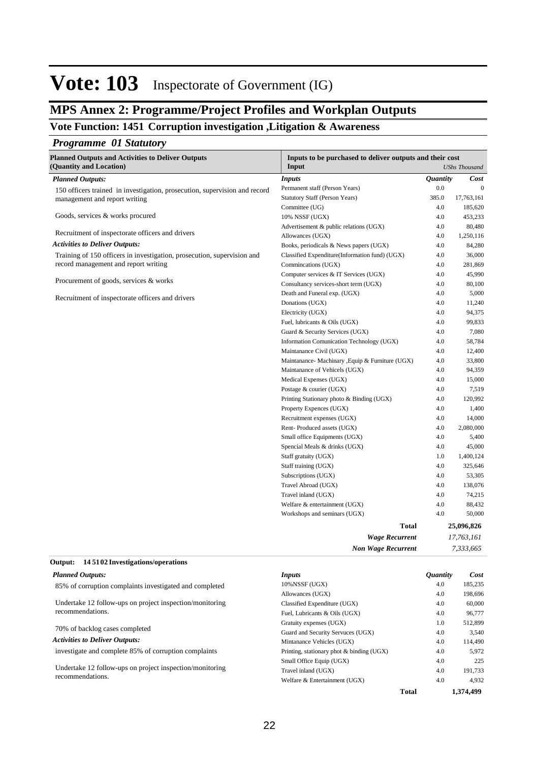### **MPS Annex 2: Programme/Project Profiles and Workplan Outputs**

### **Vote Function: 1451 Corruption investigation ,Litigation & Awareness**

### *Programme 01 Statutory*

| <b>UShs Thousand</b><br><b>Quantity</b><br><b>Inputs</b><br>Cost<br><b>Planned Outputs:</b><br>0.0<br>Permanent staff (Person Years)<br>$\mathbf{0}$<br>150 officers trained in investigation, prosecution, supervision and record<br>385.0<br>Statutory Staff (Person Years)<br>17,763,161<br>management and report writing<br>4.0<br>185,620<br>Committee (UG)<br>Goods, services & works procured<br>10% NSSF (UGX)<br>4.0<br>453,233<br>4.0<br>80,480<br>Advertisement & public relations (UGX)<br>Recruitment of inspectorate officers and drivers<br>4.0<br>1,250,116<br>Allowances (UGX)<br><b>Activities to Deliver Outputs:</b><br>Books, periodicals & News papers (UGX)<br>4.0<br>84,280<br>Training of 150 officers in investigation, prosecution, supervision and<br>Classified Expenditure(Information fund) (UGX)<br>4.0<br>36,000<br>record management and report writing<br>Commincations (UGX)<br>4.0<br>281,869<br>Computer services & IT Services (UGX)<br>4.0<br>45,990<br>Procurement of goods, services & works<br>Consultancy services-short term (UGX)<br>4.0<br>80,100<br>4.0<br>5,000<br>Death and Funeral exp. (UGX)<br>Recruitment of inspectorate officers and drivers<br>Donations (UGX)<br>4.0<br>11,240<br>4.0<br>Electricity (UGX)<br>94,375<br>4.0<br>99,833<br>Fuel, lubricants & Oils (UGX)<br>4.0<br>Guard & Security Services (UGX)<br>7,080<br>4.0<br>Information Comunication Technology (UGX)<br>58,784<br>4.0<br>Maintanance Civil (UGX)<br>12,400<br>Maintanance- Machinary , Equip & Furniture (UGX)<br>4.0<br>33,800<br>Maintanance of Vehicels (UGX)<br>4.0<br>94,359<br>4.0<br>15,000<br>Medical Expenses (UGX)<br>4.0<br>Postage & courier (UGX)<br>7,519<br>4.0<br>Printing Stationary photo & Binding (UGX)<br>120,992<br>4.0<br>Property Expences (UGX)<br>1,400<br>4.0<br>Recruitment expenses (UGX)<br>14,000<br>Rent-Produced assets (UGX)<br>4.0<br>2,080,000<br>4.0<br>Small office Equipments (UGX)<br>5,400<br>4.0<br>45,000<br>Spencial Meals & drinks (UGX)<br>1,400,124<br>Staff gratuity (UGX)<br>1.0<br>4.0<br>Staff training (UGX)<br>325,646<br>4.0<br>Subscriptions (UGX)<br>53,305<br>Travel Abroad (UGX)<br>4.0<br>138,076<br>4.0<br>Travel inland (UGX)<br>74,215<br>4.0<br>Welfare & entertainment (UGX)<br>88,432<br>4.0<br>50,000<br>Workshops and seminars (UGX)<br>25,096,826<br><b>Total</b><br>17,763,161<br><b>Wage Recurrent</b><br>7,333,665<br><b>Non Wage Recurrent</b> | <b>Planned Outputs and Activities to Deliver Outputs</b> | Inputs to be purchased to deliver outputs and their cost |  |  |
|-----------------------------------------------------------------------------------------------------------------------------------------------------------------------------------------------------------------------------------------------------------------------------------------------------------------------------------------------------------------------------------------------------------------------------------------------------------------------------------------------------------------------------------------------------------------------------------------------------------------------------------------------------------------------------------------------------------------------------------------------------------------------------------------------------------------------------------------------------------------------------------------------------------------------------------------------------------------------------------------------------------------------------------------------------------------------------------------------------------------------------------------------------------------------------------------------------------------------------------------------------------------------------------------------------------------------------------------------------------------------------------------------------------------------------------------------------------------------------------------------------------------------------------------------------------------------------------------------------------------------------------------------------------------------------------------------------------------------------------------------------------------------------------------------------------------------------------------------------------------------------------------------------------------------------------------------------------------------------------------------------------------------------------------------------------------------------------------------------------------------------------------------------------------------------------------------------------------------------------------------------------------------------------------------------------------------------------------------------------------------------------------------------------------------------------------------------------|----------------------------------------------------------|----------------------------------------------------------|--|--|
|                                                                                                                                                                                                                                                                                                                                                                                                                                                                                                                                                                                                                                                                                                                                                                                                                                                                                                                                                                                                                                                                                                                                                                                                                                                                                                                                                                                                                                                                                                                                                                                                                                                                                                                                                                                                                                                                                                                                                                                                                                                                                                                                                                                                                                                                                                                                                                                                                                                           | (Quantity and Location)                                  | Input                                                    |  |  |
|                                                                                                                                                                                                                                                                                                                                                                                                                                                                                                                                                                                                                                                                                                                                                                                                                                                                                                                                                                                                                                                                                                                                                                                                                                                                                                                                                                                                                                                                                                                                                                                                                                                                                                                                                                                                                                                                                                                                                                                                                                                                                                                                                                                                                                                                                                                                                                                                                                                           |                                                          |                                                          |  |  |
|                                                                                                                                                                                                                                                                                                                                                                                                                                                                                                                                                                                                                                                                                                                                                                                                                                                                                                                                                                                                                                                                                                                                                                                                                                                                                                                                                                                                                                                                                                                                                                                                                                                                                                                                                                                                                                                                                                                                                                                                                                                                                                                                                                                                                                                                                                                                                                                                                                                           |                                                          |                                                          |  |  |
|                                                                                                                                                                                                                                                                                                                                                                                                                                                                                                                                                                                                                                                                                                                                                                                                                                                                                                                                                                                                                                                                                                                                                                                                                                                                                                                                                                                                                                                                                                                                                                                                                                                                                                                                                                                                                                                                                                                                                                                                                                                                                                                                                                                                                                                                                                                                                                                                                                                           |                                                          |                                                          |  |  |
|                                                                                                                                                                                                                                                                                                                                                                                                                                                                                                                                                                                                                                                                                                                                                                                                                                                                                                                                                                                                                                                                                                                                                                                                                                                                                                                                                                                                                                                                                                                                                                                                                                                                                                                                                                                                                                                                                                                                                                                                                                                                                                                                                                                                                                                                                                                                                                                                                                                           |                                                          |                                                          |  |  |
|                                                                                                                                                                                                                                                                                                                                                                                                                                                                                                                                                                                                                                                                                                                                                                                                                                                                                                                                                                                                                                                                                                                                                                                                                                                                                                                                                                                                                                                                                                                                                                                                                                                                                                                                                                                                                                                                                                                                                                                                                                                                                                                                                                                                                                                                                                                                                                                                                                                           |                                                          |                                                          |  |  |
|                                                                                                                                                                                                                                                                                                                                                                                                                                                                                                                                                                                                                                                                                                                                                                                                                                                                                                                                                                                                                                                                                                                                                                                                                                                                                                                                                                                                                                                                                                                                                                                                                                                                                                                                                                                                                                                                                                                                                                                                                                                                                                                                                                                                                                                                                                                                                                                                                                                           |                                                          |                                                          |  |  |
|                                                                                                                                                                                                                                                                                                                                                                                                                                                                                                                                                                                                                                                                                                                                                                                                                                                                                                                                                                                                                                                                                                                                                                                                                                                                                                                                                                                                                                                                                                                                                                                                                                                                                                                                                                                                                                                                                                                                                                                                                                                                                                                                                                                                                                                                                                                                                                                                                                                           |                                                          |                                                          |  |  |
|                                                                                                                                                                                                                                                                                                                                                                                                                                                                                                                                                                                                                                                                                                                                                                                                                                                                                                                                                                                                                                                                                                                                                                                                                                                                                                                                                                                                                                                                                                                                                                                                                                                                                                                                                                                                                                                                                                                                                                                                                                                                                                                                                                                                                                                                                                                                                                                                                                                           |                                                          |                                                          |  |  |
|                                                                                                                                                                                                                                                                                                                                                                                                                                                                                                                                                                                                                                                                                                                                                                                                                                                                                                                                                                                                                                                                                                                                                                                                                                                                                                                                                                                                                                                                                                                                                                                                                                                                                                                                                                                                                                                                                                                                                                                                                                                                                                                                                                                                                                                                                                                                                                                                                                                           |                                                          |                                                          |  |  |
|                                                                                                                                                                                                                                                                                                                                                                                                                                                                                                                                                                                                                                                                                                                                                                                                                                                                                                                                                                                                                                                                                                                                                                                                                                                                                                                                                                                                                                                                                                                                                                                                                                                                                                                                                                                                                                                                                                                                                                                                                                                                                                                                                                                                                                                                                                                                                                                                                                                           |                                                          |                                                          |  |  |
|                                                                                                                                                                                                                                                                                                                                                                                                                                                                                                                                                                                                                                                                                                                                                                                                                                                                                                                                                                                                                                                                                                                                                                                                                                                                                                                                                                                                                                                                                                                                                                                                                                                                                                                                                                                                                                                                                                                                                                                                                                                                                                                                                                                                                                                                                                                                                                                                                                                           |                                                          |                                                          |  |  |
|                                                                                                                                                                                                                                                                                                                                                                                                                                                                                                                                                                                                                                                                                                                                                                                                                                                                                                                                                                                                                                                                                                                                                                                                                                                                                                                                                                                                                                                                                                                                                                                                                                                                                                                                                                                                                                                                                                                                                                                                                                                                                                                                                                                                                                                                                                                                                                                                                                                           |                                                          |                                                          |  |  |
|                                                                                                                                                                                                                                                                                                                                                                                                                                                                                                                                                                                                                                                                                                                                                                                                                                                                                                                                                                                                                                                                                                                                                                                                                                                                                                                                                                                                                                                                                                                                                                                                                                                                                                                                                                                                                                                                                                                                                                                                                                                                                                                                                                                                                                                                                                                                                                                                                                                           |                                                          |                                                          |  |  |
|                                                                                                                                                                                                                                                                                                                                                                                                                                                                                                                                                                                                                                                                                                                                                                                                                                                                                                                                                                                                                                                                                                                                                                                                                                                                                                                                                                                                                                                                                                                                                                                                                                                                                                                                                                                                                                                                                                                                                                                                                                                                                                                                                                                                                                                                                                                                                                                                                                                           |                                                          |                                                          |  |  |
|                                                                                                                                                                                                                                                                                                                                                                                                                                                                                                                                                                                                                                                                                                                                                                                                                                                                                                                                                                                                                                                                                                                                                                                                                                                                                                                                                                                                                                                                                                                                                                                                                                                                                                                                                                                                                                                                                                                                                                                                                                                                                                                                                                                                                                                                                                                                                                                                                                                           |                                                          |                                                          |  |  |
|                                                                                                                                                                                                                                                                                                                                                                                                                                                                                                                                                                                                                                                                                                                                                                                                                                                                                                                                                                                                                                                                                                                                                                                                                                                                                                                                                                                                                                                                                                                                                                                                                                                                                                                                                                                                                                                                                                                                                                                                                                                                                                                                                                                                                                                                                                                                                                                                                                                           |                                                          |                                                          |  |  |
|                                                                                                                                                                                                                                                                                                                                                                                                                                                                                                                                                                                                                                                                                                                                                                                                                                                                                                                                                                                                                                                                                                                                                                                                                                                                                                                                                                                                                                                                                                                                                                                                                                                                                                                                                                                                                                                                                                                                                                                                                                                                                                                                                                                                                                                                                                                                                                                                                                                           |                                                          |                                                          |  |  |
|                                                                                                                                                                                                                                                                                                                                                                                                                                                                                                                                                                                                                                                                                                                                                                                                                                                                                                                                                                                                                                                                                                                                                                                                                                                                                                                                                                                                                                                                                                                                                                                                                                                                                                                                                                                                                                                                                                                                                                                                                                                                                                                                                                                                                                                                                                                                                                                                                                                           |                                                          |                                                          |  |  |
|                                                                                                                                                                                                                                                                                                                                                                                                                                                                                                                                                                                                                                                                                                                                                                                                                                                                                                                                                                                                                                                                                                                                                                                                                                                                                                                                                                                                                                                                                                                                                                                                                                                                                                                                                                                                                                                                                                                                                                                                                                                                                                                                                                                                                                                                                                                                                                                                                                                           |                                                          |                                                          |  |  |
|                                                                                                                                                                                                                                                                                                                                                                                                                                                                                                                                                                                                                                                                                                                                                                                                                                                                                                                                                                                                                                                                                                                                                                                                                                                                                                                                                                                                                                                                                                                                                                                                                                                                                                                                                                                                                                                                                                                                                                                                                                                                                                                                                                                                                                                                                                                                                                                                                                                           |                                                          |                                                          |  |  |
|                                                                                                                                                                                                                                                                                                                                                                                                                                                                                                                                                                                                                                                                                                                                                                                                                                                                                                                                                                                                                                                                                                                                                                                                                                                                                                                                                                                                                                                                                                                                                                                                                                                                                                                                                                                                                                                                                                                                                                                                                                                                                                                                                                                                                                                                                                                                                                                                                                                           |                                                          |                                                          |  |  |
|                                                                                                                                                                                                                                                                                                                                                                                                                                                                                                                                                                                                                                                                                                                                                                                                                                                                                                                                                                                                                                                                                                                                                                                                                                                                                                                                                                                                                                                                                                                                                                                                                                                                                                                                                                                                                                                                                                                                                                                                                                                                                                                                                                                                                                                                                                                                                                                                                                                           |                                                          |                                                          |  |  |
|                                                                                                                                                                                                                                                                                                                                                                                                                                                                                                                                                                                                                                                                                                                                                                                                                                                                                                                                                                                                                                                                                                                                                                                                                                                                                                                                                                                                                                                                                                                                                                                                                                                                                                                                                                                                                                                                                                                                                                                                                                                                                                                                                                                                                                                                                                                                                                                                                                                           |                                                          |                                                          |  |  |
|                                                                                                                                                                                                                                                                                                                                                                                                                                                                                                                                                                                                                                                                                                                                                                                                                                                                                                                                                                                                                                                                                                                                                                                                                                                                                                                                                                                                                                                                                                                                                                                                                                                                                                                                                                                                                                                                                                                                                                                                                                                                                                                                                                                                                                                                                                                                                                                                                                                           |                                                          |                                                          |  |  |
|                                                                                                                                                                                                                                                                                                                                                                                                                                                                                                                                                                                                                                                                                                                                                                                                                                                                                                                                                                                                                                                                                                                                                                                                                                                                                                                                                                                                                                                                                                                                                                                                                                                                                                                                                                                                                                                                                                                                                                                                                                                                                                                                                                                                                                                                                                                                                                                                                                                           |                                                          |                                                          |  |  |
|                                                                                                                                                                                                                                                                                                                                                                                                                                                                                                                                                                                                                                                                                                                                                                                                                                                                                                                                                                                                                                                                                                                                                                                                                                                                                                                                                                                                                                                                                                                                                                                                                                                                                                                                                                                                                                                                                                                                                                                                                                                                                                                                                                                                                                                                                                                                                                                                                                                           |                                                          |                                                          |  |  |
|                                                                                                                                                                                                                                                                                                                                                                                                                                                                                                                                                                                                                                                                                                                                                                                                                                                                                                                                                                                                                                                                                                                                                                                                                                                                                                                                                                                                                                                                                                                                                                                                                                                                                                                                                                                                                                                                                                                                                                                                                                                                                                                                                                                                                                                                                                                                                                                                                                                           |                                                          |                                                          |  |  |
|                                                                                                                                                                                                                                                                                                                                                                                                                                                                                                                                                                                                                                                                                                                                                                                                                                                                                                                                                                                                                                                                                                                                                                                                                                                                                                                                                                                                                                                                                                                                                                                                                                                                                                                                                                                                                                                                                                                                                                                                                                                                                                                                                                                                                                                                                                                                                                                                                                                           |                                                          |                                                          |  |  |
|                                                                                                                                                                                                                                                                                                                                                                                                                                                                                                                                                                                                                                                                                                                                                                                                                                                                                                                                                                                                                                                                                                                                                                                                                                                                                                                                                                                                                                                                                                                                                                                                                                                                                                                                                                                                                                                                                                                                                                                                                                                                                                                                                                                                                                                                                                                                                                                                                                                           |                                                          |                                                          |  |  |
|                                                                                                                                                                                                                                                                                                                                                                                                                                                                                                                                                                                                                                                                                                                                                                                                                                                                                                                                                                                                                                                                                                                                                                                                                                                                                                                                                                                                                                                                                                                                                                                                                                                                                                                                                                                                                                                                                                                                                                                                                                                                                                                                                                                                                                                                                                                                                                                                                                                           |                                                          |                                                          |  |  |
|                                                                                                                                                                                                                                                                                                                                                                                                                                                                                                                                                                                                                                                                                                                                                                                                                                                                                                                                                                                                                                                                                                                                                                                                                                                                                                                                                                                                                                                                                                                                                                                                                                                                                                                                                                                                                                                                                                                                                                                                                                                                                                                                                                                                                                                                                                                                                                                                                                                           |                                                          |                                                          |  |  |
|                                                                                                                                                                                                                                                                                                                                                                                                                                                                                                                                                                                                                                                                                                                                                                                                                                                                                                                                                                                                                                                                                                                                                                                                                                                                                                                                                                                                                                                                                                                                                                                                                                                                                                                                                                                                                                                                                                                                                                                                                                                                                                                                                                                                                                                                                                                                                                                                                                                           |                                                          |                                                          |  |  |
|                                                                                                                                                                                                                                                                                                                                                                                                                                                                                                                                                                                                                                                                                                                                                                                                                                                                                                                                                                                                                                                                                                                                                                                                                                                                                                                                                                                                                                                                                                                                                                                                                                                                                                                                                                                                                                                                                                                                                                                                                                                                                                                                                                                                                                                                                                                                                                                                                                                           |                                                          |                                                          |  |  |
|                                                                                                                                                                                                                                                                                                                                                                                                                                                                                                                                                                                                                                                                                                                                                                                                                                                                                                                                                                                                                                                                                                                                                                                                                                                                                                                                                                                                                                                                                                                                                                                                                                                                                                                                                                                                                                                                                                                                                                                                                                                                                                                                                                                                                                                                                                                                                                                                                                                           |                                                          |                                                          |  |  |
|                                                                                                                                                                                                                                                                                                                                                                                                                                                                                                                                                                                                                                                                                                                                                                                                                                                                                                                                                                                                                                                                                                                                                                                                                                                                                                                                                                                                                                                                                                                                                                                                                                                                                                                                                                                                                                                                                                                                                                                                                                                                                                                                                                                                                                                                                                                                                                                                                                                           |                                                          |                                                          |  |  |
|                                                                                                                                                                                                                                                                                                                                                                                                                                                                                                                                                                                                                                                                                                                                                                                                                                                                                                                                                                                                                                                                                                                                                                                                                                                                                                                                                                                                                                                                                                                                                                                                                                                                                                                                                                                                                                                                                                                                                                                                                                                                                                                                                                                                                                                                                                                                                                                                                                                           |                                                          |                                                          |  |  |
|                                                                                                                                                                                                                                                                                                                                                                                                                                                                                                                                                                                                                                                                                                                                                                                                                                                                                                                                                                                                                                                                                                                                                                                                                                                                                                                                                                                                                                                                                                                                                                                                                                                                                                                                                                                                                                                                                                                                                                                                                                                                                                                                                                                                                                                                                                                                                                                                                                                           |                                                          |                                                          |  |  |
|                                                                                                                                                                                                                                                                                                                                                                                                                                                                                                                                                                                                                                                                                                                                                                                                                                                                                                                                                                                                                                                                                                                                                                                                                                                                                                                                                                                                                                                                                                                                                                                                                                                                                                                                                                                                                                                                                                                                                                                                                                                                                                                                                                                                                                                                                                                                                                                                                                                           |                                                          |                                                          |  |  |
|                                                                                                                                                                                                                                                                                                                                                                                                                                                                                                                                                                                                                                                                                                                                                                                                                                                                                                                                                                                                                                                                                                                                                                                                                                                                                                                                                                                                                                                                                                                                                                                                                                                                                                                                                                                                                                                                                                                                                                                                                                                                                                                                                                                                                                                                                                                                                                                                                                                           |                                                          |                                                          |  |  |

#### **14 5102 Investigations/operations Output:**

| <b>Planned Outputs:</b>                                  | Inputs                                    | <i><b>Ouantity</b></i> | Cost      |
|----------------------------------------------------------|-------------------------------------------|------------------------|-----------|
| 85% of corruption complaints investigated and completed  | $10\%$ NSSF (UGX)                         | 4.0                    | 185,235   |
|                                                          | Allowances (UGX)                          | 4.0                    | 198,696   |
| Undertake 12 follow-ups on project inspection/monitoring | Classified Expenditure (UGX)              | 4.0                    | 60,000    |
| recommendations.                                         | Fuel, Lubricants & Oils (UGX)             | 4.0                    | 96,777    |
| 70% of backlog cases completed                           | Gratuity expenses (UGX)                   | 1.0                    | 512,899   |
|                                                          | Guard and Security Servuces (UGX)         | 4.0                    | 3,540     |
| <b>Activities to Deliver Outputs:</b>                    | Mintanance Vehicles (UGX)                 | 4.0                    | 114,490   |
| investigate and complete 85% of corruption complaints    | Printing, stationary phot & binding (UGX) | 4.0                    | 5,972     |
|                                                          | Small Office Equip (UGX)                  | 4.0                    | 225       |
| Undertake 12 follow-ups on project inspection/monitoring | Travel inland (UGX)                       | 4.0                    | 191,733   |
| recommendations.                                         | Welfare & Entertainment (UGX)             | 4.0                    | 4,932     |
|                                                          |                                           | <b>Total</b>           | 1.374.499 |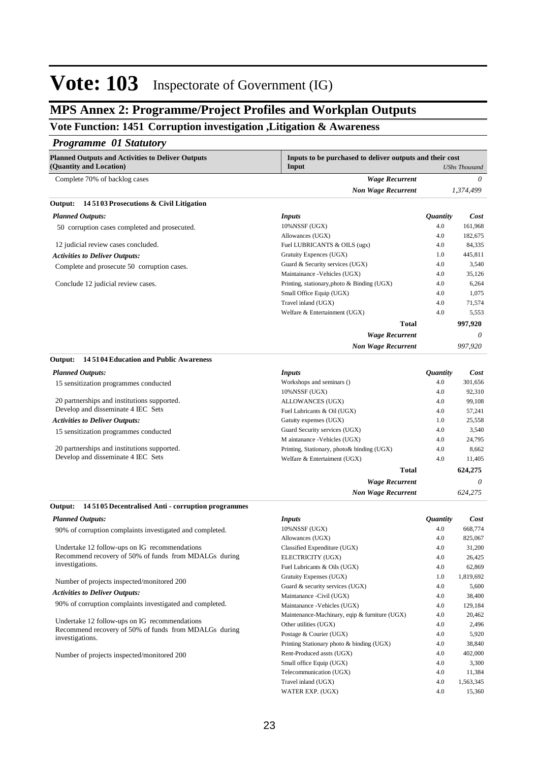#### **Inspectorate of Government (IG) Vote: 103**

### **MPS Annex 2: Programme/Project Profiles and Workplan Outputs**

### **Vote Function: 1451 Corruption investigation ,Litigation & Awareness**

#### *Programme 01 Statutory*

| <b>Planned Outputs and Activities to Deliver Outputs</b><br>(Quantity and Location) | Inputs to be purchased to deliver outputs and their cost<br>Input<br><b>UShs Thousand</b> |                        |           |
|-------------------------------------------------------------------------------------|-------------------------------------------------------------------------------------------|------------------------|-----------|
| Complete 70% of backlog cases                                                       | <b>Wage Recurrent</b>                                                                     |                        | 0         |
|                                                                                     | <b>Non Wage Recurrent</b>                                                                 |                        | 1,374,499 |
| 14 51 03 Prosecutions & Civil Litigation<br>Output:                                 |                                                                                           |                        |           |
| <b>Planned Outputs:</b>                                                             | <b>Inputs</b>                                                                             | <i><b>Quantity</b></i> | Cost      |
| 50 corruption cases completed and prosecuted.                                       | 10%NSSF (UGX)                                                                             | 4.0                    | 161,968   |
|                                                                                     | Allowances (UGX)                                                                          | 4.0                    | 182,675   |
| 12 judicial review cases concluded.                                                 | Fuel LUBRICANTS & OILS (ugx)                                                              | 4.0                    | 84,335    |
| <b>Activities to Deliver Outputs:</b>                                               | Gratuity Expences (UGX)                                                                   | 1.0                    | 445,811   |
| Complete and prosecute 50 corruption cases.                                         | Guard & Security services (UGX)                                                           | 4.0                    | 3,540     |
|                                                                                     | Maintainance - Vehicles (UGX)                                                             | 4.0                    | 35,126    |
| Conclude 12 judicial review cases.                                                  | Printing, stationary, photo & Binding (UGX)                                               | 4.0                    | 6,264     |
|                                                                                     | Small Office Equip (UGX)                                                                  | 4.0                    | 1,075     |
|                                                                                     | Travel inland (UGX)                                                                       | 4.0                    | 71,574    |
|                                                                                     | Welfare & Entertainment (UGX)                                                             | 4.0                    | 5,553     |
|                                                                                     | <b>Total</b>                                                                              |                        | 997,920   |
|                                                                                     | <b>Wage Recurrent</b>                                                                     |                        | $\theta$  |
|                                                                                     | <b>Non Wage Recurrent</b>                                                                 |                        | 997,920   |
| 145104 Education and Public Awareness<br>Output:                                    |                                                                                           |                        |           |
| <b>Planned Outputs:</b>                                                             | <b>Inputs</b>                                                                             | <i><b>Quantity</b></i> | Cost      |
| 15 sensitization programmes conducted                                               | Workshops and seminars ()                                                                 | 4.0                    | 301,656   |
|                                                                                     | 10%NSSF (UGX)                                                                             | 4.0                    | 92,310    |
| 20 partnerships and institutions supported.                                         | ALLOWANCES (UGX)                                                                          | 4.0                    | 99,108    |
| Develop and disseminate 4 IEC Sets                                                  | Fuel Lubricants & Oil (UGX)                                                               | 4.0                    | 57,241    |
| <b>Activities to Deliver Outputs:</b>                                               | Gatuity expenses (UGX)                                                                    | 1.0                    | 25,558    |
| 15 sensitization programmes conducted                                               | Guard Security services (UGX)                                                             | 4.0                    | 3,540     |
|                                                                                     | M aintanance -Vehicles (UGX)                                                              | 4.0                    | 24,795    |
| 20 partnerships and institutions supported.                                         | Printing, Stationary, photo& binding (UGX)                                                | 4.0                    | 8,662     |
| Develop and disseminate 4 IEC Sets                                                  | Welfare & Entertaiment (UGX)                                                              | 4.0                    | 11,405    |
|                                                                                     | <b>Total</b>                                                                              |                        | 624,275   |
|                                                                                     | <b>Wage Recurrent</b>                                                                     |                        | $\theta$  |
|                                                                                     | <b>Non Wage Recurrent</b>                                                                 |                        | 624,275   |

#### **14 5105 Decentralised Anti - corruption programmes Output:**

#### *Planned Outputs:*

90% of corruption complaints investigated and completed. 

Undertake 12 follow-ups on IG recommendations Recommend recovery of 50% of funds from MDALGs during investigations.

Number of projects inspected/monitored 200

#### *Activities to Deliver Outputs:*

90% of corruption complaints investigated and completed. 

Undertake 12 follow-ups on IG recommendations Recommend recovery of 50% of funds from MDALGs during investigations.

Number of projects inspected/monitored 200

| <i>Inputs</i>                                 | <i><b>Ouantity</b></i> | Cost      |
|-----------------------------------------------|------------------------|-----------|
| 10%NSSF (UGX)                                 | 4.0                    | 668,774   |
| Allowances (UGX)                              | 4.0                    | 825,067   |
| Classified Expenditure (UGX)                  | 4.0                    | 31,200    |
| ELECTRICITY (UGX)                             | 4.0                    | 26,425    |
| Fuel Lubricants & Oils (UGX)                  | 4.0                    | 62,869    |
| Gratuity Expenses (UGX)                       | 1.0                    | 1,819,692 |
| Guard & security services (UGX)               | 4.0                    | 5,600     |
| Maintanance - Civil (UGX)                     | 4.0                    | 38,400    |
| Maintanance - Vehicles (UGX)                  | 4.0                    | 129,184   |
| Maintenance-Machinary, eqip & furniture (UGX) | 4.0                    | 20,462    |
| Other utilities (UGX)                         | 4.0                    | 2,496     |
| Postage & Courier (UGX)                       | 4.0                    | 5,920     |
| Printing Stationary photo & binding (UGX)     | 4.0                    | 38,840    |
| Rent-Produced assts (UGX)                     | 4.0                    | 402,000   |
| Small office Equip (UGX)                      | 4.0                    | 3,300     |
| Telecommunication (UGX)                       | 4.0                    | 11,384    |
| Travel inland (UGX)                           | 4.0                    | 1,563,345 |
| WATER EXP. (UGX)                              | 4.0                    | 15,360    |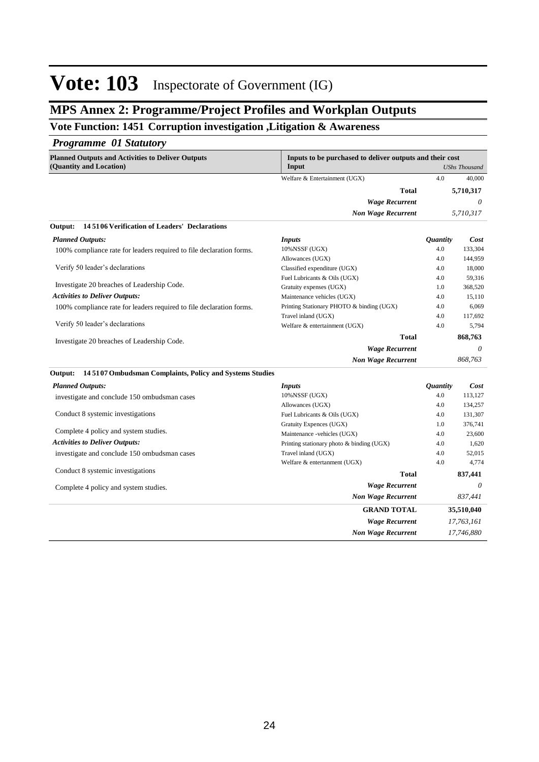### **MPS Annex 2: Programme/Project Profiles and Workplan Outputs**

### **Vote Function: 1451 Corruption investigation ,Litigation & Awareness**

#### *Programme 01 Statutory*

| <b>Planned Outputs and Activities to Deliver Outputs</b><br>(Quantity and Location) | Inputs to be purchased to deliver outputs and their cost<br>Input |                        | <b>UShs Thousand</b> |
|-------------------------------------------------------------------------------------|-------------------------------------------------------------------|------------------------|----------------------|
|                                                                                     | Welfare & Entertainment (UGX)                                     | 4.0                    | 40,000               |
|                                                                                     | <b>Total</b>                                                      |                        | 5,710,317            |
|                                                                                     | <b>Wage Recurrent</b>                                             |                        | 0                    |
|                                                                                     | <b>Non Wage Recurrent</b>                                         |                        | 5,710,317            |
| 145106 Verification of Leaders' Declarations<br>Output:                             |                                                                   |                        |                      |
| <b>Planned Outputs:</b>                                                             | <i>Inputs</i>                                                     | <i><b>Quantity</b></i> | Cost                 |
| 100% compliance rate for leaders required to file declaration forms.                | $10\%$ NSSF (UGX)                                                 | 4.0                    | 133,304              |
|                                                                                     | Allowances (UGX)                                                  | 4.0                    | 144,959              |
| Verify 50 leader's declarations                                                     | Classified expenditure (UGX)                                      | 4.0                    | 18,000               |
|                                                                                     | Fuel Lubricants & Oils (UGX)                                      | 4.0                    | 59,316               |
| Investigate 20 breaches of Leadership Code.                                         | Gratuity expenses (UGX)                                           | 1.0                    | 368,520              |
| <b>Activities to Deliver Outputs:</b>                                               | Maintenance vehicles (UGX)                                        | 4.0                    | 15,110               |
| 100% compliance rate for leaders required to file declaration forms.                | Printing Stationary PHOTO & binding (UGX)                         | 4.0                    | 6,069                |
|                                                                                     | Travel inland (UGX)                                               | 4.0                    | 117,692              |
| Verify 50 leader's declarations                                                     | Welfare & entertainment (UGX)                                     | 4.0                    | 5.794                |
| Investigate 20 breaches of Leadership Code.                                         | <b>Total</b>                                                      |                        | 868,763              |
|                                                                                     | <b>Wage Recurrent</b>                                             |                        | 0                    |
|                                                                                     | <b>Non Wage Recurrent</b>                                         |                        | 868,763              |
| 145107 Ombudsman Complaints, Policy and Systems Studies<br>Output:                  |                                                                   |                        |                      |
| <b>Planned Outputs:</b>                                                             | <i>Inputs</i>                                                     | <i><b>Quantity</b></i> | Cost                 |
| investigate and conclude 150 ombudsman cases                                        | $10\%$ NSSF (UGX)                                                 | 4.0                    | 113,127              |
|                                                                                     | Allowances (UGX)                                                  | 4.0                    | 134,257              |
| Conduct 8 systemic investigations                                                   | Fuel Lubricants & Oils (UGX)                                      | 4.0                    | 131,307              |
|                                                                                     | Gratuity Expences (UGX)                                           | 1.0                    | 376,741              |
| Complete 4 policy and system studies.                                               | Maintenance -vehicles (UGX)                                       | 4.0                    | 23,600               |
| <b>Activities to Deliver Outputs:</b>                                               | Printing stationary photo & binding (UGX)                         | 4.0                    | 1,620                |

investigate and conclude 150 ombudsman cases Conduct 8 systemic investigations Complete 4 policy and system studies. *Wage Recurrent Non Wage Recurrent* **Total** *0 837,441* **837,441** Travel inland (UGX) 4.0 52,015 Welfare & entertanment (UGX) 4.0 4,774 *Wage Recurrent Non Wage Recurrent* **GRAND TOTAL** *17,763,161 17,746,880* **35,510,040**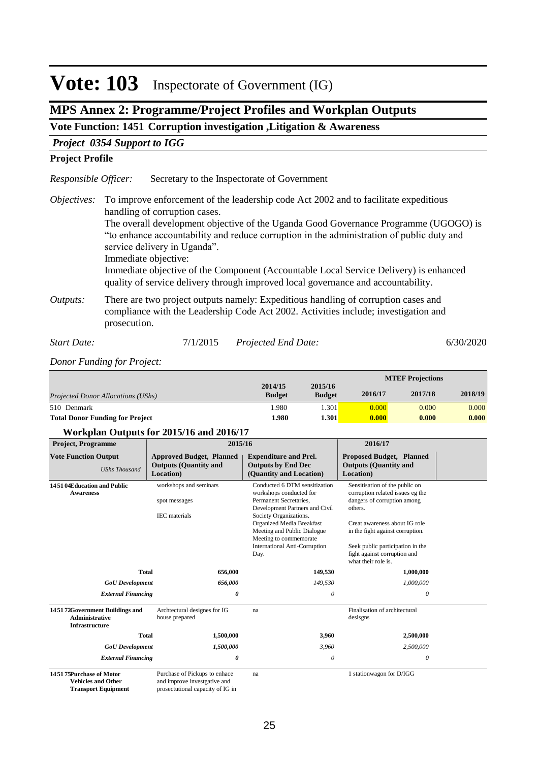#### **Inspectorate of Government (IG) Vote: 103**

### **MPS Annex 2: Programme/Project Profiles and Workplan Outputs**

### **Vote Function: 1451 Corruption investigation ,Litigation & Awareness**

#### *Project 0354 Support to IGG*

#### **Project Profile**

Secretary to the Inspectorate of Government *Responsible Officer:*

To improve enforcement of the leadership code Act 2002 and to facilitate expeditious *Objectives:* handling of corruption cases.

The overall development objective of the Uganda Good Governance Programme (UGOGO) is "to enhance accountability and reduce corruption in the administration of public duty and service delivery in Uganda".

Immediate objective:

Immediate objective of the Component (Accountable Local Service Delivery) is enhanced quality of service delivery through improved local governance and accountability.

There are two project outputs namely: Expeditious handling of corruption cases and compliance with the Leadership Code Act 2002. Activities include; investigation and prosecution. *Outputs:*

### *Start Date:* 7/1/2015 *Projected End Date:* 6/30/2020

*Donor Funding for Project:*

|                                        |                          |                          |         | <b>MTEF Projections</b> |         |
|----------------------------------------|--------------------------|--------------------------|---------|-------------------------|---------|
| Projected Donor Allocations (UShs)     | 2014/15<br><b>Budget</b> | 2015/16<br><b>Budget</b> | 2016/17 | 2017/18                 | 2018/19 |
| 510 Denmark                            | .980                     | 0.301'                   | 0.000   | 0.000                   | 0.000   |
| <b>Total Donor Funding for Project</b> | 1.980                    | l.301                    | 0.000   | 0.000                   | 0.000   |

#### **Workplan Outputs for 2015/16 and 2016/17**

| <b>Project, Programme</b>                                                            | 2015/16                                                                                           |                                                                                                                                                                                                                                                                                             | 2016/17                                                                                                                                                                                                                                                                      |  |
|--------------------------------------------------------------------------------------|---------------------------------------------------------------------------------------------------|---------------------------------------------------------------------------------------------------------------------------------------------------------------------------------------------------------------------------------------------------------------------------------------------|------------------------------------------------------------------------------------------------------------------------------------------------------------------------------------------------------------------------------------------------------------------------------|--|
| <b>Vote Function Output</b><br><b>UShs Thousand</b>                                  | <b>Approved Budget, Planned</b><br><b>Outputs (Quantity and</b><br>Location)                      | <b>Expenditure and Prel.</b><br><b>Outputs by End Dec</b><br>(Quantity and Location)                                                                                                                                                                                                        | <b>Proposed Budget, Planned</b><br><b>Outputs (Quantity and</b><br>Location)                                                                                                                                                                                                 |  |
| 14.51.04Education and Public<br><b>Awareness</b>                                     | workshops and seminars<br>spot messages<br><b>IEC</b> materials                                   | Conducted 6 DTM sensitization<br>workshops conducted for<br>Permanent Secretaries.<br>Development Partners and Civil<br>Society Organizations.<br><b>Organized Media Breakfast</b><br>Meeting and Public Dialogue<br>Meeting to commemorate<br><b>International Anti-Corruption</b><br>Day. | Sensitisation of the public on<br>corruption related issues eg the<br>dangers of corruption among<br>others.<br>Creat awareness about IG role<br>in the fight against corruption.<br>Seek public participation in the<br>fight against corruption and<br>what their role is. |  |
| <b>Total</b>                                                                         | 656,000                                                                                           | 149,530                                                                                                                                                                                                                                                                                     | 1,000,000                                                                                                                                                                                                                                                                    |  |
| <b>GoU</b> Development                                                               | 656,000                                                                                           | 149,530                                                                                                                                                                                                                                                                                     | 1,000,000                                                                                                                                                                                                                                                                    |  |
| <b>External Financing</b>                                                            | 0                                                                                                 | $\theta$                                                                                                                                                                                                                                                                                    | $\theta$                                                                                                                                                                                                                                                                     |  |
| 145172Government Buildings and<br><b>Administrative</b><br><b>Infrastructure</b>     | Archtectural designes for IG<br>house prepared                                                    | na                                                                                                                                                                                                                                                                                          | Finalisation of architectural<br>desisgns                                                                                                                                                                                                                                    |  |
| <b>Total</b>                                                                         | 1,500,000                                                                                         | 3,960                                                                                                                                                                                                                                                                                       | 2,500,000                                                                                                                                                                                                                                                                    |  |
| <b>GoU</b> Development                                                               | 1,500,000                                                                                         | 3,960                                                                                                                                                                                                                                                                                       | 2,500,000                                                                                                                                                                                                                                                                    |  |
| <b>External Financing</b>                                                            | 0                                                                                                 | $\theta$                                                                                                                                                                                                                                                                                    | $\theta$                                                                                                                                                                                                                                                                     |  |
| 14.51.75Purchase of Motor<br><b>Vehicles and Other</b><br><b>Transport Equipment</b> | Purchase of Pickups to enhace<br>and improve investgative and<br>prosectutional capacity of IG in | na                                                                                                                                                                                                                                                                                          | 1 stationwagon for D/IGG                                                                                                                                                                                                                                                     |  |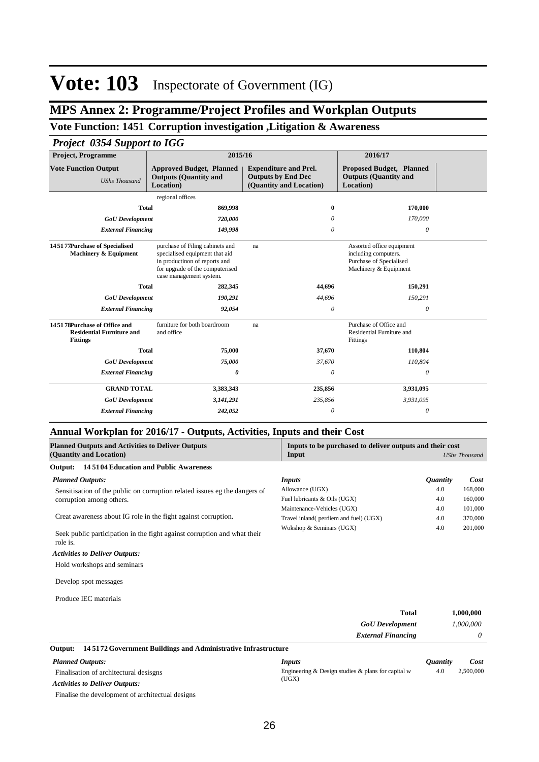### **MPS Annex 2: Programme/Project Profiles and Workplan Outputs**

### **Vote Function: 1451 Corruption investigation ,Litigation & Awareness**

### *Project 0354 Support to IGG*

| <b>Project, Programme</b>                                                           | 2015/16                                                                                                                                                          |                                                                                      | 2016/17                                                                                               |  |  |  |  |
|-------------------------------------------------------------------------------------|------------------------------------------------------------------------------------------------------------------------------------------------------------------|--------------------------------------------------------------------------------------|-------------------------------------------------------------------------------------------------------|--|--|--|--|
| <b>Vote Function Output</b><br><b>UShs Thousand</b>                                 | <b>Approved Budget, Planned</b><br><b>Outputs (Quantity and</b><br>Location)                                                                                     | <b>Expenditure and Prel.</b><br><b>Outputs by End Dec</b><br>(Quantity and Location) | <b>Proposed Budget, Planned</b><br><b>Outputs (Quantity and</b><br>Location)                          |  |  |  |  |
|                                                                                     | regional offices                                                                                                                                                 |                                                                                      |                                                                                                       |  |  |  |  |
| <b>Total</b>                                                                        | 869,998                                                                                                                                                          | $\bf{0}$                                                                             | 170,000                                                                                               |  |  |  |  |
| <b>GoU</b> Development                                                              | 720,000                                                                                                                                                          | 0                                                                                    | 170,000                                                                                               |  |  |  |  |
| <b>External Financing</b>                                                           | 149,998                                                                                                                                                          | 0                                                                                    | 0                                                                                                     |  |  |  |  |
| 145177Purchase of Specialised<br>Machinery & Equipment                              | purchase of Filing cabinets and<br>specialised equipment that aid<br>in productinon of reports and<br>for upgrade of the computerised<br>case management system. | na                                                                                   | Assorted office equipment<br>including computers.<br>Purchase of Specialised<br>Machinery & Equipment |  |  |  |  |
| <b>Total</b>                                                                        | 282,345                                                                                                                                                          | 44,696                                                                               | 150,291                                                                                               |  |  |  |  |
| <b>GoU</b> Development                                                              | 190,291                                                                                                                                                          | 44,696                                                                               | 150,291                                                                                               |  |  |  |  |
| <b>External Financing</b>                                                           | 92,054                                                                                                                                                           | $\theta$                                                                             | $\theta$                                                                                              |  |  |  |  |
| 145178Purchase of Office and<br><b>Residential Furniture and</b><br><b>Fittings</b> | furniture for both boardroom<br>and office                                                                                                                       | na                                                                                   | Purchase of Office and<br>Residential Furniture and<br>Fittings                                       |  |  |  |  |
| <b>Total</b>                                                                        | 75,000                                                                                                                                                           | 37,670                                                                               | 110,804                                                                                               |  |  |  |  |
| <b>GoU</b> Development                                                              | 75,000                                                                                                                                                           | 37,670                                                                               | 110,804                                                                                               |  |  |  |  |
| <b>External Financing</b>                                                           | 0                                                                                                                                                                | 0                                                                                    | $\theta$                                                                                              |  |  |  |  |
| <b>GRAND TOTAL</b>                                                                  | 3,383,343                                                                                                                                                        | 235,856                                                                              | 3,931,095                                                                                             |  |  |  |  |
| <b>GoU</b> Development                                                              | 3,141,291                                                                                                                                                        | 235,856                                                                              | 3,931,095                                                                                             |  |  |  |  |
| <b>External Financing</b>                                                           | 242,052                                                                                                                                                          | 0                                                                                    | $\theta$                                                                                              |  |  |  |  |

### **Annual Workplan for 2016/17 - Outputs, Activities, Inputs and their Cost**

| <b>Planned Outputs and Activities to Deliver Outputs</b><br>(Quantity and Location)  | Inputs to be purchased to deliver outputs and their cost<br>Input |                        | <b>UShs Thousand</b> |
|--------------------------------------------------------------------------------------|-------------------------------------------------------------------|------------------------|----------------------|
| 145104 Education and Public Awareness<br>Output:                                     |                                                                   |                        |                      |
| <b>Planned Outputs:</b>                                                              | Inputs                                                            | <i><b>Quantity</b></i> | Cost                 |
| Sensitisation of the public on corruption related issues eg the dangers of           | Allowance (UGX)                                                   | 4.0                    | 168,000              |
| corruption among others.                                                             | Fuel lubricants & Oils (UGX)                                      | 4.0                    | 160,000              |
|                                                                                      | Maintenance-Vehicles (UGX)                                        | 4.0                    | 101,000              |
| Creat awareness about IG role in the fight against corruption.                       | Travel inland(perdiem and fuel) (UGX)                             | 4.0                    | 370,000              |
| Seek public participation in the fight against corruption and what their<br>role is. | Wokshop & Seminars (UGX)                                          | 4.0                    | 201,000              |
| <b>Activities to Deliver Outputs:</b>                                                |                                                                   |                        |                      |
| Hold workshops and seminars                                                          |                                                                   |                        |                      |
| Develop spot messages                                                                |                                                                   |                        |                      |
| Produce IEC materials                                                                |                                                                   |                        |                      |
|                                                                                      | <b>Total</b>                                                      |                        | 1,000,000            |
|                                                                                      | <b>GoU</b> Development                                            |                        | 1,000,000            |
|                                                                                      | <b>External Financing</b>                                         |                        | 0                    |

| Output:                                | 145172 Government Buildings and Administrative Infrastructure |                                                      |                        |           |
|----------------------------------------|---------------------------------------------------------------|------------------------------------------------------|------------------------|-----------|
|                                        | <b>Planned Outputs:</b>                                       | Inputs                                               | <i><b>Ouantity</b></i> | Cost      |
| Finalisation of architectural desisgns |                                                               | Engineering & Design studies & plans for capital $w$ | 4.0                    | 2.500,000 |
|                                        | <b>Activities to Deliver Outputs:</b>                         | (UGX)                                                |                        |           |
|                                        | Finalise the development of architectual designs              |                                                      |                        |           |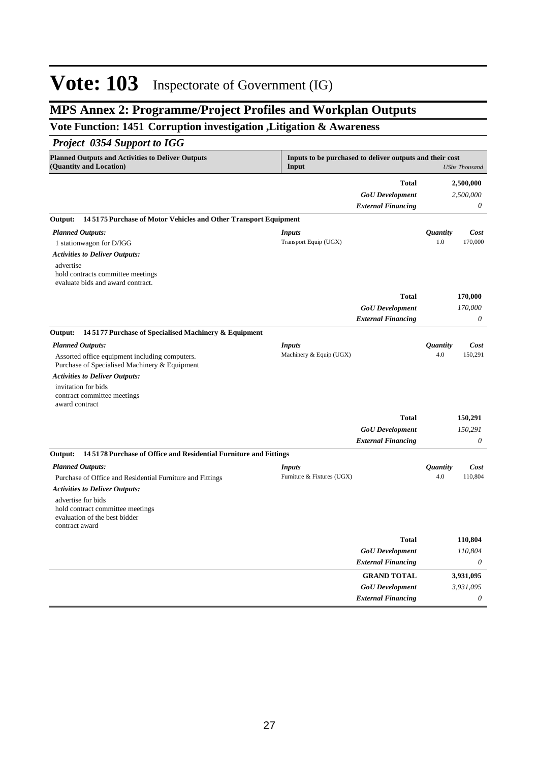### **MPS Annex 2: Programme/Project Profiles and Workplan Outputs**

### **Vote Function: 1451 Corruption investigation ,Litigation & Awareness**

### *Project 0354 Support to IGG*

| <b>Planned Outputs and Activities to Deliver Outputs</b><br>(Quantity and Location)                       | Inputs to be purchased to deliver outputs and their cost<br>Input |                           |                        | <b>UShs Thousand</b> |
|-----------------------------------------------------------------------------------------------------------|-------------------------------------------------------------------|---------------------------|------------------------|----------------------|
|                                                                                                           |                                                                   | <b>Total</b>              |                        | 2,500,000            |
|                                                                                                           |                                                                   | <b>GoU</b> Development    |                        | 2,500,000            |
|                                                                                                           |                                                                   | <b>External Financing</b> |                        | 0                    |
|                                                                                                           |                                                                   |                           |                        |                      |
| 145175 Purchase of Motor Vehicles and Other Transport Equipment<br>Output:                                |                                                                   |                           |                        |                      |
| <b>Planned Outputs:</b>                                                                                   | <i>Inputs</i>                                                     |                           | <i><b>Quantity</b></i> | Cost                 |
| 1 stationwagon for D/IGG                                                                                  | Transport Equip (UGX)                                             |                           | 1.0                    | 170,000              |
| <b>Activities to Deliver Outputs:</b>                                                                     |                                                                   |                           |                        |                      |
| advertise<br>hold contracts committee meetings<br>evaluate bids and award contract.                       |                                                                   |                           |                        |                      |
|                                                                                                           |                                                                   | <b>Total</b>              |                        | 170,000              |
|                                                                                                           |                                                                   | <b>GoU</b> Development    |                        | 170,000              |
|                                                                                                           |                                                                   | <b>External Financing</b> |                        | $\theta$             |
| 145177 Purchase of Specialised Machinery & Equipment<br>Output:                                           |                                                                   |                           |                        |                      |
|                                                                                                           |                                                                   |                           |                        |                      |
| <b>Planned Outputs:</b>                                                                                   | <b>Inputs</b><br>Machinery & Equip (UGX)                          |                           | <i>Quantity</i><br>4.0 | Cost<br>150,291      |
| Assorted office equipment including computers.<br>Purchase of Specialised Machinery & Equipment           |                                                                   |                           |                        |                      |
| <b>Activities to Deliver Outputs:</b>                                                                     |                                                                   |                           |                        |                      |
| invitation for bids<br>contract committee meetings<br>award contract                                      |                                                                   |                           |                        |                      |
|                                                                                                           |                                                                   | <b>Total</b>              |                        | 150,291              |
|                                                                                                           |                                                                   | <b>GoU</b> Development    |                        | 150,291              |
|                                                                                                           |                                                                   | <b>External Financing</b> |                        | $\theta$             |
| 145178 Purchase of Office and Residential Furniture and Fittings<br>Output:                               |                                                                   |                           |                        |                      |
| <b>Planned Outputs:</b>                                                                                   | <i>Inputs</i>                                                     |                           | <i><b>Quantity</b></i> | Cost                 |
| Purchase of Office and Residential Furniture and Fittings                                                 | Furniture & Fixtures (UGX)                                        |                           | 4.0                    | 110,804              |
| <b>Activities to Deliver Outputs:</b>                                                                     |                                                                   |                           |                        |                      |
| advertise for bids<br>hold contract committee meetings<br>evaluation of the best bidder<br>contract award |                                                                   |                           |                        |                      |
|                                                                                                           |                                                                   | <b>Total</b>              |                        | 110,804              |
|                                                                                                           |                                                                   | <b>GoU</b> Development    |                        | 110,804              |
|                                                                                                           |                                                                   | <b>External Financing</b> |                        | $\theta$             |
|                                                                                                           |                                                                   | <b>GRAND TOTAL</b>        |                        | 3,931,095            |
|                                                                                                           |                                                                   | <b>GoU</b> Development    |                        | 3,931,095            |
|                                                                                                           |                                                                   | <b>External Financing</b> |                        | $\theta$             |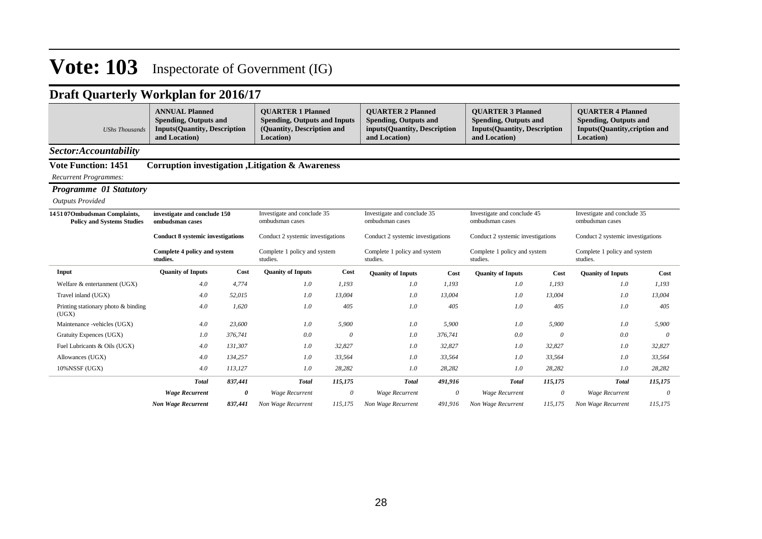| <b>UShs Thousands</b>                                            | <b>ANNUAL Planned</b><br><b>Spending, Outputs and</b><br><b>Inputs(Quantity, Description</b><br>and Location) |         | <b>OUARTER 1 Planned</b><br><b>Spending, Outputs and Inputs</b><br>(Quantity, Description and<br>Location) |          | <b>OUARTER 2 Planned</b><br><b>Spending, Outputs and</b><br>inputs(Quantity, Description<br>and Location) |         | <b>OUARTER 3 Planned</b><br><b>Spending, Outputs and</b><br><b>Inputs(Quantity, Description</b><br>and Location) |          | <b>OUARTER 4 Planned</b><br><b>Spending, Outputs and</b><br><b>Inputs(Quantity,cription and</b><br>Location) |          |
|------------------------------------------------------------------|---------------------------------------------------------------------------------------------------------------|---------|------------------------------------------------------------------------------------------------------------|----------|-----------------------------------------------------------------------------------------------------------|---------|------------------------------------------------------------------------------------------------------------------|----------|--------------------------------------------------------------------------------------------------------------|----------|
| Sector:Accountability                                            |                                                                                                               |         |                                                                                                            |          |                                                                                                           |         |                                                                                                                  |          |                                                                                                              |          |
| <b>Vote Function: 1451</b>                                       |                                                                                                               |         | <b>Corruption investigation , Litigation &amp; Awareness</b>                                               |          |                                                                                                           |         |                                                                                                                  |          |                                                                                                              |          |
| <b>Recurrent Programmes:</b>                                     |                                                                                                               |         |                                                                                                            |          |                                                                                                           |         |                                                                                                                  |          |                                                                                                              |          |
| <b>Programme 01 Statutory</b>                                    |                                                                                                               |         |                                                                                                            |          |                                                                                                           |         |                                                                                                                  |          |                                                                                                              |          |
| <b>Outputs Provided</b>                                          |                                                                                                               |         |                                                                                                            |          |                                                                                                           |         |                                                                                                                  |          |                                                                                                              |          |
| 145107Ombudsman Complaints,<br><b>Policy and Systems Studies</b> | investigate and conclude 150<br>ombudsman cases                                                               |         | Investigate and conclude 35<br>ombudsman cases                                                             |          | Investigate and conclude 35<br>ombudsman cases                                                            |         | Investigate and conclude 45<br>ombudsman cases                                                                   |          | Investigate and conclude 35<br>ombudsman cases                                                               |          |
|                                                                  | <b>Conduct 8 systemic investigations</b>                                                                      |         | Conduct 2 systemic investigations                                                                          |          | Conduct 2 systemic investigations                                                                         |         | Conduct 2 systemic investigations                                                                                |          | Conduct 2 systemic investigations                                                                            |          |
|                                                                  | Complete 4 policy and system<br>studies.                                                                      |         | Complete 1 policy and system<br>studies.                                                                   |          | Complete 1 policy and system<br>studies.                                                                  |         | Complete 1 policy and system<br>studies.                                                                         |          | Complete 1 policy and system<br>studies.                                                                     |          |
| Input                                                            | <b>Quanity of Inputs</b>                                                                                      | Cost    | <b>Quanity of Inputs</b>                                                                                   | Cost     | <b>Quanity of Inputs</b>                                                                                  | Cost    | <b>Quanity of Inputs</b>                                                                                         | Cost     | <b>Quanity of Inputs</b>                                                                                     | Cost     |
| Welfare & entertanment (UGX)                                     | 4.0                                                                                                           | 4,774   | 1.0                                                                                                        | 1.193    | 1.0                                                                                                       | 1,193   | 1.0                                                                                                              | 1,193    | 1.0                                                                                                          | 1,193    |
| Travel inland (UGX)                                              | 4.0                                                                                                           | 52,015  | 1.0                                                                                                        | 13.004   | 1.0                                                                                                       | 13,004  | 1.0                                                                                                              | 13,004   | 1.0                                                                                                          | 13,004   |
| Printing stationary photo & binding<br>(UGX)                     | 4.0                                                                                                           | 1,620   | 1.0                                                                                                        | 405      | 1.0                                                                                                       | 405     | 1.0                                                                                                              | 405      | 1.0                                                                                                          | 405      |
| Maintenance -vehicles (UGX)                                      | 4.0                                                                                                           | 23,600  | 1.0                                                                                                        | 5,900    | 1.0                                                                                                       | 5,900   | 1.0                                                                                                              | 5,900    | 1.0                                                                                                          | 5,900    |
| Gratuity Expences (UGX)                                          | 1.0                                                                                                           | 376,741 | 0.0                                                                                                        | $\theta$ | 1.0                                                                                                       | 376,741 | 0.0                                                                                                              | $\theta$ | 0.0                                                                                                          | $\theta$ |
| Fuel Lubricants & Oils (UGX)                                     | 4.0                                                                                                           | 131,307 | 1.0                                                                                                        | 32,827   | 1.0                                                                                                       | 32,827  | 1.0                                                                                                              | 32,827   | 1.0                                                                                                          | 32,827   |
| Allowances (UGX)                                                 | 4.0                                                                                                           | 134,257 | 1.0                                                                                                        | 33,564   | 1.0                                                                                                       | 33,564  | 1.0                                                                                                              | 33,564   | 1.0                                                                                                          | 33,564   |
| 10%NSSF (UGX)                                                    | 4.0                                                                                                           | 113,127 | 1.0                                                                                                        | 28,282   | 1.0                                                                                                       | 28,282  | 1.0                                                                                                              | 28,282   | 1.0                                                                                                          | 28,282   |
|                                                                  | <b>Total</b>                                                                                                  | 837,441 | <b>Total</b>                                                                                               | 115,175  | <b>Total</b>                                                                                              | 491,916 | <b>Total</b>                                                                                                     | 115,175  | <b>Total</b>                                                                                                 | 115,175  |
|                                                                  | <b>Wage Recurrent</b>                                                                                         | 0       | <b>Wage Recurrent</b>                                                                                      | 0        | <b>Wage Recurrent</b>                                                                                     | 0       | <b>Wage Recurrent</b>                                                                                            | 0        | <b>Wage Recurrent</b>                                                                                        | $\theta$ |
|                                                                  | <b>Non Wage Recurrent</b>                                                                                     | 837,441 | Non Wage Recurrent                                                                                         | 115.175  | Non Wage Recurrent                                                                                        | 491.916 | Non Wage Recurrent                                                                                               | 115.175  | Non Wage Recurrent                                                                                           | 115.175  |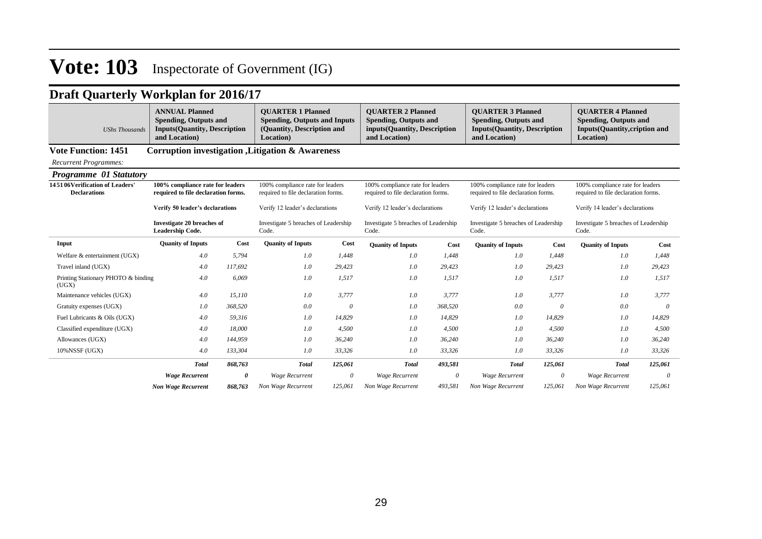| <b>UShs Thousands</b>                                 | <b>ANNUAL Planned</b><br><b>Spending, Outputs and</b><br><b>Inputs(Quantity, Description</b><br>and Location) |         | <b>OUARTER 1 Planned</b><br><b>Spending, Outputs and Inputs</b><br>(Quantity, Description and<br>Location) |          | <b>OUARTER 2 Planned</b><br><b>Spending, Outputs and</b><br>inputs(Quantity, Description<br>and Location) |          | <b>OUARTER 3 Planned</b><br><b>Spending, Outputs and</b><br><b>Inputs(Quantity, Description</b><br>and Location) |          | <b>OUARTER 4 Planned</b><br><b>Spending, Outputs and</b><br><b>Inputs(Quantity,cription and</b><br>Location) |          |
|-------------------------------------------------------|---------------------------------------------------------------------------------------------------------------|---------|------------------------------------------------------------------------------------------------------------|----------|-----------------------------------------------------------------------------------------------------------|----------|------------------------------------------------------------------------------------------------------------------|----------|--------------------------------------------------------------------------------------------------------------|----------|
| <b>Vote Function: 1451</b>                            |                                                                                                               |         | Corruption investigation , Litigation & Awareness                                                          |          |                                                                                                           |          |                                                                                                                  |          |                                                                                                              |          |
| <b>Recurrent Programmes:</b>                          |                                                                                                               |         |                                                                                                            |          |                                                                                                           |          |                                                                                                                  |          |                                                                                                              |          |
| <b>Programme 01 Statutory</b>                         |                                                                                                               |         |                                                                                                            |          |                                                                                                           |          |                                                                                                                  |          |                                                                                                              |          |
| 145106Verification of Leaders'<br><b>Declarations</b> | 100% compliance rate for leaders<br>required to file declaration forms.                                       |         | 100% compliance rate for leaders<br>required to file declaration forms.                                    |          | 100% compliance rate for leaders<br>required to file declaration forms.                                   |          | 100% compliance rate for leaders<br>required to file declaration forms.                                          |          | 100% compliance rate for leaders<br>required to file declaration forms.                                      |          |
|                                                       | Verify 50 leader's declarations                                                                               |         | Verify 12 leader's declarations                                                                            |          | Verify 12 leader's declarations                                                                           |          | Verify 12 leader's declarations                                                                                  |          | Verify 14 leader's declarations                                                                              |          |
|                                                       | <b>Investigate 20 breaches of</b><br>Leadership Code.                                                         |         | Investigate 5 breaches of Leadership<br>Code.                                                              |          | Investigate 5 breaches of Leadership<br>Code.                                                             |          | Investigate 5 breaches of Leadership<br>Code.                                                                    |          | Investigate 5 breaches of Leadership<br>Code.                                                                |          |
| Input                                                 | <b>Quanity of Inputs</b>                                                                                      | Cost    | <b>Quanity of Inputs</b>                                                                                   | Cost     | <b>Quanity of Inputs</b>                                                                                  | Cost     | <b>Quanity of Inputs</b>                                                                                         | Cost     | <b>Quanity of Inputs</b>                                                                                     | Cost     |
| Welfare & entertainment (UGX)                         | 4.0                                                                                                           | 5.794   | 1.0                                                                                                        | 1.448    | 1.0                                                                                                       | 1.448    | 1.0                                                                                                              | 1,448    | 1.0                                                                                                          | 1,448    |
| Travel inland (UGX)                                   | 4.0                                                                                                           | 117,692 | 1.0                                                                                                        | 29,423   | 1.0                                                                                                       | 29,423   | 1.0                                                                                                              | 29,423   | 1.0                                                                                                          | 29,423   |
| Printing Stationary PHOTO & binding<br>(UGX)          | 4.0                                                                                                           | 6.069   | 1.0                                                                                                        | 1,517    | 1.0                                                                                                       | 1,517    | 1.0                                                                                                              | 1,517    | 1.0                                                                                                          | 1,517    |
| Maintenance vehicles (UGX)                            | 4.0                                                                                                           | 15,110  | 1.0                                                                                                        | 3,777    | 1.0                                                                                                       | 3,777    | 1.0                                                                                                              | 3,777    | 1.0                                                                                                          | 3,777    |
| Gratuity expenses (UGX)                               | 1.0                                                                                                           | 368,520 | 0.0                                                                                                        | $\theta$ | 1.0                                                                                                       | 368,520  | 0.0                                                                                                              | $\theta$ | 0.0                                                                                                          | $\theta$ |
| Fuel Lubricants & Oils (UGX)                          | 4.0                                                                                                           | 59,316  | 1.0                                                                                                        | 14,829   | 1.0                                                                                                       | 14,829   | 1.0                                                                                                              | 14,829   | 1.0                                                                                                          | 14,829   |
| Classified expenditure (UGX)                          | 4.0                                                                                                           | 18,000  | 1.0                                                                                                        | 4,500    | 1.0                                                                                                       | 4,500    | 1.0                                                                                                              | 4,500    | 1.0                                                                                                          | 4,500    |
| Allowances (UGX)                                      | 4.0                                                                                                           | 144,959 | 1.0                                                                                                        | 36,240   | 1.0                                                                                                       | 36,240   | 1.0                                                                                                              | 36,240   | 1.0                                                                                                          | 36,240   |
| 10%NSSF (UGX)                                         | 4.0                                                                                                           | 133,304 | 1.0                                                                                                        | 33,326   | 1.0                                                                                                       | 33,326   | 1.0                                                                                                              | 33,326   | 1.0                                                                                                          | 33,326   |
|                                                       | <b>Total</b>                                                                                                  | 868,763 | <b>Total</b>                                                                                               | 125,061  | <b>Total</b>                                                                                              | 493,581  | <b>Total</b>                                                                                                     | 125,061  | <b>Total</b>                                                                                                 | 125,061  |
|                                                       | <b>Wage Recurrent</b>                                                                                         | 0       | <b>Wage Recurrent</b>                                                                                      | 0        | <b>Wage Recurrent</b>                                                                                     | $\theta$ | <b>Wage Recurrent</b>                                                                                            | $\theta$ | <b>Wage Recurrent</b>                                                                                        | $\theta$ |
|                                                       | <b>Non Wage Recurrent</b>                                                                                     | 868,763 | Non Wage Recurrent                                                                                         | 125,061  | Non Wage Recurrent                                                                                        | 493,581  | Non Wage Recurrent                                                                                               | 125,061  | Non Wage Recurrent                                                                                           | 125,061  |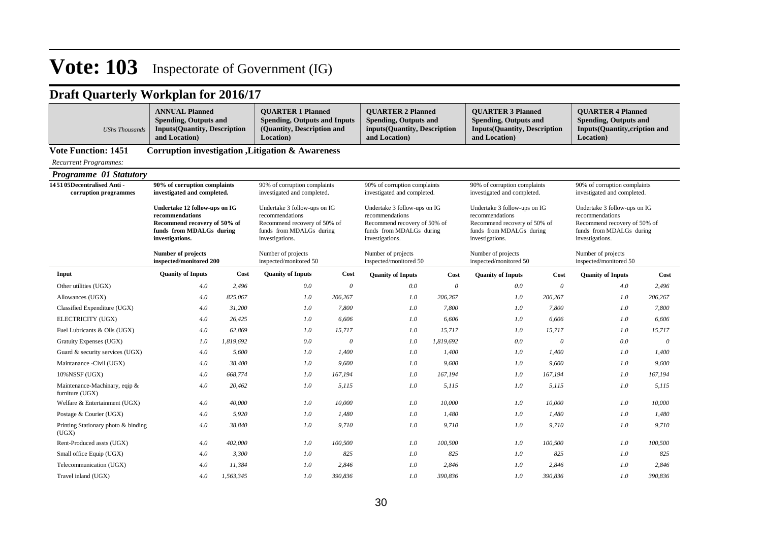| <b>UShs Thousands</b>                              | <b>ANNUAL Planned</b><br><b>Spending, Outputs and</b><br><b>Inputs(Quantity, Description</b><br>and Location)                   |           | <b>QUARTER 1 Planned</b><br><b>QUARTER 2 Planned</b><br><b>Spending, Outputs and Inputs</b><br><b>Spending, Outputs and</b><br>(Quantity, Description and<br>inputs(Quantity, Description<br>and Location)<br>Location) |          |                                                                                                                                | <b>QUARTER 3 Planned</b><br><b>Spending, Outputs and</b><br><b>Inputs(Quantity, Description</b><br>and Location) |                                                                                                                                | <b>QUARTER 4 Planned</b><br><b>Spending, Outputs and</b><br><b>Inputs(Quantity,cription and</b><br>Location) |                                                                                                                                |          |
|----------------------------------------------------|---------------------------------------------------------------------------------------------------------------------------------|-----------|-------------------------------------------------------------------------------------------------------------------------------------------------------------------------------------------------------------------------|----------|--------------------------------------------------------------------------------------------------------------------------------|------------------------------------------------------------------------------------------------------------------|--------------------------------------------------------------------------------------------------------------------------------|--------------------------------------------------------------------------------------------------------------|--------------------------------------------------------------------------------------------------------------------------------|----------|
| <b>Vote Function: 1451</b>                         |                                                                                                                                 |           | <b>Corruption investigation , Litigation &amp; Awareness</b>                                                                                                                                                            |          |                                                                                                                                |                                                                                                                  |                                                                                                                                |                                                                                                              |                                                                                                                                |          |
| <b>Recurrent Programmes:</b>                       |                                                                                                                                 |           |                                                                                                                                                                                                                         |          |                                                                                                                                |                                                                                                                  |                                                                                                                                |                                                                                                              |                                                                                                                                |          |
| Programme 01 Statutory                             |                                                                                                                                 |           |                                                                                                                                                                                                                         |          |                                                                                                                                |                                                                                                                  |                                                                                                                                |                                                                                                              |                                                                                                                                |          |
| 145105Decentralised Anti-<br>corruption programmes | 90% of corruption complaints<br>investigated and completed.                                                                     |           | 90% of corruption complaints<br>investigated and completed.                                                                                                                                                             |          | 90% of corruption complaints<br>investigated and completed.                                                                    |                                                                                                                  | 90% of corruption complaints<br>investigated and completed.                                                                    |                                                                                                              | 90% of corruption complaints<br>investigated and completed.                                                                    |          |
|                                                    | Undertake 12 follow-ups on IG<br>recommendations<br>Recommend recovery of 50% of<br>funds from MDALGs during<br>investigations. |           | Undertake 3 follow-ups on IG<br>recommendations<br>Recommend recovery of 50% of<br>funds from MDALGs during<br>investigations.                                                                                          |          | Undertake 3 follow-ups on IG<br>recommendations<br>Recommend recovery of 50% of<br>funds from MDALGs during<br>investigations. |                                                                                                                  | Undertake 3 follow-ups on IG<br>recommendations<br>Recommend recovery of 50% of<br>funds from MDALGs during<br>investigations. |                                                                                                              | Undertake 3 follow-ups on IG<br>recommendations<br>Recommend recovery of 50% of<br>funds from MDALGs during<br>investigations. |          |
|                                                    | <b>Number of projects</b><br>inspected/monitored 200                                                                            |           | Number of projects<br>inspected/monitored 50                                                                                                                                                                            |          | Number of projects<br>inspected/monitored 50                                                                                   |                                                                                                                  | Number of projects<br>inspected/monitored 50                                                                                   |                                                                                                              | Number of projects<br>inspected/monitored 50                                                                                   |          |
| Input                                              | <b>Quanity of Inputs</b>                                                                                                        | Cost      | <b>Quanity of Inputs</b>                                                                                                                                                                                                | Cost     | <b>Quanity of Inputs</b>                                                                                                       | Cost                                                                                                             | <b>Quanity of Inputs</b>                                                                                                       | Cost                                                                                                         | <b>Quanity of Inputs</b>                                                                                                       | Cost     |
| Other utilities (UGX)                              | 4.0                                                                                                                             | 2,496     | 0.0                                                                                                                                                                                                                     | $\theta$ | 0.0                                                                                                                            | $\theta$                                                                                                         | 0.0                                                                                                                            | $\theta$                                                                                                     | 4.0                                                                                                                            | 2,496    |
| Allowances (UGX)                                   | 4.0                                                                                                                             | 825,067   | $1.0\,$                                                                                                                                                                                                                 | 206,267  | 1.0                                                                                                                            | 206,267                                                                                                          | 1.0                                                                                                                            | 206,267                                                                                                      | 1.0                                                                                                                            | 206,267  |
| Classified Expenditure (UGX)                       | 4.0                                                                                                                             | 31,200    | 1.0                                                                                                                                                                                                                     | 7,800    | 1.0                                                                                                                            | 7,800                                                                                                            | 1.0                                                                                                                            | 7,800                                                                                                        | 1.0                                                                                                                            | 7,800    |
| ELECTRICITY (UGX)                                  | 4.0                                                                                                                             | 26,425    | 1.0                                                                                                                                                                                                                     | 6,606    | 1.0                                                                                                                            | 6,606                                                                                                            | 1.0                                                                                                                            | 6,606                                                                                                        | 1.0                                                                                                                            | 6,606    |
| Fuel Lubricants & Oils (UGX)                       | 4.0                                                                                                                             | 62,869    | 1.0                                                                                                                                                                                                                     | 15.717   | 1.0                                                                                                                            | 15,717                                                                                                           | 1.0                                                                                                                            | 15,717                                                                                                       | 1.0                                                                                                                            | 15,717   |
| Gratuity Expenses (UGX)                            | 1.0                                                                                                                             | 1,819,692 | 0.0                                                                                                                                                                                                                     | $\theta$ | 1.0                                                                                                                            | 1,819,692                                                                                                        | 0.0                                                                                                                            | $\theta$                                                                                                     | 0.0                                                                                                                            | $\theta$ |
| Guard & security services (UGX)                    | 4.0                                                                                                                             | 5.600     | 1.0                                                                                                                                                                                                                     | 1,400    | 1.0                                                                                                                            | 1.400                                                                                                            | 1.0                                                                                                                            | 1,400                                                                                                        | 1.0                                                                                                                            | 1,400    |
| Maintanance -Civil (UGX)                           | 4.0                                                                                                                             | 38,400    | 1.0                                                                                                                                                                                                                     | 9,600    | 1.0                                                                                                                            | 9,600                                                                                                            | 1.0                                                                                                                            | 9,600                                                                                                        | 1.0                                                                                                                            | 9,600    |
| $10\%$ NSSF (UGX)                                  | 4.0                                                                                                                             | 668,774   | 1.0                                                                                                                                                                                                                     | 167,194  | 1.0                                                                                                                            | 167,194                                                                                                          | 1.0                                                                                                                            | 167,194                                                                                                      | 1.0                                                                                                                            | 167,194  |
| Maintenance-Machinary, eqip &<br>furniture (UGX)   | 4.0                                                                                                                             | 20,462    | 1.0                                                                                                                                                                                                                     | 5,115    | 1.0                                                                                                                            | 5,115                                                                                                            | 1.0                                                                                                                            | 5,115                                                                                                        | 1.0                                                                                                                            | 5,115    |
| Welfare & Entertainment (UGX)                      | 4.0                                                                                                                             | 40,000    | 1.0                                                                                                                                                                                                                     | 10,000   | 1.0                                                                                                                            | 10,000                                                                                                           | 1.0                                                                                                                            | 10,000                                                                                                       | 1.0                                                                                                                            | 10,000   |
| Postage & Courier (UGX)                            | 4.0                                                                                                                             | 5,920     | 1.0                                                                                                                                                                                                                     | 1,480    | 1.0                                                                                                                            | 1,480                                                                                                            | 1.0                                                                                                                            | 1,480                                                                                                        | 1.0                                                                                                                            | 1,480    |
| Printing Stationary photo & binding<br>(UGX)       | 4.0                                                                                                                             | 38,840    | 1.0                                                                                                                                                                                                                     | 9,710    | 1.0                                                                                                                            | 9,710                                                                                                            | 1.0                                                                                                                            | 9,710                                                                                                        | 1.0                                                                                                                            | 9,710    |
| Rent-Produced assts (UGX)                          | 4.0                                                                                                                             | 402,000   | 1.0                                                                                                                                                                                                                     | 100,500  | 1.0                                                                                                                            | 100,500                                                                                                          | 1.0                                                                                                                            | 100,500                                                                                                      | 1.0                                                                                                                            | 100,500  |
| Small office Equip (UGX)                           | 4.0                                                                                                                             | 3,300     | 1.0                                                                                                                                                                                                                     | 825      | 1.0                                                                                                                            | 825                                                                                                              | 1.0                                                                                                                            | 825                                                                                                          | 1.0                                                                                                                            | 825      |
| Telecommunication (UGX)                            | 4.0                                                                                                                             | 11,384    | 1.0                                                                                                                                                                                                                     | 2.846    | 1.0                                                                                                                            | 2.846                                                                                                            | 1.0                                                                                                                            | 2.846                                                                                                        | 1.0                                                                                                                            | 2,846    |
| Travel inland (UGX)                                | 4.0                                                                                                                             | 1,563,345 | 1.0                                                                                                                                                                                                                     | 390,836  | 1.0                                                                                                                            | 390,836                                                                                                          | 1.0                                                                                                                            | 390,836                                                                                                      | 1.0                                                                                                                            | 390,836  |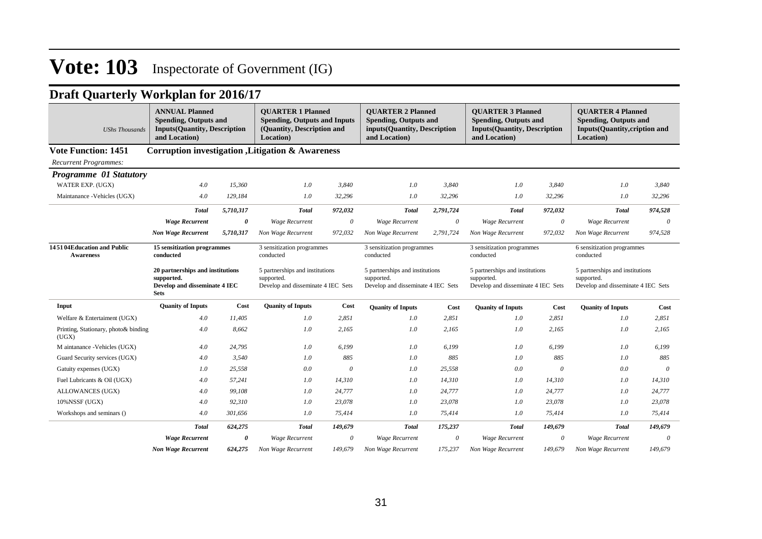| <b>UShs Thousands</b>                          | <b>ANNUAL Planned</b><br><b>Spending, Outputs and</b><br><b>Inputs(Quantity, Description</b><br>and Location) |                       | <b>OUARTER 1 Planned</b><br><b>OUARTER 2 Planned</b><br><b>OUARTER 3 Planned</b><br><b>Spending, Outputs and Inputs</b><br><b>Spending, Outputs and</b><br><b>Spending, Outputs and</b><br>(Quantity, Description and<br>inputs(Quantity, Description<br><b>Inputs(Quantity, Description</b><br>and Location)<br>Location)<br>and Location) |          |                                                                                     |           |                                                                                     | <b>OUARTER 4 Planned</b><br><b>Spending, Outputs and</b><br><b>Inputs(Quantity,cription and</b><br>Location) |                                                                                     |          |
|------------------------------------------------|---------------------------------------------------------------------------------------------------------------|-----------------------|---------------------------------------------------------------------------------------------------------------------------------------------------------------------------------------------------------------------------------------------------------------------------------------------------------------------------------------------|----------|-------------------------------------------------------------------------------------|-----------|-------------------------------------------------------------------------------------|--------------------------------------------------------------------------------------------------------------|-------------------------------------------------------------------------------------|----------|
| <b>Vote Function: 1451</b>                     |                                                                                                               |                       | <b>Corruption investigation , Litigation &amp; Awareness</b>                                                                                                                                                                                                                                                                                |          |                                                                                     |           |                                                                                     |                                                                                                              |                                                                                     |          |
| <b>Recurrent Programmes:</b>                   |                                                                                                               |                       |                                                                                                                                                                                                                                                                                                                                             |          |                                                                                     |           |                                                                                     |                                                                                                              |                                                                                     |          |
| <b>Programme 01 Statutory</b>                  |                                                                                                               |                       |                                                                                                                                                                                                                                                                                                                                             |          |                                                                                     |           |                                                                                     |                                                                                                              |                                                                                     |          |
| WATER EXP. (UGX)                               | 4.0                                                                                                           | 15,360                | 1.0                                                                                                                                                                                                                                                                                                                                         | 3,840    | 1.0                                                                                 | 3,840     | 1.0                                                                                 | 3,840                                                                                                        | 1.0                                                                                 | 3,840    |
| Maintanance - Vehicles (UGX)                   | 4.0                                                                                                           | 129,184               | 1.0                                                                                                                                                                                                                                                                                                                                         | 32,296   | 1.0                                                                                 | 32,296    | 1.0                                                                                 | 32,296                                                                                                       | 1.0                                                                                 | 32,296   |
|                                                | <b>Total</b>                                                                                                  | 5,710,317             | <b>Total</b>                                                                                                                                                                                                                                                                                                                                | 972,032  | <b>Total</b>                                                                        | 2,791,724 | <b>Total</b>                                                                        | 972,032                                                                                                      | <b>Total</b>                                                                        | 974,528  |
|                                                | <b>Wage Recurrent</b>                                                                                         | $\theta$              | <b>Wage Recurrent</b>                                                                                                                                                                                                                                                                                                                       | $\theta$ | <b>Wage Recurrent</b>                                                               | $\theta$  | <b>Wage Recurrent</b>                                                               | $\theta$                                                                                                     | <b>Wage Recurrent</b>                                                               | $\theta$ |
|                                                | <b>Non Wage Recurrent</b>                                                                                     | 5,710,317             | Non Wage Recurrent                                                                                                                                                                                                                                                                                                                          | 972,032  | Non Wage Recurrent                                                                  | 2,791,724 | Non Wage Recurrent                                                                  | 972,032                                                                                                      | Non Wage Recurrent                                                                  | 974,528  |
| 145104Education and Public<br><b>Awareness</b> | 15 sensitization programmes<br>conducted                                                                      |                       | 3 sensitization programmes<br>conducted                                                                                                                                                                                                                                                                                                     |          | 3 sensitization programmes<br>conducted                                             |           | 3 sensitization programmes<br>conducted                                             |                                                                                                              | 6 sensitization programmes<br>conducted                                             |          |
|                                                | 20 partnerships and institutions<br>supported.<br>Develop and disseminate 4 IEC<br><b>Sets</b>                |                       | 5 partnerships and institutions<br>supported.<br>Develop and disseminate 4 IEC Sets                                                                                                                                                                                                                                                         |          | 5 partnerships and institutions<br>supported.<br>Develop and disseminate 4 IEC Sets |           | 5 partnerships and institutions<br>supported.<br>Develop and disseminate 4 IEC Sets |                                                                                                              | 5 partnerships and institutions<br>supported.<br>Develop and disseminate 4 IEC Sets |          |
| Input                                          | <b>Quanity of Inputs</b>                                                                                      | Cost                  | <b>Quanity of Inputs</b>                                                                                                                                                                                                                                                                                                                    | Cost     | <b>Quanity of Inputs</b>                                                            | Cost      | <b>Quanity of Inputs</b>                                                            | Cost                                                                                                         | <b>Quanity of Inputs</b>                                                            | Cost     |
| Welfare & Entertaiment (UGX)                   | 4.0                                                                                                           | 11,405                | 1.0                                                                                                                                                                                                                                                                                                                                         | 2,851    | 1.0                                                                                 | 2,851     | 1.0                                                                                 | 2,851                                                                                                        | 1.0                                                                                 | 2,851    |
| Printing, Stationary, photo& binding<br>(UGX)  | 4.0                                                                                                           | 8,662                 | 1.0                                                                                                                                                                                                                                                                                                                                         | 2,165    | 1.0                                                                                 | 2,165     | 1.0                                                                                 | 2,165                                                                                                        | 1.0                                                                                 | 2,165    |
| M aintanance -Vehicles (UGX)                   | 4.0                                                                                                           | 24,795                | 1.0                                                                                                                                                                                                                                                                                                                                         | 6,199    | 1.0                                                                                 | 6,199     | 1.0                                                                                 | 6,199                                                                                                        | 1.0                                                                                 | 6,199    |
| Guard Security services (UGX)                  | $4.0$                                                                                                         | 3,540                 | 1.0                                                                                                                                                                                                                                                                                                                                         | 885      | 1.0                                                                                 | 885       | 1.0                                                                                 | 885                                                                                                          | 1.0                                                                                 | 885      |
| Gatuity expenses (UGX)                         | 1.0                                                                                                           | 25,558                | 0.0                                                                                                                                                                                                                                                                                                                                         | 0        | 1.0                                                                                 | 25.558    | 0.0                                                                                 | $\theta$                                                                                                     | 0.0                                                                                 | $\theta$ |
| Fuel Lubricants & Oil (UGX)                    | 4.0                                                                                                           | 57,241                | 1.0                                                                                                                                                                                                                                                                                                                                         | 14,310   | 1.0                                                                                 | 14,310    | 1.0                                                                                 | 14,310                                                                                                       | 1.0                                                                                 | 14,310   |
| ALLOWANCES (UGX)                               | 4.0                                                                                                           | 99,108                | 1.0                                                                                                                                                                                                                                                                                                                                         | 24,777   | 1.0                                                                                 | 24,777    | 1.0                                                                                 | 24,777                                                                                                       | 1.0                                                                                 | 24,777   |
| 10%NSSF (UGX)                                  | 4.0                                                                                                           | 92,310                | 1.0                                                                                                                                                                                                                                                                                                                                         | 23,078   | 1.0                                                                                 | 23,078    | 1.0                                                                                 | 23,078                                                                                                       | 1.0                                                                                 | 23,078   |
| Workshops and seminars ()                      | 4.0                                                                                                           | 301,656               | 1.0                                                                                                                                                                                                                                                                                                                                         | 75,414   | 1.0                                                                                 | 75,414    | 1.0                                                                                 | 75,414                                                                                                       | $1.0\,$                                                                             | 75,414   |
|                                                | <b>Total</b>                                                                                                  | 624,275               | <b>Total</b>                                                                                                                                                                                                                                                                                                                                | 149,679  | <b>Total</b>                                                                        | 175,237   | <b>Total</b>                                                                        | 149,679                                                                                                      | <b>Total</b>                                                                        | 149,679  |
|                                                | <b>Wage Recurrent</b>                                                                                         | $\boldsymbol{\theta}$ | Wage Recurrent                                                                                                                                                                                                                                                                                                                              | $\theta$ | Wage Recurrent                                                                      | $\theta$  | Wage Recurrent                                                                      | 0                                                                                                            | Wage Recurrent                                                                      | $\theta$ |
|                                                | <b>Non Wage Recurrent</b>                                                                                     | 624,275               | Non Wage Recurrent                                                                                                                                                                                                                                                                                                                          | 149,679  | Non Wage Recurrent                                                                  | 175,237   | Non Wage Recurrent                                                                  | 149,679                                                                                                      | Non Wage Recurrent                                                                  | 149,679  |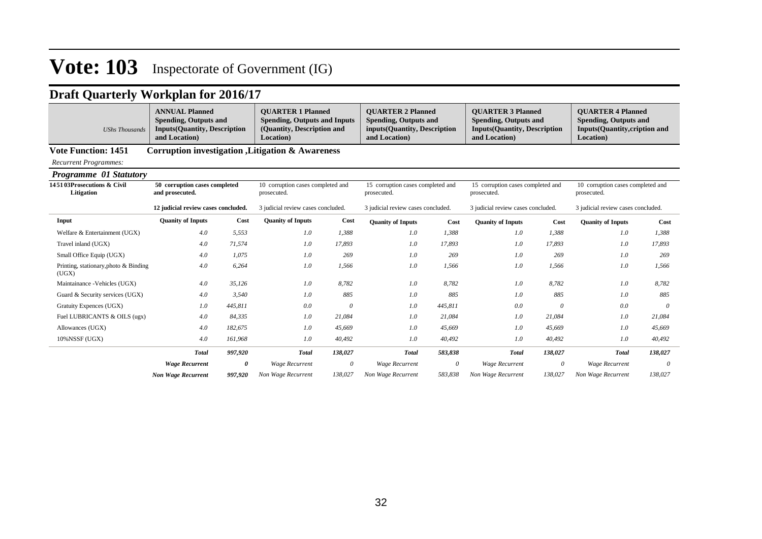### **Draft Quarterly Workplan for 2016/17**

|                | <b>ANNUAL Planned</b>               | <b>OUARTER 1 Planned</b>            | <b>OUARTER 2 Planned</b>      | <b>OUARTER 3 Planned</b>            | <b>OUARTER 4 Planned</b>       |
|----------------|-------------------------------------|-------------------------------------|-------------------------------|-------------------------------------|--------------------------------|
|                | <b>Spending, Outputs and</b>        | <b>Spending, Outputs and Inputs</b> | Spending, Outputs and         | <b>Spending, Outputs and</b>        | Spending, Outputs and          |
| UShs Thousands | <b>Inputs(Quantity, Description</b> | (Quantity, Description and          | inputs (Quantity, Description | <b>Inputs(Quantity, Description</b> | Inputs (Quantity, cription and |
|                | and Location                        | <b>Location</b> )                   | and Location)                 | and Location                        | <b>Location</b> )              |

### **Vote Function: 1451 Corruption investigation ,Litigation & Awareness**

*Recurrent Programmes:*

#### *Programme 01 Statutory*

| 145103Prosecutions & Civil<br>Litigation       | 50 corruption cases completed<br>and prosecuted. |         | 10 corruption cases completed and<br>prosecuted. |          | 15 corruption cases completed and<br>prosecuted. |          | 15 corruption cases completed and<br>prosecuted. |          | 10 corruption cases completed and<br>prosecuted. |          |
|------------------------------------------------|--------------------------------------------------|---------|--------------------------------------------------|----------|--------------------------------------------------|----------|--------------------------------------------------|----------|--------------------------------------------------|----------|
|                                                | 12 judicial review cases concluded.              |         | 3 judicial review cases concluded.               |          | 3 judicial review cases concluded.               |          | 3 judicial review cases concluded.               |          | 3 judicial review cases concluded.               |          |
| Input                                          | <b>Quanity of Inputs</b>                         | Cost    | <b>Quanity of Inputs</b>                         | Cost     | <b>Quanity of Inputs</b>                         | Cost     | <b>Quanity of Inputs</b>                         | Cost     | <b>Quanity of Inputs</b>                         | Cost     |
| Welfare & Entertainment (UGX)                  | 4.0                                              | 5,553   | 1.0                                              | 1,388    | 1.0                                              | 1,388    | 1.0                                              | 1,388    | 1.0                                              | 1,388    |
| Travel inland (UGX)                            | 4.0                                              | 71,574  | 1.0                                              | 17,893   | $1.0\,$                                          | 17,893   | 1.0                                              | 17,893   | 1.0                                              | 17,893   |
| Small Office Equip (UGX)                       | 4.0                                              | 1,075   | 1.0                                              | 269      | 1.0                                              | 269      | 1.0                                              | 269      | 1.0                                              | 269      |
| Printing, stationary, photo & Binding<br>(UGX) | 4.0                                              | 6,264   | 1.0                                              | 1,566    | 1.0                                              | 1,566    | 1.0                                              | 1,566    | 1.0                                              | 1,566    |
| Maintainance - Vehicles (UGX)                  | 4.0                                              | 35,126  | 1.0                                              | 8,782    | 1.0                                              | 8,782    | 1.0                                              | 8,782    | 1.0                                              | 8,782    |
| Guard & Security services (UGX)                | 4.0                                              | 3,540   | 1.0                                              | 885      | 1.0                                              | 885      | 1.0                                              | 885      | 1.0                                              | 885      |
| Gratuity Expences (UGX)                        | 1.0                                              | 445,811 | 0.0                                              | $\theta$ | $1.0\,$                                          | 445,811  | 0.0                                              | $\theta$ | 0.0                                              | $\theta$ |
| Fuel LUBRICANTS & OILS (ugx)                   | 4.0                                              | 84,335  | 1.0                                              | 21,084   | 1.0                                              | 21,084   | 1.0                                              | 21,084   | 1.0                                              | 21,084   |
| Allowances (UGX)                               | 4.0                                              | 182,675 | 1.0                                              | 45,669   | 1.0                                              | 45,669   | 1.0                                              | 45,669   | 1.0                                              | 45,669   |
| $10\%$ NSSF (UGX)                              | 4.0                                              | 161,968 | 1.0                                              | 40,492   | 1.0                                              | 40,492   | 1.0                                              | 40,492   | 1.0                                              | 40,492   |
|                                                | <b>Total</b>                                     | 997,920 | <b>Total</b>                                     | 138,027  | <b>Total</b>                                     | 583,838  | <b>Total</b>                                     | 138,027  | <b>Total</b>                                     | 138,027  |
|                                                | <b>Wage Recurrent</b>                            | 0       | <b>Wage Recurrent</b>                            | $\theta$ | Wage Recurrent                                   | $\theta$ | <b>Wage Recurrent</b>                            | $\theta$ | <b>Wage Recurrent</b>                            | 0        |
|                                                | <b>Non Wage Recurrent</b>                        | 997,920 | Non Wage Recurrent                               | 138,027  | Non Wage Recurrent                               | 583,838  | Non Wage Recurrent                               | 138,027  | Non Wage Recurrent                               | 138,027  |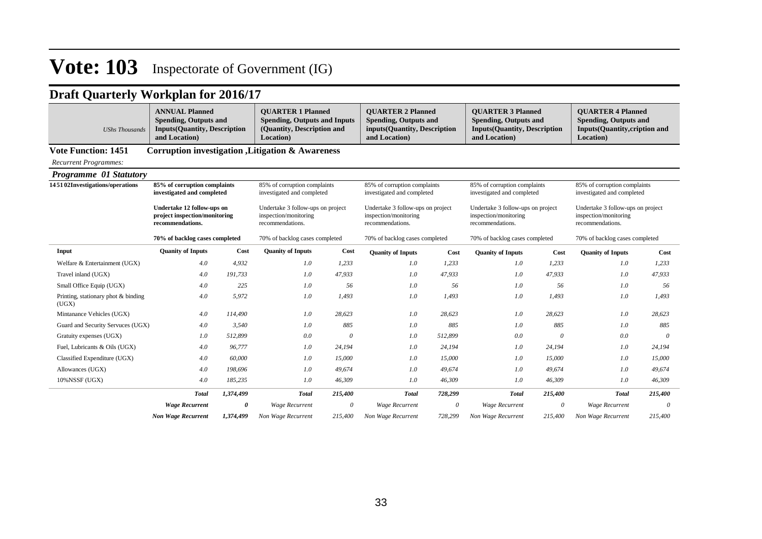| <b>UShs Thousands</b>                        | <b>ANNUAL Planned</b><br><b>Spending, Outputs and</b><br><b>Inputs(Quantity, Description</b><br>and Location) |           | <b>OUARTER 1 Planned</b><br><b>Spending, Outputs and Inputs</b><br>(Quantity, Description and<br>Location) |          | <b>OUARTER 2 Planned</b><br><b>Spending, Outputs and</b><br>inputs(Quantity, Description<br>and Location) |         | <b>OUARTER 3 Planned</b><br><b>Spending, Outputs and</b><br><b>Inputs(Quantity, Description</b><br>and Location) |          | <b>OUARTER 4 Planned</b><br><b>Spending, Outputs and</b><br>Inputs(Quantity,cription and<br>Location) |          |  |
|----------------------------------------------|---------------------------------------------------------------------------------------------------------------|-----------|------------------------------------------------------------------------------------------------------------|----------|-----------------------------------------------------------------------------------------------------------|---------|------------------------------------------------------------------------------------------------------------------|----------|-------------------------------------------------------------------------------------------------------|----------|--|
| <b>Vote Function: 1451</b>                   |                                                                                                               |           | Corruption investigation , Litigation & Awareness                                                          |          |                                                                                                           |         |                                                                                                                  |          |                                                                                                       |          |  |
| <b>Recurrent Programmes:</b>                 |                                                                                                               |           |                                                                                                            |          |                                                                                                           |         |                                                                                                                  |          |                                                                                                       |          |  |
| Programme 01 Statutory                       |                                                                                                               |           |                                                                                                            |          |                                                                                                           |         |                                                                                                                  |          |                                                                                                       |          |  |
| 145102Investigations/operations              | 85% of corruption complaints<br>investigated and completed                                                    |           | 85% of corruption complaints<br>investigated and completed                                                 |          | 85% of corruption complaints<br>investigated and completed                                                |         | 85% of corruption complaints<br>investigated and completed                                                       |          | 85% of corruption complaints<br>investigated and completed                                            |          |  |
|                                              | Undertake 12 follow-ups on<br>project inspection/monitoring<br>recommendations.                               |           | Undertake 3 follow-ups on project<br>inspection/monitoring<br>recommendations.                             |          | Undertake 3 follow-ups on project<br>inspection/monitoring<br>recommendations.                            |         | Undertake 3 follow-ups on project<br>inspection/monitoring<br>recommendations.                                   |          | Undertake 3 follow-ups on project<br>inspection/monitoring<br>recommendations.                        |          |  |
|                                              | 70% of backlog cases completed                                                                                |           | 70% of backlog cases completed                                                                             |          | 70% of backlog cases completed                                                                            |         | 70% of backlog cases completed                                                                                   |          | 70% of backlog cases completed                                                                        |          |  |
| Input                                        | <b>Quanity of Inputs</b>                                                                                      | Cost      | <b>Quanity of Inputs</b>                                                                                   | Cost     | <b>Quanity of Inputs</b>                                                                                  | Cost    | <b>Quanity of Inputs</b>                                                                                         | Cost     | <b>Quanity of Inputs</b>                                                                              | Cost     |  |
| Welfare & Entertainment (UGX)                | 4.0                                                                                                           | 4,932     | 1.0                                                                                                        | 1,233    | 1.0                                                                                                       | 1,233   | 1.0                                                                                                              | 1,233    | 1.0                                                                                                   | 1,233    |  |
| Travel inland (UGX)                          | 4.0                                                                                                           | 191.733   | 1.0                                                                                                        | 47.933   | 1.0                                                                                                       | 47.933  | 1.0                                                                                                              | 47.933   | 1.0                                                                                                   | 47,933   |  |
| Small Office Equip (UGX)                     | 4.0                                                                                                           | 225       | 1.0                                                                                                        | 56       | 1.0                                                                                                       | 56      | 1.0                                                                                                              | 56       | 1.0                                                                                                   | 56       |  |
| Printing, stationary phot & binding<br>(UGX) | 4.0                                                                                                           | 5,972     | 1.0                                                                                                        | 1,493    | 1.0                                                                                                       | 1,493   | 1.0                                                                                                              | 1,493    | 1.0                                                                                                   | 1,493    |  |
| Mintanance Vehicles (UGX)                    | 4.0                                                                                                           | 114,490   | 1.0                                                                                                        | 28,623   | 1.0                                                                                                       | 28,623  | 1.0                                                                                                              | 28,623   | 1.0                                                                                                   | 28,623   |  |
| Guard and Security Servuces (UGX)            | 4.0                                                                                                           | 3,540     | 1.0                                                                                                        | 885      | 1.0                                                                                                       | 885     | 1.0                                                                                                              | 885      | 1.0                                                                                                   | 885      |  |
| Gratuity expenses (UGX)                      | 1.0                                                                                                           | 512,899   | 0.0                                                                                                        | $\theta$ | 1.0                                                                                                       | 512,899 | $0.0\,$                                                                                                          | $\theta$ | 0.0                                                                                                   | $\theta$ |  |
| Fuel, Lubricants & Oils (UGX)                | 4.0                                                                                                           | 96,777    | 1.0                                                                                                        | 24,194   | 1.0                                                                                                       | 24,194  | 1.0                                                                                                              | 24.194   | 1.0                                                                                                   | 24,194   |  |
| Classified Expenditure (UGX)                 | 4.0                                                                                                           | 60,000    | 1.0                                                                                                        | 15,000   | 1.0                                                                                                       | 15,000  | 1.0                                                                                                              | 15,000   | 1.0                                                                                                   | 15,000   |  |
| Allowances (UGX)                             | 4.0                                                                                                           | 198,696   | 1.0                                                                                                        | 49,674   | 1.0                                                                                                       | 49,674  | 1.0                                                                                                              | 49,674   | 1.0                                                                                                   | 49,674   |  |
| 10%NSSF (UGX)                                | 4.0                                                                                                           | 185,235   | 1.0                                                                                                        | 46,309   | 1.0                                                                                                       | 46,309  | 1.0                                                                                                              | 46,309   | 1.0                                                                                                   | 46,309   |  |
|                                              | <b>Total</b>                                                                                                  | 1,374,499 | <b>Total</b>                                                                                               | 215,400  | <b>Total</b>                                                                                              | 728,299 | <b>Total</b>                                                                                                     | 215,400  | <b>Total</b>                                                                                          | 215,400  |  |
|                                              | <b>Wage Recurrent</b>                                                                                         | $\theta$  | <b>Wage Recurrent</b>                                                                                      | 0        | <b>Wage Recurrent</b>                                                                                     | 0       | <b>Wage Recurrent</b>                                                                                            | $\theta$ | <b>Wage Recurrent</b>                                                                                 | 0        |  |
|                                              | <b>Non Wage Recurrent</b>                                                                                     | 1.374.499 | Non Wage Recurrent                                                                                         | 215,400  | Non Wage Recurrent                                                                                        | 728.299 | Non Wage Recurrent                                                                                               | 215,400  | Non Wage Recurrent                                                                                    | 215,400  |  |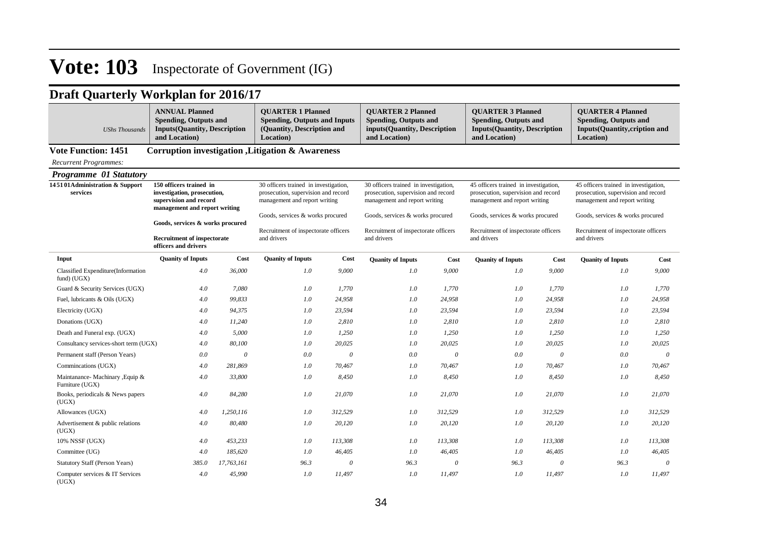| <b>UShs Thousands</b>                               | <b>ANNUAL Planned</b><br><b>Spending, Outputs and</b><br><b>Inputs(Quantity, Description</b><br>and Location)     |            | <b>OUARTER 1 Planned</b><br><b>Spending, Outputs and Inputs</b><br>(Quantity, Description and<br>Location)    |          | <b>OUARTER 2 Planned</b><br><b>Spending, Outputs and</b><br>inputs(Quantity, Description<br>and Location)     |          | <b>OUARTER 3 Planned</b><br><b>Spending, Outputs and</b><br><b>Inputs(Quantity, Description</b><br>and Location) |          | <b>OUARTER 4 Planned</b><br><b>Spending, Outputs and</b><br>Inputs(Quantity,cription and<br>Location)         |          |  |
|-----------------------------------------------------|-------------------------------------------------------------------------------------------------------------------|------------|---------------------------------------------------------------------------------------------------------------|----------|---------------------------------------------------------------------------------------------------------------|----------|------------------------------------------------------------------------------------------------------------------|----------|---------------------------------------------------------------------------------------------------------------|----------|--|
| <b>Vote Function: 1451</b>                          |                                                                                                                   |            | Corruption investigation , Litigation & Awareness                                                             |          |                                                                                                               |          |                                                                                                                  |          |                                                                                                               |          |  |
| Recurrent Programmes:                               |                                                                                                                   |            |                                                                                                               |          |                                                                                                               |          |                                                                                                                  |          |                                                                                                               |          |  |
| <b>Programme 01 Statutory</b>                       |                                                                                                                   |            |                                                                                                               |          |                                                                                                               |          |                                                                                                                  |          |                                                                                                               |          |  |
| 145101Administration & Support<br>services          | 150 officers trained in<br>investigation, prosecution,<br>supervision and record<br>management and report writing |            | 30 officers trained in investigation,<br>prosecution, supervision and record<br>management and report writing |          | 30 officers trained in investigation,<br>prosecution, supervision and record<br>management and report writing |          | 45 officers trained in investigation,<br>prosecution, supervision and record<br>management and report writing    |          | 45 officers trained in investigation,<br>prosecution, supervision and record<br>management and report writing |          |  |
|                                                     |                                                                                                                   |            | Goods, services & works procured                                                                              |          | Goods, services & works procured                                                                              |          | Goods, services & works procured                                                                                 |          | Goods, services & works procured                                                                              |          |  |
|                                                     | Goods, services & works procured<br><b>Recruitment of inspectorate</b><br>officers and drivers                    |            | Recruitment of inspectorate officers<br>and drivers                                                           |          | Recruitment of inspectorate officers<br>and drivers                                                           |          | Recruitment of inspectorate officers<br>and drivers                                                              |          | Recruitment of inspectorate officers<br>and drivers                                                           |          |  |
| Input                                               | <b>Quanity of Inputs</b>                                                                                          | Cost       | <b>Quanity of Inputs</b>                                                                                      | Cost     | <b>Quanity of Inputs</b>                                                                                      | Cost     | <b>Quanity of Inputs</b>                                                                                         | Cost     | <b>Quanity of Inputs</b>                                                                                      | Cost     |  |
| Classified Expenditure(Information<br>fund) (UGX)   | 4.0                                                                                                               | 36,000     | 1.0                                                                                                           | 9.000    | 1.0                                                                                                           | 9.000    | 1.0                                                                                                              | 9,000    | 1.0                                                                                                           | 9,000    |  |
| Guard & Security Services (UGX)                     | 4.0                                                                                                               | 7,080      | 1.0                                                                                                           | 1,770    | 1.0                                                                                                           | 1,770    | 1.0                                                                                                              | 1,770    | 1.0                                                                                                           | 1,770    |  |
| Fuel, lubricants & Oils (UGX)                       | 4.0                                                                                                               | 99,833     | 1.0                                                                                                           | 24,958   | 1.0                                                                                                           | 24,958   | 1.0                                                                                                              | 24,958   | 1.0                                                                                                           | 24,958   |  |
| Electricity (UGX)                                   | 4.0                                                                                                               | 94,375     | 1.0                                                                                                           | 23,594   | 1.0                                                                                                           | 23,594   | 1.0                                                                                                              | 23,594   | 1.0                                                                                                           | 23,594   |  |
| Donations (UGX)                                     | 4.0                                                                                                               | 11,240     | 1.0                                                                                                           | 2,810    | 1.0                                                                                                           | 2,810    | 1.0                                                                                                              | 2,810    | 1.0                                                                                                           | 2,810    |  |
| Death and Funeral exp. (UGX)                        | 4.0                                                                                                               | 5,000      | 1.0                                                                                                           | 1,250    | 1.0                                                                                                           | 1,250    | 1.0                                                                                                              | 1,250    | 1.0                                                                                                           | 1,250    |  |
| Consultancy services-short term (UGX)               | 4.0                                                                                                               | 80,100     | 1.0                                                                                                           | 20,025   | 1.0                                                                                                           | 20,025   | 1.0                                                                                                              | 20,025   | 1.0                                                                                                           | 20,025   |  |
| Permanent staff (Person Years)                      | 0.0                                                                                                               | $\theta$   | 0.0                                                                                                           | $\theta$ | 0.0                                                                                                           | $\theta$ | 0.0                                                                                                              | $\theta$ | 0.0                                                                                                           | $\theta$ |  |
| Commincations (UGX)                                 | 4.0                                                                                                               | 281,869    | 1.0                                                                                                           | 70,467   | 1.0                                                                                                           | 70,467   | 1.0                                                                                                              | 70,467   | 1.0                                                                                                           | 70.467   |  |
| Maintanance- Machinary , Equip &<br>Furniture (UGX) | 4.0                                                                                                               | 33,800     | 1.0                                                                                                           | 8.450    | 1.0                                                                                                           | 8.450    | 1.0                                                                                                              | 8,450    | 1.0                                                                                                           | 8,450    |  |
| Books, periodicals & News papers<br>(UGX)           | 4.0                                                                                                               | 84,280     | 1.0                                                                                                           | 21,070   | 1.0                                                                                                           | 21,070   | 1.0                                                                                                              | 21,070   | 1.0                                                                                                           | 21,070   |  |
| Allowances (UGX)                                    | 4.0                                                                                                               | 1,250,116  | 1.0                                                                                                           | 312,529  | 1.0                                                                                                           | 312,529  | 1.0                                                                                                              | 312,529  | $1.0\,$                                                                                                       | 312,529  |  |
| Advertisement & public relations<br>(UGX)           | 4.0                                                                                                               | 80,480     | 1.0                                                                                                           | 20,120   | 1.0                                                                                                           | 20,120   | 1.0                                                                                                              | 20,120   | 1.0                                                                                                           | 20,120   |  |
| 10% NSSF (UGX)                                      | 4.0                                                                                                               | 453,233    | 1.0                                                                                                           | 113,308  | 1.0                                                                                                           | 113,308  | 1.0                                                                                                              | 113,308  | 1.0                                                                                                           | 113,308  |  |
| Committee (UG)                                      | 4.0                                                                                                               | 185,620    | 1.0                                                                                                           | 46,405   | 1.0                                                                                                           | 46,405   | 1.0                                                                                                              | 46,405   | 1.0                                                                                                           | 46,405   |  |
| <b>Statutory Staff (Person Years)</b>               | 385.0                                                                                                             | 17,763,161 | 96.3                                                                                                          | $\theta$ | 96.3                                                                                                          | $\theta$ | 96.3                                                                                                             | $\theta$ | 96.3                                                                                                          | $\theta$ |  |
| Computer services & IT Services<br>(UGX)            | 4.0                                                                                                               | 45,990     | 1.0                                                                                                           | 11,497   | 1.0                                                                                                           | 11,497   | 1.0                                                                                                              | 11,497   | 1.0                                                                                                           | 11,497   |  |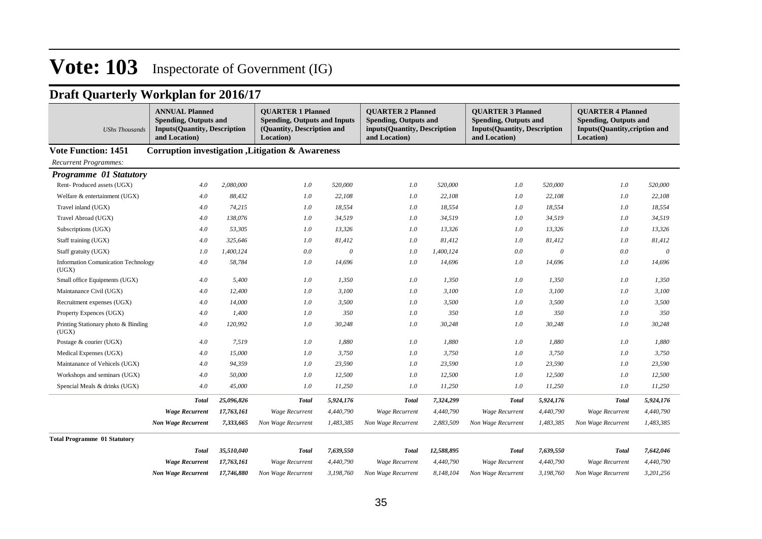| <b>UShs Thousands</b>                               | <b>ANNUAL Planned</b><br><b>Spending, Outputs and</b><br><b>Inputs(Quantity, Description</b><br>and Location) |            | <b>OUARTER 1 Planned</b><br><b>Spending, Outputs and Inputs</b><br>(Quantity, Description and<br>Location) |           | <b>OUARTER 2 Planned</b><br><b>Spending, Outputs and</b><br>inputs(Quantity, Description<br>and Location) |            | <b>OUARTER 3 Planned</b><br><b>Spending, Outputs and</b><br><b>Inputs(Quantity, Description</b><br>and Location) |           | <b>OUARTER 4 Planned</b><br><b>Spending, Outputs and</b><br><b>Inputs(Quantity,cription and</b><br>Location) |           |  |  |  |  |
|-----------------------------------------------------|---------------------------------------------------------------------------------------------------------------|------------|------------------------------------------------------------------------------------------------------------|-----------|-----------------------------------------------------------------------------------------------------------|------------|------------------------------------------------------------------------------------------------------------------|-----------|--------------------------------------------------------------------------------------------------------------|-----------|--|--|--|--|
| <b>Vote Function: 1451</b>                          | Corruption investigation , Litigation & Awareness                                                             |            |                                                                                                            |           |                                                                                                           |            |                                                                                                                  |           |                                                                                                              |           |  |  |  |  |
| <b>Recurrent Programmes:</b>                        |                                                                                                               |            |                                                                                                            |           |                                                                                                           |            |                                                                                                                  |           |                                                                                                              |           |  |  |  |  |
| Programme 01 Statutory                              |                                                                                                               |            |                                                                                                            |           |                                                                                                           |            |                                                                                                                  |           |                                                                                                              |           |  |  |  |  |
| Rent-Produced assets (UGX)                          | 4.0                                                                                                           | 2,080,000  | 1.0                                                                                                        | 520,000   | $1.0\,$                                                                                                   | 520,000    | 1.0                                                                                                              | 520,000   | 1.0                                                                                                          | 520,000   |  |  |  |  |
| Welfare & entertainment (UGX)                       | 4.0                                                                                                           | 88,432     | 1.0                                                                                                        | 22,108    | 1.0                                                                                                       | 22,108     | 1.0                                                                                                              | 22,108    | 1.0                                                                                                          | 22,108    |  |  |  |  |
| Travel inland (UGX)                                 | 4.0                                                                                                           | 74,215     | $1.0\,$                                                                                                    | 18,554    | 1.0                                                                                                       | 18,554     | 1.0                                                                                                              | 18,554    | 1.0                                                                                                          | 18,554    |  |  |  |  |
| Travel Abroad (UGX)                                 | 4.0                                                                                                           | 138,076    | $1.0\,$                                                                                                    | 34,519    | 1.0                                                                                                       | 34,519     | 1.0                                                                                                              | 34,519    | 1.0                                                                                                          | 34,519    |  |  |  |  |
| Subscriptions (UGX)                                 | 4.0                                                                                                           | 53,305     | 1.0                                                                                                        | 13,326    | 1.0                                                                                                       | 13,326     | 1.0                                                                                                              | 13,326    | 1.0                                                                                                          | 13,326    |  |  |  |  |
| Staff training (UGX)                                | 4.0                                                                                                           | 325,646    | 1.0                                                                                                        | 81,412    | 1.0                                                                                                       | 81,412     | 1.0                                                                                                              | 81,412    | 1.0                                                                                                          | 81,412    |  |  |  |  |
| Staff gratuity (UGX)                                | 1.0                                                                                                           | 1,400,124  | 0.0                                                                                                        | $\theta$  | 1.0                                                                                                       | 1,400,124  | 0.0                                                                                                              | 0         | 0.0                                                                                                          | $\theta$  |  |  |  |  |
| <b>Information Comunication Technology</b><br>(UGX) | 4.0                                                                                                           | 58,784     | $1.0\,$                                                                                                    | 14,696    | 1.0                                                                                                       | 14,696     | 1.0                                                                                                              | 14,696    | 1.0                                                                                                          | 14,696    |  |  |  |  |
| Small office Equipments (UGX)                       | 4.0                                                                                                           | 5,400      | 1.0                                                                                                        | 1,350     | 1.0                                                                                                       | 1,350      | 1.0                                                                                                              | 1,350     | 1.0                                                                                                          | 1,350     |  |  |  |  |
| Maintanance Civil (UGX)                             | 4.0                                                                                                           | 12,400     | 1.0                                                                                                        | 3,100     | 1.0                                                                                                       | 3,100      | 1.0                                                                                                              | 3,100     | 1.0                                                                                                          | 3,100     |  |  |  |  |
| Recruitment expenses (UGX)                          | 4.0                                                                                                           | 14,000     | 1.0                                                                                                        | 3,500     | 1.0                                                                                                       | 3,500      | 1.0                                                                                                              | 3,500     | 1.0                                                                                                          | 3,500     |  |  |  |  |
| Property Expences (UGX)                             | 4.0                                                                                                           | 1,400      | 1.0                                                                                                        | 350       | $1.0\,$                                                                                                   | 350        | 1.0                                                                                                              | 350       | 1.0                                                                                                          | 350       |  |  |  |  |
| Printing Stationary photo & Binding<br>(UGX)        | 4.0                                                                                                           | 120,992    | 1.0                                                                                                        | 30,248    | $1.0\,$                                                                                                   | 30,248     | 1.0                                                                                                              | 30,248    | 1.0                                                                                                          | 30,248    |  |  |  |  |
| Postage & courier (UGX)                             | 4.0                                                                                                           | 7,519      | $1.0\,$                                                                                                    | 1,880     | $1.0\,$                                                                                                   | 1,880      | 1.0                                                                                                              | 1,880     | 1.0                                                                                                          | 1,880     |  |  |  |  |
| Medical Expenses (UGX)                              | 4.0                                                                                                           | 15,000     | 1.0                                                                                                        | 3,750     | $1.0\,$                                                                                                   | 3,750      | 1.0                                                                                                              | 3,750     | 1.0                                                                                                          | 3,750     |  |  |  |  |
| Maintanance of Vehicels (UGX)                       | 4.0                                                                                                           | 94,359     | 1.0                                                                                                        | 23,590    | 1.0                                                                                                       | 23,590     | 1.0                                                                                                              | 23,590    | 1.0                                                                                                          | 23,590    |  |  |  |  |
| Workshops and seminars (UGX)                        | 4.0                                                                                                           | 50,000     | $1.0\,$                                                                                                    | 12,500    | 1.0                                                                                                       | 12,500     | 1.0                                                                                                              | 12,500    | 1.0                                                                                                          | 12,500    |  |  |  |  |
| Spencial Meals & drinks (UGX)                       | 4.0                                                                                                           | 45,000     | 1.0                                                                                                        | 11,250    | 1.0                                                                                                       | 11,250     | 1.0                                                                                                              | 11,250    | 1.0                                                                                                          | 11,250    |  |  |  |  |
|                                                     | <b>Total</b>                                                                                                  | 25,096,826 | <b>Total</b>                                                                                               | 5,924,176 | <b>Total</b>                                                                                              | 7,324,299  | <b>Total</b>                                                                                                     | 5,924,176 | <b>Total</b>                                                                                                 | 5,924,176 |  |  |  |  |
|                                                     | <b>Wage Recurrent</b>                                                                                         | 17,763,161 | <b>Wage Recurrent</b>                                                                                      | 4,440,790 | <b>Wage Recurrent</b>                                                                                     | 4,440,790  | Wage Recurrent                                                                                                   | 4,440,790 | <b>Wage Recurrent</b>                                                                                        | 4,440,790 |  |  |  |  |
|                                                     | <b>Non Wage Recurrent</b>                                                                                     | 7,333,665  | Non Wage Recurrent                                                                                         | 1,483,385 | Non Wage Recurrent                                                                                        | 2,883,509  | Non Wage Recurrent                                                                                               | 1,483,385 | Non Wage Recurrent                                                                                           | 1,483,385 |  |  |  |  |
| <b>Total Programme 01 Statutory</b>                 |                                                                                                               |            |                                                                                                            |           |                                                                                                           |            |                                                                                                                  |           |                                                                                                              |           |  |  |  |  |
|                                                     | <b>Total</b>                                                                                                  | 35,510,040 | <b>Total</b>                                                                                               | 7,639,550 | <b>Total</b>                                                                                              | 12,588,895 | <b>Total</b>                                                                                                     | 7,639,550 | <b>Total</b>                                                                                                 | 7,642,046 |  |  |  |  |
|                                                     | <b>Wage Recurrent</b>                                                                                         | 17,763,161 | <b>Wage Recurrent</b>                                                                                      | 4,440,790 | <b>Wage Recurrent</b>                                                                                     | 4,440,790  | Wage Recurrent                                                                                                   | 4,440,790 | <b>Wage Recurrent</b>                                                                                        | 4,440,790 |  |  |  |  |
|                                                     | <b>Non Wage Recurrent</b>                                                                                     | 17,746,880 | Non Wage Recurrent                                                                                         | 3,198,760 | Non Wage Recurrent                                                                                        | 8,148,104  | Non Wage Recurrent                                                                                               | 3,198,760 | Non Wage Recurrent                                                                                           | 3,201,256 |  |  |  |  |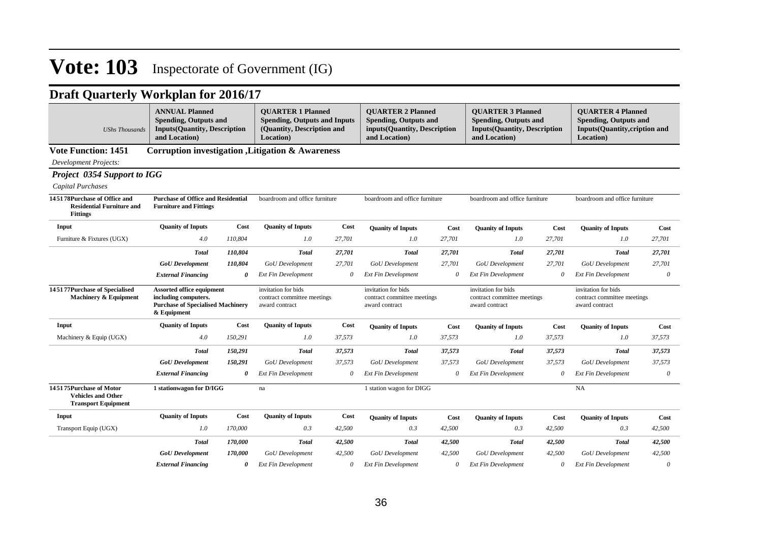| <b>UShs Thousands</b>                                                               | <b>ANNUAL Planned</b><br><b>Spending, Outputs and</b><br><b>Inputs(Quantity, Description</b><br>and Location)       |         | <b>QUARTER 1 Planned</b><br><b>Spending, Outputs and Inputs</b><br>(Quantity, Description and<br>Location) |        | <b>OUARTER 2 Planned</b><br><b>Spending, Outputs and</b><br>inputs(Quantity, Description<br>and Location) |          | <b>OUARTER 3 Planned</b><br><b>Spending, Outputs and</b><br><b>Inputs(Quantity, Description</b><br>and Location) |        | <b>OUARTER 4 Planned</b><br><b>Spending, Outputs and</b><br>Inputs(Quantity,cription and<br>Location) |          |
|-------------------------------------------------------------------------------------|---------------------------------------------------------------------------------------------------------------------|---------|------------------------------------------------------------------------------------------------------------|--------|-----------------------------------------------------------------------------------------------------------|----------|------------------------------------------------------------------------------------------------------------------|--------|-------------------------------------------------------------------------------------------------------|----------|
| <b>Vote Function: 1451</b>                                                          |                                                                                                                     |         | Corruption investigation, Litigation & Awareness                                                           |        |                                                                                                           |          |                                                                                                                  |        |                                                                                                       |          |
| <b>Development Projects:</b>                                                        |                                                                                                                     |         |                                                                                                            |        |                                                                                                           |          |                                                                                                                  |        |                                                                                                       |          |
| <b>Project 0354 Support to IGG</b>                                                  |                                                                                                                     |         |                                                                                                            |        |                                                                                                           |          |                                                                                                                  |        |                                                                                                       |          |
| Capital Purchases                                                                   |                                                                                                                     |         |                                                                                                            |        |                                                                                                           |          |                                                                                                                  |        |                                                                                                       |          |
| 145178Purchase of Office and<br><b>Residential Furniture and</b><br><b>Fittings</b> | <b>Purchase of Office and Residential</b><br><b>Furniture and Fittings</b>                                          |         | boardroom and office furniture                                                                             |        | boardroom and office furniture                                                                            |          | boardroom and office furniture                                                                                   |        | boardroom and office furniture                                                                        |          |
| Input                                                                               | <b>Ouanity of Inputs</b>                                                                                            | Cost    | <b>Quanity of Inputs</b>                                                                                   | Cost   | <b>Quanity of Inputs</b>                                                                                  | Cost     | <b>Quanity of Inputs</b>                                                                                         | Cost   | <b>Quanity of Inputs</b>                                                                              | Cost     |
| Furniture & Fixtures (UGX)                                                          | 4.0                                                                                                                 | 110,804 | 1.0                                                                                                        | 27,701 | 1.0                                                                                                       | 27,701   | 1.0                                                                                                              | 27,701 | 1.0                                                                                                   | 27,701   |
|                                                                                     | <b>Total</b>                                                                                                        | 110,804 | <b>Total</b>                                                                                               | 27,701 | <b>Total</b>                                                                                              | 27,701   | <b>Total</b>                                                                                                     | 27,701 | <b>Total</b>                                                                                          | 27,701   |
|                                                                                     | <b>GoU</b> Development                                                                                              | 110,804 | <b>GoU</b> Development                                                                                     | 27,701 | <b>GoU</b> Development                                                                                    | 27,701   | <b>GoU</b> Development                                                                                           | 27,701 | GoU Development                                                                                       | 27,701   |
|                                                                                     | <b>External Financing</b>                                                                                           | 0       | <b>Ext Fin Development</b>                                                                                 | 0      | <b>Ext Fin Development</b>                                                                                | 0        | <b>Ext Fin Development</b>                                                                                       | 0      | <b>Ext Fin Development</b>                                                                            | $\theta$ |
| 145177Purchase of Specialised<br><b>Machinery &amp; Equipment</b>                   | <b>Assorted office equipment</b><br>including computers.<br><b>Purchase of Specialised Machinery</b><br>& Equipment |         | invitation for bids<br>contract committee meetings<br>award contract                                       |        | invitation for bids<br>contract committee meetings<br>award contract                                      |          | invitation for bids<br>contract committee meetings<br>award contract                                             |        | invitation for bids<br>contract committee meetings<br>award contract                                  |          |
| Input                                                                               | <b>Quanity of Inputs</b>                                                                                            | Cost    | <b>Quanity of Inputs</b>                                                                                   | Cost   | <b>Quanity of Inputs</b>                                                                                  | Cost     | <b>Quanity of Inputs</b>                                                                                         | Cost   | <b>Quanity of Inputs</b>                                                                              | Cost     |
| Machinery & Equip (UGX)                                                             | 4.0                                                                                                                 | 150,291 | 1.0                                                                                                        | 37,573 | 1.0                                                                                                       | 37,573   | 1.0                                                                                                              | 37,573 | 1.0                                                                                                   | 37,573   |
|                                                                                     | Total                                                                                                               | 150,291 | <b>Total</b>                                                                                               | 37,573 | <b>Total</b>                                                                                              | 37,573   | <b>Total</b>                                                                                                     | 37,573 | <b>Total</b>                                                                                          | 37,573   |
|                                                                                     | <b>GoU</b> Development                                                                                              | 150,291 | <b>GoU</b> Development                                                                                     | 37,573 | <b>GoU</b> Development                                                                                    | 37,573   | <b>GoU</b> Development                                                                                           | 37,573 | <b>GoU</b> Development                                                                                | 37,573   |
|                                                                                     | <b>External Financing</b>                                                                                           | 0       | <b>Ext Fin Development</b>                                                                                 | 0      | <b>Ext Fin Development</b>                                                                                | $\theta$ | <b>Ext Fin Development</b>                                                                                       | 0      | <b>Ext Fin Development</b>                                                                            | $\theta$ |
| 145175Purchase of Motor<br><b>Vehicles and Other</b><br><b>Transport Equipment</b>  | 1 stationwagon for D/IGG                                                                                            |         | na                                                                                                         |        | 1 station wagon for DIGG                                                                                  |          |                                                                                                                  |        | NA                                                                                                    |          |
| Input                                                                               | <b>Quanity of Inputs</b>                                                                                            | Cost    | <b>Quanity of Inputs</b>                                                                                   | Cost   | <b>Quanity of Inputs</b>                                                                                  | Cost     | <b>Quanity of Inputs</b>                                                                                         | Cost   | <b>Quanity of Inputs</b>                                                                              | Cost     |
| Transport Equip (UGX)                                                               | 1.0                                                                                                                 | 170,000 | 0.3                                                                                                        | 42,500 | 0.3                                                                                                       | 42,500   | 0.3                                                                                                              | 42,500 | 0.3                                                                                                   | 42,500   |
|                                                                                     | <b>Total</b>                                                                                                        | 170,000 | <b>Total</b>                                                                                               | 42,500 | <b>Total</b>                                                                                              | 42,500   | <b>Total</b>                                                                                                     | 42,500 | <b>Total</b>                                                                                          | 42,500   |
|                                                                                     | <b>GoU</b> Development                                                                                              | 170,000 | <b>GoU</b> Development                                                                                     | 42,500 | GoU Development                                                                                           | 42,500   | <b>GoU</b> Development                                                                                           | 42,500 | <b>GoU</b> Development                                                                                | 42,500   |
|                                                                                     | <b>External Financing</b>                                                                                           | 0       | <b>Ext Fin Development</b>                                                                                 | 0      | <b>Ext Fin Development</b>                                                                                | 0        | <b>Ext Fin Development</b>                                                                                       | 0      | <b>Ext Fin Development</b>                                                                            | 0        |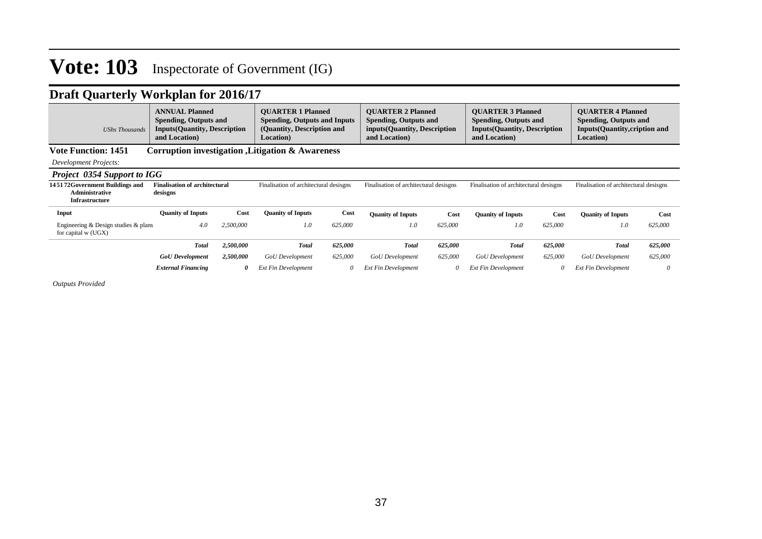## **Draft Quarterly Workplan for 2016/17**

| <b>UShs Thousands</b>                                                     | <b>ANNUAL Planned</b><br>Spending, Outputs and<br><b>Inputs(Quantity, Description</b><br>and Location) |           | <b>OUARTER 1 Planned</b><br><b>Spending, Outputs and Inputs</b><br>(Quantity, Description and<br><b>Location</b> ) |         | <b>OUARTER 2 Planned</b><br><b>Spending, Outputs and</b><br>inputs (Quantity, Description<br>and Location) |          | <b>OUARTER 3 Planned</b><br><b>Spending, Outputs and</b><br><b>Inputs(Quantity, Description</b><br>and Location) |         | <b>OUARTER 4 Planned</b><br><b>Spending, Outputs and</b><br><b>Inputs(Quantity, cription and</b><br>Location) |          |
|---------------------------------------------------------------------------|--------------------------------------------------------------------------------------------------------|-----------|--------------------------------------------------------------------------------------------------------------------|---------|------------------------------------------------------------------------------------------------------------|----------|------------------------------------------------------------------------------------------------------------------|---------|---------------------------------------------------------------------------------------------------------------|----------|
| <b>Vote Function: 1451</b>                                                |                                                                                                        |           | <b>Corruption investigation , Litigation &amp; Awareness</b>                                                       |         |                                                                                                            |          |                                                                                                                  |         |                                                                                                               |          |
| Development Projects:                                                     |                                                                                                        |           |                                                                                                                    |         |                                                                                                            |          |                                                                                                                  |         |                                                                                                               |          |
| <b>Project 0354 Support to IGG</b>                                        |                                                                                                        |           |                                                                                                                    |         |                                                                                                            |          |                                                                                                                  |         |                                                                                                               |          |
| 145172Government Buildings and<br>Administrative<br><b>Infrastructure</b> | <b>Finalisation of architectural</b><br>desisgns                                                       |           | Finalisation of architectural desisgns                                                                             |         | Finalisation of architectural desisgns                                                                     |          | Finalisation of architectural desisgns                                                                           |         | Finalisation of architectural desisgns                                                                        |          |
| Input                                                                     | <b>Ouanity of Inputs</b>                                                                               | Cost      | <b>Quanity of Inputs</b>                                                                                           | Cost    | <b>Quanity of Inputs</b>                                                                                   | Cost     | <b>Quanity of Inputs</b>                                                                                         | Cost    | <b>Quanity of Inputs</b>                                                                                      | Cost     |
| Engineering $&$ Design studies $&$ plans<br>for capital w (UGX)           | 4.0                                                                                                    | 2.500,000 | 1.0                                                                                                                | 625,000 | 1.0                                                                                                        | 625,000  | 1.0                                                                                                              | 625,000 | 1.0                                                                                                           | 625,000  |
|                                                                           | <b>Total</b>                                                                                           | 2,500,000 | <b>Total</b>                                                                                                       | 625,000 | <b>Total</b>                                                                                               | 625,000  | <b>Total</b>                                                                                                     | 625,000 | <b>Total</b>                                                                                                  | 625,000  |
|                                                                           | <b>GoU</b> Development                                                                                 | 2,500,000 | <b>GoU</b> Development                                                                                             | 625,000 | <b>GoU</b> Development                                                                                     | 625,000  | <b>GoU</b> Development                                                                                           | 625,000 | GoU Development                                                                                               | 625,000  |
|                                                                           | <b>External Financing</b>                                                                              | 0         | <b>Ext Fin Development</b>                                                                                         |         | <b>Ext Fin Development</b>                                                                                 | $\theta$ | <b>Ext Fin Development</b>                                                                                       |         | <b>Ext Fin Development</b>                                                                                    | $\theta$ |

*Outputs Provided*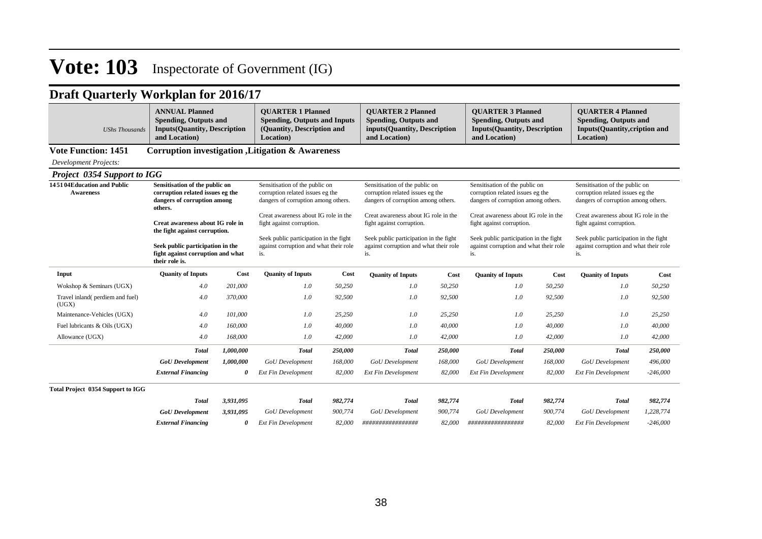## **Draft Quarterly Workplan for 2016/17**

| <b>UShs Thousands</b>                          | <b>ANNUAL Planned</b><br><b>Spending, Outputs and</b><br><b>Inputs(Quantity, Description</b><br>and Location) |                                                                                                                                        | <b>OUARTER 1 Planned</b><br><b>Spending, Outputs and Inputs</b><br>(Quantity, Description and<br>Location) |                                                                                                                                                                             | <b>OUARTER 2 Planned</b><br><b>Spending, Outputs and</b><br>inputs(Quantity, Description<br>and Location) |         | <b>OUARTER 3 Planned</b><br><b>Spending, Outputs and</b><br><b>Inputs(Quantity, Description</b><br>and Location) |         | <b>OUARTER 4 Planned</b><br><b>Spending, Outputs and</b><br><b>Inputs(Quantity,cription and</b><br>Location) |            |
|------------------------------------------------|---------------------------------------------------------------------------------------------------------------|----------------------------------------------------------------------------------------------------------------------------------------|------------------------------------------------------------------------------------------------------------|-----------------------------------------------------------------------------------------------------------------------------------------------------------------------------|-----------------------------------------------------------------------------------------------------------|---------|------------------------------------------------------------------------------------------------------------------|---------|--------------------------------------------------------------------------------------------------------------|------------|
| <b>Vote Function: 1451</b>                     |                                                                                                               |                                                                                                                                        | Corruption investigation , Litigation & Awareness                                                          |                                                                                                                                                                             |                                                                                                           |         |                                                                                                                  |         |                                                                                                              |            |
| <b>Development Projects:</b>                   |                                                                                                               |                                                                                                                                        |                                                                                                            |                                                                                                                                                                             |                                                                                                           |         |                                                                                                                  |         |                                                                                                              |            |
| <b>Project 0354 Support to IGG</b>             |                                                                                                               |                                                                                                                                        |                                                                                                            |                                                                                                                                                                             |                                                                                                           |         |                                                                                                                  |         |                                                                                                              |            |
| 145104Education and Public<br><b>Awareness</b> | Sensitisation of the public on<br>corruption related issues eg the<br>dangers of corruption among<br>others.  |                                                                                                                                        | Sensitisation of the public on<br>corruption related issues eg the<br>dangers of corruption among others.  |                                                                                                                                                                             | Sensitisation of the public on<br>corruption related issues eg the<br>dangers of corruption among others. |         | Sensitisation of the public on<br>corruption related issues eg the<br>dangers of corruption among others.        |         | Sensitisation of the public on<br>corruption related issues eg the<br>dangers of corruption among others.    |            |
|                                                | Creat awareness about IG role in<br>the fight against corruption.                                             | Creat awareness about IG role in the<br>Creat awareness about IG role in the<br>fight against corruption.<br>fight against corruption. |                                                                                                            |                                                                                                                                                                             | Creat awareness about IG role in the<br>fight against corruption.                                         |         | Creat awareness about IG role in the<br>fight against corruption.                                                |         |                                                                                                              |            |
|                                                | Seek public participation in the<br>fight against corruption and what<br>their role is.                       |                                                                                                                                        | is.                                                                                                        | Seek public participation in the fight<br>Seek public participation in the fight<br>against corruption and what their role<br>against corruption and what their role<br>is. |                                                                                                           |         | Seek public participation in the fight<br>against corruption and what their role<br>is.                          |         | Seek public participation in the fight<br>against corruption and what their role<br>is.                      |            |
| Input                                          | <b>Quanity of Inputs</b>                                                                                      | Cost                                                                                                                                   | <b>Quanity of Inputs</b>                                                                                   | Cost                                                                                                                                                                        | <b>Quanity of Inputs</b>                                                                                  | Cost    | <b>Quanity of Inputs</b>                                                                                         | Cost    | <b>Quanity of Inputs</b>                                                                                     | Cost       |
| Wokshop & Seminars (UGX)                       | 4.0                                                                                                           | 201,000                                                                                                                                | 1.0                                                                                                        | 50,250                                                                                                                                                                      | 1.0                                                                                                       | 50.250  | 1.0                                                                                                              | 50,250  | 1.0                                                                                                          | 50,250     |
| Travel inland(perdiem and fuel)<br>(UGX)       | 4.0                                                                                                           | 370,000                                                                                                                                | 1.0                                                                                                        | 92,500                                                                                                                                                                      | 1.0                                                                                                       | 92,500  | 1.0                                                                                                              | 92,500  | 1.0                                                                                                          | 92,500     |
| Maintenance-Vehicles (UGX)                     | 4.0                                                                                                           | 101,000                                                                                                                                | 1.0                                                                                                        | 25,250                                                                                                                                                                      | 1.0                                                                                                       | 25,250  | 1.0                                                                                                              | 25,250  | 1.0                                                                                                          | 25,250     |
| Fuel lubricants & Oils (UGX)                   | 4.0                                                                                                           | 160,000                                                                                                                                | 1.0                                                                                                        | 40,000                                                                                                                                                                      | 1.0                                                                                                       | 40,000  | 1.0                                                                                                              | 40,000  | 1.0                                                                                                          | 40,000     |
| Allowance (UGX)                                | 4.0                                                                                                           | 168,000                                                                                                                                | 1.0                                                                                                        | 42,000                                                                                                                                                                      | 1.0                                                                                                       | 42,000  | 1.0                                                                                                              | 42,000  | 1.0                                                                                                          | 42,000     |
|                                                | <b>Total</b>                                                                                                  | 1,000,000                                                                                                                              | <b>Total</b>                                                                                               | 250,000                                                                                                                                                                     | <b>Total</b>                                                                                              | 250,000 | <b>Total</b>                                                                                                     | 250,000 | <b>Total</b>                                                                                                 | 250,000    |
|                                                | <b>GoU</b> Development                                                                                        | 1,000,000                                                                                                                              | <b>GoU</b> Development                                                                                     | 168,000                                                                                                                                                                     | GoU Development                                                                                           | 168,000 | <b>GoU</b> Development                                                                                           | 168,000 | <b>GoU</b> Development                                                                                       | 496,000    |
|                                                | <b>External Financing</b>                                                                                     | 0                                                                                                                                      | <b>Ext Fin Development</b>                                                                                 | 82,000                                                                                                                                                                      | <b>Ext Fin Development</b>                                                                                | 82,000  | Ext Fin Development                                                                                              | 82,000  | <b>Ext Fin Development</b>                                                                                   | $-246,000$ |
| <b>Total Project 0354 Support to IGG</b>       |                                                                                                               |                                                                                                                                        |                                                                                                            |                                                                                                                                                                             |                                                                                                           |         |                                                                                                                  |         |                                                                                                              |            |
|                                                | <b>Total</b>                                                                                                  | 3,931,095                                                                                                                              | <b>Total</b>                                                                                               | 982,774                                                                                                                                                                     | <b>Total</b>                                                                                              | 982,774 | <b>Total</b>                                                                                                     | 982,774 | <b>Total</b>                                                                                                 | 982,774    |
|                                                | <b>GoU</b> Development                                                                                        | 3,931,095                                                                                                                              | <b>GoU</b> Development                                                                                     | 900,774                                                                                                                                                                     | GoU Development                                                                                           | 900,774 | GoU Development                                                                                                  | 900,774 | GoU Development                                                                                              | 1,228,774  |
|                                                | <b>External Financing</b>                                                                                     | 0                                                                                                                                      | <b>Ext Fin Development</b>                                                                                 | 82,000                                                                                                                                                                      | #################                                                                                         | 82,000  | ################                                                                                                 | 82,000  | <b>Ext Fin Development</b>                                                                                   | $-246,000$ |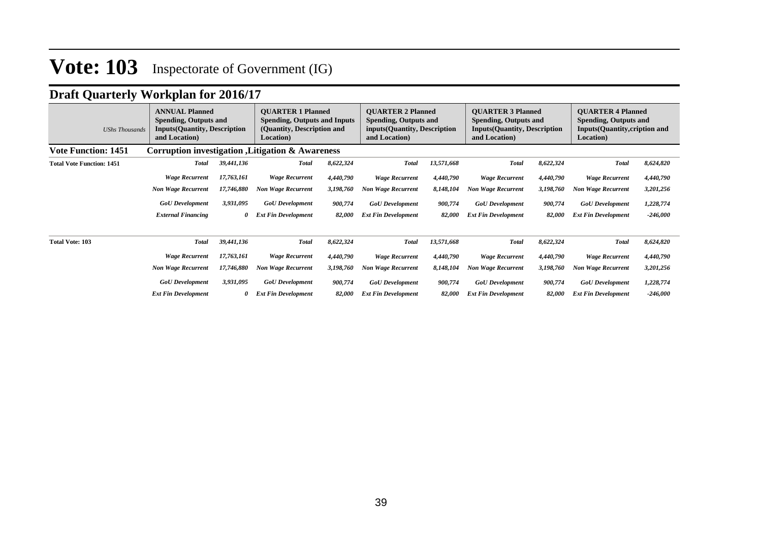## **Draft Quarterly Workplan for 2016/17**

| <b>UShs Thousands</b>            | <b>ANNUAL Planned</b><br><b>Spending, Outputs and</b><br><b>Inputs(Quantity, Description</b><br>and Location) |            | <b>OUARTER 1 Planned</b><br><b>Spending, Outputs and Inputs</b><br>(Quantity, Description and<br><b>Location</b> ) |           | <b>OUARTER 2 Planned</b><br><b>Spending, Outputs and</b><br>inputs(Quantity, Description<br>and Location) |            | <b>OUARTER 3 Planned</b><br><b>Spending, Outputs and</b><br><b>Inputs(Quantity, Description</b><br>and Location) |           | <b>OUARTER 4 Planned</b><br><b>Spending, Outputs and</b><br><b>Inputs(Quantity, cription and</b><br>Location) |            |
|----------------------------------|---------------------------------------------------------------------------------------------------------------|------------|--------------------------------------------------------------------------------------------------------------------|-----------|-----------------------------------------------------------------------------------------------------------|------------|------------------------------------------------------------------------------------------------------------------|-----------|---------------------------------------------------------------------------------------------------------------|------------|
| <b>Vote Function: 1451</b>       |                                                                                                               |            | Corruption investigation , Litigation & Awareness                                                                  |           |                                                                                                           |            |                                                                                                                  |           |                                                                                                               |            |
| <b>Total Vote Function: 1451</b> | <b>Total</b>                                                                                                  | 39,441,136 | <b>Total</b>                                                                                                       | 8,622,324 | <b>Total</b>                                                                                              | 13,571,668 | <b>Total</b>                                                                                                     | 8,622,324 | <b>Total</b>                                                                                                  | 8,624,820  |
|                                  | <b>Wage Recurrent</b>                                                                                         | 17,763,161 | <b>Wage Recurrent</b>                                                                                              | 4,440,790 | <b>Wage Recurrent</b>                                                                                     | 4,440,790  | <b>Wage Recurrent</b>                                                                                            | 4,440,790 | <b>Wage Recurrent</b>                                                                                         | 4,440,790  |
|                                  | <b>Non Wage Recurrent</b>                                                                                     | 17,746,880 | <b>Non Wage Recurrent</b>                                                                                          | 3,198,760 | <b>Non Wage Recurrent</b>                                                                                 | 8,148,104  | <b>Non Wage Recurrent</b>                                                                                        | 3,198,760 | <b>Non Wage Recurrent</b>                                                                                     | 3,201,256  |
|                                  | <b>GoU</b> Development                                                                                        | 3,931,095  | <b>GoU</b> Development                                                                                             | 900,774   | <b>GoU</b> Development                                                                                    | 900,774    | <b>GoU</b> Development                                                                                           | 900,774   | <b>GoU</b> Development                                                                                        | 1,228,774  |
|                                  | <b>External Financing</b>                                                                                     | 0          | <b>Ext Fin Development</b>                                                                                         | 82,000    | <b>Ext Fin Development</b>                                                                                | 82,000     | <b>Ext Fin Development</b>                                                                                       | 82,000    | <b>Ext Fin Development</b>                                                                                    | $-246,000$ |
| <b>Total Vote: 103</b>           | <b>Total</b>                                                                                                  | 39,441,136 | <b>Total</b>                                                                                                       | 8,622,324 | <b>Total</b>                                                                                              | 13,571,668 | <b>Total</b>                                                                                                     | 8,622,324 | <b>Total</b>                                                                                                  | 8,624,820  |
|                                  | <b>Wage Recurrent</b>                                                                                         | 17,763,161 | <b>Wage Recurrent</b>                                                                                              | 4,440,790 | <b>Wage Recurrent</b>                                                                                     | 4,440,790  | <b>Wage Recurrent</b>                                                                                            | 4,440,790 | <b>Wage Recurrent</b>                                                                                         | 4,440,790  |
|                                  | <b>Non Wage Recurrent</b>                                                                                     | 17,746,880 | <b>Non Wage Recurrent</b>                                                                                          | 3,198,760 | <b>Non Wage Recurrent</b>                                                                                 | 8,148,104  | <b>Non Wage Recurrent</b>                                                                                        | 3,198,760 | <b>Non Wage Recurrent</b>                                                                                     | 3,201,256  |
|                                  | <b>GoU</b> Development                                                                                        | 3,931,095  | <b>GoU</b> Development                                                                                             | 900,774   | <b>GoU</b> Development                                                                                    | 900,774    | <b>GoU</b> Development                                                                                           | 900,774   | <b>GoU</b> Development                                                                                        | 1,228,774  |
|                                  | <b>Ext Fin Development</b>                                                                                    |            | <b>Ext Fin Development</b>                                                                                         | 82,000    | <b>Ext Fin Development</b>                                                                                | 82,000     | <b>Ext Fin Development</b>                                                                                       | 82,000    | <b>Ext Fin Development</b>                                                                                    | $-246,000$ |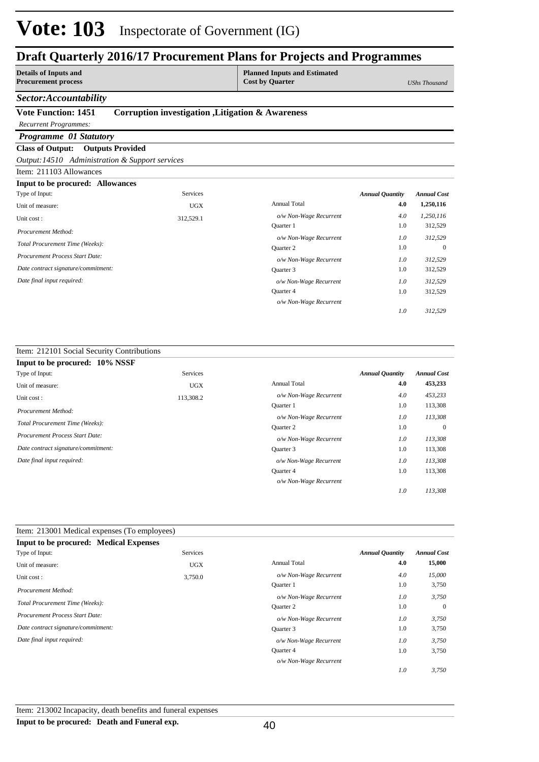### **Draft Quarterly 2016/17 Procurement Plans for Projects and Programmes**

**Details of Inputs and Procurement process** **Planned Inputs and Estimated Cost by Quarter** *UShs Thousand*

### *Sector:Accountability*

### **Vote Function: 1451 Corruption investigation ,Litigation & Awareness**

### *Recurrent Programmes:*

### *Programme 01 Statutory*

### **Class of Output: Outputs Provided**

*Output:14510 Administration & Support services*

### Item: 211103 Allowances

| <b>Input to be procured: Allowances</b> |            |                        |                        |                    |
|-----------------------------------------|------------|------------------------|------------------------|--------------------|
| Type of Input:                          | Services   |                        | <b>Annual Quantity</b> | <b>Annual Cost</b> |
| Unit of measure:                        | <b>UGX</b> | <b>Annual Total</b>    | 4.0                    | 1,250,116          |
| Unit cost:                              | 312,529.1  | o/w Non-Wage Recurrent | 4.0                    | 1,250,116          |
| Procurement Method:                     |            | <b>Ouarter</b> 1       | 1.0                    | 312,529            |
|                                         |            | o/w Non-Wage Recurrent | 1.0                    | 312,529            |
| Total Procurement Time (Weeks):         |            | Quarter 2              | 1.0                    | $\overline{0}$     |
| Procurement Process Start Date:         |            | o/w Non-Wage Recurrent | 1.0                    | 312,529            |
| Date contract signature/commitment:     |            | Quarter 3              | 1.0                    | 312,529            |
| Date final input required:              |            | o/w Non-Wage Recurrent | 1.0                    | 312,529            |
|                                         |            | Quarter 4              | 1.0                    | 312,529            |
|                                         |            | o/w Non-Wage Recurrent |                        |                    |
|                                         |            |                        | 1.0                    | 312,529            |

### Item: 212101 Social Security Contributions

| Input to be procured: 10% NSSF      |                 |                        |                        |                    |
|-------------------------------------|-----------------|------------------------|------------------------|--------------------|
| Type of Input:                      | <b>Services</b> |                        | <b>Annual Quantity</b> | <b>Annual Cost</b> |
| Unit of measure:                    | <b>UGX</b>      | <b>Annual Total</b>    | 4.0                    | 453,233            |
| Unit cost:                          | 113,308.2       | o/w Non-Wage Recurrent | 4.0                    | 453,233            |
| Procurement Method:                 |                 | Quarter 1              | 1.0                    | 113,308            |
|                                     |                 | o/w Non-Wage Recurrent | 1.0                    | 113,308            |
| Total Procurement Time (Weeks):     |                 | Quarter 2              | 1.0                    | $\overline{0}$     |
| Procurement Process Start Date:     |                 | o/w Non-Wage Recurrent | 1.0                    | 113,308            |
| Date contract signature/commitment: |                 | Quarter 3              | 1.0                    | 113,308            |
| Date final input required:          |                 | o/w Non-Wage Recurrent | 1.0                    | 113,308            |
|                                     |                 | Quarter 4              | 1.0                    | 113,308            |
|                                     |                 | o/w Non-Wage Recurrent |                        |                    |
|                                     |                 |                        | 1.0                    | 113.308            |

| Item: 213001 Medical expenses (To employees)  |                 |                        |                        |                    |
|-----------------------------------------------|-----------------|------------------------|------------------------|--------------------|
| <b>Input to be procured: Medical Expenses</b> |                 |                        |                        |                    |
| Type of Input:                                | <b>Services</b> |                        | <b>Annual Quantity</b> | <b>Annual Cost</b> |
| Unit of measure:                              | <b>UGX</b>      | <b>Annual Total</b>    | 4.0                    | 15,000             |
| Unit cost:                                    | 3,750.0         | o/w Non-Wage Recurrent | 4.0                    | 15,000             |
| Procurement Method:                           |                 | <b>Ouarter</b> 1       | 1.0                    | 3,750              |
|                                               |                 | o/w Non-Wage Recurrent | 1.0                    | 3,750              |
| Total Procurement Time (Weeks):               |                 | Quarter 2              | 1.0                    | $\mathbf{0}$       |
| <b>Procurement Process Start Date:</b>        |                 | o/w Non-Wage Recurrent | 1.0                    | 3,750              |
| Date contract signature/commitment:           |                 | Quarter 3              | 1.0                    | 3,750              |
| Date final input required:                    |                 | o/w Non-Wage Recurrent | 1.0                    | 3,750              |
|                                               |                 | <b>Ouarter 4</b>       | 1.0                    | 3,750              |
|                                               |                 | o/w Non-Wage Recurrent |                        |                    |
|                                               |                 |                        | 1.0                    | 3,750              |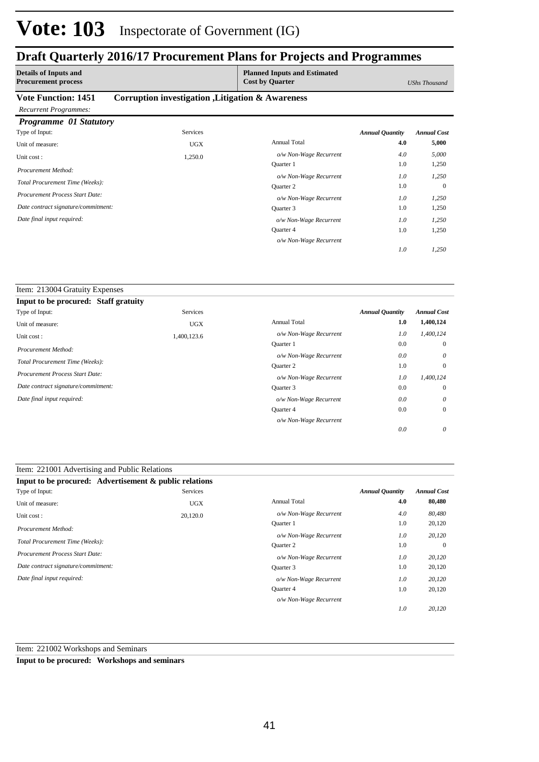### **Draft Quarterly 2016/17 Procurement Plans for Projects and Programmes**

| <b>Details of Inputs and</b><br><b>Procurement process</b> |                                                   | <b>Planned Inputs and Estimated</b><br><b>Cost by Quarter</b> |                        | UShs Thousand      |
|------------------------------------------------------------|---------------------------------------------------|---------------------------------------------------------------|------------------------|--------------------|
| <b>Vote Function: 1451</b>                                 | Corruption investigation , Litigation & Awareness |                                                               |                        |                    |
| <b>Recurrent Programmes:</b>                               |                                                   |                                                               |                        |                    |
| Programme 01 Statutory                                     |                                                   |                                                               |                        |                    |
| Type of Input:                                             | <b>Services</b>                                   |                                                               | <b>Annual Quantity</b> | <b>Annual Cost</b> |
| Unit of measure:                                           | <b>UGX</b>                                        | <b>Annual Total</b>                                           | 4.0                    | 5,000              |
| Unit cost:                                                 | 1,250.0                                           | o/w Non-Wage Recurrent                                        | 4.0                    | 5,000              |
| Procurement Method:                                        |                                                   | <b>Ouarter</b> 1                                              | 1.0                    | 1,250              |
|                                                            |                                                   | o/w Non-Wage Recurrent                                        | 1.0                    | 1,250              |
| Total Procurement Time (Weeks):                            |                                                   | Quarter 2                                                     | 1.0                    | $\theta$           |
| Procurement Process Start Date:                            |                                                   | o/w Non-Wage Recurrent                                        | 1.0                    | 1,250              |
| Date contract signature/commitment:                        |                                                   | Quarter 3                                                     | 1.0                    | 1,250              |
| Date final input required:                                 |                                                   | o/w Non-Wage Recurrent                                        | 1.0                    | 1,250              |
|                                                            |                                                   | Quarter 4                                                     | 1.0                    | 1,250              |

*o/w Non-Wage Recurrent*

*1,250*

*1.0*

| Item: 213004 Gratuity Expenses         |             |                        |                        |                    |
|----------------------------------------|-------------|------------------------|------------------------|--------------------|
| Input to be procured: Staff gratuity   |             |                        |                        |                    |
| Type of Input:                         | Services    |                        | <b>Annual Quantity</b> | <b>Annual Cost</b> |
| Unit of measure:                       | <b>UGX</b>  | <b>Annual Total</b>    | 1.0                    | 1,400,124          |
| Unit cost:                             | 1,400,123.6 | o/w Non-Wage Recurrent | 1.0                    | 1,400,124          |
| Procurement Method:                    |             | Quarter 1              | 0.0                    | $\theta$           |
|                                        |             | o/w Non-Wage Recurrent | 0.0                    | $\theta$           |
| Total Procurement Time (Weeks):        |             | Quarter 2              | 1.0                    | $\mathbf{0}$       |
| <b>Procurement Process Start Date:</b> |             | o/w Non-Wage Recurrent | 1.0                    | 1,400,124          |
| Date contract signature/commitment:    |             | Quarter 3              | 0.0                    | $\mathbf{0}$       |
| Date final input required:             |             | o/w Non-Wage Recurrent | 0.0                    | $\theta$           |
|                                        |             | <b>Ouarter 4</b>       | 0.0                    | $\mathbf{0}$       |
|                                        |             | o/w Non-Wage Recurrent |                        |                    |
|                                        |             |                        | 0.0                    | $\theta$           |

| Item: 221001 Advertising and Public Relations          |                 |                        |                        |                    |
|--------------------------------------------------------|-----------------|------------------------|------------------------|--------------------|
| Input to be procured: Advertisement & public relations |                 |                        |                        |                    |
| Type of Input:                                         | <b>Services</b> |                        | <b>Annual Quantity</b> | <b>Annual Cost</b> |
| Unit of measure:                                       | <b>UGX</b>      | <b>Annual Total</b>    | 4.0                    | 80,480             |
| Unit cost:                                             | 20,120.0        | o/w Non-Wage Recurrent | 4.0                    | 80,480             |
|                                                        |                 | Quarter 1              | 1.0                    | 20,120             |
| Procurement Method:                                    |                 | o/w Non-Wage Recurrent | 1.0                    | 20,120             |
| Total Procurement Time (Weeks):                        |                 | <b>Ouarter 2</b>       | 1.0                    | $\Omega$           |
| <b>Procurement Process Start Date:</b>                 |                 | o/w Non-Wage Recurrent | 1.0                    | 20,120             |
| Date contract signature/commitment:                    |                 | Quarter 3              | 1.0                    | 20,120             |
| Date final input required:                             |                 | o/w Non-Wage Recurrent | 1.0                    | 20,120             |
|                                                        |                 | <b>Ouarter 4</b>       | 1.0                    | 20,120             |
|                                                        |                 | o/w Non-Wage Recurrent |                        |                    |
|                                                        |                 |                        | 1.0                    | 20,120             |

Item: 221002 Workshops and Seminars

**Input to be procured: Workshops and seminars**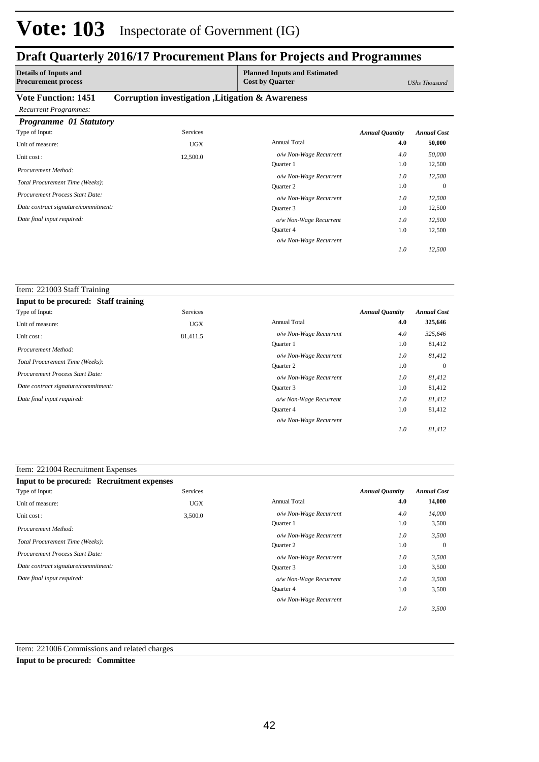### **Draft Quarterly 2016/17 Procurement Plans for Projects and Programmes**

| <b>Details of Inputs and</b><br><b>Procurement process</b> |                                                   | <b>Planned Inputs and Estimated</b><br><b>Cost by Quarter</b> |                        | UShs Thousand      |
|------------------------------------------------------------|---------------------------------------------------|---------------------------------------------------------------|------------------------|--------------------|
| <b>Vote Function: 1451</b>                                 | Corruption investigation , Litigation & Awareness |                                                               |                        |                    |
| <b>Recurrent Programmes:</b>                               |                                                   |                                                               |                        |                    |
| <b>Programme 01 Statutory</b>                              |                                                   |                                                               |                        |                    |
| Type of Input:                                             | Services                                          |                                                               | <b>Annual Quantity</b> | <b>Annual Cost</b> |
| Unit of measure:                                           | <b>UGX</b>                                        | <b>Annual Total</b>                                           | 4.0                    | 50,000             |
| Unit cost:                                                 | 12,500.0                                          | o/w Non-Wage Recurrent                                        | 4.0                    | 50,000             |
| Procurement Method:                                        |                                                   | <b>Ouarter</b> 1                                              | 1.0                    | 12,500             |
|                                                            |                                                   | o/w Non-Wage Recurrent                                        | 1.0                    | 12,500             |
| Total Procurement Time (Weeks):                            |                                                   | Quarter 2                                                     | 1.0                    | $\Omega$           |
| <b>Procurement Process Start Date:</b>                     |                                                   | o/w Non-Wage Recurrent                                        | 1.0                    | 12,500             |
| Date contract signature/commitment:                        |                                                   | Quarter 3                                                     | 1.0                    | 12,500             |
| Date final input required:                                 |                                                   | o/w Non-Wage Recurrent                                        | 1.0                    | 12,500             |
|                                                            |                                                   | Quarter 4                                                     | 1.0                    | 12,500             |

*o/w Non-Wage Recurrent*

*12,500*

*1.0*

| Item: 221003 Staff Training            |                 |                        |                        |                    |
|----------------------------------------|-----------------|------------------------|------------------------|--------------------|
| Input to be procured: Staff training   |                 |                        |                        |                    |
| Type of Input:                         | <b>Services</b> |                        | <b>Annual Quantity</b> | <b>Annual Cost</b> |
| Unit of measure:                       | <b>UGX</b>      | Annual Total           | 4.0                    | 325,646            |
| Unit cost:                             | 81,411.5        | o/w Non-Wage Recurrent | 4.0                    | 325,646            |
|                                        |                 | <b>Ouarter</b> 1       | 1.0                    | 81,412             |
| Procurement Method:                    |                 | o/w Non-Wage Recurrent | 1.0                    | 81,412             |
| Total Procurement Time (Weeks):        |                 | <b>Ouarter 2</b>       | 1.0                    | $\theta$           |
| <b>Procurement Process Start Date:</b> |                 | o/w Non-Wage Recurrent | 1.0                    | 81,412             |
| Date contract signature/commitment:    |                 | Quarter 3              | 1.0                    | 81,412             |
| Date final input required:             |                 | o/w Non-Wage Recurrent | 1.0                    | 81,412             |
|                                        |                 | Quarter 4              | 1.0                    | 81,412             |
|                                        |                 | o/w Non-Wage Recurrent |                        |                    |
|                                        |                 |                        | 1.0                    | 81,412             |

### Item: 221004 Recruitment Expenses

| Input to be procured: Recruitment expenses |            |                        |                        |                    |
|--------------------------------------------|------------|------------------------|------------------------|--------------------|
| Type of Input:                             | Services   |                        | <b>Annual Quantity</b> | <b>Annual Cost</b> |
| Unit of measure:                           | <b>UGX</b> | <b>Annual Total</b>    | 4.0                    | 14,000             |
| Unit cost:                                 | 3,500.0    | o/w Non-Wage Recurrent | 4.0                    | 14,000             |
| Procurement Method:                        |            | Ouarter 1              | 1.0                    | 3,500              |
|                                            |            | o/w Non-Wage Recurrent | 1.0                    | 3,500              |
| Total Procurement Time (Weeks):            |            | Quarter 2              | 1.0                    | $\mathbf{0}$       |
| Procurement Process Start Date:            |            | o/w Non-Wage Recurrent | 1.0                    | 3,500              |
| Date contract signature/commitment:        |            | Quarter 3              | 1.0                    | 3,500              |
| Date final input required:                 |            | o/w Non-Wage Recurrent | 1.0                    | 3,500              |
|                                            |            | Quarter 4              | 1.0                    | 3,500              |
|                                            |            | o/w Non-Wage Recurrent |                        |                    |
|                                            |            |                        | 1.0                    | 3,500              |

Item: 221006 Commissions and related charges

**Input to be procured: Committee**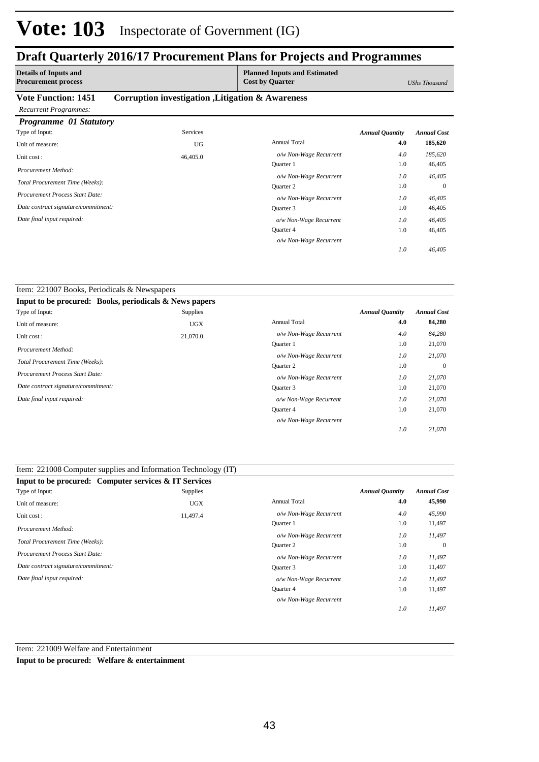## **Draft Quarterly 2016/17 Procurement Plans for Projects and Programmes**

| <b>Details of Inputs and</b><br><b>Procurement process</b> |                                                   | <b>Planned Inputs and Estimated</b><br><b>Cost by Quarter</b> |                        | <b>UShs Thousand</b> |
|------------------------------------------------------------|---------------------------------------------------|---------------------------------------------------------------|------------------------|----------------------|
| <b>Vote Function: 1451</b>                                 | Corruption investigation , Litigation & Awareness |                                                               |                        |                      |
| <b>Recurrent Programmes:</b>                               |                                                   |                                                               |                        |                      |
| <b>Programme 01 Statutory</b>                              |                                                   |                                                               |                        |                      |
| Type of Input:                                             | Services                                          |                                                               | <b>Annual Quantity</b> | <b>Annual Cost</b>   |
| Unit of measure:                                           | UG                                                | <b>Annual Total</b>                                           | 4.0                    | 185,620              |
| Unit cost:                                                 | 46,405.0                                          | o/w Non-Wage Recurrent                                        | 4.0                    | 185,620              |
| Procurement Method:                                        |                                                   | <b>Ouarter</b> 1                                              | 1.0                    | 46,405               |
|                                                            |                                                   | o/w Non-Wage Recurrent                                        | 1.0                    | 46,405               |
| Total Procurement Time (Weeks):                            |                                                   | Quarter 2                                                     | 1.0                    | $\Omega$             |
| <b>Procurement Process Start Date:</b>                     |                                                   | o/w Non-Wage Recurrent                                        | 1.0                    | 46,405               |
| Date contract signature/commitment:                        |                                                   | Quarter 3                                                     | 1.0                    | 46,405               |
| Date final input required:                                 |                                                   | o/w Non-Wage Recurrent                                        | 1.0                    | 46,405               |
|                                                            |                                                   | Quarter 4                                                     | 1.0                    | 46,405               |

*o/w Non-Wage Recurrent*

*46,405*

*11,497*

*1.0*

*1.0*

| Item: 221007 Books, Periodicals & Newspapers           |            |                        |                        |                    |
|--------------------------------------------------------|------------|------------------------|------------------------|--------------------|
| Input to be procured: Books, periodicals & News papers |            |                        |                        |                    |
| Type of Input:                                         | Supplies   |                        | <b>Annual Quantity</b> | <b>Annual Cost</b> |
| Unit of measure:                                       | <b>UGX</b> | <b>Annual Total</b>    | 4.0                    | 84,280             |
| Unit cost:                                             | 21,070.0   | o/w Non-Wage Recurrent | 4.0                    | 84,280             |
| Procurement Method:                                    |            | <b>Ouarter</b> 1       | 1.0                    | 21,070             |
|                                                        |            | o/w Non-Wage Recurrent | 1.0                    | 21,070             |
| Total Procurement Time (Weeks):                        |            | Quarter 2              | 1.0                    | $\mathbf{0}$       |
| Procurement Process Start Date:                        |            | o/w Non-Wage Recurrent | 1.0                    | 21,070             |
| Date contract signature/commitment:                    |            | Quarter 3              | 1.0                    | 21,070             |
| Date final input required:                             |            | o/w Non-Wage Recurrent | 1.0                    | 21,070             |
|                                                        |            | Quarter 4              | 1.0                    | 21,070             |
|                                                        |            | o/w Non-Wage Recurrent |                        |                    |
|                                                        |            |                        | 1.0                    | 21,070             |

| Item: 221008 Computer supplies and Information Technology (IT) |            |                        |                        |                    |
|----------------------------------------------------------------|------------|------------------------|------------------------|--------------------|
| Input to be procured: Computer services & IT Services          |            |                        |                        |                    |
| Type of Input:                                                 | Supplies   |                        | <b>Annual Quantity</b> | <b>Annual Cost</b> |
| Unit of measure:                                               | <b>UGX</b> | <b>Annual Total</b>    | 4.0                    | 45,990             |
| Unit cost:                                                     | 11,497.4   | o/w Non-Wage Recurrent | 4.0                    | 45,990             |
| Procurement Method:                                            |            | <b>Ouarter 1</b>       | 1.0                    | 11,497             |
|                                                                |            | o/w Non-Wage Recurrent | 1.0                    | 11,497             |
| Total Procurement Time (Weeks):                                |            | Quarter 2              | 1.0                    | $\theta$           |
| <b>Procurement Process Start Date:</b>                         |            | o/w Non-Wage Recurrent | 1.0                    | 11,497             |
| Date contract signature/commitment:                            |            | Quarter 3              | 1.0                    | 11,497             |
| Date final input required:                                     |            | o/w Non-Wage Recurrent | 1.0                    | 11,497             |
|                                                                |            | Quarter 4              | 1.0                    | 11,497             |

Item: 221009 Welfare and Entertainment

**Input to be procured: Welfare & entertainment**

*o/w Non-Wage Recurrent*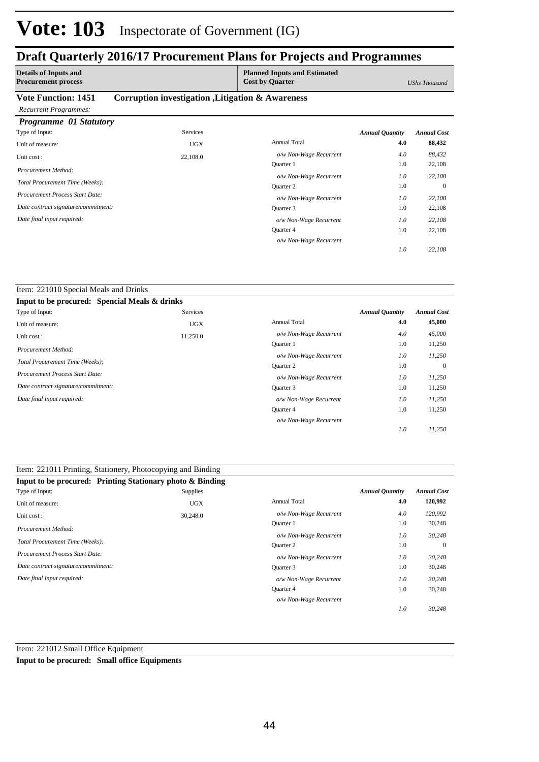### **Draft Quarterly 2016/17 Procurement Plans for Projects and Programmes**

| <b>Details of Inputs and</b><br><b>Procurement process</b> |                                                   | <b>Planned Inputs and Estimated</b><br><b>Cost by Quarter</b> |                        | UShs Thousand      |
|------------------------------------------------------------|---------------------------------------------------|---------------------------------------------------------------|------------------------|--------------------|
| <b>Vote Function: 1451</b>                                 | Corruption investigation , Litigation & Awareness |                                                               |                        |                    |
| <b>Recurrent Programmes:</b>                               |                                                   |                                                               |                        |                    |
| <b>Programme 01 Statutory</b>                              |                                                   |                                                               |                        |                    |
| Type of Input:                                             | <b>Services</b>                                   |                                                               | <b>Annual Quantity</b> | <b>Annual Cost</b> |
| Unit of measure:                                           | <b>UGX</b>                                        | <b>Annual Total</b>                                           | 4.0                    | 88,432             |
| Unit cost:                                                 | 22,108.0                                          | o/w Non-Wage Recurrent                                        | 4.0                    | 88,432             |
| Procurement Method:                                        |                                                   | Quarter 1                                                     | 1.0                    | 22,108             |
|                                                            |                                                   | o/w Non-Wage Recurrent                                        | 1.0                    | 22,108             |
| Total Procurement Time (Weeks):                            |                                                   | <b>Ouarter 2</b>                                              | 1.0                    | $\Omega$           |
| Procurement Process Start Date:                            |                                                   | o/w Non-Wage Recurrent                                        | 1.0                    | 22,108             |
| Date contract signature/commitment:                        |                                                   | Quarter 3                                                     | 1.0                    | 22,108             |
| Date final input required:                                 |                                                   | o/w Non-Wage Recurrent                                        | 1.0                    | 22,108             |
|                                                            |                                                   | Quarter 4                                                     | 1.0                    | 22,108             |
|                                                            |                                                   | o/w Non-Wage Recurrent                                        |                        |                    |

*22,108*

*1.0*

#### Item: 221010 Special Meals and Drinks **Input to be procured: Spencial Meals & drinks** Annual Total **4.0 45,000** 11,250 0 11,250 11,250 1.0 1.0 1.0 1.0 *Annual Quantity Annual Cost o/w Non-Wage Recurrent 4.0 45,000 11,250 11,250 11,250 11,250 1.0 1.0 1.0 1.0* Quarter 1 *o/w Non-Wage Recurrent* Quarter 2 *o/w Non-Wage Recurrent* Quarter 3 Quarter 4 *o/w Non-Wage Recurrent o/w Non-Wage Recurrent* Services Unit of measure: UGX Unit cost : 11,250.0 *Total Procurement Time (Weeks): Date contract signature/commitment: Procurement Process Start Date: Date final input required: Procurement Method:* Type of Input:

| Item: 221011 Printing, Stationery, Photocopying and Binding |            |                        |                        |                    |
|-------------------------------------------------------------|------------|------------------------|------------------------|--------------------|
| Input to be procured: Printing Stationary photo & Binding   |            |                        |                        |                    |
| Type of Input:                                              | Supplies   |                        | <b>Annual Quantity</b> | <b>Annual Cost</b> |
| Unit of measure:                                            | <b>UGX</b> | <b>Annual Total</b>    | 4.0                    | 120,992            |
| Unit cost:                                                  | 30,248.0   | o/w Non-Wage Recurrent | 4.0                    | 120,992            |
| Procurement Method:                                         |            | Quarter 1              | 1.0                    | 30,248             |
|                                                             |            | o/w Non-Wage Recurrent | 1.0                    | 30,248             |
| Total Procurement Time (Weeks):                             |            | <b>Ouarter 2</b>       | 1.0                    | $\overline{0}$     |
| <b>Procurement Process Start Date:</b>                      |            | o/w Non-Wage Recurrent | 1.0                    | 30,248             |
| Date contract signature/commitment:                         |            | Quarter 3              | 1.0                    | 30,248             |
| Date final input required:                                  |            | o/w Non-Wage Recurrent | 1.0                    | 30,248             |
|                                                             |            | <b>Ouarter 4</b>       | 1.0                    | 30,248             |
|                                                             |            | o/w Non-Wage Recurrent |                        |                    |
|                                                             |            |                        | 1.0                    | 30,248             |

Item: 221012 Small Office Equipment

**Input to be procured: Small office Equipments**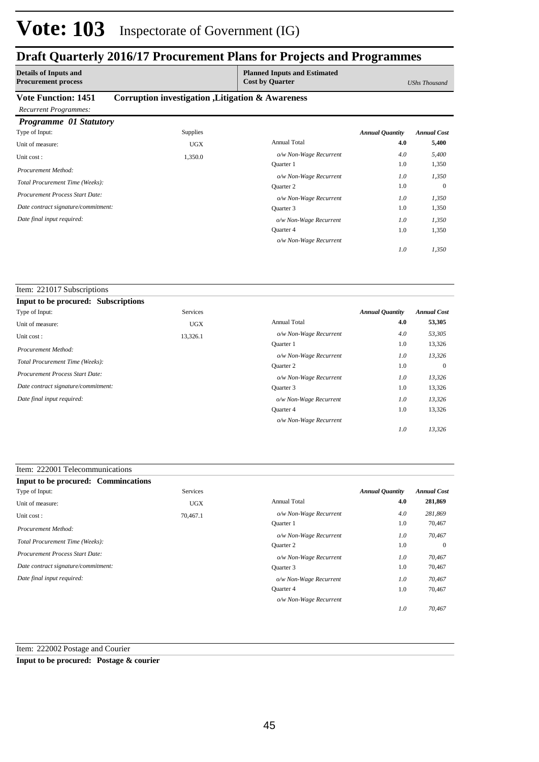### **Draft Quarterly 2016/17 Procurement Plans for Projects and Programmes**

| <b>Details of Inputs and</b><br><b>Procurement process</b> |                                                   | <b>Planned Inputs and Estimated</b><br><b>Cost by Quarter</b> |                        | UShs Thousand      |
|------------------------------------------------------------|---------------------------------------------------|---------------------------------------------------------------|------------------------|--------------------|
| <b>Vote Function: 1451</b>                                 | Corruption investigation , Litigation & Awareness |                                                               |                        |                    |
| <b>Recurrent Programmes:</b>                               |                                                   |                                                               |                        |                    |
| Programme 01 Statutory                                     |                                                   |                                                               |                        |                    |
| Type of Input:                                             | <b>Supplies</b>                                   |                                                               | <b>Annual Quantity</b> | <b>Annual Cost</b> |
| Unit of measure:                                           | <b>UGX</b>                                        | <b>Annual Total</b>                                           | 4.0                    | 5,400              |
| Unit cost:                                                 | 1,350.0                                           | o/w Non-Wage Recurrent                                        | 4.0                    | 5,400              |
| Procurement Method:                                        |                                                   | <b>Ouarter</b> 1                                              | 1.0                    | 1,350              |
|                                                            |                                                   | o/w Non-Wage Recurrent                                        | 1.0                    | 1,350              |
| Total Procurement Time (Weeks):                            |                                                   | Quarter 2                                                     | 1.0                    | $\mathbf{0}$       |
| Procurement Process Start Date:                            |                                                   | o/w Non-Wage Recurrent                                        | 1.0                    | 1,350              |
| Date contract signature/commitment:                        |                                                   | Quarter 3                                                     | 1.0                    | 1,350              |
| Date final input required:                                 |                                                   | o/w Non-Wage Recurrent                                        | 1.0                    | 1,350              |
|                                                            |                                                   | Quarter 4                                                     | 1.0                    | 1,350              |

*o/w Non-Wage Recurrent*

*1,350*

*1.0*

| Item: 221017 Subscriptions                 |            |                        |                        |                    |
|--------------------------------------------|------------|------------------------|------------------------|--------------------|
| <b>Input to be procured: Subscriptions</b> |            |                        |                        |                    |
| Type of Input:                             | Services   |                        | <b>Annual Quantity</b> | <b>Annual Cost</b> |
| Unit of measure:                           | <b>UGX</b> | <b>Annual Total</b>    | 4.0                    | 53,305             |
| Unit cost:                                 | 13,326.1   | o/w Non-Wage Recurrent | 4.0                    | 53,305             |
| Procurement Method:                        |            | <b>Ouarter</b> 1       | 1.0                    | 13,326             |
|                                            |            | o/w Non-Wage Recurrent | 1.0                    | 13,326             |
| Total Procurement Time (Weeks):            |            | <b>Ouarter 2</b>       | 1.0                    | $\mathbf{0}$       |
| <b>Procurement Process Start Date:</b>     |            | o/w Non-Wage Recurrent | 1.0                    | 13,326             |
| Date contract signature/commitment:        |            | Quarter 3              | 1.0                    | 13,326             |
| Date final input required:                 |            | o/w Non-Wage Recurrent | 1.0                    | 13,326             |
|                                            |            | Quarter 4              | 1.0                    | 13,326             |
|                                            |            | o/w Non-Wage Recurrent |                        |                    |
|                                            |            |                        | 1.0                    | 13,326             |

| Item: 222001 Telecommunications |
|---------------------------------|
|                                 |

| Input to be procured: Commincations    |            |                        |                        |                    |
|----------------------------------------|------------|------------------------|------------------------|--------------------|
| Type of Input:                         | Services   |                        | <b>Annual Quantity</b> | <b>Annual Cost</b> |
| Unit of measure:                       | <b>UGX</b> | <b>Annual Total</b>    | 4.0                    | 281,869            |
| Unit cost:                             | 70,467.1   | o/w Non-Wage Recurrent | 4.0                    | 281,869            |
| Procurement Method:                    |            | Quarter 1              | 1.0                    | 70,467             |
|                                        |            | o/w Non-Wage Recurrent | 1.0                    | 70,467             |
| Total Procurement Time (Weeks):        |            | Quarter 2              | 1.0                    | $\theta$           |
| <b>Procurement Process Start Date:</b> |            | o/w Non-Wage Recurrent | 1.0                    | 70,467             |
| Date contract signature/commitment:    |            | Ouarter 3              | 1.0                    | 70,467             |
| Date final input required:             |            | o/w Non-Wage Recurrent | 1.0                    | 70,467             |
|                                        |            | Quarter 4              | 1.0                    | 70,467             |
|                                        |            | o/w Non-Wage Recurrent |                        |                    |
|                                        |            |                        | 1.0                    | 70.467             |

Item: 222002 Postage and Courier

**Input to be procured: Postage & courier**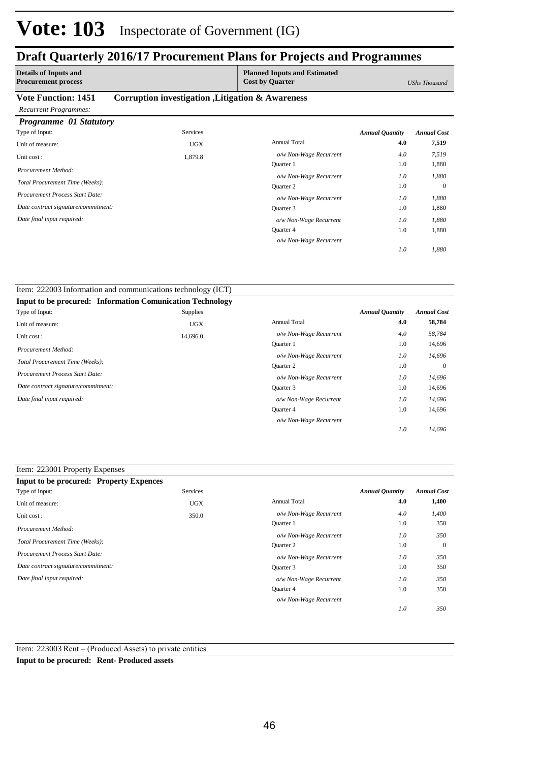### **Draft Quarterly 2016/17 Procurement Plans for Projects and Programmes**

| <b>Procurement process</b><br><b>Cost by Quarter</b><br>UShs Thousand           |                    |
|---------------------------------------------------------------------------------|--------------------|
| <b>Vote Function: 1451</b><br>Corruption investigation , Litigation & Awareness |                    |
| <b>Recurrent Programmes:</b>                                                    |                    |
| Programme 01 Statutory                                                          |                    |
| Type of Input:<br><b>Services</b><br><b>Annual Quantity</b>                     | <b>Annual Cost</b> |
| <b>Annual Total</b><br>4.0<br>Unit of measure:<br><b>UGX</b>                    | 7,519              |
| 4.0<br>o/w Non-Wage Recurrent<br>1,879.8<br>Unit cost:                          | 7,519              |
| 1.0<br>Quarter 1<br>Procurement Method:                                         | 1,880              |
| o/w Non-Wage Recurrent<br>1.0                                                   | 1,880              |
| Total Procurement Time (Weeks):<br>1.0<br><b>Ouarter 2</b>                      | $\mathbf{0}$       |
| Procurement Process Start Date:<br>1.0<br>o/w Non-Wage Recurrent                | 1,880              |
| Date contract signature/commitment:<br>1.0<br>Quarter 3                         | 1,880              |
| Date final input required:<br>1.0<br>o/w Non-Wage Recurrent                     | 1,880              |
| Quarter 4<br>1.0                                                                | 1,880              |

*o/w Non-Wage Recurrent*

*1,880*

*1.0*

| Item: 222003 Information and communications technology (ICT)     |            |                        |                        |                    |
|------------------------------------------------------------------|------------|------------------------|------------------------|--------------------|
| <b>Input to be procured: Information Comunication Technology</b> |            |                        |                        |                    |
| Type of Input:                                                   | Supplies   |                        | <b>Annual Quantity</b> | <b>Annual Cost</b> |
| Unit of measure:                                                 | <b>UGX</b> | <b>Annual Total</b>    | 4.0                    | 58,784             |
| Unit cost:                                                       | 14,696.0   | o/w Non-Wage Recurrent | 4.0                    | 58,784             |
|                                                                  |            | <b>Ouarter</b> 1       | 1.0                    | 14,696             |
| Procurement Method:                                              |            | o/w Non-Wage Recurrent | $1.0\,$                | 14,696             |
| Total Procurement Time (Weeks):                                  |            | Quarter 2              | 1.0                    | $\Omega$           |
| Procurement Process Start Date:                                  |            | o/w Non-Wage Recurrent | 1.0                    | 14,696             |
| Date contract signature/commitment:                              |            | Ouarter 3              | 1.0                    | 14,696             |
| Date final input required:                                       |            | o/w Non-Wage Recurrent | 1.0                    | 14,696             |
|                                                                  |            | Quarter 4              | 1.0                    | 14,696             |
|                                                                  |            | o/w Non-Wage Recurrent |                        |                    |
|                                                                  |            |                        | 1.0                    | 14,696             |

### Item: 223001 Property Expenses

| <b>Input to be procured: Property Expences</b> |            |                        |                        |                    |
|------------------------------------------------|------------|------------------------|------------------------|--------------------|
| Type of Input:                                 | Services   |                        | <b>Annual Quantity</b> | <b>Annual Cost</b> |
| Unit of measure:                               | <b>UGX</b> | <b>Annual Total</b>    | 4.0                    | 1,400              |
| Unit cost:                                     | 350.0      | o/w Non-Wage Recurrent | 4.0                    | 1,400              |
| Procurement Method:                            |            | <b>Ouarter</b> 1       | 1.0                    | 350                |
|                                                |            | o/w Non-Wage Recurrent | 1.0                    | 350                |
| Total Procurement Time (Weeks):                |            | Quarter 2              | 1.0                    | $\theta$           |
| <b>Procurement Process Start Date:</b>         |            | o/w Non-Wage Recurrent | 1.0                    | 350                |
| Date contract signature/commitment:            |            | Ouarter 3              | 1.0                    | 350                |
| Date final input required:                     |            | o/w Non-Wage Recurrent | 1.0                    | 350                |
|                                                |            | Quarter 4              | 1.0                    | 350                |
|                                                |            | o/w Non-Wage Recurrent |                        |                    |
|                                                |            |                        | 1.0                    | 350                |

Item: 223003 Rent – (Produced Assets) to private entities

**Input to be procured: Rent- Produced assets**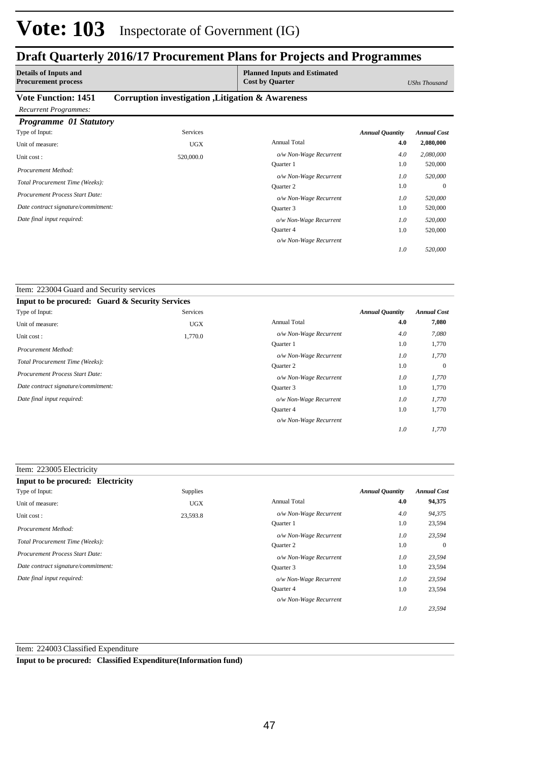### **Draft Quarterly 2016/17 Procurement Plans for Projects and Programmes**

| <b>Details of Inputs and</b><br><b>Procurement process</b> |                                                   | <b>Planned Inputs and Estimated</b><br><b>Cost by Quarter</b> |                        | UShs Thousand      |
|------------------------------------------------------------|---------------------------------------------------|---------------------------------------------------------------|------------------------|--------------------|
| <b>Vote Function: 1451</b>                                 | Corruption investigation , Litigation & Awareness |                                                               |                        |                    |
| <b>Recurrent Programmes:</b>                               |                                                   |                                                               |                        |                    |
| Programme 01 Statutory                                     |                                                   |                                                               |                        |                    |
| Type of Input:                                             | <b>Services</b>                                   |                                                               | <b>Annual Quantity</b> | <b>Annual Cost</b> |
| Unit of measure:                                           | <b>UGX</b>                                        | Annual Total                                                  | 4.0                    | 2,080,000          |
| Unit cost:                                                 | 520,000.0                                         | o/w Non-Wage Recurrent                                        | 4.0                    | 2,080,000          |
| Procurement Method:                                        |                                                   | Quarter 1                                                     | 1.0                    | 520,000            |
|                                                            |                                                   | o/w Non-Wage Recurrent                                        | 1.0                    | 520,000            |
| Total Procurement Time (Weeks):                            |                                                   | <b>Ouarter 2</b>                                              | 1.0                    | $\overline{0}$     |
| Procurement Process Start Date:                            |                                                   | o/w Non-Wage Recurrent                                        | 1.0                    | 520,000            |
| Date contract signature/commitment:                        |                                                   | Ouarter 3                                                     | 1.0                    | 520,000            |

Quarter 4

*o/w Non-Wage Recurrent*

*o/w Non-Wage Recurrent*

520,000

*520,000*

*520,000*

1.0

*1.0*

*1.0*

*Date final input required:* 

Item: 223004 Guard and Security services

| <b>Input to be procured: Guard &amp; Security Services</b> |                 |                        |                        |                    |
|------------------------------------------------------------|-----------------|------------------------|------------------------|--------------------|
| Type of Input:                                             | <b>Services</b> |                        | <b>Annual Quantity</b> | <b>Annual Cost</b> |
| Unit of measure:                                           | <b>UGX</b>      | <b>Annual Total</b>    | 4.0                    | 7,080              |
| Unit cost:                                                 | 1,770.0         | o/w Non-Wage Recurrent | 4.0                    | 7,080              |
| Procurement Method:                                        |                 | <b>Ouarter</b> 1       | 1.0                    | 1,770              |
|                                                            |                 | o/w Non-Wage Recurrent | 1.0                    | 1,770              |
| Total Procurement Time (Weeks):                            |                 | <b>Ouarter 2</b>       | 1.0                    | $\mathbf{0}$       |
| Procurement Process Start Date:                            |                 | o/w Non-Wage Recurrent | 1.0                    | 1,770              |
| Date contract signature/commitment:                        |                 | Quarter 3              | 1.0                    | 1,770              |
| Date final input required:                                 |                 | o/w Non-Wage Recurrent | 1.0                    | 1,770              |
|                                                            |                 | Quarter 4              | 1.0                    | 1,770              |
|                                                            |                 | o/w Non-Wage Recurrent |                        |                    |
|                                                            |                 |                        | 1.0                    | 1.770              |

| Item: 223005 Electricity               |                 |                        |                        |                    |
|----------------------------------------|-----------------|------------------------|------------------------|--------------------|
| Input to be procured: Electricity      |                 |                        |                        |                    |
| Type of Input:                         | <b>Supplies</b> |                        | <b>Annual Quantity</b> | <b>Annual Cost</b> |
| Unit of measure:                       | <b>UGX</b>      | <b>Annual Total</b>    | 4.0                    | 94,375             |
| Unit cost:                             | 23,593.8        | o/w Non-Wage Recurrent | 4.0                    | 94,375             |
| Procurement Method:                    |                 | Quarter 1              | 1.0                    | 23,594             |
|                                        |                 | o/w Non-Wage Recurrent | 1.0                    | 23,594             |
| Total Procurement Time (Weeks):        |                 | Quarter 2              | 1.0                    | $\overline{0}$     |
| <b>Procurement Process Start Date:</b> |                 | o/w Non-Wage Recurrent | 1.0                    | 23,594             |
| Date contract signature/commitment:    |                 | Quarter 3              | 1.0                    | 23,594             |
| Date final input required:             |                 | o/w Non-Wage Recurrent | 1.0                    | 23,594             |
|                                        |                 | Quarter 4              | 1.0                    | 23,594             |
|                                        |                 | o/w Non-Wage Recurrent |                        |                    |
|                                        |                 |                        | 1.0                    | 23,594             |

Item: 224003 Classified Expenditure

**Input to be procured: Classified Expenditure(Information fund)**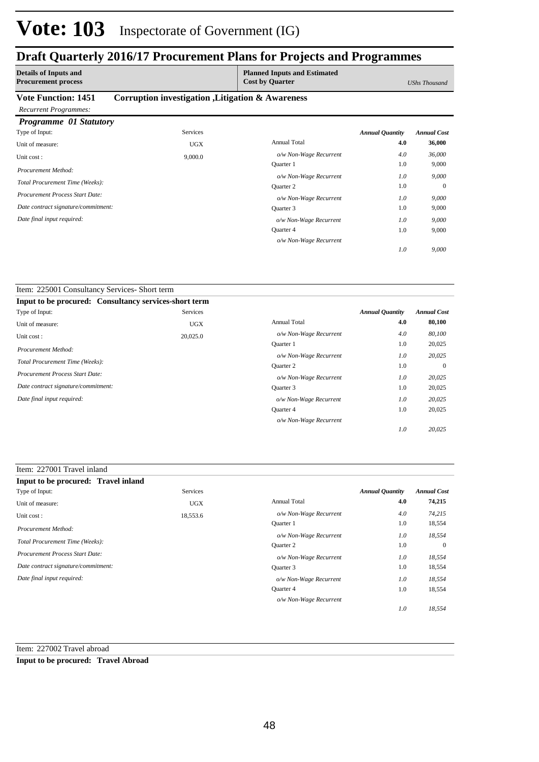### **Draft Quarterly 2016/17 Procurement Plans for Projects and Programmes**

| <b>Details of Inputs and</b><br><b>Procurement process</b> |                                                   | <b>Planned Inputs and Estimated</b><br><b>Cost by Quarter</b> |                        | <b>UShs Thousand</b> |
|------------------------------------------------------------|---------------------------------------------------|---------------------------------------------------------------|------------------------|----------------------|
| <b>Vote Function: 1451</b>                                 | Corruption investigation , Litigation & Awareness |                                                               |                        |                      |
| <b>Recurrent Programmes:</b><br>Programme 01 Statutory     |                                                   |                                                               |                        |                      |
| Type of Input:                                             | <b>Services</b>                                   |                                                               | <b>Annual Quantity</b> | <b>Annual Cost</b>   |
| Unit of measure:                                           | <b>UGX</b>                                        | <b>Annual Total</b>                                           | 4.0                    | 36,000               |
| Unit cost:                                                 | 9,000.0                                           | o/w Non-Wage Recurrent                                        | 4.0                    | 36,000               |
| Procurement Method:                                        |                                                   | <b>Ouarter</b> 1                                              | 1.0                    | 9,000                |
|                                                            |                                                   | o/w Non-Wage Recurrent                                        | 1.0                    | 9,000                |
| Total Procurement Time (Weeks):                            |                                                   | Quarter 2                                                     | 1.0                    | $\theta$             |
| <b>Procurement Process Start Date:</b>                     |                                                   | o/w Non-Wage Recurrent                                        | 1.0                    | 9,000                |
| Date contract signature/commitment:                        |                                                   | Quarter 3                                                     | 1.0                    | 9,000                |
| Date final input required:                                 |                                                   | o/w Non-Wage Recurrent                                        | 1.0                    | 9,000                |
|                                                            |                                                   | Quarter 4                                                     | 1.0                    | 9,000                |

*o/w Non-Wage Recurrent*

*9,000*

*1.0*

| Item: 225001 Consultancy Services- Short term         |            |                        |                        |                    |
|-------------------------------------------------------|------------|------------------------|------------------------|--------------------|
| Input to be procured: Consultancy services-short term |            |                        |                        |                    |
| Type of Input:                                        | Services   |                        | <b>Annual Quantity</b> | <b>Annual Cost</b> |
| Unit of measure:                                      | <b>UGX</b> | <b>Annual Total</b>    | 4.0                    | 80,100             |
| Unit cost:                                            | 20,025.0   | o/w Non-Wage Recurrent | 4.0                    | 80,100             |
| Procurement Method:                                   |            | <b>Ouarter</b> 1       | 1.0                    | 20,025             |
|                                                       |            | o/w Non-Wage Recurrent | $1.0\,$                | 20,025             |
| Total Procurement Time (Weeks):                       |            | <b>Ouarter 2</b>       | 1.0                    | $\Omega$           |
| Procurement Process Start Date:                       |            | o/w Non-Wage Recurrent | 1.0                    | 20,025             |
| Date contract signature/commitment:                   |            | Quarter 3              | 1.0                    | 20,025             |
| Date final input required:                            |            | o/w Non-Wage Recurrent | 1.0                    | 20,025             |
|                                                       |            | Quarter 4              | 1.0                    | 20,025             |
|                                                       |            | o/w Non-Wage Recurrent |                        |                    |
|                                                       |            |                        | 1.0                    | 20,025             |

### Item: 227001 Travel inland

| Input to be procured: Travel inland |            |                        |                        |                    |
|-------------------------------------|------------|------------------------|------------------------|--------------------|
| Type of Input:                      | Services   |                        | <b>Annual Quantity</b> | <b>Annual Cost</b> |
| Unit of measure:                    | <b>UGX</b> | <b>Annual Total</b>    | 4.0                    | 74,215             |
| Unit cost:                          | 18,553.6   | o/w Non-Wage Recurrent | 4.0                    | 74.215             |
| Procurement Method:                 |            | Quarter 1              | 1.0                    | 18,554             |
|                                     |            | o/w Non-Wage Recurrent | 1.0                    | 18,554             |
| Total Procurement Time (Weeks):     |            | <b>Ouarter 2</b>       | 1.0                    | $\overline{0}$     |
| Procurement Process Start Date:     |            | o/w Non-Wage Recurrent | 1.0                    | 18,554             |
| Date contract signature/commitment: |            | Ouarter 3              | 1.0                    | 18,554             |
| Date final input required:          |            | o/w Non-Wage Recurrent | 1.0                    | 18,554             |
|                                     |            | Quarter 4              | 1.0                    | 18,554             |
|                                     |            | o/w Non-Wage Recurrent |                        |                    |
|                                     |            |                        | 1.0                    | 18.554             |

Item: 227002 Travel abroad

**Input to be procured: Travel Abroad**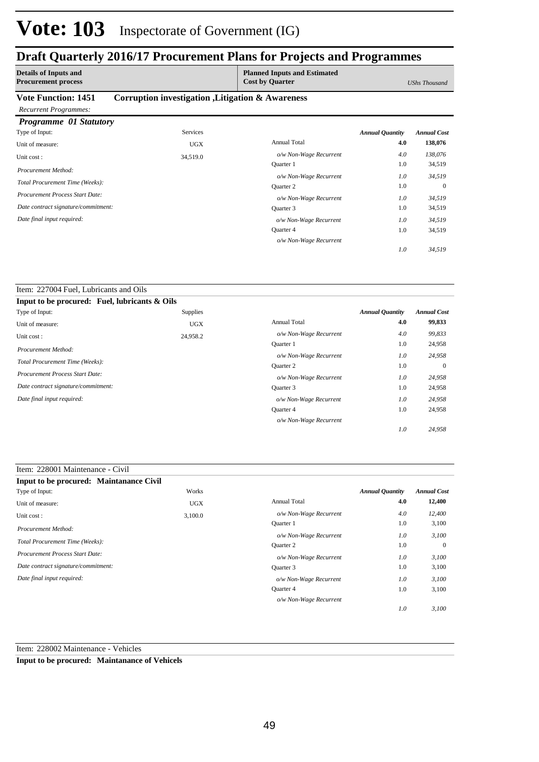### **Draft Quarterly 2016/17 Procurement Plans for Projects and Programmes**

| <b>Details of Inputs and</b><br><b>Procurement process</b> |                                                   | <b>Planned Inputs and Estimated</b><br><b>Cost by Quarter</b> |                        | <b>UShs Thousand</b> |
|------------------------------------------------------------|---------------------------------------------------|---------------------------------------------------------------|------------------------|----------------------|
| <b>Vote Function: 1451</b><br><b>Recurrent Programmes:</b> | Corruption investigation , Litigation & Awareness |                                                               |                        |                      |
| <b>Programme 01 Statutory</b>                              |                                                   |                                                               |                        |                      |
| Type of Input:                                             | <b>Services</b>                                   |                                                               | <b>Annual Quantity</b> | <b>Annual Cost</b>   |
| Unit of measure:                                           | <b>UGX</b>                                        | <b>Annual Total</b>                                           | 4.0                    | 138,076              |
| Unit cost:                                                 | 34,519.0                                          | o/w Non-Wage Recurrent                                        | 4.0                    | 138,076              |
|                                                            |                                                   | Quarter 1                                                     | 1.0                    | 34,519               |
| Procurement Method:                                        |                                                   | o/w Non-Wage Recurrent                                        | 1.0                    | 34,519               |
| Total Procurement Time (Weeks):                            |                                                   | <b>Ouarter 2</b>                                              | 1.0                    | $\theta$             |
| <b>Procurement Process Start Date:</b>                     |                                                   | o/w Non-Wage Recurrent                                        | 1.0                    | 34,519               |
| Date contract signature/commitment:                        |                                                   | Quarter 3                                                     | 1.0                    | 34,519               |
| Date final input required:                                 |                                                   | o/w Non-Wage Recurrent                                        | 1.0                    | 34,519               |
|                                                            |                                                   | Quarter 4                                                     | 1.0                    | 34,519               |

*o/w Non-Wage Recurrent*

*34,519*

*1.0*

#### Item: 227004 Fuel, Lubricants and Oils **Input to be procured: Fuel, lubricants & Oils** *Annual Quantity Annual Cost* Supplies Type of Input:

| . .                                 | - 11       |                        |     |                |
|-------------------------------------|------------|------------------------|-----|----------------|
| Unit of measure:                    | <b>UGX</b> | <b>Annual Total</b>    | 4.0 | 99,833         |
| Unit cost:                          | 24,958.2   | o/w Non-Wage Recurrent | 4.0 | 99,833         |
| Procurement Method:                 |            | <b>Ouarter</b> 1       | 1.0 | 24,958         |
|                                     |            | o/w Non-Wage Recurrent | 1.0 | 24,958         |
| Total Procurement Time (Weeks):     |            | <b>Ouarter 2</b>       | 1.0 | $\overline{0}$ |
| Procurement Process Start Date:     |            | o/w Non-Wage Recurrent | 1.0 | 24,958         |
| Date contract signature/commitment: |            | Quarter 3              | 1.0 | 24,958         |
| Date final input required:          |            | o/w Non-Wage Recurrent | 1.0 | 24,958         |
|                                     |            | <b>Ouarter 4</b>       | 1.0 | 24,958         |
|                                     |            | o/w Non-Wage Recurrent |     |                |
|                                     |            |                        | 1.0 | 24.958         |

### Item: 228001 Maintenance - Civil

| Input to be procured: Maintanance Civil |            |                        |                        |                    |
|-----------------------------------------|------------|------------------------|------------------------|--------------------|
| Type of Input:                          | Works      |                        | <b>Annual Quantity</b> | <b>Annual Cost</b> |
| Unit of measure:                        | <b>UGX</b> | <b>Annual Total</b>    | 4.0                    | 12,400             |
| Unit cost:                              | 3,100.0    | o/w Non-Wage Recurrent | 4.0                    | 12,400             |
| Procurement Method:                     |            | <b>Ouarter 1</b>       | 1.0                    | 3,100              |
|                                         |            | o/w Non-Wage Recurrent | 1.0                    | 3,100              |
| Total Procurement Time (Weeks):         |            | Quarter 2              | 1.0                    | $\overline{0}$     |
| <b>Procurement Process Start Date:</b>  |            | o/w Non-Wage Recurrent | 1.0                    | 3,100              |
| Date contract signature/commitment:     |            | Quarter 3              | 1.0                    | 3,100              |
| Date final input required:              |            | o/w Non-Wage Recurrent | 1.0                    | 3,100              |
|                                         |            | Quarter 4              | 1.0                    | 3,100              |
|                                         |            | o/w Non-Wage Recurrent |                        |                    |
|                                         |            |                        | 1.0                    | 3,100              |

Item: 228002 Maintenance - Vehicles

**Input to be procured: Maintanance of Vehicels**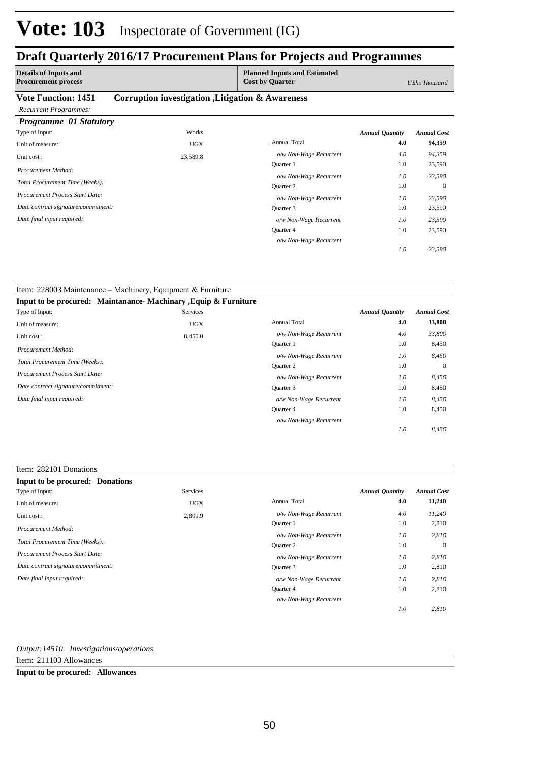## **Draft Quarterly 2016/17 Procurement Plans for Projects and Programmes**

| <b>Details of Inputs and</b><br><b>Procurement process</b> |                                                   | <b>Planned Inputs and Estimated</b><br><b>Cost by Quarter</b> |                        | UShs Thousand      |
|------------------------------------------------------------|---------------------------------------------------|---------------------------------------------------------------|------------------------|--------------------|
| <b>Vote Function: 1451</b>                                 | Corruption investigation , Litigation & Awareness |                                                               |                        |                    |
| <b>Recurrent Programmes:</b>                               |                                                   |                                                               |                        |                    |
| Programme 01 Statutory                                     |                                                   |                                                               |                        |                    |
| Type of Input:                                             | Works                                             |                                                               | <b>Annual Quantity</b> | <b>Annual Cost</b> |
| Unit of measure:                                           | <b>UGX</b>                                        | <b>Annual Total</b>                                           | 4.0                    | 94,359             |
| Unit cost:                                                 | 23,589.8                                          | o/w Non-Wage Recurrent                                        | 4.0                    | 94,359             |
| Procurement Method:                                        |                                                   | Quarter 1                                                     | 1.0                    | 23,590             |
|                                                            |                                                   | o/w Non-Wage Recurrent                                        | 1.0                    | 23,590             |
| Total Procurement Time (Weeks):                            |                                                   | <b>Ouarter 2</b>                                              | 1.0                    | $\Omega$           |
| Procurement Process Start Date:                            |                                                   | o/w Non-Wage Recurrent                                        | 1.0                    | 23,590             |
| Date contract signature/commitment:                        |                                                   | Quarter 3                                                     | 1.0                    | 23,590             |
| Date final input required:                                 |                                                   | o/w Non-Wage Recurrent                                        | 1.0                    | 23,590             |
|                                                            |                                                   | Quarter 4                                                     | 1.0                    | 23,590             |
|                                                            |                                                   | o/w Non-Wage Recurrent                                        |                        |                    |

*23,590*

*1.0*

| Item: 228003 Maintenance – Machinery, Equipment & Furniture      |                 |                        |                        |                    |
|------------------------------------------------------------------|-----------------|------------------------|------------------------|--------------------|
| Input to be procured: Maintanance- Machinary , Equip & Furniture |                 |                        |                        |                    |
| Type of Input:                                                   | <b>Services</b> |                        | <b>Annual Quantity</b> | <b>Annual Cost</b> |
| Unit of measure:                                                 | <b>UGX</b>      | <b>Annual Total</b>    | 4.0                    | 33,800             |
| Unit cost:                                                       | 8,450.0         | o/w Non-Wage Recurrent | 4.0                    | 33,800             |
| Procurement Method:                                              |                 | <b>Ouarter 1</b>       | 1.0                    | 8,450              |
|                                                                  |                 | o/w Non-Wage Recurrent | 1.0                    | 8,450              |
| Total Procurement Time (Weeks):                                  |                 | <b>Ouarter 2</b>       | 1.0                    | $\overline{0}$     |
| <b>Procurement Process Start Date:</b>                           |                 | o/w Non-Wage Recurrent | 1.0                    | 8,450              |
| Date contract signature/commitment:                              |                 | Quarter 3              | 1.0                    | 8,450              |
| Date final input required:                                       |                 | o/w Non-Wage Recurrent | 1.0                    | 8,450              |
|                                                                  |                 | Quarter 4              | 1.0                    | 8,450              |
|                                                                  |                 | o/w Non-Wage Recurrent |                        |                    |
|                                                                  |                 |                        | 1.0                    | 8,450              |

#### Item: 282101 Donations

| <b>Input to be procured: Donations</b> |            |                        |                        |                    |
|----------------------------------------|------------|------------------------|------------------------|--------------------|
| Type of Input:                         | Services   |                        | <b>Annual Quantity</b> | <b>Annual Cost</b> |
| Unit of measure:                       | <b>UGX</b> | <b>Annual Total</b>    | 4.0                    | 11,240             |
| Unit cost:                             | 2,809.9    | o/w Non-Wage Recurrent | 4.0                    | 11,240             |
| Procurement Method:                    |            | Quarter 1              | 1.0                    | 2,810              |
|                                        |            | o/w Non-Wage Recurrent | 1.0                    | 2,810              |
| Total Procurement Time (Weeks):        |            | Quarter 2              | 1.0                    | $\overline{0}$     |
| Procurement Process Start Date:        |            | o/w Non-Wage Recurrent | 1.0                    | 2,810              |
| Date contract signature/commitment:    |            | Quarter 3              | 1.0                    | 2,810              |
| Date final input required:             |            | o/w Non-Wage Recurrent | 1.0                    | 2,810              |
|                                        |            | Quarter 4              | 1.0                    | 2,810              |
|                                        |            | o/w Non-Wage Recurrent |                        |                    |
|                                        |            |                        | 1.0                    | 2,810              |

### *Output:14510 Investigations/operations*

Item: 211103 Allowances

#### **Input to be procured: Allowances**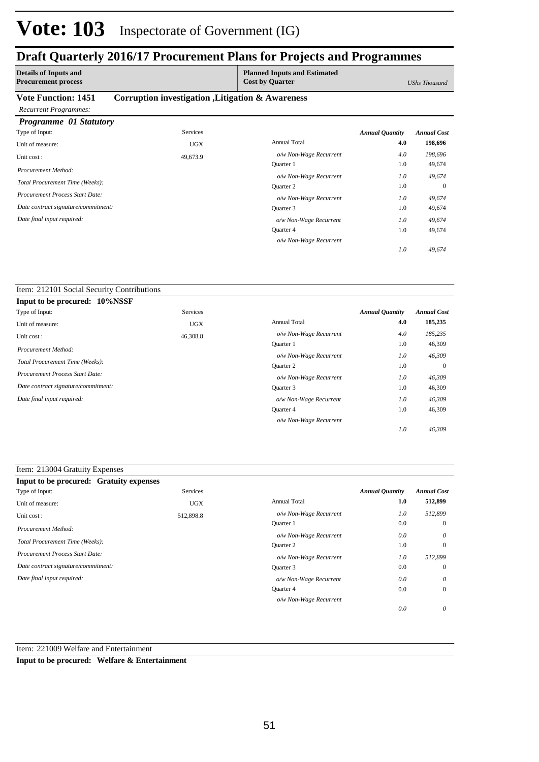## **Draft Quarterly 2016/17 Procurement Plans for Projects and Programmes**

| <b>Details of Inputs and</b><br><b>Procurement process</b> |                                                   | <b>Planned Inputs and Estimated</b><br><b>Cost by Quarter</b> |                        | UShs Thousand      |
|------------------------------------------------------------|---------------------------------------------------|---------------------------------------------------------------|------------------------|--------------------|
| <b>Vote Function: 1451</b><br><b>Recurrent Programmes:</b> | Corruption investigation , Litigation & Awareness |                                                               |                        |                    |
| <b>Programme 01 Statutory</b>                              |                                                   |                                                               |                        |                    |
| Type of Input:                                             | <b>Services</b>                                   |                                                               | <b>Annual Quantity</b> | <b>Annual Cost</b> |
| Unit of measure:                                           | <b>UGX</b>                                        | <b>Annual Total</b>                                           | 4.0                    | 198,696            |
| Unit cost:                                                 | 49,673.9                                          | o/w Non-Wage Recurrent                                        | 4.0                    | 198,696            |
| Procurement Method:                                        |                                                   | Quarter 1                                                     | 1.0                    | 49,674             |
|                                                            |                                                   | o/w Non-Wage Recurrent                                        | 1.0                    | 49,674             |
| Total Procurement Time (Weeks):                            |                                                   | <b>Ouarter 2</b>                                              | 1.0                    | $\theta$           |
| <b>Procurement Process Start Date:</b>                     |                                                   | o/w Non-Wage Recurrent                                        | 1.0                    | 49,674             |
| Date contract signature/commitment:                        |                                                   | Quarter 3                                                     | 1.0                    | 49,674             |
| Date final input required:                                 |                                                   | o/w Non-Wage Recurrent                                        | 1.0                    | 49,674             |
|                                                            |                                                   | Quarter 4                                                     | 1.0                    | 49,674             |

*o/w Non-Wage Recurrent*

*49,674*

*1.0*

#### Item: 212101 Social Security Contributions

| Input to be procured: 10%NSSF       |            |                        |                        |                    |
|-------------------------------------|------------|------------------------|------------------------|--------------------|
| Type of Input:                      | Services   |                        | <b>Annual Quantity</b> | <b>Annual Cost</b> |
| Unit of measure:                    | <b>UGX</b> | <b>Annual Total</b>    | 4.0                    | 185,235            |
| Unit cost:                          | 46,308.8   | o/w Non-Wage Recurrent | 4.0                    | 185,235            |
| Procurement Method:                 |            | <b>Ouarter</b> 1       | 1.0                    | 46,309             |
|                                     |            | o/w Non-Wage Recurrent | 1.0                    | 46,309             |
| Total Procurement Time (Weeks):     |            | <b>Ouarter 2</b>       | 1.0                    | $\mathbf{0}$       |
| Procurement Process Start Date:     |            | o/w Non-Wage Recurrent | 1.0                    | 46,309             |
| Date contract signature/commitment: |            | Quarter 3              | 1.0                    | 46,309             |
| Date final input required:          |            | o/w Non-Wage Recurrent | 1.0                    | 46,309             |
|                                     |            | <b>Ouarter 4</b>       | 1.0                    | 46,309             |
|                                     |            | o/w Non-Wage Recurrent |                        |                    |
|                                     |            |                        | 1.0                    | 46,309             |

### Item: 213004 Gratuity Expenses

| <b>Input to be procured: Gratuity expenses</b> |            |                        |                        |                    |
|------------------------------------------------|------------|------------------------|------------------------|--------------------|
| Type of Input:                                 | Services   |                        | <b>Annual Quantity</b> | <b>Annual Cost</b> |
| Unit of measure:                               | <b>UGX</b> | <b>Annual Total</b>    | 1.0                    | 512,899            |
| Unit cost:                                     | 512,898.8  | o/w Non-Wage Recurrent | 1.0                    | 512,899            |
| Procurement Method:                            |            | <b>Ouarter 1</b>       | 0.0                    | $\overline{0}$     |
|                                                |            | o/w Non-Wage Recurrent | 0.0                    | $\theta$           |
| Total Procurement Time (Weeks):                |            | Quarter 2              | 1.0                    | $\overline{0}$     |
| <b>Procurement Process Start Date:</b>         |            | o/w Non-Wage Recurrent | 1.0                    | 512.899            |
| Date contract signature/commitment:            |            | Quarter 3              | 0.0                    | $\overline{0}$     |
| Date final input required:                     |            | o/w Non-Wage Recurrent | 0.0                    | $\theta$           |
|                                                |            | <b>Ouarter 4</b>       | 0.0                    | $\overline{0}$     |
|                                                |            | o/w Non-Wage Recurrent |                        |                    |
|                                                |            |                        | 0.0                    | $\theta$           |

### Item: 221009 Welfare and Entertainment

**Input to be procured: Welfare & Entertainment**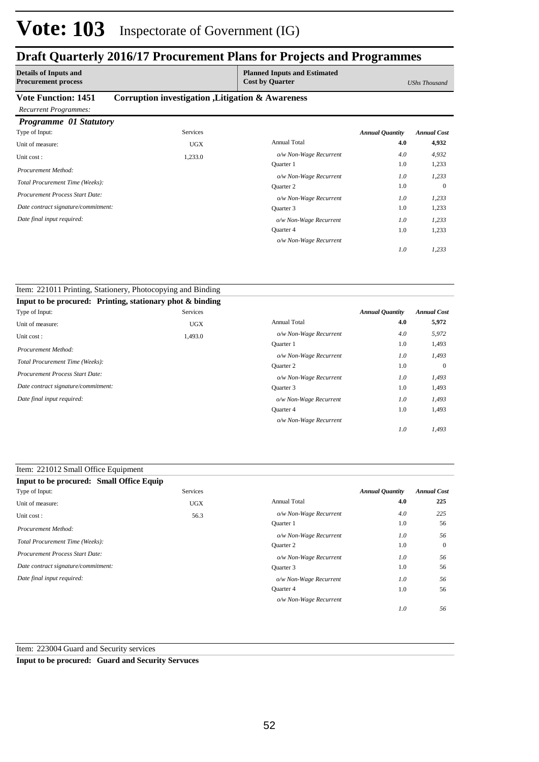### **Draft Quarterly 2016/17 Procurement Plans for Projects and Programmes**

| <b>Details of Inputs and</b><br><b>Procurement process</b> |                                                   | <b>Planned Inputs and Estimated</b><br><b>Cost by Quarter</b> |                        | <b>UShs Thousand</b> |
|------------------------------------------------------------|---------------------------------------------------|---------------------------------------------------------------|------------------------|----------------------|
| <b>Vote Function: 1451</b>                                 | Corruption investigation , Litigation & Awareness |                                                               |                        |                      |
| <b>Recurrent Programmes:</b>                               |                                                   |                                                               |                        |                      |
| Programme 01 Statutory                                     |                                                   |                                                               |                        |                      |
| Type of Input:                                             | <b>Services</b>                                   |                                                               | <b>Annual Quantity</b> | <b>Annual Cost</b>   |
| Unit of measure:                                           | <b>UGX</b>                                        | <b>Annual Total</b>                                           | 4.0                    | 4,932                |
| Unit cost:                                                 | 1,233.0                                           | o/w Non-Wage Recurrent                                        | 4.0                    | 4,932                |
| Procurement Method:                                        |                                                   | <b>Ouarter</b> 1                                              | 1.0                    | 1,233                |
|                                                            |                                                   | o/w Non-Wage Recurrent                                        | 1.0                    | 1,233                |
| Total Procurement Time (Weeks):                            |                                                   | <b>Ouarter 2</b>                                              | 1.0                    | $\Omega$             |
| Procurement Process Start Date:                            |                                                   | o/w Non-Wage Recurrent                                        | 1.0                    | 1,233                |
| Date contract signature/commitment:                        |                                                   | Quarter 3                                                     | 1.0                    | 1,233                |
| Date final input required:                                 |                                                   | o/w Non-Wage Recurrent                                        | 1.0                    | 1,233                |
|                                                            |                                                   | Quarter 4                                                     | 1.0                    | 1,233                |

*o/w Non-Wage Recurrent*

*1,233*

*1.0*

| Item: 221011 Printing, Stationery, Photocopying and Binding  |                 |                        |                        |                    |
|--------------------------------------------------------------|-----------------|------------------------|------------------------|--------------------|
| Input to be procured: Printing, stationary phot $\&$ binding |                 |                        |                        |                    |
| Type of Input:                                               | <b>Services</b> |                        | <b>Annual Quantity</b> | <b>Annual Cost</b> |
| Unit of measure:                                             | <b>UGX</b>      | <b>Annual Total</b>    | 4.0                    | 5,972              |
| Unit cost:                                                   | 1,493.0         | o/w Non-Wage Recurrent | 4.0                    | 5,972              |
|                                                              |                 | Quarter 1              | 1.0                    | 1,493              |
| Procurement Method:                                          |                 | o/w Non-Wage Recurrent | 1.0                    | 1,493              |
| Total Procurement Time (Weeks):                              |                 | Quarter 2              | 1.0                    | $\mathbf{0}$       |
| <b>Procurement Process Start Date:</b>                       |                 | o/w Non-Wage Recurrent | 1.0                    | 1,493              |
| Date contract signature/commitment:                          |                 | Quarter 3              | 1.0                    | 1,493              |
| Date final input required:                                   |                 | o/w Non-Wage Recurrent | 1.0                    | 1,493              |
|                                                              |                 | <b>Ouarter 4</b>       | 1.0                    | 1,493              |
|                                                              |                 | o/w Non-Wage Recurrent |                        |                    |
|                                                              |                 |                        | 1.0                    | 1,493              |

| Item: 221012 Small Office Equipment      |                 |                        |                        |                    |
|------------------------------------------|-----------------|------------------------|------------------------|--------------------|
| Input to be procured: Small Office Equip |                 |                        |                        |                    |
| Type of Input:                           | <b>Services</b> |                        | <b>Annual Quantity</b> | <b>Annual Cost</b> |
| Unit of measure:                         | <b>UGX</b>      | <b>Annual Total</b>    | 4.0                    | 225                |
| Unit cost:                               | 56.3            | o/w Non-Wage Recurrent | 4.0                    | 225                |
| Procurement Method:                      |                 | <b>Ouarter</b> 1       | 1.0                    | 56                 |
| Total Procurement Time (Weeks):          |                 | o/w Non-Wage Recurrent | 1.0                    | 56                 |
|                                          |                 | <b>Ouarter 2</b>       | 1.0                    | $\mathbf{0}$       |
| <b>Procurement Process Start Date:</b>   |                 | o/w Non-Wage Recurrent | 1.0                    | 56                 |
| Date contract signature/commitment:      |                 | Quarter 3              | 1.0                    | 56                 |
| Date final input required:               |                 | o/w Non-Wage Recurrent | 1.0                    | 56                 |
|                                          |                 | <b>Ouarter 4</b>       | 1.0                    | 56                 |
|                                          |                 | o/w Non-Wage Recurrent |                        |                    |
|                                          |                 |                        | 1.0                    | 56                 |

Item: 223004 Guard and Security services

**Input to be procured: Guard and Security Servuces**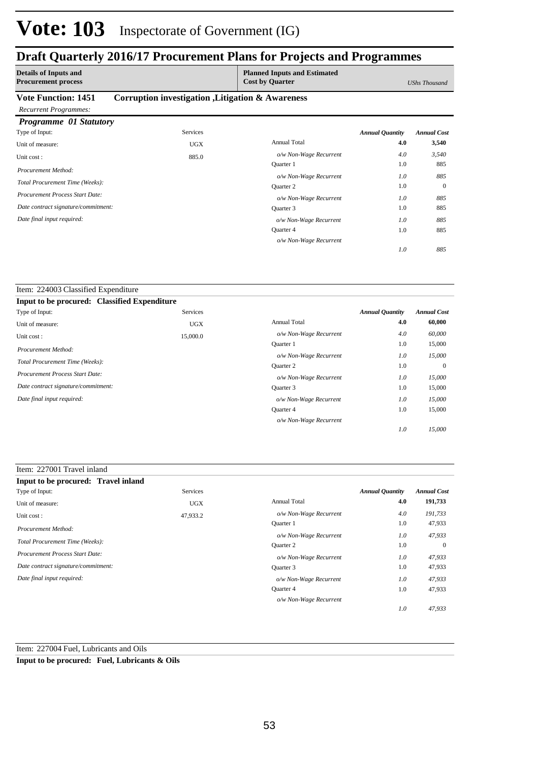### **Draft Quarterly 2016/17 Procurement Plans for Projects and Programmes**

| <b>Details of Inputs and</b><br><b>Procurement process</b> |                                                   | <b>Planned Inputs and Estimated</b><br><b>Cost by Quarter</b> |                        | UShs Thousand      |
|------------------------------------------------------------|---------------------------------------------------|---------------------------------------------------------------|------------------------|--------------------|
| <b>Vote Function: 1451</b><br><b>Recurrent Programmes:</b> | Corruption investigation , Litigation & Awareness |                                                               |                        |                    |
| Programme 01 Statutory                                     |                                                   |                                                               |                        |                    |
| Type of Input:                                             | <b>Services</b>                                   |                                                               | <b>Annual Quantity</b> | <b>Annual Cost</b> |
| Unit of measure:                                           | <b>UGX</b>                                        | <b>Annual Total</b>                                           | 4.0                    | 3,540              |
| Unit cost:                                                 | 885.0                                             | o/w Non-Wage Recurrent                                        | 4.0                    | 3,540              |
| Procurement Method:                                        |                                                   | <b>Ouarter</b> 1                                              | 1.0                    | 885                |
|                                                            |                                                   | o/w Non-Wage Recurrent                                        | 1.0                    | 885                |
| Total Procurement Time (Weeks):                            |                                                   | <b>Ouarter 2</b>                                              | 1.0                    | $\mathbf{0}$       |
| Procurement Process Start Date:                            |                                                   | o/w Non-Wage Recurrent                                        | 1.0                    | 885                |
| Date contract signature/commitment:                        |                                                   | Quarter 3                                                     | 1.0                    | 885                |
| Date final input required:                                 |                                                   | o/w Non-Wage Recurrent                                        | 1.0                    | 885                |
|                                                            |                                                   | <b>Ouarter 4</b>                                              | 1.0                    | 885                |

*o/w Non-Wage Recurrent*

*885*

*1.0*

#### Item: 224003 Classified Expenditure **Input to be procured: Classified Expenditure** Annual Total **4.0 60,000** 15,000 0 15,000 15,000 1.0 1.0 1.0 1.0 *Annual Quantity Annual Cost o/w Non-Wage Recurrent 4.0 60,000 15,000 15,000 15,000 15,000 1.0 1.0 1.0 1.0* Quarter 1 *o/w Non-Wage Recurrent* Quarter 2 *o/w Non-Wage Recurrent* Quarter 3 Quarter 4 *o/w Non-Wage Recurrent o/w Non-Wage Recurrent* Services Unit of measure: UGX Unit cost : 15,000.0 *Total Procurement Time (Weeks): Date contract signature/commitment: Procurement Process Start Date: Date final input required: Procurement Method:* Type of Input:

| Input to be procured: Travel inland |            |                        |                        |                    |
|-------------------------------------|------------|------------------------|------------------------|--------------------|
| Type of Input:                      | Services   |                        | <b>Annual Quantity</b> | <b>Annual Cost</b> |
| Unit of measure:                    | <b>UGX</b> | <b>Annual Total</b>    | 4.0                    | 191,733            |
| Unit cost:                          | 47,933.2   | o/w Non-Wage Recurrent | 4.0                    | 191,733            |
| Procurement Method:                 |            | <b>Ouarter</b> 1       | 1.0                    | 47,933             |
|                                     |            | o/w Non-Wage Recurrent | 1.0                    | 47,933             |
| Total Procurement Time (Weeks):     |            | <b>Ouarter 2</b>       | 1.0                    | $\mathbf{0}$       |
| Procurement Process Start Date:     |            | o/w Non-Wage Recurrent | 1.0                    | 47,933             |
| Date contract signature/commitment: |            | Ouarter 3              | 1.0                    | 47,933             |
| Date final input required:          |            | o/w Non-Wage Recurrent | 1.0                    | 47,933             |
|                                     |            | Quarter 4              | 1.0                    | 47,933             |
|                                     |            | o/w Non-Wage Recurrent |                        |                    |
|                                     |            |                        | 1.0                    | 47.933             |

Item: 227004 Fuel, Lubricants and Oils

**Input to be procured: Fuel, Lubricants & Oils**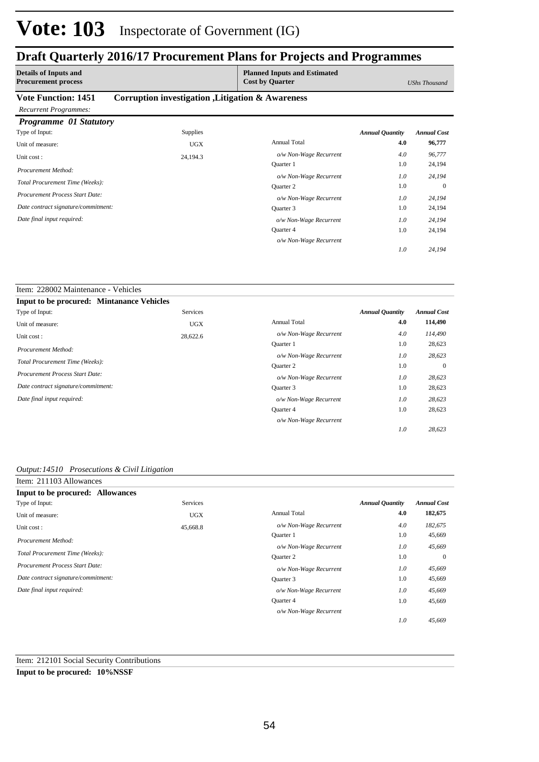### **Draft Quarterly 2016/17 Procurement Plans for Projects and Programmes**

| <b>Details of Inputs and</b><br><b>Procurement process</b> |                                                   | <b>Planned Inputs and Estimated</b><br><b>Cost by Quarter</b> |                        | <b>UShs Thousand</b> |
|------------------------------------------------------------|---------------------------------------------------|---------------------------------------------------------------|------------------------|----------------------|
| <b>Vote Function: 1451</b>                                 | Corruption investigation , Litigation & Awareness |                                                               |                        |                      |
| <b>Recurrent Programmes:</b>                               |                                                   |                                                               |                        |                      |
| <b>Programme 01 Statutory</b>                              |                                                   |                                                               |                        |                      |
| Type of Input:                                             | <b>Supplies</b>                                   |                                                               | <b>Annual Quantity</b> | <b>Annual Cost</b>   |
| Unit of measure:                                           | <b>UGX</b>                                        | <b>Annual Total</b>                                           | 4.0                    | 96,777               |
| Unit cost:                                                 | 24,194.3                                          | o/w Non-Wage Recurrent                                        | 4.0                    | 96,777               |
| Procurement Method:                                        |                                                   | Quarter 1                                                     | 1.0                    | 24,194               |
|                                                            |                                                   | o/w Non-Wage Recurrent                                        | 1.0                    | 24,194               |
| Total Procurement Time (Weeks):                            |                                                   | Quarter 2                                                     | 1.0                    | $\mathbf{0}$         |
| <b>Procurement Process Start Date:</b>                     |                                                   | o/w Non-Wage Recurrent                                        | 1.0                    | 24,194               |
| Date contract signature/commitment:                        |                                                   | Quarter 3                                                     | 1.0                    | 24,194               |
| Date final input required:                                 |                                                   | o/w Non-Wage Recurrent                                        | 1.0                    | 24,194               |
|                                                            |                                                   | Quarter 4                                                     | 1.0                    | 24,194               |

*o/w Non-Wage Recurrent*

Quarter 4

*o/w Non-Wage Recurrent*

*24,194*

28,623

*28,623*

*1.0*

1.0

*1.0*

#### Item: 228002 Maintenance - Vehicles **Input to be procured: Mintanance Vehicles** Annual Total **4.0 114,490** 28,623 0 28,623 1.0 1.0 1.0 *Annual Quantity Annual Cost o/w Non-Wage Recurrent 4.0 114,490 28,623 28,623 28,623 1.0 1.0 1.0* Quarter 1 *o/w Non-Wage Recurrent* Quarter 2 *o/w Non-Wage Recurrent* Quarter 3 *o/w Non-Wage Recurrent* Services Unit of measure: UGX Unit cost : 28,622.6 *Total Procurement Time (Weeks): Date contract signature/commitment: Procurement Process Start Date: Date final input required: Procurement Method:* Type of Input:

#### *Output:14510 Prosecutions & Civil Litigation*

| Item: 211103 Allowances                |            |                        |                        |                    |
|----------------------------------------|------------|------------------------|------------------------|--------------------|
| Input to be procured: Allowances       |            |                        |                        |                    |
| Type of Input:                         | Services   |                        | <b>Annual Quantity</b> | <b>Annual Cost</b> |
| Unit of measure:                       | <b>UGX</b> | <b>Annual Total</b>    | 4.0                    | 182,675            |
| Unit cost:                             | 45,668.8   | o/w Non-Wage Recurrent | 4.0                    | 182,675            |
| Procurement Method:                    |            | <b>Ouarter</b> 1       | 1.0                    | 45,669             |
|                                        |            | o/w Non-Wage Recurrent | 1.0                    | 45,669             |
| Total Procurement Time (Weeks):        |            | Quarter 2              | 1.0                    | $\mathbf{0}$       |
| <b>Procurement Process Start Date:</b> |            | o/w Non-Wage Recurrent | 1.0                    | 45,669             |
| Date contract signature/commitment:    |            | Quarter 3              | 1.0                    | 45,669             |
| Date final input required:             |            | o/w Non-Wage Recurrent | 1.0                    | 45,669             |
|                                        |            | Quarter 4              | 1.0                    | 45,669             |
|                                        |            | o/w Non-Wage Recurrent |                        |                    |
|                                        |            |                        | 1.0                    | 45.669             |

#### Item: 212101 Social Security Contributions

#### **Input to be procured: 10%NSSF**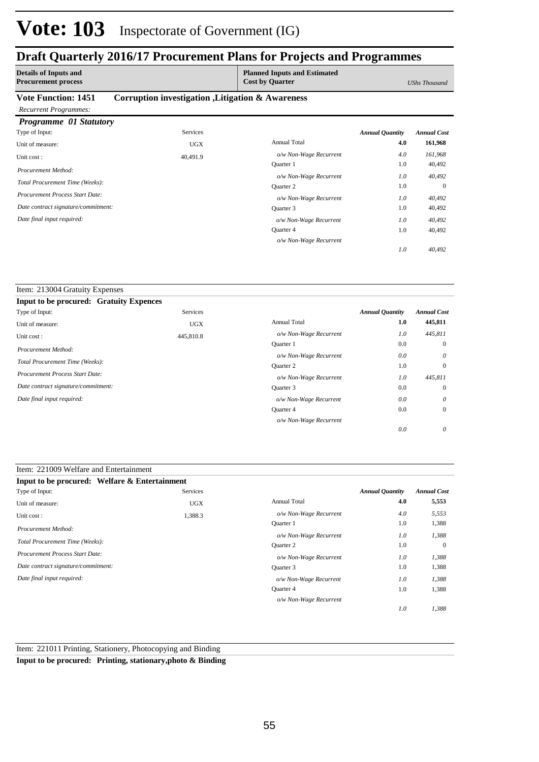### **Draft Quarterly 2016/17 Procurement Plans for Projects and Programmes**

| <b>Details of Inputs and</b><br><b>Procurement process</b> |                                                   | <b>Planned Inputs and Estimated</b><br><b>Cost by Quarter</b> |                        | <b>UShs Thousand</b> |
|------------------------------------------------------------|---------------------------------------------------|---------------------------------------------------------------|------------------------|----------------------|
| <b>Vote Function: 1451</b>                                 | Corruption investigation , Litigation & Awareness |                                                               |                        |                      |
| <b>Recurrent Programmes:</b>                               |                                                   |                                                               |                        |                      |
| <b>Programme</b> 01 Statutory                              |                                                   |                                                               |                        |                      |
| Type of Input:                                             | Services                                          |                                                               | <b>Annual Quantity</b> | <b>Annual Cost</b>   |
| Unit of measure:                                           | <b>UGX</b>                                        | <b>Annual Total</b>                                           | 4.0                    | 161,968              |
| Unit cost:                                                 | 40,491.9                                          | o/w Non-Wage Recurrent                                        | 4.0                    | 161,968              |
| Procurement Method:                                        |                                                   | <b>Ouarter</b> 1                                              | 1.0                    | 40,492               |
|                                                            |                                                   | o/w Non-Wage Recurrent                                        | 1.0                    | 40,492               |
| Total Procurement Time (Weeks):                            |                                                   | <b>Ouarter 2</b>                                              | 1.0                    | $\Omega$             |
| <b>Procurement Process Start Date:</b>                     |                                                   | o/w Non-Wage Recurrent                                        | 1.0                    | 40,492               |
| Date contract signature/commitment:                        |                                                   | Quarter 3                                                     | 1.0                    | 40,492               |
| Date final input required:                                 |                                                   | o/w Non-Wage Recurrent                                        | 1.0                    | 40,492               |
|                                                            |                                                   | <b>Ouarter 4</b>                                              | 1.0                    | 40,492               |

*o/w Non-Wage Recurrent*

*40,492*

*1.0*

| Item: 213004 Gratuity Expenses                 |            |                        |                        |                    |
|------------------------------------------------|------------|------------------------|------------------------|--------------------|
| <b>Input to be procured: Gratuity Expences</b> |            |                        |                        |                    |
| Type of Input:                                 | Services   |                        | <b>Annual Quantity</b> | <b>Annual Cost</b> |
| Unit of measure:                               | <b>UGX</b> | <b>Annual Total</b>    | 1.0                    | 445,811            |
| Unit cost:                                     | 445,810.8  | o/w Non-Wage Recurrent | 1.0                    | 445,811            |
|                                                |            | <b>Ouarter</b> 1       | 0.0                    | $\mathbf{0}$       |
| Procurement Method:                            |            | o/w Non-Wage Recurrent | 0.0                    | $\theta$           |
| Total Procurement Time (Weeks):                |            | <b>Ouarter 2</b>       | 1.0                    | $\mathbf{0}$       |
| <b>Procurement Process Start Date:</b>         |            | o/w Non-Wage Recurrent | 1.0                    | 445,811            |
| Date contract signature/commitment:            |            | Quarter 3              | 0.0                    | $\mathbf{0}$       |
| Date final input required:                     |            | o/w Non-Wage Recurrent | 0.0                    | $\theta$           |
|                                                |            | Quarter 4              | 0.0                    | $\mathbf{0}$       |
|                                                |            | o/w Non-Wage Recurrent |                        |                    |
|                                                |            |                        | 0.0                    | $\theta$           |

### Item: 221009 Welfare and Entertainment

| Input to be procured: Welfare & Entertainment |            |                        |                        |                    |
|-----------------------------------------------|------------|------------------------|------------------------|--------------------|
| Type of Input:                                | Services   |                        | <b>Annual Quantity</b> | <b>Annual Cost</b> |
| Unit of measure:                              | <b>UGX</b> | Annual Total           | 4.0                    | 5,553              |
| Unit cost:                                    | 1,388.3    | o/w Non-Wage Recurrent | 4.0                    | 5,553              |
| Procurement Method:                           |            | <b>Ouarter 1</b>       | 1.0                    | 1,388              |
|                                               |            | o/w Non-Wage Recurrent | 1.0                    | 1,388              |
| Total Procurement Time (Weeks):               |            | Quarter 2              | 1.0                    | $\mathbf{0}$       |
| <b>Procurement Process Start Date:</b>        |            | o/w Non-Wage Recurrent | 1.0                    | 1,388              |
| Date contract signature/commitment:           |            | Quarter 3              | 1.0                    | 1,388              |
| Date final input required:                    |            | o/w Non-Wage Recurrent | 1.0                    | 1,388              |
|                                               |            | Quarter 4              | 1.0                    | 1,388              |
|                                               |            | o/w Non-Wage Recurrent |                        |                    |
|                                               |            |                        | 1.0                    | 1,388              |

Item: 221011 Printing, Stationery, Photocopying and Binding

**Input to be procured: Printing, stationary,photo & Binding**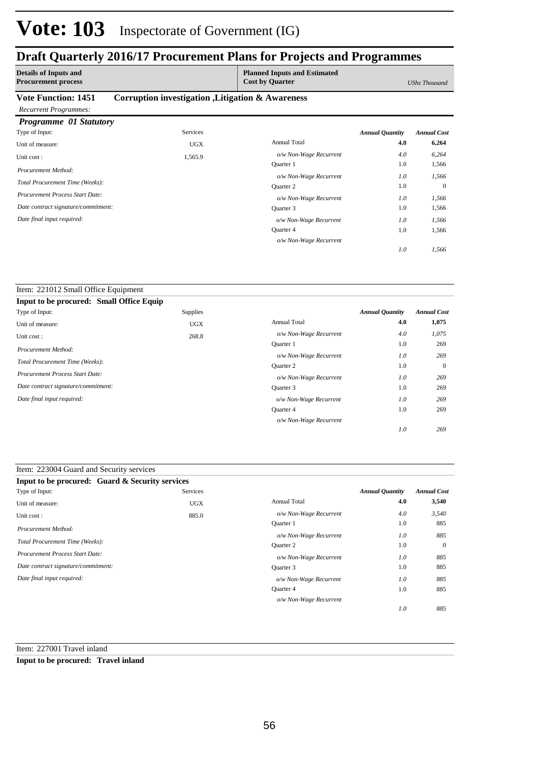### **Draft Quarterly 2016/17 Procurement Plans for Projects and Programmes**

| <b>Details of Inputs and</b><br><b>Procurement process</b> |                                                   | <b>Planned Inputs and Estimated</b><br><b>Cost by Quarter</b> |                        | UShs Thousand      |
|------------------------------------------------------------|---------------------------------------------------|---------------------------------------------------------------|------------------------|--------------------|
| <b>Vote Function: 1451</b><br><b>Recurrent Programmes:</b> | Corruption investigation , Litigation & Awareness |                                                               |                        |                    |
| <b>Programme 01 Statutory</b>                              |                                                   |                                                               |                        |                    |
| Type of Input:                                             | <b>Services</b>                                   |                                                               | <b>Annual Quantity</b> | <b>Annual Cost</b> |
| Unit of measure:                                           | <b>UGX</b>                                        | <b>Annual Total</b>                                           | 4.0                    | 6,264              |
| Unit cost:                                                 | 1,565.9                                           | o/w Non-Wage Recurrent                                        | 4.0                    | 6,264              |
| Procurement Method:                                        |                                                   | <b>Ouarter</b> 1                                              | 1.0                    | 1,566              |
|                                                            |                                                   | o/w Non-Wage Recurrent                                        | 1.0                    | 1,566              |
| Total Procurement Time (Weeks):                            |                                                   | Quarter 2                                                     | 1.0                    | $\theta$           |
| Procurement Process Start Date:                            |                                                   | o/w Non-Wage Recurrent                                        | 1.0                    | 1,566              |
| Date contract signature/commitment:                        |                                                   | Quarter 3                                                     | 1.0                    | 1,566              |
| Date final input required:                                 |                                                   | o/w Non-Wage Recurrent                                        | 1.0                    | 1,566              |
|                                                            |                                                   | Quarter 4                                                     | 1.0                    | 1,566              |

*o/w Non-Wage Recurrent*

*1,566*

*1.0*

| Item: 221012 Small Office Equipment      |                 |                        |                        |                    |
|------------------------------------------|-----------------|------------------------|------------------------|--------------------|
| Input to be procured: Small Office Equip |                 |                        |                        |                    |
| Type of Input:                           | <b>Supplies</b> |                        | <b>Annual Quantity</b> | <b>Annual Cost</b> |
| Unit of measure:                         | <b>UGX</b>      | <b>Annual Total</b>    | 4.0                    | 1,075              |
| Unit cost:                               | 268.8           | o/w Non-Wage Recurrent | 4.0                    | 1,075              |
| Procurement Method:                      |                 | <b>Ouarter 1</b>       | 1.0                    | 269                |
|                                          |                 | o/w Non-Wage Recurrent | 1.0                    | 269                |
| Total Procurement Time (Weeks):          |                 | <b>Ouarter 2</b>       | 1.0                    | $\overline{0}$     |
| Procurement Process Start Date:          |                 | o/w Non-Wage Recurrent | 1.0                    | 269                |
| Date contract signature/commitment:      |                 | Quarter 3              | 1.0                    | 269                |
| Date final input required:               |                 | o/w Non-Wage Recurrent | 1.0                    | 269                |
|                                          |                 | Quarter 4              | 1.0                    | 269                |
|                                          |                 | o/w Non-Wage Recurrent |                        |                    |
|                                          |                 |                        | 1.0                    | 269                |

| Item: 223004 Guard and Security services |  |
|------------------------------------------|--|
|------------------------------------------|--|

| <b>Input to be procured: Guard &amp; Security services</b> |                 |                        |                        |                    |
|------------------------------------------------------------|-----------------|------------------------|------------------------|--------------------|
| Type of Input:                                             | <b>Services</b> |                        | <b>Annual Quantity</b> | <b>Annual Cost</b> |
| Unit of measure:                                           | <b>UGX</b>      | <b>Annual Total</b>    | 4.0                    | 3,540              |
| Unit cost:                                                 | 885.0           | o/w Non-Wage Recurrent | 4.0                    | 3,540              |
| Procurement Method:                                        |                 | <b>Ouarter 1</b>       | 1.0                    | 885                |
|                                                            |                 | o/w Non-Wage Recurrent | 1.0                    | 885                |
| Total Procurement Time (Weeks):                            |                 | <b>Ouarter 2</b>       | 1.0                    | $\mathbf{0}$       |
| <b>Procurement Process Start Date:</b>                     |                 | o/w Non-Wage Recurrent | 1.0                    | 885                |
| Date contract signature/commitment:                        |                 | Quarter 3              | 1.0                    | 885                |
| Date final input required:                                 |                 | o/w Non-Wage Recurrent | 1.0                    | 885                |
|                                                            |                 | Quarter 4              | 1.0                    | 885                |
|                                                            |                 | o/w Non-Wage Recurrent |                        |                    |
|                                                            |                 |                        | 1.0                    | 885                |

Item: 227001 Travel inland

**Input to be procured: Travel inland**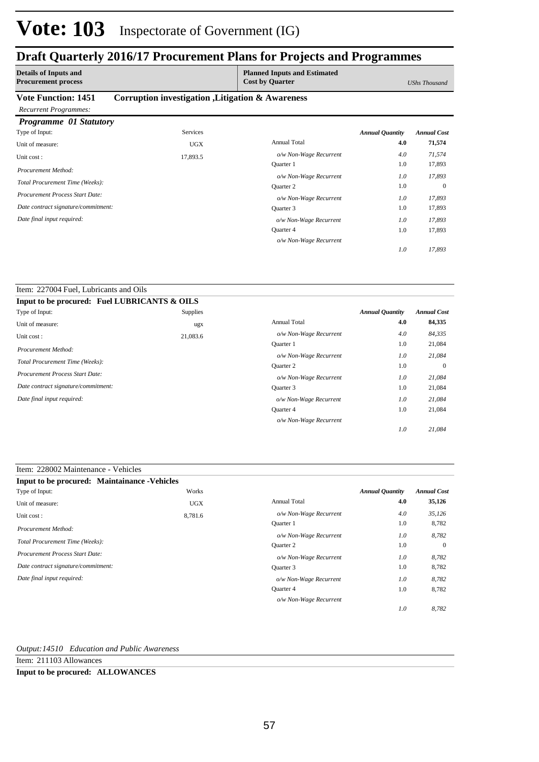### **Draft Quarterly 2016/17 Procurement Plans for Projects and Programmes**

| <b>Details of Inputs and</b><br><b>Procurement process</b> |                                                   | <b>Planned Inputs and Estimated</b><br><b>Cost by Quarter</b> |                        | UShs Thousand      |
|------------------------------------------------------------|---------------------------------------------------|---------------------------------------------------------------|------------------------|--------------------|
| <b>Vote Function: 1451</b>                                 | Corruption investigation , Litigation & Awareness |                                                               |                        |                    |
| <b>Recurrent Programmes:</b>                               |                                                   |                                                               |                        |                    |
| Programme 01 Statutory                                     |                                                   |                                                               |                        |                    |
| Type of Input:                                             | <b>Services</b>                                   |                                                               | <b>Annual Quantity</b> | <b>Annual Cost</b> |
| Unit of measure:                                           | <b>UGX</b>                                        | <b>Annual Total</b>                                           | 4.0                    | 71,574             |
| Unit cost:                                                 | 17,893.5                                          | o/w Non-Wage Recurrent                                        | 4.0                    | 71,574             |
| Procurement Method:                                        |                                                   | Quarter 1                                                     | 1.0                    | 17,893             |
|                                                            |                                                   | o/w Non-Wage Recurrent                                        | 1.0                    | 17,893             |
| Total Procurement Time (Weeks):                            |                                                   | <b>Ouarter 2</b>                                              | 1.0                    | $\Omega$           |
| <b>Procurement Process Start Date:</b>                     |                                                   | o/w Non-Wage Recurrent                                        | 1.0                    | 17,893             |
| Date contract signature/commitment:                        |                                                   | Quarter 3                                                     | 1.0                    | 17,893             |
| Date final input required:                                 |                                                   | o/w Non-Wage Recurrent                                        | 1.0                    | 17,893             |
|                                                            |                                                   | Quarter 4                                                     | 1.0                    | 17,893             |

*o/w Non-Wage Recurrent*

*17,893*

*1.0*

| Item: 227004 Fuel, Lubricants and Oils       |          |                        |                        |                    |
|----------------------------------------------|----------|------------------------|------------------------|--------------------|
| Input to be procured: Fuel LUBRICANTS & OILS |          |                        |                        |                    |
| Type of Input:                               | Supplies |                        | <b>Annual Quantity</b> | <b>Annual Cost</b> |
| Unit of measure:                             | ugx      | <b>Annual Total</b>    | 4.0                    | 84,335             |
| Unit cost:                                   | 21,083.6 | o/w Non-Wage Recurrent | 4.0                    | 84,335             |
|                                              |          | <b>Ouarter</b> 1       | 1.0                    | 21,084             |
| Procurement Method:                          |          | o/w Non-Wage Recurrent | 1.0                    | 21,084             |
| Total Procurement Time (Weeks):              |          | <b>Ouarter 2</b>       | 1.0                    | $\overline{0}$     |
| Procurement Process Start Date:              |          | o/w Non-Wage Recurrent | 1.0                    | 21,084             |
| Date contract signature/commitment:          |          | Quarter 3              | 1.0                    | 21,084             |
| Date final input required:                   |          | o/w Non-Wage Recurrent | 1.0                    | 21,084             |
|                                              |          | Quarter 4              | 1.0                    | 21,084             |
|                                              |          | o/w Non-Wage Recurrent |                        |                    |
|                                              |          |                        | 1.0                    | 21,084             |

### Item: 228002 Maintenance - Vehicles

| <b>Input to be procured: Maintainance - Vehicles</b> |            |                        |                        |                    |
|------------------------------------------------------|------------|------------------------|------------------------|--------------------|
| Type of Input:                                       | Works      |                        | <b>Annual Quantity</b> | <b>Annual Cost</b> |
| Unit of measure:                                     | <b>UGX</b> | <b>Annual Total</b>    | 4.0                    | 35,126             |
| Unit cost:                                           | 8,781.6    | o/w Non-Wage Recurrent | 4.0                    | 35,126             |
| Procurement Method:                                  |            | <b>Ouarter 1</b>       | 1.0                    | 8,782              |
|                                                      |            | o/w Non-Wage Recurrent | 1.0                    | 8,782              |
| Total Procurement Time (Weeks):                      |            | <b>Ouarter 2</b>       | 1.0                    | $\overline{0}$     |
| Procurement Process Start Date:                      |            | o/w Non-Wage Recurrent | 1.0                    | 8,782              |
| Date contract signature/commitment:                  |            | Quarter 3              | 1.0                    | 8,782              |
| Date final input required:                           |            | o/w Non-Wage Recurrent | 1.0                    | 8.782              |
|                                                      |            | Quarter 4              | 1.0                    | 8,782              |
|                                                      |            | o/w Non-Wage Recurrent |                        |                    |
|                                                      |            |                        | 1.0                    | 8,782              |

### *Output:14510 Education and Public Awareness*

Item: 211103 Allowances

### **Input to be procured: ALLOWANCES**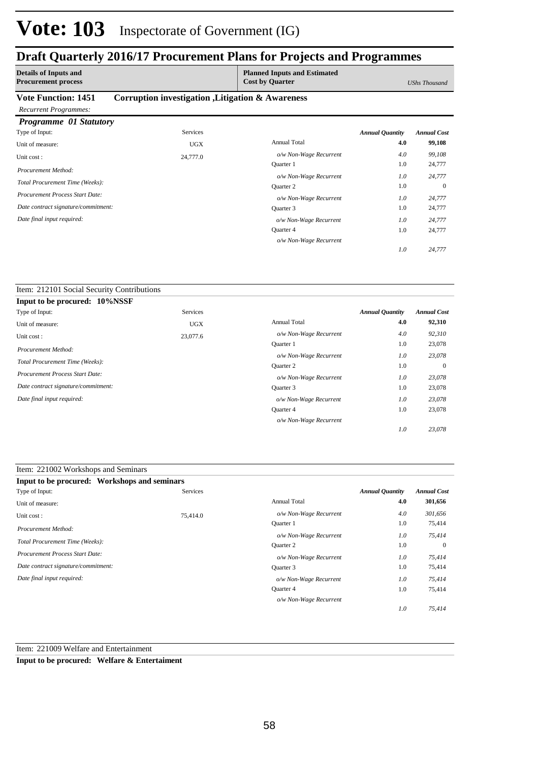## **Draft Quarterly 2016/17 Procurement Plans for Projects and Programmes**

| <b>Details of Inputs and</b><br><b>Procurement process</b> |                                                   | <b>Planned Inputs and Estimated</b><br><b>Cost by Quarter</b> |                        | UShs Thousand      |
|------------------------------------------------------------|---------------------------------------------------|---------------------------------------------------------------|------------------------|--------------------|
| <b>Vote Function: 1451</b>                                 | Corruption investigation , Litigation & Awareness |                                                               |                        |                    |
| <b>Recurrent Programmes:</b>                               |                                                   |                                                               |                        |                    |
| <b>Programme 01 Statutory</b>                              |                                                   |                                                               |                        |                    |
| Type of Input:                                             | <b>Services</b>                                   |                                                               | <b>Annual Quantity</b> | <b>Annual Cost</b> |
| Unit of measure:                                           | <b>UGX</b>                                        | <b>Annual Total</b>                                           | 4.0                    | 99,108             |
| Unit cost:                                                 | 24,777.0                                          | o/w Non-Wage Recurrent                                        | 4.0                    | 99,108             |
| Procurement Method:                                        |                                                   | Quarter 1                                                     | 1.0                    | 24,777             |
|                                                            |                                                   | o/w Non-Wage Recurrent                                        | 1.0                    | 24,777             |
| Total Procurement Time (Weeks):                            |                                                   | <b>Ouarter 2</b>                                              | 1.0                    | $\Omega$           |
| Procurement Process Start Date:                            |                                                   | o/w Non-Wage Recurrent                                        | 1.0                    | 24,777             |
| Date contract signature/commitment:                        |                                                   | Quarter 3                                                     | 1.0                    | 24,777             |
| Date final input required:                                 |                                                   | o/w Non-Wage Recurrent                                        | 1.0                    | 24,777             |
|                                                            |                                                   | Quarter 4                                                     | 1.0                    | 24,777             |
|                                                            |                                                   | o/w Non-Wage Recurrent                                        |                        |                    |

*24,777*

*1.0*

#### Item: 212101 Social Security Contributions

| Input to be procured: 10%NSSF          |            |                        |                        |                    |
|----------------------------------------|------------|------------------------|------------------------|--------------------|
| Type of Input:                         | Services   |                        | <b>Annual Quantity</b> | <b>Annual Cost</b> |
| Unit of measure:                       | <b>UGX</b> | <b>Annual Total</b>    | 4.0                    | 92,310             |
| Unit cost:                             | 23,077.6   | o/w Non-Wage Recurrent | 4.0                    | 92,310             |
| Procurement Method:                    |            | Quarter 1              | 1.0                    | 23,078             |
|                                        |            | o/w Non-Wage Recurrent | 1.0                    | 23,078             |
| Total Procurement Time (Weeks):        |            | <b>Ouarter 2</b>       | 1.0                    | $\mathbf{0}$       |
| <b>Procurement Process Start Date:</b> |            | o/w Non-Wage Recurrent | 1.0                    | 23,078             |
| Date contract signature/commitment:    |            | Quarter 3              | 1.0                    | 23,078             |
| Date final input required:             |            | o/w Non-Wage Recurrent | 1.0                    | 23,078             |
|                                        |            | <b>Ouarter 4</b>       | 1.0                    | 23,078             |
|                                        |            | o/w Non-Wage Recurrent |                        |                    |
|                                        |            |                        | 1.0                    | 23,078             |

### Item: 221002 Workshops and Seminars

| Input to be procured: Workshops and seminars |          |                        |                        |                    |
|----------------------------------------------|----------|------------------------|------------------------|--------------------|
| Type of Input:                               | Services |                        | <b>Annual Quantity</b> | <b>Annual Cost</b> |
| Unit of measure:                             |          | <b>Annual Total</b>    | 4.0                    | 301,656            |
| Unit cost:                                   | 75,414.0 | o/w Non-Wage Recurrent | 4.0                    | 301,656            |
| Procurement Method:                          |          | <b>Ouarter</b> 1       | 1.0                    | 75,414             |
|                                              |          | o/w Non-Wage Recurrent | 1.0                    | 75,414             |
| Total Procurement Time (Weeks):              |          | <b>Ouarter 2</b>       | 1.0                    | $\overline{0}$     |
| <b>Procurement Process Start Date:</b>       |          | o/w Non-Wage Recurrent | 1.0                    | 75,414             |
| Date contract signature/commitment:          |          | Ouarter 3              | 1.0                    | 75,414             |
| Date final input required:                   |          | o/w Non-Wage Recurrent | 1.0                    | 75,414             |
|                                              |          | Quarter 4              | 1.0                    | 75,414             |
|                                              |          | o/w Non-Wage Recurrent |                        |                    |
|                                              |          |                        | 1.0                    | 75,414             |

Item: 221009 Welfare and Entertainment

**Input to be procured: Welfare & Entertaiment**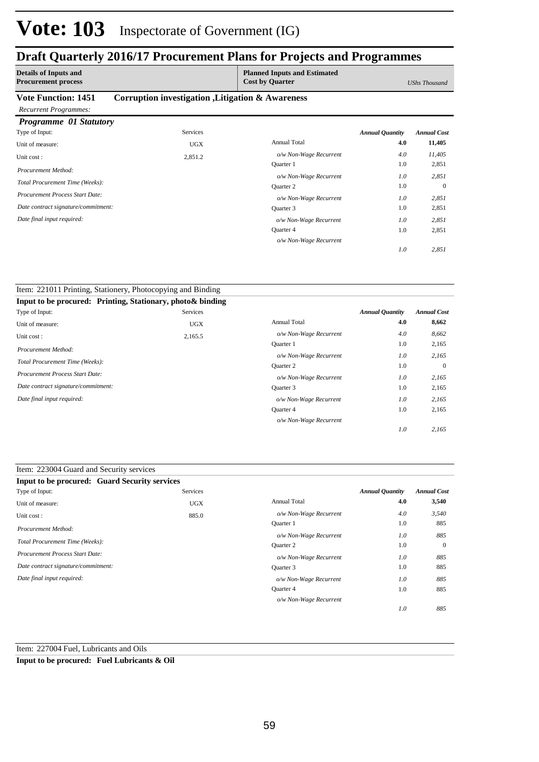### **Draft Quarterly 2016/17 Procurement Plans for Projects and Programmes**

| <b>Details of Inputs and</b><br><b>Procurement process</b> |                                                   | <b>Planned Inputs and Estimated</b><br><b>Cost by Quarter</b> |                        | <b>UShs Thousand</b> |
|------------------------------------------------------------|---------------------------------------------------|---------------------------------------------------------------|------------------------|----------------------|
| <b>Vote Function: 1451</b>                                 | Corruption investigation , Litigation & Awareness |                                                               |                        |                      |
| <b>Recurrent Programmes:</b>                               |                                                   |                                                               |                        |                      |
| <b>Programme</b> 01 Statutory                              |                                                   |                                                               |                        |                      |
| Type of Input:                                             | <b>Services</b>                                   |                                                               | <b>Annual Quantity</b> | <b>Annual Cost</b>   |
| Unit of measure:                                           | <b>UGX</b>                                        | <b>Annual Total</b>                                           | 4.0                    | 11,405               |
| Unit cost:                                                 | 2,851.2                                           | o/w Non-Wage Recurrent                                        | 4.0                    | 11,405               |
| Procurement Method:                                        |                                                   | <b>Ouarter</b> 1                                              | 1.0                    | 2,851                |
|                                                            |                                                   | o/w Non-Wage Recurrent                                        | 1.0                    | 2,851                |
| Total Procurement Time (Weeks):                            |                                                   | Quarter 2                                                     | 1.0                    | $\overline{0}$       |
| <b>Procurement Process Start Date:</b>                     |                                                   | o/w Non-Wage Recurrent                                        | 1.0                    | 2,851                |
| Date contract signature/commitment:                        |                                                   | Quarter 3                                                     | 1.0                    | 2,851                |
| Date final input required:                                 |                                                   | o/w Non-Wage Recurrent                                        | 1.0                    | 2,851                |
|                                                            |                                                   | Quarter 4                                                     | 1.0                    | 2,851                |
|                                                            |                                                   |                                                               |                        |                      |

*o/w Non-Wage Recurrent*

*2,851*

*1.0*

| Item: 221011 Printing, Stationery, Photocopying and Binding |            |                        |                        |                    |
|-------------------------------------------------------------|------------|------------------------|------------------------|--------------------|
| Input to be procured: Printing, Stationary, photo & binding |            |                        |                        |                    |
| Type of Input:                                              | Services   |                        | <b>Annual Quantity</b> | <b>Annual Cost</b> |
| Unit of measure:                                            | <b>UGX</b> | <b>Annual Total</b>    | 4.0                    | 8,662              |
| Unit cost:                                                  | 2,165.5    | o/w Non-Wage Recurrent | 4.0                    | 8,662              |
| Procurement Method:                                         |            | Quarter 1              | 1.0                    | 2,165              |
|                                                             |            | o/w Non-Wage Recurrent | 1.0                    | 2,165              |
| Total Procurement Time (Weeks):                             |            | Quarter 2              | 1.0                    | $\Omega$           |
| Procurement Process Start Date:                             |            | o/w Non-Wage Recurrent | 1.0                    | 2,165              |
| Date contract signature/commitment:                         |            | Quarter 3              | 1.0                    | 2,165              |
| Date final input required:                                  |            | o/w Non-Wage Recurrent | 1.0                    | 2,165              |
|                                                             |            | <b>Ouarter 4</b>       | 1.0                    | 2,165              |
|                                                             |            | o/w Non-Wage Recurrent |                        |                    |
|                                                             |            |                        | 1.0                    | 2,165              |

| <b>Input to be procured: Guard Security services</b> |                 |                        |                        |                    |
|------------------------------------------------------|-----------------|------------------------|------------------------|--------------------|
| Type of Input:                                       | <b>Services</b> |                        | <b>Annual Quantity</b> | <b>Annual Cost</b> |
| Unit of measure:                                     | <b>UGX</b>      | <b>Annual Total</b>    | 4.0                    | 3,540              |
| Unit cost:                                           | 885.0           | o/w Non-Wage Recurrent | 4.0                    | 3,540              |
| Procurement Method:                                  |                 | Quarter 1              | 1.0                    | 885                |
|                                                      |                 | o/w Non-Wage Recurrent | 1.0                    | 885                |
| Total Procurement Time (Weeks):                      |                 | <b>Ouarter 2</b>       | 1.0                    | $\mathbf{0}$       |
| Procurement Process Start Date:                      |                 | o/w Non-Wage Recurrent | 1.0                    | 885                |
| Date contract signature/commitment:                  |                 | Quarter 3              | 1.0                    | 885                |
| Date final input required:                           |                 | o/w Non-Wage Recurrent | 1.0                    | 885                |
|                                                      |                 | Quarter 4              | 1.0                    | 885                |
|                                                      |                 | o/w Non-Wage Recurrent |                        |                    |
|                                                      |                 |                        | 1.0                    | 885                |

Item: 227004 Fuel, Lubricants and Oils

**Input to be procured: Fuel Lubricants & Oil**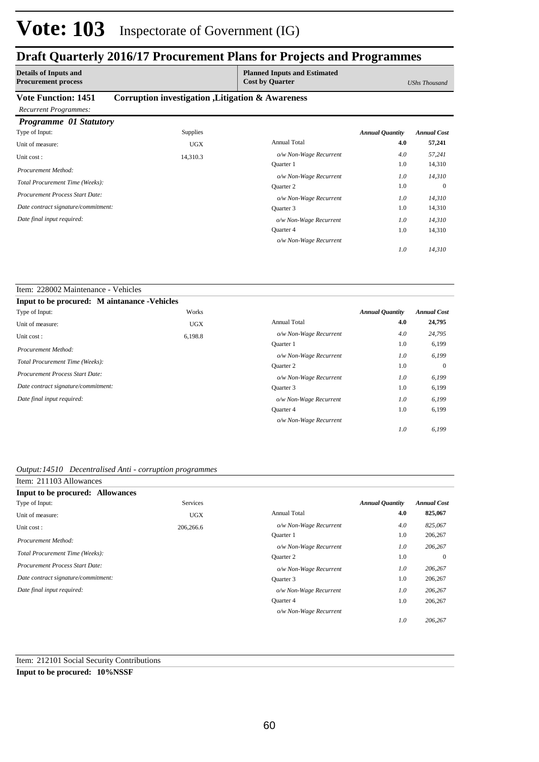### **Draft Quarterly 2016/17 Procurement Plans for Projects and Programmes**

| <b>Details of Inputs and</b><br><b>Procurement process</b> |                                                   | <b>Planned Inputs and Estimated</b><br><b>Cost by Quarter</b> |                        | <b>UShs Thousand</b> |
|------------------------------------------------------------|---------------------------------------------------|---------------------------------------------------------------|------------------------|----------------------|
| <b>Vote Function: 1451</b>                                 | Corruption investigation , Litigation & Awareness |                                                               |                        |                      |
| <b>Recurrent Programmes:</b>                               |                                                   |                                                               |                        |                      |
| <b>Programme 01 Statutory</b>                              |                                                   |                                                               |                        |                      |
| Type of Input:                                             | <b>Supplies</b>                                   |                                                               | <b>Annual Quantity</b> | <b>Annual Cost</b>   |
| Unit of measure:                                           | <b>UGX</b>                                        | <b>Annual Total</b>                                           | 4.0                    | 57,241               |
| Unit cost:                                                 | 14,310.3                                          | o/w Non-Wage Recurrent                                        | 4.0                    | 57,241               |
| Procurement Method:                                        |                                                   | <b>Ouarter</b> 1                                              | 1.0                    | 14,310               |
|                                                            |                                                   | o/w Non-Wage Recurrent                                        | 1.0                    | 14,310               |
| Total Procurement Time (Weeks):                            |                                                   | Quarter 2                                                     | 1.0                    | $\mathbf{0}$         |
| Procurement Process Start Date:                            |                                                   | o/w Non-Wage Recurrent                                        | 1.0                    | 14,310               |
| Date contract signature/commitment:                        |                                                   | Quarter 3                                                     | 1.0                    | 14,310               |
| Date final input required:                                 |                                                   | o/w Non-Wage Recurrent                                        | 1.0                    | 14,310               |
|                                                            |                                                   | Quarter 4                                                     | 1.0                    | 14,310               |

*o/w Non-Wage Recurrent*

*14,310*

*1.0*

#### Item: 228002 Maintenance - Vehicles **Input to be procured: M aintanance -Vehicles** Annual Total **4.0 24,795** 6,199 0 6,199 6,199 1.0 1.0 1.0 1.0 *Annual Quantity Annual Cost o/w Non-Wage Recurrent 4.0 24,795 6,199 6,199 6,199 6,199 1.0 1.0 1.0 1.0* Quarter 1 *o/w Non-Wage Recurrent* Quarter 2 *o/w Non-Wage Recurrent* Quarter 3 Quarter 4 *o/w Non-Wage Recurrent o/w Non-Wage Recurrent* Works Unit of measure: UGX Unit cost : 6,198.8 *Total Procurement Time (Weeks): Date contract signature/commitment: Procurement Process Start Date: Date final input required: Procurement Method:* Type of Input:

#### *Output:14510 Decentralised Anti - corruption programmes*

| Item: 211103 Allowances                |                 |                        |                        |                    |
|----------------------------------------|-----------------|------------------------|------------------------|--------------------|
| Input to be procured: Allowances       |                 |                        |                        |                    |
| Type of Input:                         | <b>Services</b> |                        | <b>Annual Quantity</b> | <b>Annual Cost</b> |
| Unit of measure:                       | <b>UGX</b>      | <b>Annual Total</b>    | 4.0                    | 825,067            |
| Unit cost:                             | 206,266.6       | o/w Non-Wage Recurrent | 4.0                    | 825,067            |
| Procurement Method:                    |                 | <b>Ouarter</b> 1       | 1.0                    | 206,267            |
|                                        |                 | o/w Non-Wage Recurrent | 1.0                    | 206,267            |
| Total Procurement Time (Weeks):        |                 | Quarter 2              | 1.0                    | $\mathbf{0}$       |
| <b>Procurement Process Start Date:</b> |                 | o/w Non-Wage Recurrent | 1.0                    | 206,267            |
| Date contract signature/commitment:    |                 | Quarter 3              | 1.0                    | 206,267            |
| Date final input required:             |                 | o/w Non-Wage Recurrent | 1.0                    | 206,267            |
|                                        |                 | Quarter 4              | 1.0                    | 206,267            |
|                                        |                 | o/w Non-Wage Recurrent |                        |                    |
|                                        |                 |                        | 1.0                    | 206.267            |

#### Item: 212101 Social Security Contributions

#### **Input to be procured: 10%NSSF**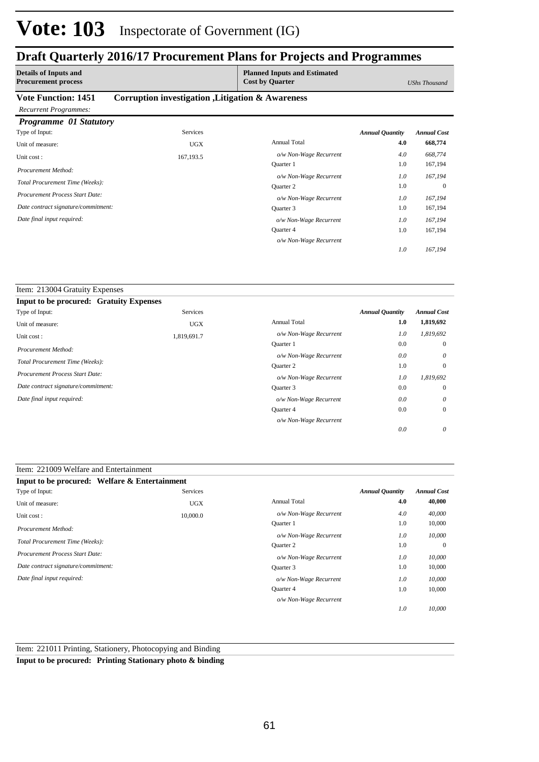### **Draft Quarterly 2016/17 Procurement Plans for Projects and Programmes**

| <b>Details of Inputs and</b><br><b>Procurement process</b> |                                                   | <b>Planned Inputs and Estimated</b><br><b>Cost by Quarter</b> |                        | <b>UShs Thousand</b> |
|------------------------------------------------------------|---------------------------------------------------|---------------------------------------------------------------|------------------------|----------------------|
| <b>Vote Function: 1451</b>                                 | Corruption investigation , Litigation & Awareness |                                                               |                        |                      |
| <b>Recurrent Programmes:</b>                               |                                                   |                                                               |                        |                      |
| <b>Programme</b> 01 Statutory                              |                                                   |                                                               |                        |                      |
| Type of Input:                                             | Services                                          |                                                               | <b>Annual Quantity</b> | <b>Annual Cost</b>   |
| Unit of measure:                                           | <b>UGX</b>                                        | <b>Annual Total</b>                                           | 4.0                    | 668,774              |
| Unit cost:                                                 | 167,193.5                                         | o/w Non-Wage Recurrent                                        | 4.0                    | 668,774              |
| Procurement Method:                                        |                                                   | <b>Ouarter</b> 1                                              | 1.0                    | 167,194              |
|                                                            |                                                   | o/w Non-Wage Recurrent                                        | 1.0                    | 167,194              |
| Total Procurement Time (Weeks):                            |                                                   | <b>Ouarter 2</b>                                              | 1.0                    | $\Omega$             |
| <b>Procurement Process Start Date:</b>                     |                                                   | o/w Non-Wage Recurrent                                        | 1.0                    | 167,194              |
| Date contract signature/commitment:                        |                                                   | Quarter 3                                                     | 1.0                    | 167,194              |
| Date final input required:                                 |                                                   | o/w Non-Wage Recurrent                                        | 1.0                    | 167,194              |
|                                                            |                                                   | <b>Ouarter 4</b>                                              | 1.0                    | 167,194              |

*o/w Non-Wage Recurrent*

*167,194*

*1.0*

| Item: 213004 Gratuity Expenses                 |             |                        |                        |                    |
|------------------------------------------------|-------------|------------------------|------------------------|--------------------|
| <b>Input to be procured: Gratuity Expenses</b> |             |                        |                        |                    |
| Type of Input:                                 | Services    |                        | <b>Annual Quantity</b> | <b>Annual Cost</b> |
| Unit of measure:                               | <b>UGX</b>  | <b>Annual Total</b>    | 1.0                    | 1,819,692          |
| Unit cost:                                     | 1,819,691.7 | o/w Non-Wage Recurrent | 1.0                    | 1,819,692          |
|                                                |             | <b>Ouarter</b> 1       | 0.0                    | $\overline{0}$     |
| Procurement Method:                            |             | o/w Non-Wage Recurrent | 0.0                    | $\theta$           |
| Total Procurement Time (Weeks):                |             | <b>Ouarter 2</b>       | 1.0                    | $\mathbf{0}$       |
| <b>Procurement Process Start Date:</b>         |             | o/w Non-Wage Recurrent | 1.0                    | 1,819,692          |
| Date contract signature/commitment:            |             | Ouarter 3              | 0.0                    | $\overline{0}$     |
| Date final input required:                     |             | o/w Non-Wage Recurrent | 0.0                    | $\theta$           |
|                                                |             | Quarter 4              | 0.0                    | $\mathbf{0}$       |
|                                                |             | o/w Non-Wage Recurrent |                        |                    |
|                                                |             |                        | 0.0                    | 0                  |

### Item: 221009 Welfare and Entertainment

| Input to be procured: Welfare & Entertainment |            |                        |                        |                    |
|-----------------------------------------------|------------|------------------------|------------------------|--------------------|
| Type of Input:                                | Services   |                        | <b>Annual Quantity</b> | <b>Annual Cost</b> |
| Unit of measure:                              | <b>UGX</b> | <b>Annual Total</b>    | 4.0                    | 40,000             |
| Unit cost:                                    | 10,000.0   | o/w Non-Wage Recurrent | 4.0                    | 40,000             |
| Procurement Method:                           |            | Quarter 1              | 1.0                    | 10,000             |
|                                               |            | o/w Non-Wage Recurrent | 1.0                    | 10,000             |
| Total Procurement Time (Weeks):               |            | <b>Ouarter 2</b>       | 1.0                    | $\overline{0}$     |
| <b>Procurement Process Start Date:</b>        |            | o/w Non-Wage Recurrent | 1.0                    | 10,000             |
| Date contract signature/commitment:           |            | Quarter 3              | 1.0                    | 10,000             |
| Date final input required:                    |            | o/w Non-Wage Recurrent | 1.0                    | 10,000             |
|                                               |            | Quarter 4              | 1.0                    | 10,000             |
|                                               |            | o/w Non-Wage Recurrent |                        |                    |
|                                               |            |                        | 1.0                    | 10,000             |

Item: 221011 Printing, Stationery, Photocopying and Binding

**Input to be procured: Printing Stationary photo & binding**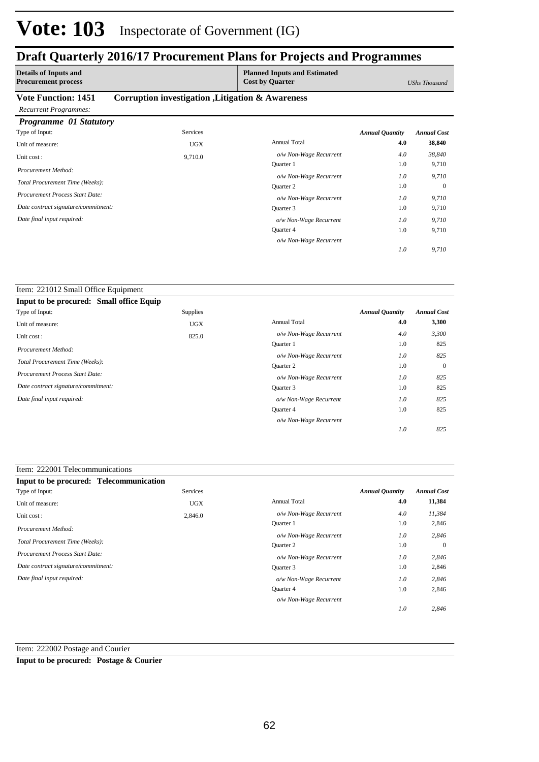### **Draft Quarterly 2016/17 Procurement Plans for Projects and Programmes**

| <b>Details of Inputs and</b><br><b>Procurement process</b> |                                                   | <b>Planned Inputs and Estimated</b><br><b>Cost by Quarter</b> |                        | UShs Thousand      |
|------------------------------------------------------------|---------------------------------------------------|---------------------------------------------------------------|------------------------|--------------------|
| <b>Vote Function: 1451</b>                                 | Corruption investigation , Litigation & Awareness |                                                               |                        |                    |
| <b>Recurrent Programmes:</b>                               |                                                   |                                                               |                        |                    |
| Programme 01 Statutory                                     |                                                   |                                                               |                        |                    |
| Type of Input:                                             | <b>Services</b>                                   |                                                               | <b>Annual Quantity</b> | <b>Annual Cost</b> |
| Unit of measure:                                           | <b>UGX</b>                                        | <b>Annual Total</b>                                           | 4.0                    | 38,840             |
| Unit cost:                                                 | 9,710.0                                           | o/w Non-Wage Recurrent                                        | 4.0                    | 38,840             |
| Procurement Method:                                        |                                                   | Quarter 1                                                     | 1.0                    | 9,710              |
|                                                            |                                                   | o/w Non-Wage Recurrent                                        | 1.0                    | 9,710              |
| Total Procurement Time (Weeks):                            |                                                   | <b>Ouarter 2</b>                                              | 1.0                    | $\mathbf{0}$       |
| Procurement Process Start Date:                            |                                                   | o/w Non-Wage Recurrent                                        | 1.0                    | 9,710              |
| Date contract signature/commitment:                        |                                                   | Quarter 3                                                     | 1.0                    | 9,710              |
| Date final input required:                                 |                                                   | o/w Non-Wage Recurrent                                        | 1.0                    | 9,710              |
|                                                            |                                                   | Quarter 4                                                     | 1.0                    | 9,710              |
|                                                            |                                                   |                                                               |                        |                    |

*o/w Non-Wage Recurrent*

*9,710*

*1.0*

| Item: 221012 Small Office Equipment      |                 |                        |                        |                    |
|------------------------------------------|-----------------|------------------------|------------------------|--------------------|
| Input to be procured: Small office Equip |                 |                        |                        |                    |
| Type of Input:                           | <b>Supplies</b> |                        | <b>Annual Quantity</b> | <b>Annual Cost</b> |
| Unit of measure:                         | <b>UGX</b>      | <b>Annual Total</b>    | 4.0                    | 3,300              |
| Unit cost:                               | 825.0           | o/w Non-Wage Recurrent | 4.0                    | 3,300              |
| Procurement Method:                      |                 | <b>Ouarter</b> 1       | 1.0                    | 825                |
|                                          |                 | o/w Non-Wage Recurrent | 1.0                    | 825                |
| Total Procurement Time (Weeks):          |                 | Quarter 2              | 1.0                    | $\mathbf{0}$       |
| <b>Procurement Process Start Date:</b>   |                 | o/w Non-Wage Recurrent | 1.0                    | 825                |
| Date contract signature/commitment:      |                 | Ouarter 3              | 1.0                    | 825                |
| Date final input required:               |                 | o/w Non-Wage Recurrent | 1.0                    | 825                |
|                                          |                 | Quarter 4              | 1.0                    | 825                |
|                                          |                 | o/w Non-Wage Recurrent |                        |                    |
|                                          |                 |                        | 1.0                    | 825                |

| Input to be procured: Telecommunication |            |                        |                        |                    |
|-----------------------------------------|------------|------------------------|------------------------|--------------------|
| Type of Input:                          | Services   |                        | <b>Annual Quantity</b> | <b>Annual Cost</b> |
| Unit of measure:                        | <b>UGX</b> | <b>Annual Total</b>    | 4.0                    | 11,384             |
| Unit cost:                              | 2,846.0    | o/w Non-Wage Recurrent | 4.0                    | 11,384             |
| Procurement Method:                     |            | Quarter 1              | 1.0                    | 2,846              |
|                                         |            | o/w Non-Wage Recurrent | 1.0                    | 2,846              |
| Total Procurement Time (Weeks):         |            | <b>Ouarter 2</b>       | 1.0                    | $\mathbf{0}$       |
| Procurement Process Start Date:         |            | o/w Non-Wage Recurrent | 1.0                    | 2,846              |
| Date contract signature/commitment:     |            | Quarter 3              | 1.0                    | 2,846              |
| Date final input required:              |            | o/w Non-Wage Recurrent | 1.0                    | 2,846              |
|                                         |            | <b>Ouarter 4</b>       | 1.0                    | 2,846              |
|                                         |            | o/w Non-Wage Recurrent |                        |                    |
|                                         |            |                        | 1.0                    | 2,846              |

Item: 222002 Postage and Courier

**Input to be procured: Postage & Courier**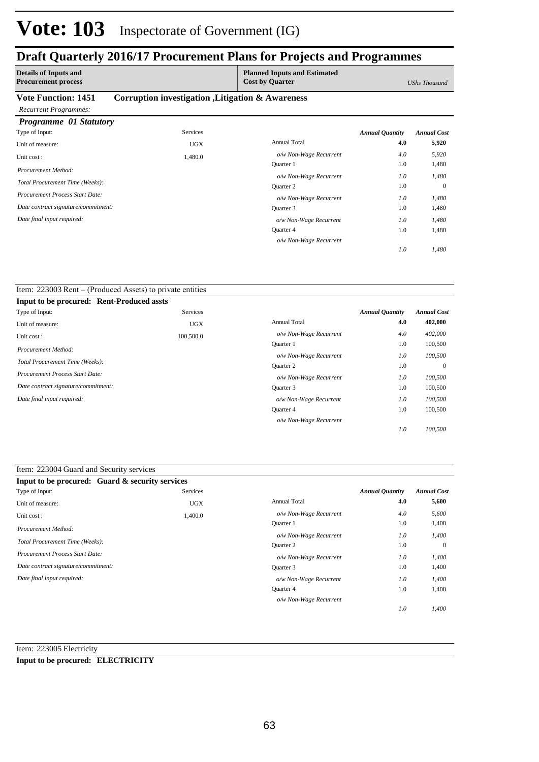### **Draft Quarterly 2016/17 Procurement Plans for Projects and Programmes**

| <b>Details of Inputs and</b><br><b>Procurement process</b> |                                                   | <b>Planned Inputs and Estimated</b><br><b>Cost by Quarter</b> |                        | <b>UShs Thousand</b> |
|------------------------------------------------------------|---------------------------------------------------|---------------------------------------------------------------|------------------------|----------------------|
| <b>Vote Function: 1451</b>                                 | Corruption investigation , Litigation & Awareness |                                                               |                        |                      |
| <b>Recurrent Programmes:</b>                               |                                                   |                                                               |                        |                      |
| Programme 01 Statutory                                     |                                                   |                                                               |                        |                      |
| Type of Input:                                             | <b>Services</b>                                   |                                                               | <b>Annual Quantity</b> | <b>Annual Cost</b>   |
| Unit of measure:                                           | <b>UGX</b>                                        | <b>Annual Total</b>                                           | 4.0                    | 5,920                |
| Unit cost:                                                 | 1,480.0                                           | o/w Non-Wage Recurrent                                        | 4.0                    | 5,920                |
| Procurement Method:                                        |                                                   | <b>Ouarter</b> 1                                              | 1.0                    | 1,480                |
|                                                            |                                                   | o/w Non-Wage Recurrent                                        | 1.0                    | 1,480                |
| Total Procurement Time (Weeks):                            |                                                   | Quarter 2                                                     | 1.0                    | $\theta$             |
| <b>Procurement Process Start Date:</b>                     |                                                   | o/w Non-Wage Recurrent                                        | 1.0                    | 1,480                |
| Date contract signature/commitment:                        |                                                   | Quarter 3                                                     | 1.0                    | 1,480                |
| Date final input required:                                 |                                                   | o/w Non-Wage Recurrent                                        | 1.0                    | 1,480                |
|                                                            |                                                   | Quarter 4                                                     | 1.0                    | 1,480                |

*o/w Non-Wage Recurrent*

*1,480*

*1.0*

| Item: 223003 Rent – (Produced Assets) to private entities |            |                        |                        |                    |
|-----------------------------------------------------------|------------|------------------------|------------------------|--------------------|
| <b>Input to be procured: Rent-Produced assts</b>          |            |                        |                        |                    |
| Type of Input:                                            | Services   |                        | <b>Annual Quantity</b> | <b>Annual Cost</b> |
| Unit of measure:                                          | <b>UGX</b> | <b>Annual Total</b>    | 4.0                    | 402,000            |
| Unit cost:                                                | 100,500.0  | o/w Non-Wage Recurrent | 4.0                    | 402,000            |
|                                                           |            | <b>Ouarter</b> 1       | 1.0                    | 100,500            |
| Procurement Method:                                       |            | o/w Non-Wage Recurrent | 1.0                    | 100,500            |
| Total Procurement Time (Weeks):                           |            | Quarter 2              | 1.0                    | $\mathbf{0}$       |
| <b>Procurement Process Start Date:</b>                    |            | o/w Non-Wage Recurrent | 1.0                    | 100,500            |
| Date contract signature/commitment:                       |            | Quarter 3              | 1.0                    | 100,500            |
| Date final input required:                                |            | o/w Non-Wage Recurrent | 1.0                    | 100,500            |
|                                                           |            | Quarter 4              | 1.0                    | 100,500            |
|                                                           |            | o/w Non-Wage Recurrent |                        |                    |
|                                                           |            |                        | 1.0                    | 100,500            |

| Item: 223004 Guard and Security services        |            |                        |                        |                    |
|-------------------------------------------------|------------|------------------------|------------------------|--------------------|
| Input to be procured: Guard & security services |            |                        |                        |                    |
| Type of Input:                                  | Services   |                        | <b>Annual Quantity</b> | <b>Annual Cost</b> |
| Unit of measure:                                | <b>UGX</b> | <b>Annual Total</b>    | 4.0                    | 5,600              |
| Unit cost:                                      | 1,400.0    | o/w Non-Wage Recurrent | 4.0                    | 5,600              |
| Procurement Method:                             |            | <b>Ouarter</b> 1       | 1.0                    | 1,400              |
|                                                 |            | o/w Non-Wage Recurrent | 1.0                    | 1,400              |
| Total Procurement Time (Weeks):                 |            | <b>Ouarter 2</b>       | 1.0                    | $\overline{0}$     |
| <b>Procurement Process Start Date:</b>          |            | o/w Non-Wage Recurrent | 1.0                    | 1,400              |
| Date contract signature/commitment:             |            | Quarter 3              | 1.0                    | 1,400              |
| Date final input required:                      |            | o/w Non-Wage Recurrent | 1.0                    | 1,400              |
|                                                 |            | <b>Ouarter 4</b>       | 1.0                    | 1,400              |
|                                                 |            | o/w Non-Wage Recurrent |                        |                    |
|                                                 |            |                        | 1.0                    | 1,400              |

Item: 223005 Electricity

### **Input to be procured: ELECTRICITY**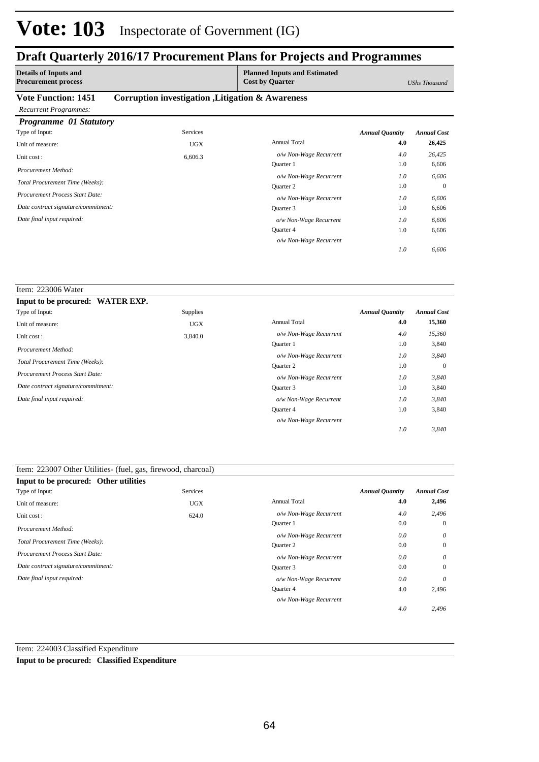### **Draft Quarterly 2016/17 Procurement Plans for Projects and Programmes**

| <b>Details of Inputs and</b><br><b>Procurement process</b> |                                                   | <b>Planned Inputs and Estimated</b><br><b>Cost by Quarter</b> |                        | UShs Thousand      |
|------------------------------------------------------------|---------------------------------------------------|---------------------------------------------------------------|------------------------|--------------------|
| <b>Vote Function: 1451</b>                                 | Corruption investigation , Litigation & Awareness |                                                               |                        |                    |
| <b>Recurrent Programmes:</b>                               |                                                   |                                                               |                        |                    |
| <b>Programme 01 Statutory</b>                              |                                                   |                                                               |                        |                    |
| Type of Input:                                             | <b>Services</b>                                   |                                                               | <b>Annual Quantity</b> | <b>Annual Cost</b> |
| Unit of measure:                                           | <b>UGX</b>                                        | <b>Annual Total</b>                                           | 4.0                    | 26,425             |
| Unit cost:                                                 | 6,606.3                                           | o/w Non-Wage Recurrent                                        | 4.0                    | 26,425             |
| Procurement Method:                                        |                                                   | <b>Ouarter</b> 1                                              | 1.0                    | 6,606              |
|                                                            |                                                   | o/w Non-Wage Recurrent                                        | 1.0                    | 6,606              |
| Total Procurement Time (Weeks):                            |                                                   | Quarter 2                                                     | 1.0                    | $\theta$           |
| Procurement Process Start Date:                            |                                                   | o/w Non-Wage Recurrent                                        | 1.0                    | 6,606              |
| Date contract signature/commitment:                        |                                                   | Quarter 3                                                     | 1.0                    | 6,606              |
| Date final input required:                                 |                                                   | o/w Non-Wage Recurrent                                        | 1.0                    | 6,606              |
|                                                            |                                                   | Quarter 4                                                     | 1.0                    | 6,606              |
|                                                            |                                                   | o/w Non-Wage Recurrent                                        |                        |                    |

*6,606*

*1.0*

#### Item: 223006 Water **Input to be procured: WATER EXP.** Annual Total **4.0 15,360** 3,840 0 3,840 3,840 1.0 1.0 1.0 1.0 *Annual Quantity Annual Cost o/w Non-Wage Recurrent 4.0 15,360 3,840 3,840 3,840 3,840 1.0 1.0 1.0 1.0* Quarter 1 *o/w Non-Wage Recurrent* Quarter 2 *o/w Non-Wage Recurrent* Quarter 3 Quarter 4 *o/w Non-Wage Recurrent o/w Non-Wage Recurrent* Supplies Unit of measure: UGX Unit cost : 3,840.0 *Total Procurement Time (Weeks): Date contract signature/commitment: Procurement Process Start Date: Date final input required: Procurement Method:* Type of Input:

| Item: 223007 Other Utilities (fuel, gas, firewood, charcoal) |                 |                        |                        |                    |
|--------------------------------------------------------------|-----------------|------------------------|------------------------|--------------------|
| Input to be procured: Other utilities                        |                 |                        |                        |                    |
| Type of Input:                                               | <b>Services</b> |                        | <b>Annual Quantity</b> | <b>Annual Cost</b> |
| Unit of measure:                                             | <b>UGX</b>      | <b>Annual Total</b>    | 4.0                    | 2,496              |
| Unit cost:                                                   | 624.0           | o/w Non-Wage Recurrent | 4.0                    | 2,496              |
| Procurement Method:                                          |                 | Quarter 1              | 0.0                    | $\Omega$           |
|                                                              |                 | o/w Non-Wage Recurrent | 0.0                    | $\theta$           |
| Total Procurement Time (Weeks):                              |                 | Quarter 2              | 0.0                    | $\mathbf{0}$       |
| <b>Procurement Process Start Date:</b>                       |                 | o/w Non-Wage Recurrent | 0.0                    | $\theta$           |
| Date contract signature/commitment:                          |                 | Quarter 3              | 0.0                    | $\mathbf{0}$       |
| Date final input required:                                   |                 | o/w Non-Wage Recurrent | 0.0                    | $\theta$           |
|                                                              |                 | Quarter 4              | 4.0                    | 2,496              |
|                                                              |                 | o/w Non-Wage Recurrent |                        |                    |
|                                                              |                 |                        | 4.0                    | 2,496              |

Item: 224003 Classified Expenditure

**Input to be procured: Classified Expenditure**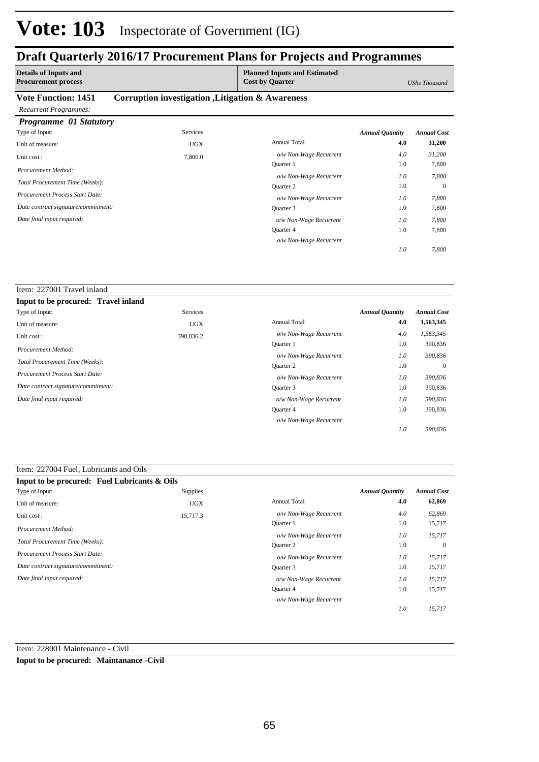### **Draft Quarterly 2016/17 Procurement Plans for Projects and Programmes**

| <b>Details of Inputs and</b><br><b>Procurement process</b> |                                                   | <b>Planned Inputs and Estimated</b><br><b>Cost by Quarter</b> |                        | UShs Thousand      |
|------------------------------------------------------------|---------------------------------------------------|---------------------------------------------------------------|------------------------|--------------------|
| <b>Vote Function: 1451</b>                                 | Corruption investigation , Litigation & Awareness |                                                               |                        |                    |
| <b>Recurrent Programmes:</b>                               |                                                   |                                                               |                        |                    |
| <b>Programme 01 Statutory</b>                              |                                                   |                                                               |                        |                    |
| Type of Input:                                             | <b>Services</b>                                   |                                                               | <b>Annual Quantity</b> | <b>Annual Cost</b> |
| Unit of measure:                                           | <b>UGX</b>                                        | <b>Annual Total</b>                                           | 4.0                    | 31,200             |
| Unit cost:                                                 | 7,800.0                                           | o/w Non-Wage Recurrent                                        | 4.0                    | 31,200             |
| Procurement Method:                                        |                                                   | Quarter 1                                                     | 1.0                    | 7,800              |
|                                                            |                                                   | o/w Non-Wage Recurrent                                        | 1.0                    | 7,800              |
| Total Procurement Time (Weeks):                            |                                                   | <b>Ouarter 2</b>                                              | 1.0                    | $\Omega$           |
| Procurement Process Start Date:                            |                                                   | o/w Non-Wage Recurrent                                        | 1.0                    | 7,800              |
| Date contract signature/commitment:                        |                                                   | Quarter 3                                                     | 1.0                    | 7,800              |
| Date final input required:                                 |                                                   | o/w Non-Wage Recurrent                                        | 1.0                    | 7,800              |
|                                                            |                                                   | Quarter 4                                                     | 1.0                    | 7,800              |
|                                                            |                                                   | o/w Non-Wage Recurrent                                        |                        |                    |

*7,800*

*1.0*

| Item: 227001 Travel inland             |                 |                        |                        |                    |
|----------------------------------------|-----------------|------------------------|------------------------|--------------------|
| Input to be procured: Travel inland    |                 |                        |                        |                    |
| Type of Input:                         | <b>Services</b> |                        | <b>Annual Quantity</b> | <b>Annual Cost</b> |
| Unit of measure:                       | <b>UGX</b>      | <b>Annual Total</b>    | 4.0                    | 1,563,345          |
| Unit cost:                             | 390,836.2       | o/w Non-Wage Recurrent | 4.0                    | 1,563,345          |
| Procurement Method:                    |                 | <b>Ouarter</b> 1       | 1.0                    | 390,836            |
|                                        |                 | o/w Non-Wage Recurrent | 1.0                    | 390,836            |
| Total Procurement Time (Weeks):        |                 | Quarter 2              | 1.0                    | $\Omega$           |
| <b>Procurement Process Start Date:</b> |                 | o/w Non-Wage Recurrent | 1.0                    | 390,836            |
| Date contract signature/commitment:    |                 | Quarter 3              | 1.0                    | 390,836            |
| Date final input required:             |                 | o/w Non-Wage Recurrent | 1.0                    | 390,836            |
|                                        |                 | Quarter 4              | 1.0                    | 390,836            |
|                                        |                 | o/w Non-Wage Recurrent |                        |                    |
|                                        |                 |                        | 1.0                    | 390.836            |

#### Item: 227004 Fuel, Lubricants and Oils **Input to be procured: Fuel Lubricants & Oils** Annual Total **4.0 62,869** 15,717 0 15,717 15,717 1.0 1.0 1.0 1.0 *Annual Quantity Annual Cost o/w Non-Wage Recurrent 4.0 62,869 15,717 15,717 15,717 15,717 1.0 1.0 1.0 1.0* Quarter 1 *o/w Non-Wage Recurrent* Quarter 2 *o/w Non-Wage Recurrent* Quarter 3 Quarter 4 *o/w Non-Wage Recurrent o/w Non-Wage Recurrent* Supplies Unit of measure: UGX Unit cost : 15,717.3 *Total Procurement Time (Weeks): Date contract signature/commitment: Procurement Process Start Date: Date final input required: Procurement Method:* Type of Input:

Item: 228001 Maintenance - Civil

**Input to be procured: Maintanance -Civil**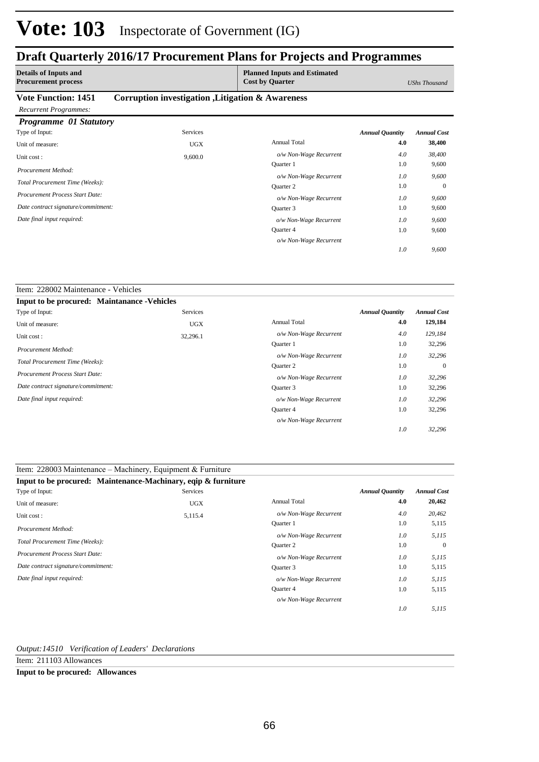### **Draft Quarterly 2016/17 Procurement Plans for Projects and Programmes**

| <b>Details of Inputs and</b><br><b>Procurement process</b> |                                                   | <b>Planned Inputs and Estimated</b><br><b>Cost by Quarter</b> |                        | UShs Thousand      |
|------------------------------------------------------------|---------------------------------------------------|---------------------------------------------------------------|------------------------|--------------------|
| <b>Vote Function: 1451</b>                                 | Corruption investigation , Litigation & Awareness |                                                               |                        |                    |
| <b>Recurrent Programmes:</b>                               |                                                   |                                                               |                        |                    |
| <b>Programme 01 Statutory</b>                              |                                                   |                                                               |                        |                    |
| Type of Input:                                             | <b>Services</b>                                   |                                                               | <b>Annual Quantity</b> | <b>Annual Cost</b> |
| Unit of measure:                                           | <b>UGX</b>                                        | <b>Annual Total</b>                                           | 4.0                    | 38,400             |
| Unit cost:                                                 | 9,600.0                                           | o/w Non-Wage Recurrent                                        | 4.0                    | 38,400             |
| Procurement Method:                                        |                                                   | <b>Ouarter</b> 1                                              | 1.0                    | 9,600              |
|                                                            |                                                   | o/w Non-Wage Recurrent                                        | 1.0                    | 9,600              |
| Total Procurement Time (Weeks):                            |                                                   | Quarter 2                                                     | 1.0                    | $\theta$           |
| <b>Procurement Process Start Date:</b>                     |                                                   | o/w Non-Wage Recurrent                                        | 1.0                    | 9,600              |
| Date contract signature/commitment:                        |                                                   | Quarter 3                                                     | 1.0                    | 9,600              |
| Date final input required:                                 |                                                   | o/w Non-Wage Recurrent                                        | 1.0                    | 9,600              |
|                                                            |                                                   | Quarter 4                                                     | 1.0                    | 9,600              |

*o/w Non-Wage Recurrent*

*9,600*

*1.0*

#### Item: 228002 Maintenance - Vehicles **Input to be procured: Maintanance -Vehicles** Annual Total **4.0 129,184** 32,296 0 32,296 32,296 1.0 1.0 1.0 1.0 *Annual Quantity Annual Cost o/w Non-Wage Recurrent 4.0 129,184 32,296 32,296 32,296 32,296 1.0 1.0 1.0 1.0* Quarter 1 *o/w Non-Wage Recurrent* Quarter 2 *o/w Non-Wage Recurrent* Quarter 3 Quarter 4 *o/w Non-Wage Recurrent o/w Non-Wage Recurrent* Services Unit of measure: UGX Unit cost : 32,296.1 *Total Procurement Time (Weeks): Date contract signature/commitment: Procurement Process Start Date: Date final input required: Procurement Method:* Type of Input:

### Item: 228003 Maintenance – Machinery, Equipment & Furniture

| Input to be procured: Maintenance-Machinary, eqip & furniture |                 |                        |                        |                    |
|---------------------------------------------------------------|-----------------|------------------------|------------------------|--------------------|
| Type of Input:                                                | <b>Services</b> |                        | <b>Annual Quantity</b> | <b>Annual Cost</b> |
| Unit of measure:                                              | <b>UGX</b>      | <b>Annual Total</b>    | 4.0                    | 20,462             |
| Unit cost:                                                    | 5,115.4         | o/w Non-Wage Recurrent | 4.0                    | 20,462             |
| Procurement Method:                                           |                 | <b>Ouarter</b> 1       | 1.0                    | 5,115              |
|                                                               |                 | o/w Non-Wage Recurrent | 1.0                    | 5,115              |
| Total Procurement Time (Weeks):                               |                 | <b>Ouarter 2</b>       | 1.0                    | $\mathbf{0}$       |
| Procurement Process Start Date:                               |                 | o/w Non-Wage Recurrent | 1.0                    | 5,115              |
| Date contract signature/commitment:                           |                 | Quarter 3              | 1.0                    | 5,115              |
| Date final input required:                                    |                 | o/w Non-Wage Recurrent | 1.0                    | 5,115              |
|                                                               |                 | Quarter 4              | 1.0                    | 5,115              |
|                                                               |                 | o/w Non-Wage Recurrent |                        |                    |
|                                                               |                 |                        | 1.0                    | 5,115              |

### *Output:14510 Verification of Leaders' Declarations*

Item: 211103 Allowances

#### **Input to be procured: Allowances**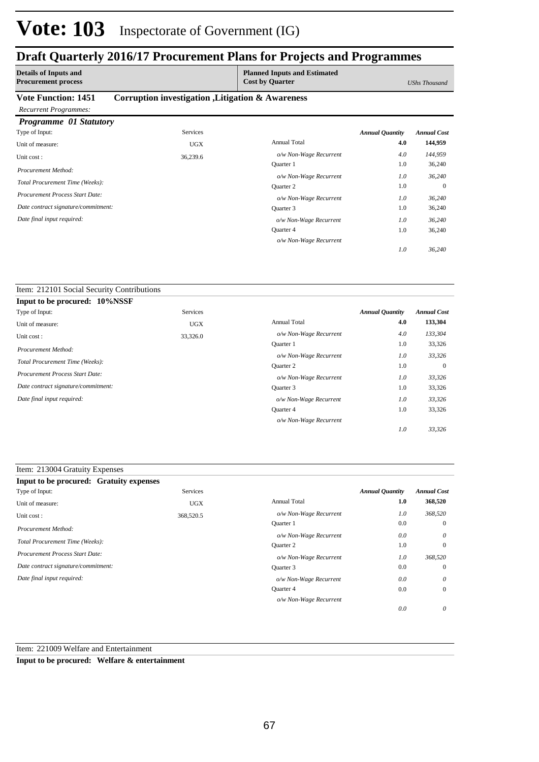## **Draft Quarterly 2016/17 Procurement Plans for Projects and Programmes**

| <b>Details of Inputs and</b><br><b>Procurement process</b>    |                                                   | <b>Planned Inputs and Estimated</b><br><b>Cost by Quarter</b> |                        | UShs Thousand      |
|---------------------------------------------------------------|---------------------------------------------------|---------------------------------------------------------------|------------------------|--------------------|
| <b>Vote Function: 1451</b>                                    | Corruption investigation , Litigation & Awareness |                                                               |                        |                    |
| <b>Recurrent Programmes:</b><br><b>Programme 01 Statutory</b> |                                                   |                                                               |                        |                    |
| Type of Input:                                                | <b>Services</b>                                   |                                                               | <b>Annual Quantity</b> | <b>Annual Cost</b> |
| Unit of measure:                                              | <b>UGX</b>                                        | <b>Annual Total</b>                                           | 4.0                    | 144,959            |
| Unit cost:                                                    | 36,239.6                                          | o/w Non-Wage Recurrent                                        | 4.0                    | 144,959            |
| Procurement Method:                                           |                                                   | Quarter 1                                                     | 1.0                    | 36,240             |
|                                                               |                                                   | o/w Non-Wage Recurrent                                        | 1.0                    | 36,240             |
| Total Procurement Time (Weeks):                               |                                                   | Quarter 2                                                     | 1.0                    | $\mathbf{0}$       |
| Procurement Process Start Date:                               |                                                   | o/w Non-Wage Recurrent                                        | 1.0                    | 36,240             |
| Date contract signature/commitment:                           |                                                   | Quarter 3                                                     | 1.0                    | 36,240             |
| Date final input required:                                    |                                                   | o/w Non-Wage Recurrent                                        | 1.0                    | 36,240             |
|                                                               |                                                   | Quarter 4                                                     | 1.0                    | 36,240             |

*o/w Non-Wage Recurrent*

*36,240*

*1.0*

#### Item: 212101 Social Security Contributions

| Input to be procured: 10%NSSF       |            |                        |                        |                    |
|-------------------------------------|------------|------------------------|------------------------|--------------------|
| Type of Input:                      | Services   |                        | <b>Annual Quantity</b> | <b>Annual Cost</b> |
| Unit of measure:                    | <b>UGX</b> | <b>Annual Total</b>    | 4.0                    | 133,304            |
| Unit cost:                          | 33,326.0   | o/w Non-Wage Recurrent | 4.0                    | 133,304            |
| Procurement Method:                 |            | <b>Ouarter</b> 1       | 1.0                    | 33,326             |
|                                     |            | o/w Non-Wage Recurrent | 1.0                    | 33,326             |
| Total Procurement Time (Weeks):     |            | <b>Ouarter 2</b>       | 1.0                    | $\overline{0}$     |
| Procurement Process Start Date:     |            | o/w Non-Wage Recurrent | 1.0                    | 33,326             |
| Date contract signature/commitment: |            | Ouarter 3              | 1.0                    | 33,326             |
| Date final input required:          |            | o/w Non-Wage Recurrent | 1.0                    | 33,326             |
|                                     |            | <b>Ouarter 4</b>       | 1.0                    | 33,326             |
|                                     |            | o/w Non-Wage Recurrent |                        |                    |
|                                     |            |                        | 1.0                    | 33,326             |

### Item: 213004 Gratuity Expenses

| <b>Input to be procured: Gratuity expenses</b> |            |                        |                        |                    |
|------------------------------------------------|------------|------------------------|------------------------|--------------------|
| Type of Input:                                 | Services   |                        | <b>Annual Quantity</b> | <b>Annual Cost</b> |
| Unit of measure:                               | <b>UGX</b> | <b>Annual Total</b>    | 1.0                    | 368,520            |
| Unit cost:                                     | 368,520.5  | o/w Non-Wage Recurrent | 1.0                    | 368,520            |
| Procurement Method:                            |            | Quarter 1              | 0.0                    | $\overline{0}$     |
|                                                |            | o/w Non-Wage Recurrent | 0.0                    | $\theta$           |
| Total Procurement Time (Weeks):                |            | <b>Ouarter 2</b>       | 1.0                    | $\overline{0}$     |
| Procurement Process Start Date:                |            | o/w Non-Wage Recurrent | 1.0                    | 368,520            |
| Date contract signature/commitment:            |            | Ouarter 3              | 0.0                    | $\overline{0}$     |
| Date final input required:                     |            | o/w Non-Wage Recurrent | 0.0                    | $\theta$           |
|                                                |            | Quarter 4              | 0.0                    | $\overline{0}$     |
|                                                |            | o/w Non-Wage Recurrent |                        |                    |
|                                                |            |                        | 0.0                    | 0                  |

### Item: 221009 Welfare and Entertainment

**Input to be procured: Welfare & entertainment**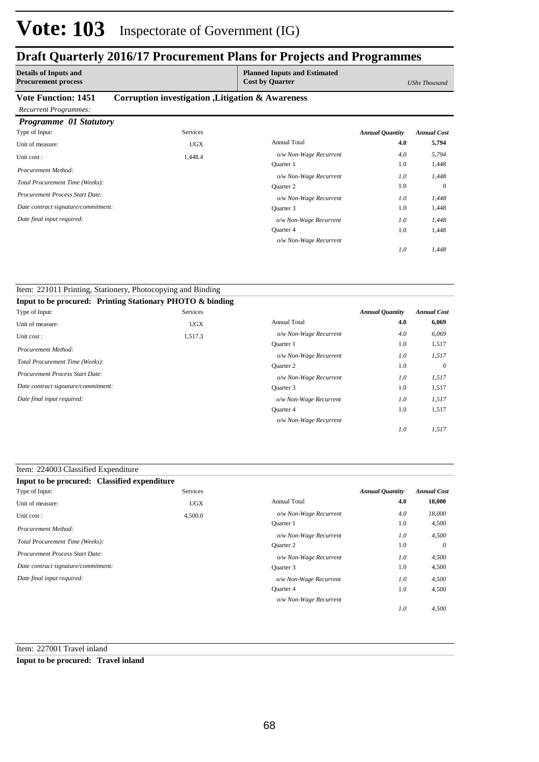### **Draft Quarterly 2016/17 Procurement Plans for Projects and Programmes**

| <b>Details of Inputs and</b><br><b>Procurement process</b> |                                                   | <b>Planned Inputs and Estimated</b><br><b>Cost by Quarter</b> |                        | <b>UShs Thousand</b> |
|------------------------------------------------------------|---------------------------------------------------|---------------------------------------------------------------|------------------------|----------------------|
| <b>Vote Function: 1451</b><br><b>Recurrent Programmes:</b> | Corruption investigation , Litigation & Awareness |                                                               |                        |                      |
| <b>Programme 01 Statutory</b>                              |                                                   |                                                               |                        |                      |
| Type of Input:                                             | <b>Services</b>                                   |                                                               | <b>Annual Quantity</b> | <b>Annual Cost</b>   |
| Unit of measure:                                           | <b>UGX</b>                                        | <b>Annual Total</b>                                           | 4.0                    | 5,794                |
| Unit cost:                                                 | 1,448.4                                           | o/w Non-Wage Recurrent                                        | 4.0                    | 5,794                |
| Procurement Method:                                        |                                                   | Quarter 1                                                     | 1.0                    | 1,448                |
|                                                            |                                                   | o/w Non-Wage Recurrent                                        | 1.0                    | 1,448                |
| Total Procurement Time (Weeks):                            |                                                   | Quarter 2                                                     | 1.0                    | $\theta$             |
| Procurement Process Start Date:                            |                                                   | o/w Non-Wage Recurrent                                        | 1.0                    | 1,448                |
| Date contract signature/commitment:                        |                                                   | Quarter 3                                                     | 1.0                    | 1,448                |
| Date final input required:                                 |                                                   | o/w Non-Wage Recurrent                                        | 1.0                    | 1,448                |
|                                                            |                                                   | Quarter 4                                                     | 1.0                    | 1,448                |

*o/w Non-Wage Recurrent*

*1,448*

*1.0*

| Item: 221011 Printing, Stationery, Photocopying and Binding |                 |                        |                        |                    |
|-------------------------------------------------------------|-----------------|------------------------|------------------------|--------------------|
| Input to be procured: Printing Stationary PHOTO & binding   |                 |                        |                        |                    |
| Type of Input:                                              | <b>Services</b> |                        | <b>Annual Quantity</b> | <b>Annual Cost</b> |
| Unit of measure:                                            | <b>UGX</b>      | <b>Annual Total</b>    | 4.0                    | 6,069              |
| Unit cost:                                                  | 1,517.3         | o/w Non-Wage Recurrent | 4.0                    | 6,069              |
|                                                             |                 | <b>Ouarter</b> 1       | 1.0                    | 1,517              |
| Procurement Method:                                         |                 | o/w Non-Wage Recurrent | 1.0                    | 1,517              |
| Total Procurement Time (Weeks):                             |                 | <b>Ouarter 2</b>       | 1.0                    | $\overline{0}$     |
| Procurement Process Start Date:                             |                 | o/w Non-Wage Recurrent | 1.0                    | 1,517              |
| Date contract signature/commitment:                         |                 | Quarter 3              | 1.0                    | 1,517              |
| Date final input required:                                  |                 | o/w Non-Wage Recurrent | 1.0                    | 1,517              |
|                                                             |                 | Quarter 4              | 1.0                    | 1,517              |
|                                                             |                 | o/w Non-Wage Recurrent |                        |                    |
|                                                             |                 |                        | 1.0                    | 1,517              |

### Item: 224003 Classified Expenditure

| Input to be procured: Classified expenditure |            |                        |                        |                    |
|----------------------------------------------|------------|------------------------|------------------------|--------------------|
| Type of Input:                               | Services   |                        | <b>Annual Quantity</b> | <b>Annual Cost</b> |
| Unit of measure:                             | <b>UGX</b> | <b>Annual Total</b>    | 4.0                    | 18,000             |
| Unit cost:                                   | 4,500.0    | o/w Non-Wage Recurrent | 4.0                    | 18,000             |
| Procurement Method:                          |            | <b>Ouarter</b> 1       | 1.0                    | 4,500              |
|                                              |            | o/w Non-Wage Recurrent | 1.0                    | 4,500              |
| Total Procurement Time (Weeks):              |            | <b>Ouarter 2</b>       | 1.0                    | $\overline{0}$     |
| Procurement Process Start Date:              |            | o/w Non-Wage Recurrent | 1.0                    | 4,500              |
| Date contract signature/commitment:          |            | Quarter 3              | 1.0                    | 4,500              |
| Date final input required:                   |            | o/w Non-Wage Recurrent | 1.0                    | 4,500              |
|                                              |            | Quarter 4              | 1.0                    | 4,500              |
|                                              |            | o/w Non-Wage Recurrent |                        |                    |
|                                              |            |                        | 1.0                    | 4,500              |

Item: 227001 Travel inland

### **Input to be procured: Travel inland**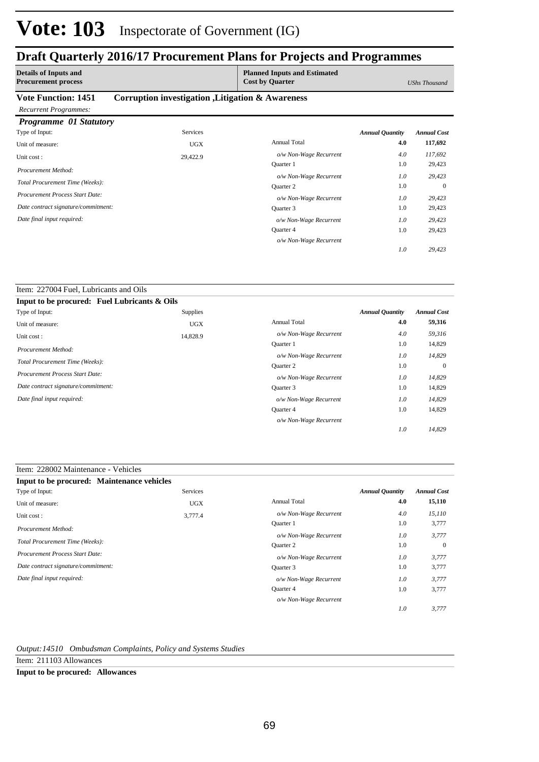### **Draft Quarterly 2016/17 Procurement Plans for Projects and Programmes**

| <b>Details of Inputs and</b><br><b>Procurement process</b> |                                                   | <b>Planned Inputs and Estimated</b><br><b>Cost by Quarter</b> |                        | UShs Thousand      |
|------------------------------------------------------------|---------------------------------------------------|---------------------------------------------------------------|------------------------|--------------------|
| <b>Vote Function: 1451</b>                                 | Corruption investigation , Litigation & Awareness |                                                               |                        |                    |
| <b>Recurrent Programmes:</b>                               |                                                   |                                                               |                        |                    |
| Programme 01 Statutory                                     |                                                   |                                                               |                        |                    |
| Type of Input:                                             | <b>Services</b>                                   |                                                               | <b>Annual Quantity</b> | <b>Annual Cost</b> |
| Unit of measure:                                           | <b>UGX</b>                                        | <b>Annual Total</b>                                           | 4.0                    | 117,692            |
| Unit cost:                                                 | 29,422.9                                          | o/w Non-Wage Recurrent                                        | 4.0                    | 117,692            |
| Procurement Method:                                        |                                                   | Quarter 1                                                     | 1.0                    | 29,423             |
|                                                            |                                                   | o/w Non-Wage Recurrent                                        | 1.0                    | 29,423             |
| Total Procurement Time (Weeks):                            |                                                   | <b>Ouarter 2</b>                                              | 1.0                    | $\theta$           |
| <b>Procurement Process Start Date:</b>                     |                                                   | o/w Non-Wage Recurrent                                        | 1.0                    | 29,423             |
| Date contract signature/commitment:                        |                                                   | Quarter 3                                                     | 1.0                    | 29,423             |
| Date final input required:                                 |                                                   | o/w Non-Wage Recurrent                                        | 1.0                    | 29,423             |
|                                                            |                                                   | Quarter 4                                                     | 1.0                    | 29,423             |

*o/w Non-Wage Recurrent*

*29,423*

*1.0*

### Item: 227004 Fuel, Lubricants and Oils

| Input to be procured: Fuel Lubricants & Oils |                 |                        |                        |                    |
|----------------------------------------------|-----------------|------------------------|------------------------|--------------------|
| Type of Input:                               | <b>Supplies</b> |                        | <b>Annual Quantity</b> | <b>Annual Cost</b> |
| Unit of measure:                             | <b>UGX</b>      | <b>Annual Total</b>    | 4.0                    | 59,316             |
| Unit cost:                                   | 14,828.9        | o/w Non-Wage Recurrent | 4.0                    | 59,316             |
| Procurement Method:                          |                 | <b>Ouarter 1</b>       | 1.0                    | 14,829             |
|                                              |                 | o/w Non-Wage Recurrent | 1.0                    | 14,829             |
| Total Procurement Time (Weeks):              |                 | Quarter 2              | 1.0                    | $\theta$           |
| <b>Procurement Process Start Date:</b>       |                 | o/w Non-Wage Recurrent | 1.0                    | 14,829             |
| Date contract signature/commitment:          |                 | Quarter 3              | 1.0                    | 14,829             |
| Date final input required:                   |                 | o/w Non-Wage Recurrent | 1.0                    | 14,829             |
|                                              |                 | <b>Ouarter 4</b>       | 1.0                    | 14,829             |
|                                              |                 | o/w Non-Wage Recurrent |                        |                    |
|                                              |                 |                        | 1.0                    | 14,829             |

### Item: 228002 Maintenance - Vehicles

| Input to be procured: Maintenance vehicles |            |                        |                        |                    |
|--------------------------------------------|------------|------------------------|------------------------|--------------------|
| Type of Input:                             | Services   |                        | <b>Annual Quantity</b> | <b>Annual Cost</b> |
| Unit of measure:                           | <b>UGX</b> | <b>Annual Total</b>    | 4.0                    | 15,110             |
| Unit cost:                                 | 3,777.4    | o/w Non-Wage Recurrent | 4.0                    | 15,110             |
| Procurement Method:                        |            | <b>Ouarter 1</b>       | 1.0                    | 3,777              |
|                                            |            | o/w Non-Wage Recurrent | 1.0                    | 3,777              |
| Total Procurement Time (Weeks):            |            | <b>Ouarter 2</b>       | 1.0                    | $\mathbf{0}$       |
| Procurement Process Start Date:            |            | o/w Non-Wage Recurrent | 1.0                    | 3.777              |
| Date contract signature/commitment:        |            | Quarter 3              | 1.0                    | 3,777              |
| Date final input required:                 |            | o/w Non-Wage Recurrent | 1.0                    | 3.777              |
|                                            |            | Quarter 4              | 1.0                    | 3,777              |
|                                            |            | o/w Non-Wage Recurrent |                        |                    |
|                                            |            |                        | 1.0                    | 3,777              |

*Output:14510 Ombudsman Complaints, Policy and Systems Studies*

Item: 211103 Allowances

**Input to be procured: Allowances**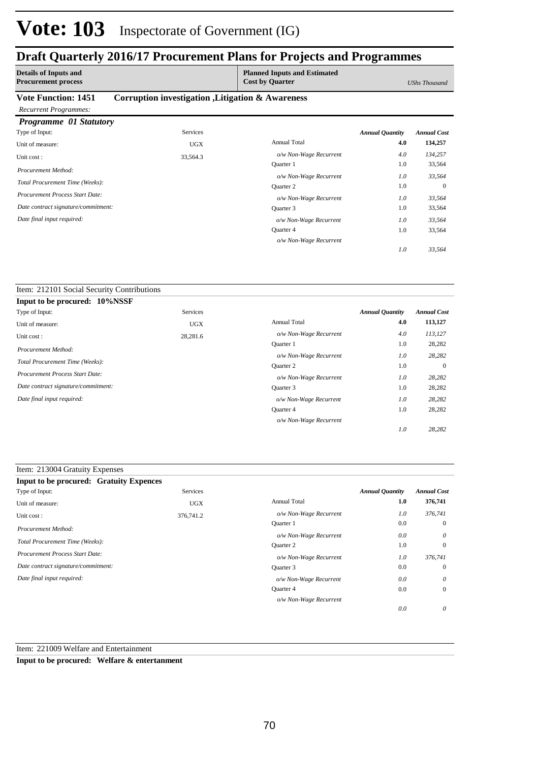## **Draft Quarterly 2016/17 Procurement Plans for Projects and Programmes**

| <b>Details of Inputs and</b><br><b>Procurement process</b> |                                                   | <b>Planned Inputs and Estimated</b><br><b>Cost by Quarter</b> |                        | UShs Thousand      |
|------------------------------------------------------------|---------------------------------------------------|---------------------------------------------------------------|------------------------|--------------------|
| <b>Vote Function: 1451</b>                                 | Corruption investigation , Litigation & Awareness |                                                               |                        |                    |
| <b>Recurrent Programmes:</b>                               |                                                   |                                                               |                        |                    |
| <b>Programme 01 Statutory</b>                              |                                                   |                                                               |                        |                    |
| Type of Input:                                             | <b>Services</b>                                   |                                                               | <b>Annual Quantity</b> | <b>Annual Cost</b> |
| Unit of measure:                                           | <b>UGX</b>                                        | <b>Annual Total</b>                                           | 4.0                    | 134,257            |
| Unit cost:                                                 | 33,564.3                                          | o/w Non-Wage Recurrent                                        | 4.0                    | 134,257            |
| Procurement Method:                                        |                                                   | Quarter 1                                                     | 1.0                    | 33,564             |
|                                                            |                                                   | o/w Non-Wage Recurrent                                        | 1.0                    | 33,564             |
| Total Procurement Time (Weeks):                            |                                                   | Quarter 2                                                     | 1.0                    | $\mathbf{0}$       |
| <b>Procurement Process Start Date:</b>                     |                                                   | o/w Non-Wage Recurrent                                        | 1.0                    | 33,564             |
| Date contract signature/commitment:                        |                                                   | Quarter 3                                                     | 1.0                    | 33,564             |
| Date final input required:                                 |                                                   | o/w Non-Wage Recurrent                                        | 1.0                    | 33,564             |
|                                                            |                                                   | Quarter 4                                                     | 1.0                    | 33,564             |

*o/w Non-Wage Recurrent*

*33,564*

*1.0*

#### Item: 212101 Social Security Contributions

| Input to be procured: 10%NSSF       |            |                        |                        |                    |
|-------------------------------------|------------|------------------------|------------------------|--------------------|
| Type of Input:                      | Services   |                        | <b>Annual Quantity</b> | <b>Annual Cost</b> |
| Unit of measure:                    | <b>UGX</b> | <b>Annual Total</b>    | 4.0                    | 113,127            |
| Unit cost:                          | 28,281.6   | o/w Non-Wage Recurrent | 4.0                    | 113,127            |
| Procurement Method:                 |            | <b>Ouarter 1</b>       | 1.0                    | 28,282             |
|                                     |            | o/w Non-Wage Recurrent | 1.0                    | 28,282             |
| Total Procurement Time (Weeks):     |            | <b>Ouarter 2</b>       | 1.0                    | $\mathbf{0}$       |
| Procurement Process Start Date:     |            | o/w Non-Wage Recurrent | 1.0                    | 28,282             |
| Date contract signature/commitment: |            | Quarter 3              | 1.0                    | 28,282             |
| Date final input required:          |            | o/w Non-Wage Recurrent | 1.0                    | 28,282             |
|                                     |            | <b>Ouarter 4</b>       | 1.0                    | 28,282             |
|                                     |            | o/w Non-Wage Recurrent |                        |                    |
|                                     |            |                        | 1.0                    | 28,282             |

### Item: 213004 Gratuity Expenses

| <b>Input to be procured: Gratuity Expences</b> |            |                        |                        |                    |
|------------------------------------------------|------------|------------------------|------------------------|--------------------|
| Type of Input:                                 | Services   |                        | <b>Annual Quantity</b> | <b>Annual Cost</b> |
| Unit of measure:                               | <b>UGX</b> | <b>Annual Total</b>    | 1.0                    | 376,741            |
| Unit cost:                                     | 376,741.2  | o/w Non-Wage Recurrent | 1.0                    | 376,741            |
| Procurement Method:                            |            | <b>Ouarter</b> 1       | 0.0                    | $\mathbf{0}$       |
|                                                |            | o/w Non-Wage Recurrent | 0.0                    | $\theta$           |
| Total Procurement Time (Weeks):                |            | Quarter 2              | 1.0                    | $\mathbf{0}$       |
| <b>Procurement Process Start Date:</b>         |            | o/w Non-Wage Recurrent | 1.0                    | 376,741            |
| Date contract signature/commitment:            |            | Quarter 3              | 0.0                    | $\mathbf{0}$       |
| Date final input required:                     |            | o/w Non-Wage Recurrent | 0.0                    | $\theta$           |
|                                                |            | Quarter 4              | 0.0                    | $\Omega$           |
|                                                |            | o/w Non-Wage Recurrent |                        |                    |
|                                                |            |                        | 0.0                    | $\theta$           |

### Item: 221009 Welfare and Entertainment

**Input to be procured: Welfare & entertanment**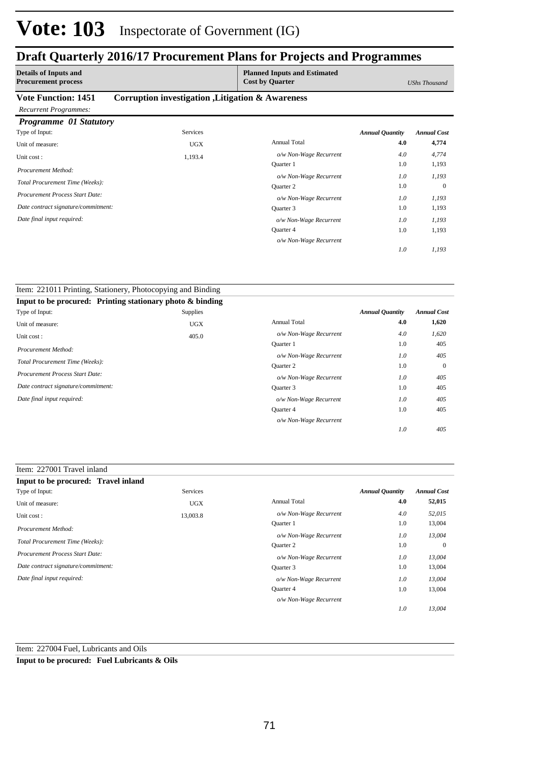### **Draft Quarterly 2016/17 Procurement Plans for Projects and Programmes**

| <b>Details of Inputs and</b><br><b>Procurement process</b> |                                                   | <b>Planned Inputs and Estimated</b><br><b>Cost by Quarter</b> |                        | UShs Thousand      |
|------------------------------------------------------------|---------------------------------------------------|---------------------------------------------------------------|------------------------|--------------------|
| <b>Vote Function: 1451</b><br><b>Recurrent Programmes:</b> | Corruption investigation , Litigation & Awareness |                                                               |                        |                    |
| Programme 01 Statutory                                     |                                                   |                                                               |                        |                    |
| Type of Input:                                             | <b>Services</b>                                   |                                                               | <b>Annual Quantity</b> | <b>Annual Cost</b> |
| Unit of measure:                                           | <b>UGX</b>                                        | <b>Annual Total</b>                                           | 4.0                    | 4,774              |
| Unit cost:                                                 | 1,193.4                                           | o/w Non-Wage Recurrent                                        | 4.0                    | 4,774              |
| Procurement Method:                                        |                                                   | <b>Ouarter</b> 1                                              | 1.0                    | 1,193              |
|                                                            |                                                   | o/w Non-Wage Recurrent                                        | 1.0                    | 1,193              |
| Total Procurement Time (Weeks):                            |                                                   | <b>Ouarter 2</b>                                              | 1.0                    | $\mathbf{0}$       |
| Procurement Process Start Date:                            |                                                   | o/w Non-Wage Recurrent                                        | 1.0                    | 1,193              |
| Date contract signature/commitment:                        |                                                   | Quarter 3                                                     | 1.0                    | 1,193              |
| Date final input required:                                 |                                                   | o/w Non-Wage Recurrent                                        | 1.0                    | 1,193              |
|                                                            |                                                   | <b>Ouarter 4</b>                                              | 1.0                    | 1,193              |

*o/w Non-Wage Recurrent*

*1,193*

*1.0*

| Item: 221011 Printing, Stationery, Photocopying and Binding |            |                        |                        |                    |
|-------------------------------------------------------------|------------|------------------------|------------------------|--------------------|
| Input to be procured: Printing stationary photo & binding   |            |                        |                        |                    |
| Type of Input:                                              | Supplies   |                        | <b>Annual Quantity</b> | <b>Annual Cost</b> |
| Unit of measure:                                            | <b>UGX</b> | <b>Annual Total</b>    | 4.0                    | 1,620              |
| Unit cost:                                                  | 405.0      | o/w Non-Wage Recurrent | 4.0                    | 1,620              |
|                                                             |            | Quarter 1              | 1.0                    | 405                |
| Procurement Method:                                         |            | o/w Non-Wage Recurrent | 1.0                    | 405                |
| Total Procurement Time (Weeks):                             |            | Quarter 2              | 1.0                    | $\mathbf{0}$       |
| <b>Procurement Process Start Date:</b>                      |            | o/w Non-Wage Recurrent | 1.0                    | 405                |
| Date contract signature/commitment:                         |            | Quarter 3              | 1.0                    | 405                |
| Date final input required:                                  |            | o/w Non-Wage Recurrent | 1.0                    | 405                |
|                                                             |            | Quarter 4              | 1.0                    | 405                |
|                                                             |            | o/w Non-Wage Recurrent |                        |                    |
|                                                             |            |                        | 1.0                    | 405                |

#### Item: 227001 Travel inland

| Input to be procured: Travel inland |            |                        |                        |                    |
|-------------------------------------|------------|------------------------|------------------------|--------------------|
| Type of Input:                      | Services   |                        | <b>Annual Quantity</b> | <b>Annual Cost</b> |
| Unit of measure:                    | <b>UGX</b> | <b>Annual Total</b>    | 4.0                    | 52,015             |
| Unit cost:                          | 13,003.8   | o/w Non-Wage Recurrent | 4.0                    | 52,015             |
| Procurement Method:                 |            | <b>Ouarter</b> 1       | 1.0                    | 13,004             |
|                                     |            | o/w Non-Wage Recurrent | 1.0                    | 13,004             |
| Total Procurement Time (Weeks):     |            | <b>Ouarter 2</b>       | 1.0                    | $\overline{0}$     |
| Procurement Process Start Date:     |            | o/w Non-Wage Recurrent | 1.0                    | 13,004             |
| Date contract signature/commitment: |            | Ouarter 3              | 1.0                    | 13,004             |
| Date final input required:          |            | o/w Non-Wage Recurrent | 1.0                    | 13,004             |
|                                     |            | <b>Ouarter 4</b>       | 1.0                    | 13,004             |
|                                     |            | o/w Non-Wage Recurrent |                        |                    |
|                                     |            |                        | 1.0                    | 13.004             |

### Item: 227004 Fuel, Lubricants and Oils

**Input to be procured: Fuel Lubricants & Oils**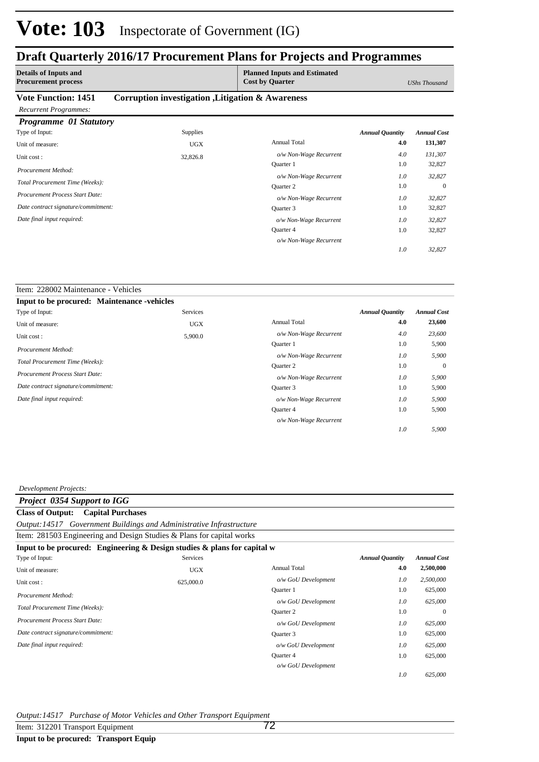### **Draft Quarterly 2016/17 Procurement Plans for Projects and Programmes**

| <b>Details of Inputs and</b><br><b>Procurement process</b>         |                                                   | <b>Planned Inputs and Estimated</b><br><b>Cost by Quarter</b> |                        | UShs Thousand      |
|--------------------------------------------------------------------|---------------------------------------------------|---------------------------------------------------------------|------------------------|--------------------|
| <b>Vote Function: 1451</b>                                         | Corruption investigation , Litigation & Awareness |                                                               |                        |                    |
| <b>Recurrent Programmes:</b>                                       |                                                   |                                                               |                        |                    |
| Programme 01 Statutory                                             |                                                   |                                                               |                        |                    |
| Type of Input:                                                     | <b>Supplies</b>                                   |                                                               | <b>Annual Quantity</b> | <b>Annual Cost</b> |
| Unit of measure:                                                   | <b>UGX</b>                                        | <b>Annual Total</b>                                           | 4.0                    | 131,307            |
| Unit cost:                                                         | 32,826.8                                          | o/w Non-Wage Recurrent                                        | 4.0                    | 131,307            |
| Procurement Method:                                                |                                                   | <b>Ouarter</b> 1                                              | 1.0                    | 32,827             |
| Total Procurement Time (Weeks):<br>Procurement Process Start Date: |                                                   | o/w Non-Wage Recurrent                                        | 1.0                    | 32,827             |
|                                                                    |                                                   | Quarter 2                                                     | 1.0                    | $\Omega$           |
|                                                                    |                                                   | o/w Non-Wage Recurrent                                        | 1.0                    | 32,827             |
| Date contract signature/commitment:                                |                                                   | Quarter 3                                                     | 1.0                    | 32,827             |
| Date final input required:                                         |                                                   | o/w Non-Wage Recurrent                                        | 1.0                    | 32,827             |
|                                                                    |                                                   | Quarter 4                                                     | 1.0                    | 32,827             |
|                                                                    |                                                   | o/w Non-Wage Recurrent                                        |                        |                    |

*32,827*

*1.0*

#### Item: 228002 Maintenance - Vehicles **Input to be procured: Maintenance -vehicles** Annual Total **4.0 23,600** 5,900 0 5,900 5,900 1.0 1.0 1.0 1.0 *Annual Quantity Annual Cost o/w Non-Wage Recurrent 4.0 23,600 5,900 5,900 5,900 5,900 1.0 1.0 1.0 1.0* Quarter 1 *o/w Non-Wage Recurrent* Quarter 2 *o/w Non-Wage Recurrent* Quarter 3 Quarter 4 *o/w Non-Wage Recurrent o/w Non-Wage Recurrent* Services Unit of measure: UGX Unit cost : 5,900.0 *Total Procurement Time (Weeks): Date contract signature/commitment: Procurement Process Start Date: Date final input required: Procurement Method:* Type of Input:

#### *Development Projects:*

### *Project 0354 Support to IGG* **Class of Output: Capital Purchases**

*Output:14517 Government Buildings and Administrative Infrastructure*

| Item: 281503 Engineering and Design Studies & Plans for capital works          |                 |                     |                        |                    |
|--------------------------------------------------------------------------------|-----------------|---------------------|------------------------|--------------------|
| Input to be procured: Engineering $\&$ Design studies $\&$ plans for capital w |                 |                     |                        |                    |
| Type of Input:                                                                 | <b>Services</b> |                     | <b>Annual Quantity</b> | <b>Annual Cost</b> |
| Unit of measure:                                                               | <b>UGX</b>      | <b>Annual Total</b> | 4.0                    | 2,500,000          |
| Unit cost:                                                                     | 625,000.0       | o/w GoU Development | 1.0                    | 2,500,000          |
|                                                                                |                 | Quarter 1           | 1.0                    | 625,000            |
| Procurement Method:                                                            |                 | o/w GoU Development | 1.0                    | 625,000            |
| Total Procurement Time (Weeks):                                                |                 | Quarter 2           | 1.0                    | $\overline{0}$     |
| <b>Procurement Process Start Date:</b>                                         |                 | o/w GoU Development | 1.0                    | 625,000            |
| Date contract signature/commitment:                                            |                 | Quarter 3           | 1.0                    | 625,000            |
| Date final input required:                                                     |                 | o/w GoU Development | 1.0                    | 625,000            |
|                                                                                |                 | <b>Ouarter 4</b>    | 1.0                    | 625,000            |
|                                                                                |                 | o/w GoU Development |                        |                    |
|                                                                                |                 |                     | 1.0                    | 625,000            |

#### *Output:14517 Purchase of Motor Vehicles and Other Transport Equipment*

Item: 312201 Transport Equipment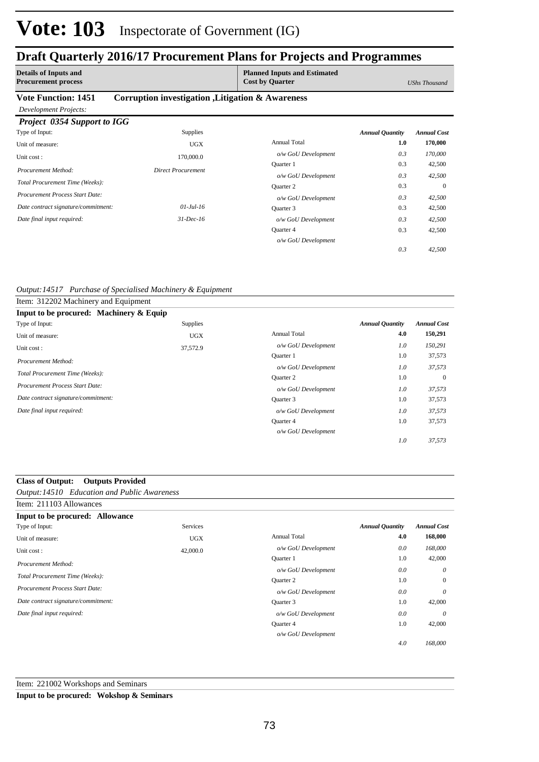# **Vote: 103** Inspectorate of Government (IG)

### **Draft Quarterly 2016/17 Procurement Plans for Projects and Programmes**

|                                                            |                                                   | $\cdot$                                                       | $\bullet$              |                    |
|------------------------------------------------------------|---------------------------------------------------|---------------------------------------------------------------|------------------------|--------------------|
| <b>Details of Inputs and</b><br><b>Procurement process</b> |                                                   | <b>Planned Inputs and Estimated</b><br><b>Cost by Quarter</b> |                        | UShs Thousand      |
| <b>Vote Function: 1451</b><br>Development Projects:        | Corruption investigation , Litigation & Awareness |                                                               |                        |                    |
| Project 0354 Support to IGG                                |                                                   |                                                               |                        |                    |
| Type of Input:                                             | <b>Supplies</b>                                   |                                                               | <b>Annual Quantity</b> | <b>Annual Cost</b> |
| Unit of measure:                                           | <b>UGX</b>                                        | <b>Annual Total</b>                                           | 1.0                    | 170,000            |
| Unit cost:                                                 | 170,000.0                                         | o/w GoU Development                                           | 0.3                    | 170,000            |
| Procurement Method:                                        | <b>Direct Procurement</b>                         | <b>Ouarter</b> 1                                              | 0.3                    | 42,500             |
|                                                            |                                                   | o/w GoU Development                                           | 0.3                    | 42,500             |
| Total Procurement Time (Weeks):                            |                                                   | Quarter 2                                                     | 0.3                    | $\Omega$           |
| Procurement Process Start Date:                            |                                                   | o/w GoU Development                                           | 0.3                    | 42,500             |
| Date contract signature/commitment:                        | $01$ -Jul-16                                      | Quarter 3                                                     | 0.3                    | 42,500             |
| Date final input required:                                 | $31$ -Dec-16                                      | o/w GoU Development                                           | 0.3                    | 42,500             |
|                                                            |                                                   | Quarter 4                                                     | 0.3                    | 42,500             |

*o/w GoU Development*

*42,500*

*0.3*

*Output:14517 Purchase of Specialised Machinery & Equipment*

| Item: 312202 Machinery and Equipment    |                 |                     |                        |                    |
|-----------------------------------------|-----------------|---------------------|------------------------|--------------------|
| Input to be procured: Machinery & Equip |                 |                     |                        |                    |
| Type of Input:                          | <b>Supplies</b> |                     | <b>Annual Quantity</b> | <b>Annual Cost</b> |
| Unit of measure:                        | <b>UGX</b>      | <b>Annual Total</b> | 4.0                    | 150,291            |
| Unit cost:                              | 37,572.9        | o/w GoU Development | 1.0                    | 150,291            |
| Procurement Method:                     |                 | Quarter 1           | 1.0                    | 37,573             |
|                                         |                 | o/w GoU Development | 1.0                    | 37,573             |
| Total Procurement Time (Weeks):         |                 | Quarter 2           | 1.0                    | $\overline{0}$     |
| <b>Procurement Process Start Date:</b>  |                 | o/w GoU Development | 1.0                    | 37,573             |
| Date contract signature/commitment:     |                 | Quarter 3           | 1.0                    | 37,573             |
| Date final input required:              |                 | o/w GoU Development | 1.0                    | 37,573             |
|                                         |                 | Quarter 4           | 1.0                    | 37,573             |
|                                         |                 | o/w GoU Development |                        |                    |
|                                         |                 |                     | 1.0                    | 37,573             |

### **Class of Output: Outputs Provided**

*Output:14510 Education and Public Awareness*

| Item: 211103 Allowances                |            |                     |                        |                    |
|----------------------------------------|------------|---------------------|------------------------|--------------------|
| Input to be procured: Allowance        |            |                     |                        |                    |
| Type of Input:                         | Services   |                     | <b>Annual Quantity</b> | <b>Annual Cost</b> |
| Unit of measure:                       | <b>UGX</b> | <b>Annual Total</b> | 4.0                    | 168,000            |
| Unit cost:                             | 42,000.0   | o/w GoU Development | 0.0                    | 168,000            |
| Procurement Method:                    |            | <b>Ouarter</b> 1    | 1.0                    | 42,000             |
|                                        |            | o/w GoU Development | 0.0                    | $\theta$           |
| Total Procurement Time (Weeks):        |            | Quarter 2           | 1.0                    | $\mathbf{0}$       |
| <b>Procurement Process Start Date:</b> |            | o/w GoU Development | 0.0                    | $\theta$           |
| Date contract signature/commitment:    |            | Quarter 3           | 1.0                    | 42,000             |
| Date final input required:             |            | o/w GoU Development | 0.0                    | $\theta$           |
|                                        |            | Quarter 4           | 1.0                    | 42,000             |
|                                        |            | o/w GoU Development |                        |                    |
|                                        |            |                     | 4.0                    | 168,000            |

### Item: 221002 Workshops and Seminars **Input to be procured: Wokshop & Seminars**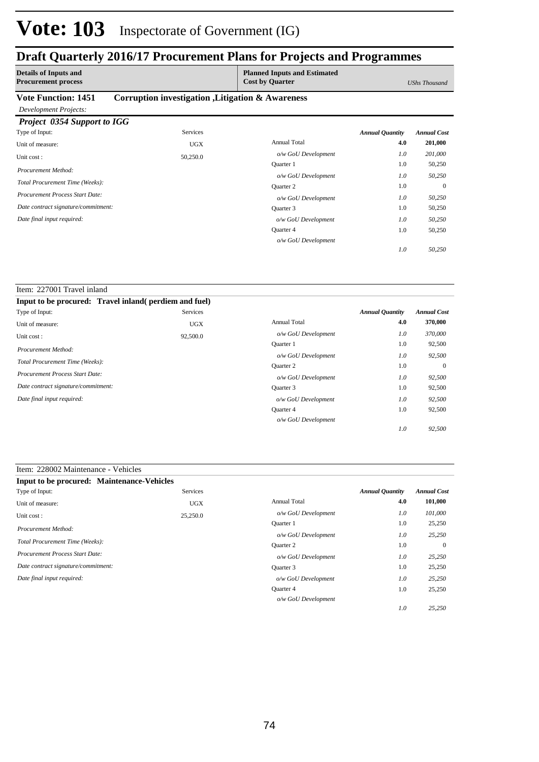## **Vote: 103** Inspectorate of Government (IG)

## **Draft Quarterly 2016/17 Procurement Plans for Projects and Programmes**

| <b>Details of Inputs and</b><br><b>Procurement process</b> |                                                   | <b>Planned Inputs and Estimated</b><br><b>Cost by Quarter</b> |                        | UShs Thousand      |
|------------------------------------------------------------|---------------------------------------------------|---------------------------------------------------------------|------------------------|--------------------|
| <b>Vote Function: 1451</b>                                 | Corruption investigation , Litigation & Awareness |                                                               |                        |                    |
| Development Projects:                                      |                                                   |                                                               |                        |                    |
| <b>Project 0354 Support to IGG</b>                         |                                                   |                                                               |                        |                    |
| Type of Input:                                             | <b>Services</b>                                   |                                                               | <b>Annual Quantity</b> | <b>Annual Cost</b> |
| Unit of measure:                                           | <b>UGX</b>                                        | <b>Annual Total</b>                                           | 4.0                    | 201,000            |
| Unit cost:                                                 | 50,250.0                                          | o/w GoU Development                                           | 1.0                    | 201,000            |
| Procurement Method:                                        |                                                   | <b>Ouarter 1</b>                                              | 1.0                    | 50,250             |
|                                                            |                                                   | o/w GoU Development                                           | 1.0                    | 50,250             |
| Total Procurement Time (Weeks):                            |                                                   | <b>Ouarter 2</b>                                              | 1.0                    | $\Omega$           |
| Procurement Process Start Date:                            |                                                   | o/w GoU Development                                           | 1.0                    | 50,250             |
| Date contract signature/commitment:                        |                                                   | Quarter 3                                                     | 1.0                    | 50,250             |
| Date final input required:                                 |                                                   | o/w GoU Development                                           | 1.0                    | 50,250             |
|                                                            |                                                   | Quarter 4                                                     | 1.0                    | 50,250             |
|                                                            |                                                   | o/w GoU Development                                           |                        |                    |

*50,250*

*25,250*

*1.0*

*1.0*

| Item: 227001 Travel inland                             |          |                                                                                                                 |     |                |
|--------------------------------------------------------|----------|-----------------------------------------------------------------------------------------------------------------|-----|----------------|
| Input to be procured: Travel inland (perdiem and fuel) |          | Services<br><b>Annual Quantity</b><br><b>Annual Cost</b><br><b>Annual Total</b><br>4.0<br>370,000<br><b>UGX</b> |     |                |
| Type of Input:                                         |          |                                                                                                                 |     |                |
| Unit of measure:                                       |          |                                                                                                                 |     |                |
| Unit cost:                                             | 92,500.0 | o/w GoU Development                                                                                             | 1.0 | 370,000        |
| Procurement Method:                                    |          | <b>Ouarter</b> 1                                                                                                | 1.0 | 92,500         |
|                                                        |          | o/w GoU Development                                                                                             | 1.0 | 92,500         |
| Total Procurement Time (Weeks):                        |          | <b>Ouarter 2</b>                                                                                                | 1.0 | $\overline{0}$ |
| <b>Procurement Process Start Date:</b>                 |          | o/w GoU Development                                                                                             | 1.0 | 92,500         |
| Date contract signature/commitment:                    |          | Quarter 3                                                                                                       | 1.0 | 92,500         |
| Date final input required:                             |          | o/w GoU Development                                                                                             | 1.0 | 92,500         |
|                                                        |          | Quarter 4                                                                                                       | 1.0 | 92,500         |
|                                                        |          | o/w GoU Development                                                                                             |     |                |
|                                                        |          |                                                                                                                 | 1.0 | 92,500         |

### Item: 228002 Maintenance - Vehicles

| <b>Input to be procured: Maintenance-Vehicles</b> |            |                     |                        |                    |
|---------------------------------------------------|------------|---------------------|------------------------|--------------------|
| Type of Input:                                    | Services   |                     | <b>Annual Quantity</b> | <b>Annual Cost</b> |
| Unit of measure:                                  | <b>UGX</b> | <b>Annual Total</b> | 4.0                    | 101,000            |
| Unit cost:                                        | 25,250.0   | o/w GoU Development | 1.0                    | 101.000            |
| Procurement Method:                               |            | Ouarter 1           | 1.0                    | 25,250             |
|                                                   |            | o/w GoU Development | 1.0                    | 25,250             |
| Total Procurement Time (Weeks):                   |            | <b>Ouarter 2</b>    | 1.0                    | $\Omega$           |
| Procurement Process Start Date:                   |            | o/w GoU Development | 1.0                    | 25,250             |
| Date contract signature/commitment:               |            | Quarter 3           | 1.0                    | 25,250             |
| Date final input required:                        |            | o/w GoU Development | 1.0                    | 25,250             |
|                                                   |            | Quarter 4           | 1.0                    | 25,250             |
|                                                   |            | o/w GoU Development |                        |                    |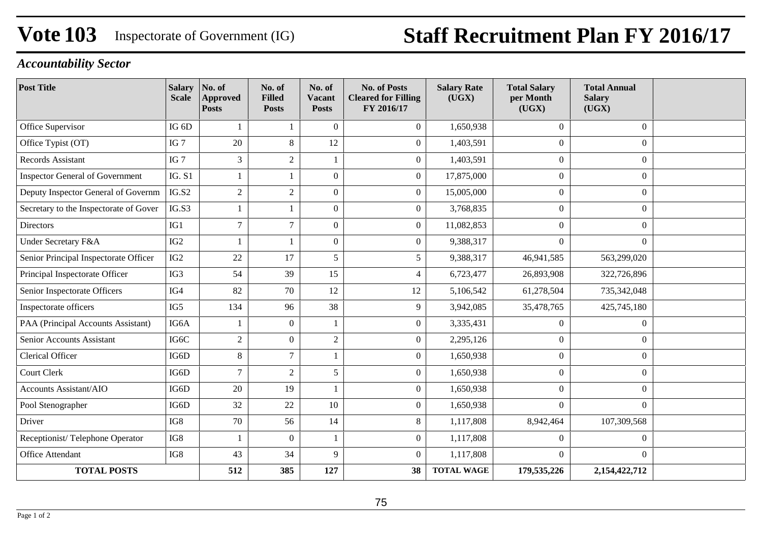# **Vote 103** Inspectorate of Government (IG) **Staff Recruitment Plan FY 2016/17**

## *Accountability Sector*

| <b>Post Title</b>                      | <b>Salary</b><br><b>Scale</b> | No. of<br><b>Approved</b><br><b>Posts</b> | No. of<br><b>Filled</b><br><b>Posts</b> | No. of<br>Vacant<br><b>Posts</b> | <b>No. of Posts</b><br><b>Cleared for Filling</b><br>FY 2016/17 | <b>Salary Rate</b><br>(UGX) | <b>Total Salary</b><br>per Month<br>(UGX) | <b>Total Annual</b><br><b>Salary</b><br>(UGX) |  |
|----------------------------------------|-------------------------------|-------------------------------------------|-----------------------------------------|----------------------------------|-----------------------------------------------------------------|-----------------------------|-------------------------------------------|-----------------------------------------------|--|
| Office Supervisor                      | IG <sub>6</sub> D             | 1                                         |                                         | $\Omega$                         | $\boldsymbol{0}$                                                | 1,650,938                   | $\Omega$                                  | $\boldsymbol{0}$                              |  |
| Office Typist (OT)                     | IG <sub>7</sub>               | 20                                        | $8\,$                                   | 12                               | $\Omega$                                                        | 1,403,591                   | $\overline{0}$                            | $\mathbf{0}$                                  |  |
| <b>Records Assistant</b>               | IG <sub>7</sub>               | 3                                         | $\sqrt{2}$                              |                                  | $\boldsymbol{0}$                                                | 1,403,591                   | $\overline{0}$                            | $\mathbf{0}$                                  |  |
| <b>Inspector General of Government</b> | <b>IG. S1</b>                 | 1                                         | $\mathbf{1}$                            | $\theta$                         | $\boldsymbol{0}$                                                | 17,875,000                  | $\overline{0}$                            | $\mathbf{0}$                                  |  |
| Deputy Inspector General of Governm    | IG.S2                         | $\sqrt{2}$                                | $\sqrt{2}$                              | $\mathbf{0}$                     | $\mathbf{0}$                                                    | 15,005,000                  | $\boldsymbol{0}$                          | $\boldsymbol{0}$                              |  |
| Secretary to the Inspectorate of Gover | IG.S3                         |                                           |                                         | $\theta$                         | $\boldsymbol{0}$                                                | 3,768,835                   | $\overline{0}$                            | $\Omega$                                      |  |
| <b>Directors</b>                       | IG1                           | $\overline{7}$                            | $\overline{7}$                          | $\mathbf{0}$                     | $\mathbf{0}$                                                    | 11,082,853                  | $\overline{0}$                            | $\overline{0}$                                |  |
| <b>Under Secretary F&amp;A</b>         | IG <sub>2</sub>               | -1                                        | $\mathbf{1}$                            | $\Omega$                         | $\boldsymbol{0}$                                                | 9,388,317                   | $\overline{0}$                            | $\Omega$                                      |  |
| Senior Principal Inspectorate Officer  | IG <sub>2</sub>               | 22                                        | 17                                      | 5                                | 5                                                               | 9,388,317                   | 46,941,585                                | 563,299,020                                   |  |
| Principal Inspectorate Officer         | IG3                           | 54                                        | 39                                      | 15                               | $\overline{4}$                                                  | 6,723,477                   | 26,893,908                                | 322,726,896                                   |  |
| Senior Inspectorate Officers           | IG4                           | 82                                        | 70                                      | 12                               | 12                                                              | 5,106,542                   | 61,278,504                                | 735,342,048                                   |  |
| Inspectorate officers                  | IG5                           | 134                                       | 96                                      | 38                               | 9                                                               | 3,942,085                   | 35,478,765                                | 425,745,180                                   |  |
| PAA (Principal Accounts Assistant)     | IG6A                          | 1                                         | $\mathbf{0}$                            | 1                                | $\mathbf{0}$                                                    | 3,335,431                   | $\boldsymbol{0}$                          | $\mathbf{0}$                                  |  |
| Senior Accounts Assistant              | IG6C                          | $\overline{2}$                            | $\overline{0}$                          | $\sqrt{2}$                       | $\overline{0}$                                                  | 2,295,126                   | $\boldsymbol{0}$                          | $\mathbf{0}$                                  |  |
| Clerical Officer                       | IG6D                          | 8                                         | $\overline{7}$                          | 1                                | $\overline{0}$                                                  | 1,650,938                   | $\overline{0}$                            | $\boldsymbol{0}$                              |  |
| Court Clerk                            | IG6D                          | $\overline{7}$                            | $\overline{2}$                          | 5                                | $\boldsymbol{0}$                                                | 1,650,938                   | $\overline{0}$                            | $\boldsymbol{0}$                              |  |
| <b>Accounts Assistant/AIO</b>          | IG6D                          | 20                                        | 19                                      | 1                                | $\mathbf{0}$                                                    | 1,650,938                   | $\overline{0}$                            | $\overline{0}$                                |  |
| Pool Stenographer                      | IG6D                          | 32                                        | 22                                      | 10                               | $\boldsymbol{0}$                                                | 1,650,938                   | $\overline{0}$                            | $\overline{0}$                                |  |
| Driver                                 | IG8                           | 70                                        | 56                                      | 14                               | $8\,$                                                           | 1,117,808                   | 8,942,464                                 | 107,309,568                                   |  |
| Receptionist/Telephone Operator        | IG8                           | 1                                         | $\overline{0}$                          | 1                                | $\overline{0}$                                                  | 1,117,808                   | $\overline{0}$                            | $\mathbf{0}$                                  |  |
| <b>Office Attendant</b>                | IG8                           | 43                                        | 34                                      | 9                                | $\boldsymbol{0}$                                                | 1,117,808                   | $\Omega$                                  | $\Omega$                                      |  |
| <b>TOTAL POSTS</b>                     |                               | 512                                       | 385                                     | 127                              | 38                                                              | <b>TOTAL WAGE</b>           | 179,535,226                               | 2,154,422,712                                 |  |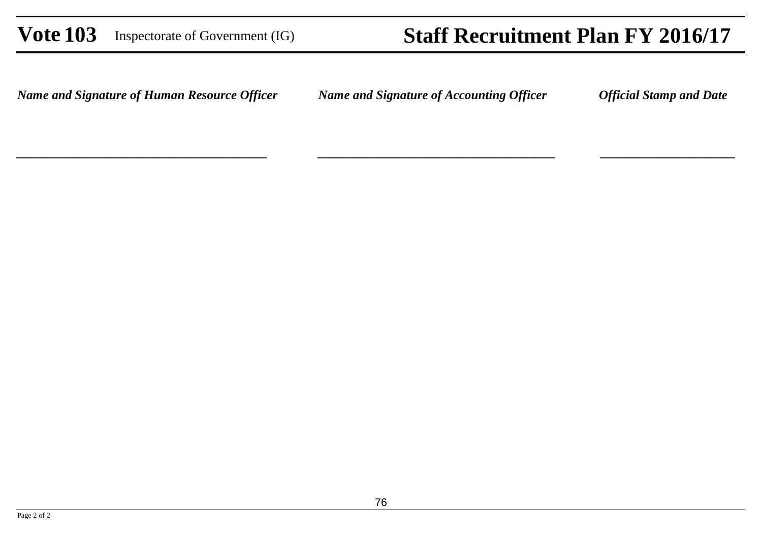## **Vote 103** Inspectorate of Government (IG) **Staff Recruitment Plan FY 2016/17**

*\_\_\_\_\_\_\_\_\_\_\_\_\_\_\_\_\_\_\_\_\_\_\_\_\_\_\_\_\_\_\_\_\_\_\_\_\_ \_\_\_\_\_\_\_\_\_\_\_\_\_\_\_\_\_\_\_\_\_*

*Name and Signature of Human Resource Officer*

*\_\_\_\_\_\_\_\_\_\_\_\_\_\_\_\_\_\_\_\_\_\_\_\_\_\_\_\_\_\_\_\_\_\_\_\_\_\_\_*

*Name and Signature of Accounting Officer Official Stamp and Date*